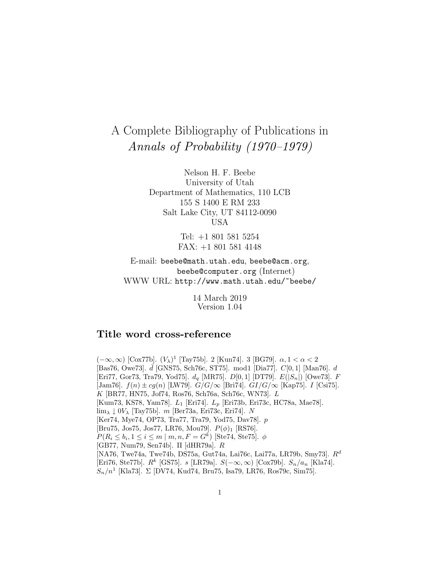# A Complete Bibliography of Publications in Annals of Probability (1970–1979)

Nelson H. F. Beebe University of Utah Department of Mathematics, 110 LCB 155 S 1400 E RM 233 Salt Lake City, UT 84112-0090 USA

> Tel: +1 801 581 5254 FAX: +1 801 581 4148

E-mail: beebe@math.utah.edu, beebe@acm.org, beebe@computer.org (Internet) WWW URL: http://www.math.utah.edu/~beebe/

> 14 March 2019 Version 1.04

# **Title word cross-reference**

 $(-\infty, \infty)$  [Cox77b].  $(V_{\lambda})^1$  [Tay75b]. 2 [Kun74]. 3 [BG79]. α, 1 < α < 2  $[\text{Bas76}, \text{ Owe73}]$ .  $\vec{d}$  [GNS75, Sch76c, ST75]. mod1 [Dia77].  $C[0,1]$  [Man76]. d [Eri77, Gor73, Tra79, Yod75].  $d_q$  [MR75].  $D[0,1]$  [DT79].  $E(|S_n|)$  [Owe73].  $F$ [Jam76].  $f(n) \pm cg(n)$  [LW79].  $G/G/\infty$  [Bri74].  $GI/G/\infty$  [Kap75]. I [Csi75]. K [BR77, HN75, Jof74, Ros76, Sch76a, Sch76c, WN73]. L [Kum73, KS78, Yam78]. L<sub>1</sub> [Eri74]. L<sub>p</sub> [Eri73b, Eri73c, HC78a, Mae78].  $\lim_{\lambda} \downarrow 0V_{\lambda}$  [Tay75b]. m [Ber73a, Eri73c, Eri74]. N [Ker74, Mye74, OP73, Tra77, Tra79, Yod75, Dav78]. p [Bru75, Jos75, Jos77, LR76, Mou79].  $P(\phi)$ <sub>1</sub> [RS76].  $P(R_i \le b_i, 1 \le i \le m \mid m, n, F = G^k)$  [Ste74, Ste75].  $\phi$ [GB77, Num79, Sen74b]. Π [dHR79a]. R [NA76, Twe74a, Twe74b, DS75a, Gut74a, Lai76c, Lai77a, LR79b, Smy73]. R<sup>d</sup> [Eri76, Ste77b].  $R^k$  [GS75]. s [LR79a].  $S(-\infty, \infty)$  [Cox79b].  $S_n/a_n$  [Kla74].  $S_n/n^1$  [Kla73].  $\Sigma$  [DV74, Kud74, Bru75, Isa79, LR76, Ros79c, Sim75].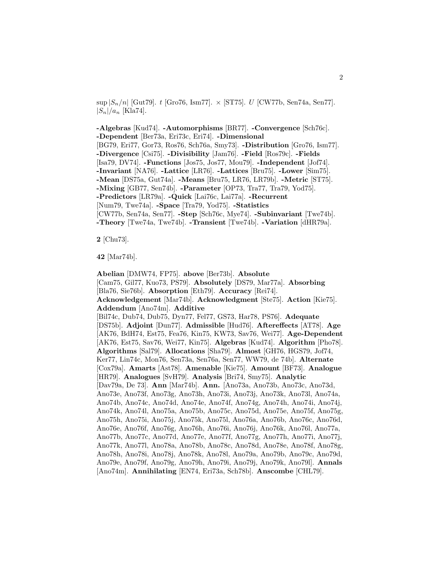$\sup |S_n/n|$  [Gut79]. t [Gro76, Ism77].  $\times$  [ST75]. U [CW77b, Sen74a, Sen77].  $|S_n|/a_n$  [Kla74].

**-Algebras** [Kud74]. **-Automorphisms** [BR77]. **-Convergence** [Sch76c]. **-Dependent** [Ber73a, Eri73c, Eri74]. **-Dimensional** [BG79, Eri77, Gor73, Ros76, Sch76a, Smy73]. **-Distribution** [Gro76, Ism77]. **-Divergence** [Csi75]. **-Divisibility** [Jam76]. **-Field** [Ros79c]. **-Fields** [Isa79, DV74]. **-Functions** [Jos75, Jos77, Mou79]. **-Independent** [Jof74]. **-Invariant** [NA76]. **-Lattice** [LR76]. **-Lattices** [Bru75]. **-Lower** [Sim75]. **-Mean** [DS75a, Gut74a]. **-Means** [Bru75, LR76, LR79b]. **-Metric** [ST75]. **-Mixing** [GB77, Sen74b]. **-Parameter** [OP73, Tra77, Tra79, Yod75]. **-Predictors** [LR79a]. **-Quick** [Lai76c, Lai77a]. **-Recurrent** [Num79, Twe74a]. **-Space** [Tra79, Yod75]. **-Statistics** [CW77b, Sen74a, Sen77]. **-Step** [Sch76c, Mye74]. **-Subinvariant** [Twe74b]. **-Theory** [Twe74a, Twe74b]. **-Transient** [Twe74b]. **-Variation** [dHR79a].

**2** [Chu73].

**42** [Mar74b].

**Abelian** [DMW74, FP75]. **above** [Ber73b]. **Absolute** [Cam75, Gil77, Kuo73, PS79]. **Absolutely** [DS79, Mar77a]. **Absorbing** [Bla76, Sie76b]. **Absorption** [Eth79]. **Accuracy** [Rei74]. **Acknowledgement** [Mar74b]. **Acknowledgment** [Ste75]. **Action** [Kie75]. **Addendum** [Ano74m]. **Additive** [Bil74c, Dub74, Dub75, Dyn77, Fel77, GS73, Har78, PS76]. **Adequate** [DS75b]. **Adjoint** [Dun77]. **Admissible** [Hud76]. **Aftereffects** [AT78]. **Age** [AK76, BdH74, Est75, Fea76, Kin75, KW73, Sav76, Wei77]. **Age-Dependent** [AK76, Est75, Sav76, Wei77, Kin75]. **Algebras** [Kud74]. **Algorithm** [Pho78]. **Algorithms** [Sal79]. **Allocations** [Sha79]. **Almost** [GH76, HGS79, Jof74, Ker77, Lin74c, Mon76, Sen73a, Sen76a, Sen77, WW79, de 74b]. **Alternate** [Cox79a]. **Amarts** [Ast78]. **Amenable** [Kie75]. **Amount** [BF73]. **Analogue** [HR79]. **Analogues** [SvH79]. **Analysis** [Bri74, Smy75]. **Analytic** [Dav79a, De 73]. **Ann** [Mar74b]. **Ann.** [Ano73a, Ano73b, Ano73c, Ano73d, Ano73e, Ano73f, Ano73g, Ano73h, Ano73i, Ano73j, Ano73k, Ano73l, Ano74a, Ano74b, Ano74c, Ano74d, Ano74e, Ano74f, Ano74g, Ano74h, Ano74i, Ano74j, Ano74k, Ano74l, Ano75a, Ano75b, Ano75c, Ano75d, Ano75e, Ano75f, Ano75g, Ano75h, Ano75i, Ano75j, Ano75k, Ano75l, Ano76a, Ano76b, Ano76c, Ano76d, Ano76e, Ano76f, Ano76g, Ano76h, Ano76i, Ano76j, Ano76k, Ano76l, Ano77a, Ano77b, Ano77c, Ano77d, Ano77e, Ano77f, Ano77g, Ano77h, Ano77i, Ano77j, Ano77k, Ano77l, Ano78a, Ano78b, Ano78c, Ano78d, Ano78e, Ano78f, Ano78g, Ano78h, Ano78i, Ano78j, Ano78k, Ano78l, Ano79a, Ano79b, Ano79c, Ano79d, Ano79e, Ano79f, Ano79g, Ano79h, Ano79i, Ano79j, Ano79k, Ano79l]. **Annals** [Ano74m]. **Annihilating** [EN74, Eri73a, Sch78b]. **Anscombe** [CHL79].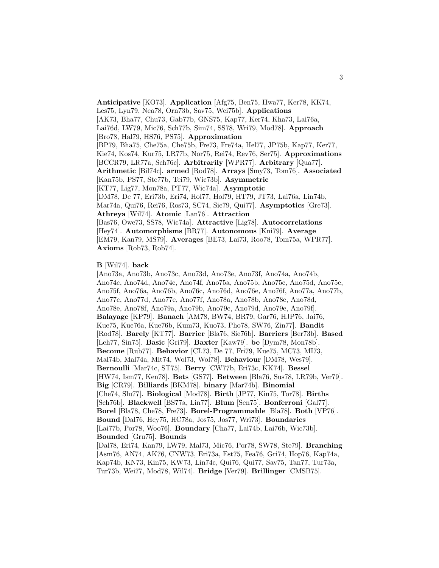**Anticipative** [KO73]. **Application** [Afg75, Ben75, Hwa77, Ker78, KK74, Les75, Lyn79, Nea78, Orn73b, Sav75, Wei75b]. **Applications** [AK73, Bha77, Chu73, Gab77b, GNS75, Kap77, Ker74, Kha73, Lai76a, Lai76d, LW79, Mic76, Sch77b, Sim74, SS78, Wri79, Mod78]. **Approach** [Bro78, Hal79, HS76, PS75]. **Approximation** [BP79, Bha75, Che75a, Che75b, Fre73, Fre74a, Hel77, JP75b, Kap77, Ker77, Kie74, Kos74, Kur75, LR77b, Nor75, Rei74, Rev76, Ser75]. **Approximations** [BCCR79, LR77a, Sch76c]. **Arbitrarily** [WPR77]. **Arbitrary** [Qua77]. **Arithmetic** [Bil74c]. **armed** [Rod78]. **Arrays** [Smy73, Tom76]. **Associated** [Kan75b, PS77, Ste77b, Tei79, Wic73b]. **Asymmetric** [KT77, Lig77, Mon78a, PT77, Wic74a]. **Asymptotic** [DM78, De 77, Eri73b, Eri74, Hol77, Hol79, HT79, JT73, Lai76a, Lin74b, Mar74a, Qui76, Rei76, Ros73, SC74, Sie79, Qui77]. **Asymptotics** [Gre73]. **Athreya** [Wil74]. **Atomic** [Lan76]. **Attraction** [Bas76, Owe73, SS78, Wic74a]. **Attractive** [Lig78]. **Autocorrelations** [Hey74]. **Automorphisms** [BR77]. **Autonomous** [Kni79]. **Average** [EM79, Kan79, MS79]. **Averages** [BE73, Lai73, Roo78, Tom75a, WPR77]. **Axioms** [Rob73, Rob74].

## **B** [Wil74]. **back**

[Ano73a, Ano73b, Ano73c, Ano73d, Ano73e, Ano73f, Ano74a, Ano74b, Ano74c, Ano74d, Ano74e, Ano74f, Ano75a, Ano75b, Ano75c, Ano75d, Ano75e, Ano75f, Ano76a, Ano76b, Ano76c, Ano76d, Ano76e, Ano76f, Ano77a, Ano77b, Ano77c, Ano77d, Ano77e, Ano77f, Ano78a, Ano78b, Ano78c, Ano78d, Ano78e, Ano78f, Ano79a, Ano79b, Ano79c, Ano79d, Ano79e, Ano79f]. **Balayage** [KP79]. **Banach** [AM78, BW74, BR79, Gar76, HJP76, Jai76, Kue75, Kue76a, Kue76b, Kum73, Kuo73, Pho78, SW76, Zin77]. **Bandit** [Rod78]. **Barely** [KT77]. **Barrier** [Bla76, Sie76b]. **Barriers** [Ber73b]. **Based** [Leh77, Sin75]. **Basic** [Gri79]. **Baxter** [Kaw79]. **be** [Dym78, Mon78b]. **Become** [Rub77]. **Behavior** [CL73, De 77, Fri79, Kue75, MC73, MI73, Mal74b, Mal74a, Mit74, Wol73, Wol78]. **Behaviour** [DM78, Wes79]. **Bernoulli** [Mar74c, ST75]. **Berry** [CW77b, Eri73c, KK74]. **Bessel** [HW74, Ism77, Ken78]. **Bets** [GS77]. **Between** [Bla76, Sus78, LR79b, Ver79]. **Big** [CR79]. **Billiards** [BKM78]. **binary** [Mar74b]. **Binomial** [Che74, Slu77]. **Biological** [Mod78]. **Birth** [JP77, Kin75, Tor78]. **Births** [Sch76b]. **Blackwell** [BS77a, Lin77]. **Blum** [Sen75]. **Bonferroni** [Gal77]. **Borel** [Bla78, Che78, Fre73]. **Borel-Programmable** [Bla78]. **Both** [VP76]. **Bound** [Dal76, Hey75, HC78a, Jos75, Jos77, Wri73]. **Boundaries** [Lai77b, Por78, Woo76]. **Boundary** [Cha77, Lai74b, Lai76b, Wic73b]. **Bounded** [Gru75]. **Bounds** [Dal78, Eri74, Kan79, LW79, Mal73, Mic76, Por78, SW78, Ste79]. **Branching** [Asm76, AN74, AK76, CNW73, Eri73a, Est75, Fea76, Gri74, Hop76, Kap74a, Kap74b, KN73, Kin75, KW73, Lin74c, Qui76, Qui77, Sav75, Tan77, Tur73a, Tur73b, Wei77, Mod78, Wil74]. **Bridge** [Ver79]. **Brillinger** [CMSB75].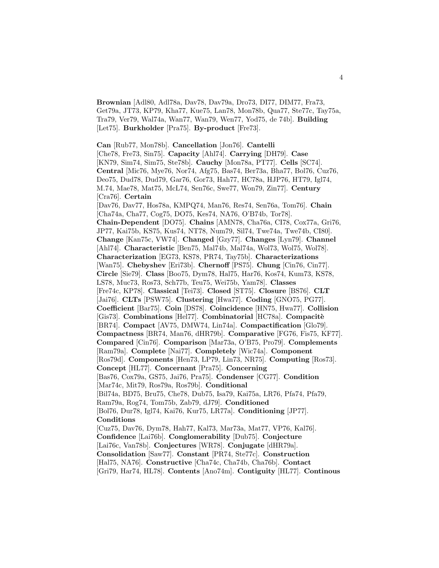**Brownian** [Adl80, Adl78a, Dav78, Dav79a, Dro73, DI77, DIM77, Fra73, Get79a, JT73, KP79, Kha77, Kue75, Lan78, Mon78b, Qua77, Ste77c, Tay75a, Tra79, Ver79, Wal74a, Wan77, Wan79, Wen77, Yod75, de 74b]. **Building** [Let75]. **Burkholder** [Pra75]. **By-product** [Fre73].

**Can** [Rub77, Mon78b]. **Cancellation** [Jon76]. **Cantelli** [Che78, Fre73, Sin75]. **Capacity** [Ahl74]. **Carrying** [DH79]. **Case** [KN79, Sim74, Sim75, Ste78b]. **Cauchy** [Mon78a, PT77]. **Cells** [SC74]. **Central** [Mic76, Mye76, Nor74, Afg75, Bas74, Ber73a, Bha77, Bol76, Cuz76, Deo75, Dud78, Dud79, Gar76, Gor73, Hah77, HC78a, HJP76, HT79, Igl74, M.74, Mae78, Mat75, McL74, Sen76c, Swe77, Won79, Zin77]. **Century** [Cra76]. **Certain** [Dav76, Dav77, Hos78a, KMPQ74, Man76, Res74, Sen76a, Tom76]. **Chain** [Cha74a, Cha77, Cog75, DO75, Kes74, NA76, O'B74b, Tor78]. **Chain-Dependent** [DO75]. **Chains** [AMN78, Cha76a, CI78, Cox77a, Gri76, JP77, Kai75b, KS75, Kus74, NT78, Num79, Sil74, Twe74a, Twe74b, CI80]. **Change** [Kan75c, VW74]. **Changed** [Gzy77]. **Changes** [Lyn79]. **Channel** [Ahl74]. **Characteristic** [Ben75, Mal74b, Mal74a, Wol73, Wol75, Wol78]. **Characterization** [EG73, KS78, PR74, Tay75b]. **Characterizations** [Wan75]. **Chebyshev** [Eri73b]. **Chernoff** [PS75]. **Chung** [Cin76, Cin77]. **Circle** [Sie79]. **Class** [Boo75, Dym78, Hal75, Har76, Kos74, Kum73, KS78, LS78, Muc73, Ros73, Sch77b, Teu75, Wei75b, Yam78]. **Classes** [Fre74c, KP78]. **Classical** [Tei73]. **Closed** [ST75]. **Closure** [BS76]. **CLT** [Jai76]. **CLTs** [PSW75]. **Clustering** [Hwa77]. **Coding** [GNO75, PG77]. **Coefficient** [Bar75]. **Coin** [DS78]. **Coincidence** [HN75, Hwa77]. **Collision** [Gis73]. **Combinations** [Hel77]. **Combinatorial** [HC78a]. **Compacité** [BR74]. **Compact** [AV75, DMW74, Lin74a]. **Compactification** [Glo79]. **Compactness** [BR74, Man76, dHR79b]. **Comparative** [FG76, Fis75, KF77]. **Compared** [Cin76]. **Comparison** [Mar73a, O'B75, Pro79]. **Complements** [Ram79a]. **Complete** [Nai77]. **Completely** [Wic74a]. **Component** [Ros79d]. **Components** [Hen73, LP79, Lin73, NR75]. **Computing** [Ros73]. **Concept** [HL77]. **Concernant** [Pra75]. **Concerning** [Bas76, Cox79a, GS75, Jai76, Pra75]. **Condenser** [CG77]. **Condition** [Mar74c, Mit79, Ros79a, Ros79b]. **Conditional** [Bil74a, BD75, Bru75, Che78, Dub75, Isa79, Kai75a, LR76, Pfa74, Pfa79, Ram79a, Rog74, Tom75b, Zab79, dJ79]. **Conditioned** [Bol76, Dur78, Igl74, Kai76, Kur75, LR77a]. **Conditioning** [JP77]. **Conditions** [Cuz75, Dav76, Dym78, Hah77, Kal73, Mar73a, Mat77, VP76, Kal76]. **Confidence** [Lai76b]. **Conglomerability** [Dub75]. **Conjecture** [Lai76c, Van78b]. **Conjectures** [WR78]. **Conjugate** [dHR79a]. **Consolidation** [Saw77]. **Constant** [PR74, Ste77c]. **Construction** [Hal75, NA76]. **Constructive** [Cha74c, Cha74b, Cha76b]. **Contact**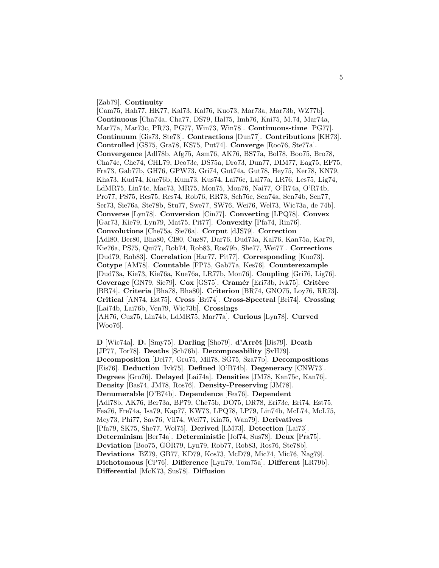## [Zab79]. **Continuity**

[Cam75, Hah77, HK77, Kal73, Kal76, Kuo73, Mar73a, Mar73b, WZ77b]. **Continuous** [Cha74a, Cha77, DS79, Hal75, Imh76, Kni75, M.74, Mar74a, Mar77a, Mar73c, PR73, PG77, Win73, Win78]. **Continuous-time** [PG77]. **Continuum** [Gis73, Ste73]. **Contractions** [Dun77]. **Contributions** [KH73]. **Controlled** [GS75, Gra78, KS75, Put74]. **Converge** [Roo76, Ste77a]. **Convergence** [Adl78b, Afg75, Asm76, AK76, BS77a, Bol78, Boo75, Bro78, Cha74c, Che74, CHL79, Deo73c, DS75a, Dro73, Dun77, DIM77, Eag75, EF75, Fra73, Gab77b, GH76, GPW73, Gri74, Gut74a, Gut78, Hey75, Ker78, KN79, Kha73, Kud74, Kue76b, Kum73, Kus74, Lai76c, Lai77a, LR76, Les75, Lig74, LdMR75, Lin74c, Mac73, MR75, Mon75, Mon76, Nai77, O'R74a, O'R74b, Pro77, PS75, Res75, Res74, Rob76, RR73, Sch76c, Sen74a, Sen74b, Sen77, Ser73, Sie76a, Ste78b, Stu77, Swe77, SW76, Wei76, Wel73, Wic73a, de 74b]. **Converse** [Lyn78]. **Conversion** [Cin77]. **Converting** [LPQ78]. **Convex** [Gar73, Kie79, Lyn79, Mat75, Pit77]. **Convexity** [Pfa74, Rin76]. **Convolutions** [Che75a, Sie76a]. **Corput** [dJS79]. **Correction** [Adl80, Ber80, Bha80, CI80, Cuz87, Dar76, Dud73a, Kal76, Kan75a, Kar79, Kie76a, PS75, Qui77, Rob74, Rob83, Ros79b, She77, Wei77]. **Corrections** [Dud79, Rob83]. **Correlation** [Har77, Pit77]. **Corresponding** [Kuo73]. **Cotype** [AM78]. **Countable** [FP75, Gab77a, Kes76]. **Counterexample** [Dud73a, Kie73, Kie76a, Kue76a, LR77b, Mon76]. **Coupling** [Gri76, Lig76]. **Coverage** [GN79, Sie79]. **Cox** [GS75]. **Cramér** [Eri73b, Ivk75]. **Critère** [BR74]. **Criteria** [Bha78, Bha80]. **Criterion** [BR74, GNO75, Loy76, RR73]. **Critical** [AN74, Est75]. **Cross** [Bri74]. **Cross-Spectral** [Bri74]. **Crossing** [Lai74b, Lai76b, Ven79, Wic73b]. **Crossings** [AH76, Cuz75, Lin74b, LdMR75, Mar77a]. **Curious** [Lyn78]. **Curved** [Woo76].

**D** [Wic74a]. **D.** [Smy75]. **Darling** [Sho79]. **d'Arrêt** [Bis79]. **Death** [JP77, Tor78]. **Deaths** [Sch76b]. **Decomposability** [SvH79]. **Decomposition** [Del77, Gru75, Mil78, SG75, Sza77b]. **Decompositions** [Eis76]. **Deduction** [Ivk75]. **Defined** [O'B74b]. **Degeneracy** [CNW73]. **Degrees** [Gro76]. **Delayed** [Lai74a]. **Densities** [JM78, Kan75c, Kan76]. **Density** [Bas74, JM78, Ros76]. **Density-Preserving** [JM78]. **Denumerable** [O'B74b]. **Dependence** [Fea76]. **Dependent** [Adl78b, AK76, Ber73a, BP79, Che75b, DO75, DR78, Eri73c, Eri74, Est75, Fea76, Fre74a, Isa79, Kap77, KW73, LPQ78, LP79, Lin74b, McL74, McL75, Mey73, Phi77, Sav76, Vil74, Wei77, Kin75, Wan79]. **Derivatives** [Pfa79, SK75, She77, Wol75]. **Derived** [LM73]. **Detection** [Lai73]. **Determinism** [Ber74a]. **Deterministic** [Jof74, Sus78]. **Deux** [Pra75]. **Deviation** [Boo75, GOR79, Lyn79, Rob77, Rob83, Ros76, Ste78b]. **Deviations** [BZ79, GB77, KD79, Kos73, McD79, Mic74, Mic76, Nag79]. **Dichotomous** [CP76]. **Difference** [Lyn79, Tom75a]. **Different** [LR79b]. **Differential** [McK73, Sus78]. **Diffusion**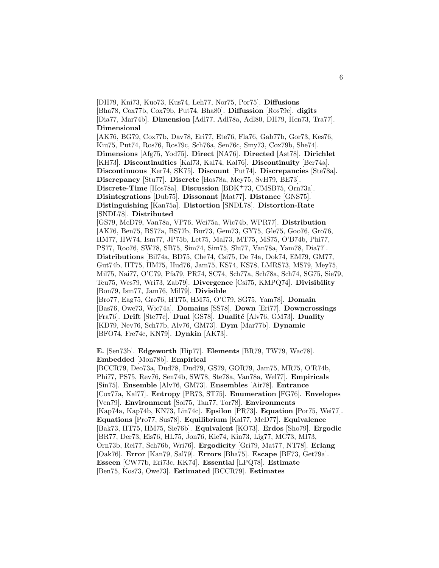[DH79, Kni73, Kuo73, Kus74, Leh77, Nor75, Por75]. **Diffusions** [Bha78, Cox77b, Cox79b, Put74, Bha80]. **Diffussion** [Ros79c]. **digits** [Dia77, Mar74b]. **Dimension** [Adl77, Adl78a, Adl80, DH79, Hen73, Tra77]. **Dimensional** [AK76, BG79, Cox77b, Dav78, Eri77, Ete76, Fla76, Gab77b, Gor73, Kes76, Kiu75, Put74, Ros76, Ros79c, Sch76a, Sen76c, Smy73, Cox79b, She74]. **Dimensions** [Afg75, Yod75]. **Direct** [NA76]. **Directed** [Ast78]. **Dirichlet** [KH73]. **Discontinuities** [Kal73, Kal74, Kal76]. **Discontinuity** [Ber74a]. **Discontinuous** [Ker74, SK75]. **Discount** [Put74]. **Discrepancies** [Ste78a]. **Discrepancy** [Stu77]. **Discrete** [Hos78a, Mey75, SvH79, BE73]. **Discrete-Time** [Hos78a]. **Discussion** [BDK<sup>+</sup>73, CMSB75, Orn73a]. **Disintegrations** [Dub75]. **Dissonant** [Mat77]. **Distance** [GNS75]. **Distinguishing** [Kan75a]. **Distortion** [SNDL78]. **Distortion-Rate** [SNDL78]. **Distributed** [GS79, McD79, Van78a, VP76, Wei75a, Wic74b, WPR77]. **Distribution** [AK76, Ben75, BS77a, BS77b, Bur73, Gem73, GY75, Gle75, Goo76, Gro76, HM77, HW74, Ism77, JP75b, Let75, Mal73, MT75, MS75, O'B74b, Phi77, PS77, Roo76, SW78, SB75, Sim74, Sim75, Slu77, Van78a, Yam78, Dia77]. **Distributions** [Bil74a, BD75, Che74, Csi75, De 74a, Dok74, EM79, GM77, Gut74b, HT75, HM75, Hud76, Jam75, KS74, KS78, LMRS73, MS79, Mey75, Mil75, Nai77, O'C79, Pfa79, PR74, SC74, Sch77a, Sch78a, Sch74, SG75, Sie79, Teu75, Wes79, Wri73, Zab79]. **Divergence** [Csi75, KMPQ74]. **Divisibility** [Bon79, Ism77, Jam76, Mil79]. **Divisible** [Bro77, Eag75, Gro76, HT75, HM75, O'C79, SG75, Yam78]. **Domain**

[Bas76, Owe73, Wic74a]. **Domains** [SS78]. **Down** [Eri77]. **Downcrossings** [Fra76]. **Drift** [Ste77c]. **Dual** [GS78]. **Dualité** [Alv76, GM73]. **Duality** [KD79, Nev76, Sch77b, Alv76, GM73]. **Dym** [Mar77b]. **Dynamic** [BFO74, Fre74c, KN79]. **Dynkin** [AK73].

**E.** [Sen73b]. **Edgeworth** [Hip77]. **Elements** [BR79, TW79, Wac78]. **Embedded** [Mon78b]. **Empirical**

[BCCR79, Deo73a, Dud78, Dud79, GS79, GOR79, Jam75, MR75, O'R74b, Phi77, PS75, Rev76, Sen74b, SW78, Ste78a, Van78a, Wel77]. **Empiricals** [Sin75]. **Ensemble** [Alv76, GM73]. **Ensembles** [Air78]. **Entrance** [Cox77a, Kal77]. **Entropy** [PR73, ST75]. **Enumeration** [FG76]. **Envelopes** [Ven79]. **Environment** [Sol75, Tan77, Tor78]. **Environments** [Kap74a, Kap74b, KN73, Lin74c]. **Epsilon** [PR73]. **Equation** [Por75, Wei77]. **Equations** [Pro77, Sus78]. **Equilibrium** [Kal77, McD77]. **Equivalence** [Bak73, HT75, HM75, Sie76b]. **Equivalent** [KO73]. **Erdos** [Sho79]. **Ergodic** [BR77, Der73, Eis76, HL75, Jon76, Kie74, Kin73, Lig77, MC73, MI73, Orn73b, Rei77, Sch76b, Wri76]. **Ergodicity** [Gri79, Mat77, NT78]. **Erlang** [Oak76]. **Error** [Kan79, Sal79]. **Errors** [Bha75]. **Escape** [BF73, Get79a]. **Esseen** [CW77b, Eri73c, KK74]. **Essential** [LPQ78]. **Estimate** [Ben75, Kos73, Owe73]. **Estimated** [BCCR79]. **Estimates**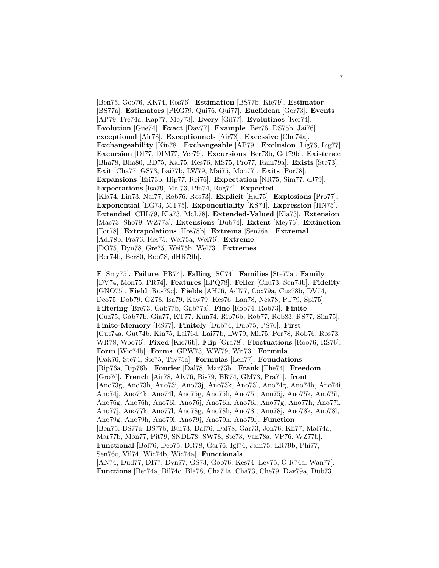[Ben75, Goo76, KK74, Ros76]. **Estimation** [BS77b, Kie79]. **Estimator** [BS77a]. **Estimators** [PKG79, Qui76, Qui77]. **Euclidean** [Gor73]. **Events** [AP79, Fre74a, Kap77, Mey73]. **Every** [Gil77]. **Evolutinos** [Ker74]. **Evolution** [Gue74]. **Exact** [Dav77]. **Example** [Ber76, DS75b, Jai76]. **exceptional** [Air78]. **Exceptionnels** [Air78]. **Excessive** [Cha74a]. **Exchangeability** [Kin78]. **Exchangeable** [AP79]. **Exclusion** [Lig76, Lig77]. **Excursion** [DI77, DIM77, Ver79]. **Excursions** [Ber73b, Get79b]. **Existence** [Bha78, Bha80, BD75, Kal75, Kes76, MS75, Pro77, Ram79a]. **Exists** [Ste73]. **Exit** [Cha77, GS73, Lai77b, LW79, Mai75, Mon77]. **Exits** [Por78]. **Expansions** [Eri73b, Hip77, Rei76]. **Expectation** [NR75, Sim77, dJ79]. **Expectations** [Isa79, Mal73, Pfa74, Rog74]. **Expected** [Kla74, Lin73, Nai77, Rob76, Ros73]. **Explicit** [Hal75]. **Explosions** [Pro77]. **Exponential** [EG73, MT75]. **Exponentiality** [KS74]. **Expression** [HN75]. **Extended** [CHL79, Kla73, McL78]. **Extended-Valued** [Kla73]. **Extension** [Mac73, Sho79, WZ77a]. **Extensions** [Dub74]. **Extent** [Mey75]. **Extinction** [Tor78]. **Extrapolations** [Hos78b]. **Extrema** [Sen76a]. **Extremal** [Adl78b, Fra76, Res75, Wei75a, Wei76]. **Extreme** [DO75, Dyn78, Gre75, Wei75b, Wel73]. **Extremes** [Ber74b, Ber80, Roo78, dHR79b].

**F** [Smy75]. **Failure** [PR74]. **Falling** [SC74]. **Families** [Ste77a]. **Family** [DV74, Mon75, PR74]. **Features** [LPQ78]. **Feller** [Chu73, Sen73b]. **Fidelity** [GNO75]. **Field** [Ros79c]. **Fields** [AH76, Adl77, Cox79a, Cuz78b, DV74, Deo75, Dob79, GZ78, Isa79, Kaw79, Kes76, Lan78, Nea78, PT79, Spi75]. **Filtering** [Bre73, Gab77b, Gab77a]. **Fine** [Rob74, Rob73]. **Finite** [Cuz75, Gab77b, Gia77, KT77, Kun74, Rip76b, Rob77, Rob83, RS77, Sim75]. **Finite-Memory** [RS77]. **Finitely** [Dub74, Dub75, PS76]. **First** [Gut74a, Gut74b, Kin75, Lai76d, Lai77b, LW79, Mil75, Por78, Rob76, Ros73, WR78, Woo76]. **Fixed** [Kie76b]. **Flip** [Gra78]. **Fluctuations** [Roo76, RS76]. **Form** [Wic74b]. **Forms** [GPW73, WW79, Wri73]. **Formula** [Oak76, Ste74, Ste75, Tay75a]. **Formulas** [Leh77]. **Foundations** [Rip76a, Rip76b]. **Fourier** [Dal78, Mar73b]. **Frank** [The74]. **Freedom** [Gro76]. **French** [Air78, Alv76, Bis79, BR74, GM73, Pra75]. **front** [Ano73g, Ano73h, Ano73i, Ano73j, Ano73k, Ano73l, Ano74g, Ano74h, Ano74i, Ano74j, Ano74k, Ano74l, Ano75g, Ano75h, Ano75i, Ano75j, Ano75k, Ano75l, Ano76g, Ano76h, Ano76i, Ano76j, Ano76k, Ano76l, Ano77g, Ano77h, Ano77i, Ano77j, Ano77k, Ano77l, Ano78g, Ano78h, Ano78i, Ano78j, Ano78k, Ano78l, Ano79g, Ano79h, Ano79i, Ano79j, Ano79k, Ano79l]. **Function** [Ben75, BS77a, BS77b, Bur73, Dal76, Dal78, Gar73, Jon76, Kli77, Mal74a, Mar77b, Mon77, Pit79, SNDL78, SW78, Ste73, Van78a, VP76, WZ77b]. **Functional** [Bol76, Deo75, DR78, Gar76, Igl74, Jam75, LR79b, Phi77, Sen76c, Vil74, Wic74b, Wic74a]. **Functionals** [AN74, Dud77, DI77, Dyn77, GS73, Goo76, Kes74, Lev75, O'R74a, Wan77]. **Functions** [Ber74a, Bil74c, Bla78, Cha74a, Cha73, Che79, Dav79a, Dub73,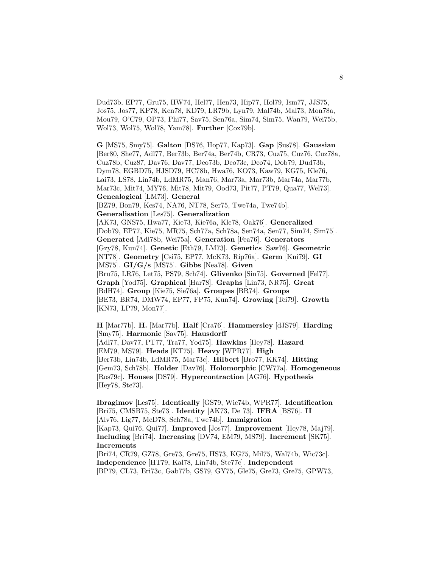Dud73b, EP77, Gru75, HW74, Hel77, Hen73, Hip77, Hol79, Ism77, JJS75, Jos75, Jos77, KP78, Ken78, KD79, LR79b, Lyn79, Mal74b, Mal73, Mon78a, Mou79, O'C79, OP73, Phi77, Sav75, Sen76a, Sim74, Sim75, Wan79, Wei75b, Wol73, Wol75, Wol78, Yam78]. **Further** [Cox79b].

**G** [MS75, Smy75]. **Galton** [DS76, Hop77, Kap73]. **Gap** [Sus78]. **Gaussian** [Ber80, She77, Adl77, Ber73b, Ber74a, Ber74b, CR73, Cuz75, Cuz76, Cuz78a, Cuz78b, Cuz87, Dav76, Dav77, Deo73b, Deo73c, Deo74, Dob79, Dud73b, Dym78, EGBD75, HJSD79, HC78b, Hwa76, KO73, Kaw79, KG75, Kle76, Lai73, LS78, Lin74b, LdMR75, Man76, Mar73a, Mar73b, Mar74a, Mar77b, Mar73c, Mit74, MY76, Mit78, Mit79, Ood73, Pit77, PT79, Qua77, Wel73]. **Genealogical** [LM73]. **General**

[BZ79, Bon79, Kes74, NA76, NT78, Ser75, Twe74a, Twe74b].

**Generalisation** [Les75]. **Generalization**

[AK73, GNS75, Hwa77, Kie73, Kie76a, Kle78, Oak76]. **Generalized** [Dob79, EP77, Kie75, MR75, Sch77a, Sch78a, Sen74a, Sen77, Sim74, Sim75]. **Generated** [Adl78b, Wei75a]. **Generation** [Fea76]. **Generators** [Gzy78, Kun74]. **Genetic** [Eth79, LM73]. **Genetics** [Saw76]. **Geometric** [NT78]. **Geometry** [Csi75, EP77, McK73, Rip76a]. **Germ** [Kni79]. **GI** [MS75]. **GI/G/s** [MS75]. **Gibbs** [Nea78]. **Given** [Bru75, LR76, Let75, PS79, Sch74]. **Glivenko** [Sin75]. **Governed** [Fel77]. **Graph** [Yod75]. **Graphical** [Har78]. **Graphs** [Lin73, NR75]. **Great** [BdH74]. **Group** [Kie75, Sie76a]. **Groupes** [BR74]. **Groups** [BE73, BR74, DMW74, EP77, FP75, Kun74]. **Growing** [Tei79]. **Growth** [KN73, LP79, Mon77].

**H** [Mar77b]. **H.** [Mar77b]. **Half** [Cra76]. **Hammersley** [dJS79]. **Harding** [Smy75]. **Harmonic** [Sav75]. **Hausdorff** [Adl77, Dav77, PT77, Tra77, Yod75]. **Hawkins** [Hey78]. **Hazard** [EM79, MS79]. **Heads** [KT75]. **Heavy** [WPR77]. **High** [Ber73b, Lin74b, LdMR75, Mar73c]. **Hilbert** [Bro77, KK74]. **Hitting** [Gem73, Sch78b]. **Holder** [Dav76]. **Holomorphic** [CW77a]. **Homogeneous** [Ros79c]. **Houses** [DS79]. **Hypercontraction** [AG76]. **Hypothesis** [Hey78, Ste73].

**Ibragimov** [Les75]. **Identically** [GS79, Wic74b, WPR77]. **Identification** [Bri75, CMSB75, Ste73]. **Identity** [AK73, De 73]. **IFRA** [BS76]. **II** [Alv76, Lig77, McD78, Sch78a, Twe74b]. **Immigration** [Kap73, Qui76, Qui77]. **Improved** [Jos77]. **Improvement** [Hey78, Maj79]. **Including** [Bri74]. **Increasing** [DV74, EM79, MS79]. **Increment** [SK75]. **Increments** [Bri74, CR79, GZ78, Gre73, Gre75, HS73, KG75, Mil75, Wal74b, Wic73c].

**Independence** [HT79, Kal78, Lin74b, Ste77c]. **Independent** [BP79, CL73, Eri73c, Gab77b, GS79, GY75, Gle75, Gre73, Gre75, GPW73,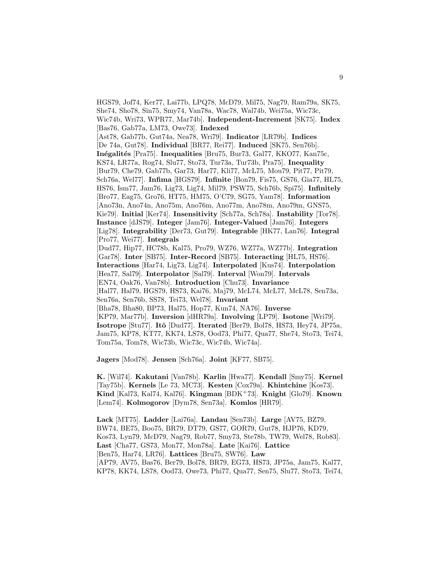HGS79, Jof74, Ker77, Lai77b, LPQ78, McD79, Mil75, Nag79, Ram79a, SK75, She74, Sho78, Sin75, Smy74, Van78a, Wac78, Wal74b, Wei75a, Wic73c, Wic74b, Wri73, WPR77, Mar74b]. **Independent-Increment** [SK75]. **Index** [Bas76, Gab77a, LM73, Owe73]. **Indexed** [Ast78, Gab77b, Gut74a, Nea78, Wri79]. **Indicator** [LR79b]. **Indices** [De 74a, Gut78]. **Individual** [BR77, Rei77]. **Induced** [SK75, Sen76b]. **In´egalit´es** [Pra75]. **Inequalities** [Bru75, Bur73, Gal77, KKO77, Kan75c, KS74, LR77a, Rog74, Slu77, Sto73, Tur73a, Tur73b, Pra75]. **Inequality** [Bur79, Che79, Gab77b, Gar73, Har77, Kli77, McL75, Mou79, Pit77, Pit79, Sch76a, Wel77]. **Infima** [HGS79]. **Infinite** [Bon79, Fis75, GS76, Gia77, HL75, HS76, Ism77, Jam76, Lig73, Lig74, Mil79, PSW75, Sch76b, Spi75]. **Infinitely** [Bro77, Eag75, Gro76, HT75, HM75, O'C79, SG75, Yam78]. **Information** [Ano73n, Ano74n, Ano75m, Ano76m, Ano77m, Ano78m, Ano79m, GNS75, Kie79]. **Initial** [Ker74]. **Insensitivity** [Sch77a, Sch78a]. **Instability** [Tor78]. **Instance** [dJS79]. **Integer** [Jam76]. **Integer-Valued** [Jam76]. **Integers** [Lig78]. **Integrability** [Der73, Gut79]. **Integrable** [HK77, Lan76]. **Integral** [Pro77, Wei77]. **Integrals** [Dud77, Hip77, HC78b, Kal75, Pro79, WZ76, WZ77a, WZ77b]. **Integration** [Gar78]. **Inter** [SB75]. **Inter-Record** [SB75]. **Interacting** [HL75, HS76]. **Interactions** [Har74, Lig73, Lig74]. **Interpolated** [Kus74]. **Interpolation** [Hea77, Sal79]. **Interpolator** [Sal79]. **Interval** [Won79]. **Intervals** [EN74, Oak76, Van78b]. **Introduction** [Chu73]. **Invariance** [Hal77, Hal79, HGS79, HS73, Kai76, Maj79, McL74, McL77, McL78, Sen73a, Sen76a, Sen76b, SS78, Tei73, Wel78]. **Invariant** [Bha78, Bha80, BP73, Hal75, Hop77, Kun74, NA76]. **Inverse** [KP79, Mar77b]. **Inversion** [dHR79a]. **Involving** [LP79]. **Isotone** [Wri79]. **Isotrope** [Stu77]. **Itˆo** [Dud77]. **Iterated** [Ber79, Bol78, HS73, Hey74, JP75a, Jam75, KP78, KT77, KK74, LS78, Ood73, Phi77, Qua77, She74, Sto73, Tei74, Tom75a, Tom78, Wic73b, Wic73c, Wic74b, Wic74a].

**Jagers** [Mod78]. **Jensen** [Sch76a]. **Joint** [KF77, SB75].

**K.** [Wil74]. **Kakutani** [Van78b]. **Karlin** [Hwa77]. **Kendall** [Smy75]. **Kernel** [Tay75b]. **Kernels** [Le 73, MC73]. **Kesten** [Cox79a]. **Khintchine** [Kos73]. **Kind** [Kal73, Kal74, Kal76]. **Kingman** [BDK<sup>+</sup>73]. **Knight** [Glo79]. **Known** [Lem74]. **Kolmogorov** [Dym78, Sen73a]. **Komlos** [HR79].

**Lack** [MT75]. **Ladder** [Lai76a]. **Landau** [Sen73b]. **Large** [AV75, BZ79, BW74, BE75, Boo75, BR79, DT79, GS77, GOR79, Gut78, HJP76, KD79, Kos73, Lyn79, McD79, Nag79, Rob77, Smy73, Ste78b, TW79, Wel78, Rob83]. **Last** [Cha77, GS73, Mon77, Mon78a]. **Late** [Kai76]. **Lattice** [Ben75, Har74, LR76]. **Lattices** [Bru75, SW76]. **Law** [AP79, AV75, Bas76, Ber79, Bol78, BR79, EG73, HS73, JP75a, Jam75, Kal77, KP78, KK74, LS78, Ood73, Owe73, Phi77, Qua77, Sen75, Slu77, Sto73, Tei74,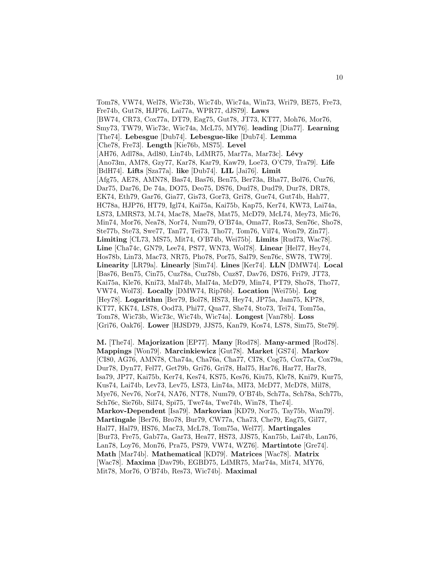Tom78, VW74, Wel78, Wic73b, Wic74b, Wic74a, Win73, Wri79, BE75, Fre73, Fre74b, Gut78, HJP76, Lai77a, WPR77, dJS79]. **Laws** [BW74, CR73, Cox77a, DT79, Eag75, Gut78, JT73, KT77, Moh76, Mor76, Smy73, TW79, Wic73c, Wic74a, McL75, MY76]. **leading** [Dia77]. **Learning** [The74]. **Lebesgue** [Dub74]. **Lebesgue-like** [Dub74]. **Lemma** [Che78, Fre73]. **Length** [Kie76b, MS75]. **Level** [AH76, Adl78a, Adl80, Lin74b, LdMR75, Mar77a, Mar73c]. **L´evy** [Ano73m, AM78, Gzy77, Kar78, Kar79, Kaw79, Loe73, O'C79, Tra79]. **Life** [BdH74]. **Lifts** [Sza77a]. **like** [Dub74]. **LIL** [Jai76]. **Limit** [Afg75, AE78, AMN78, Bas74, Bas76, Ben75, Ber73a, Bha77, Bol76, Cuz76, Dar75, Dar76, De 74a, DO75, Deo75, DS76, Dud78, Dud79, Dur78, DR78, EK74, Eth79, Gar76, Gia77, Gis73, Gor73, Gri78, Gue74, Gut74b, Hah77, HC78a, HJP76, HT79, Igl74, Kai75a, Kai75b, Kap75, Ker74, KW73, Lai74a, LS73, LMRS73, M.74, Mac78, Mae78, Mat75, McD79, McL74, Mey73, Mic76, Min74, Mor76, Nea78, Nor74, Num79, O'B74a, Oma77, Ros73, Sen76c, Sho78, Ste77b, Ste73, Swe77, Tan77, Tei73, Tho77, Tom76, Vil74, Won79, Zin77]. **Limiting** [CL73, MS75, Mit74, O'B74b, Wei75b]. **Limits** [Rud73, Wac78]. **Line** [Cha74c, GN79, Lee74, PS77, WN73, Wol78]. **Linear** [Hel77, Hey74, Hos78b, Lin73, Mac73, NR75, Pho78, Por75, Sal79, Sen76c, SW78, TW79]. **Linearity** [LR79a]. **Linearly** [Sim74]. **Lines** [Ker74]. **LLN** [DMW74]. **Local** [Bas76, Ben75, Cin75, Cuz78a, Cuz78b, Cuz87, Dav76, DS76, Fri79, JT73, Kai75a, Kle76, Kni73, Mal74b, Mal74a, McD79, Min74, PT79, Sho78, Tho77, VW74, Wol73]. **Locally** [DMW74, Rip76b]. **Location** [Wei75b]. **Log** [Hey78]. **Logarithm** [Ber79, Bol78, HS73, Hey74, JP75a, Jam75, KP78, KT77, KK74, LS78, Ood73, Phi77, Qua77, She74, Sto73, Tei74, Tom75a, Tom78, Wic73b, Wic73c, Wic74b, Wic74a]. **Longest** [Van78b]. **Loss** [Gri76, Oak76]. **Lower** [HJSD79, JJS75, Kan79, Kos74, LS78, Sim75, Ste79].

**M.** [The74]. **Majorization** [EP77]. **Many** [Rod78]. **Many-armed** [Rod78]. **Mappings** [Won79]. **Marcinkiewicz** [Gut78]. **Market** [GS74]. **Markov** [CI80, AG76, AMN78, Cha74a, Cha76a, Cha77, CI78, Cog75, Cox77a, Cox79a, Dur78, Dyn77, Fel77, Get79b, Gri76, Gri78, Hal75, Har76, Har77, Har78, Isa79, JP77, Kai75b, Ker74, Kes74, KS75, Kes76, Kiu75, Kle78, Kni79, Kur75, Kus74, Lai74b, Lev73, Lev75, LS73, Lin74a, MI73, McD77, McD78, Mil78, Mye76, Nev76, Nor74, NA76, NT78, Num79, O'B74b, Sch77a, Sch78a, Sch77b, Sch76c, Sie76b, Sil74, Spi75, Twe74a, Twe74b, Win78, The74]. **Markov-Dependent** [Isa79]. **Markovian** [KD79, Nor75, Tay75b, Wan79]. **Martingale** [Ber76, Bro78, Bur79, CW77a, Cha73, Che79, Eag75, Gil77, Hal77, Hal79, HS76, Mac73, McL78, Tom75a, Wel77]. **Martingales** [Bur73, Fre75, Gab77a, Gar73, Hea77, HS73, JJS75, Kan75b, Lai74b, Lan76, Lan78, Loy76, Mon76, Pra75, PS79, VW74, WZ76]. **Martintote** [Gre74]. **Math** [Mar74b]. **Mathematical** [KD79]. **Matrices** [Wac78]. **Matrix** [Wac78]. **Maxima** [Dav79b, EGBD75, LdMR75, Mar74a, Mit74, MY76, Mit78, Mor76, O'B74b, Res73, Wic74b]. **Maximal**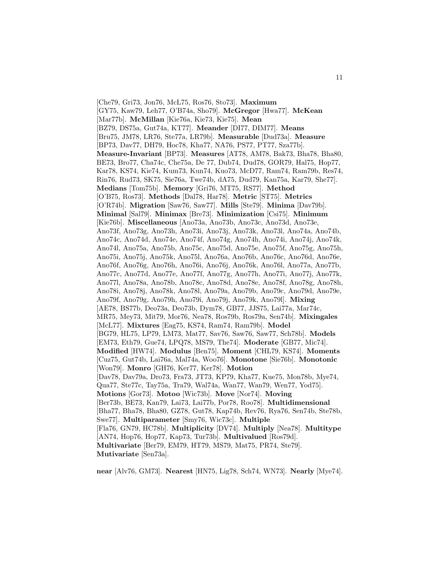[Che79, Gri73, Jon76, McL75, Ros76, Sto73]. **Maximum** [GY75, Kaw79, Leh77, O'B74a, Sho79]. **McGregor** [Hwa77]. **McKean** [Mar77b]. **McMillan** [Kie76a, Kie73, Kie75]. **Mean** [BZ79, DS75a, Gut74a, KT77]. **Meander** [DI77, DIM77]. **Means** [Bru75, JM78, LR76, Ste77a, LR79b]. **Measurable** [Dud73a]. **Measure** [BP73, Dav77, DH79, Hoc78, Kha77, NA76, PS77, PT77, Sza77b]. **Measure-Invariant** [BP73]. **Measures** [AT78, AM78, Bak73, Bha78, Bha80, BE73, Bro77, Cha74c, Che75a, De 77, Dub74, Dud78, GOR79, Hal75, Hop77, Kar78, KS74, Kie74, Kum73, Kun74, Kuo73, McD77, Ram74, Ram79b, Res74, Rin76, Rud73, SK75, Sie76a, Twe74b, dA75, Dud79, Kan75a, Kar79, She77]. **Medians** [Tom75b]. **Memory** [Gri76, MT75, RS77]. **Method** [O'B75, Ros73]. **Methods** [Dal78, Har78]. **Metric** [ST75]. **Metrics** [O'R74b]. **Migration** [Saw76, Saw77]. **Mills** [Ste79]. **Minima** [Dav79b]. **Minimal** [Sal79]. **Minimax** [Bre73]. **Minimization** [Csi75]. **Minimum** [Kie76b]. **Miscellaneous** [Ano73a, Ano73b, Ano73c, Ano73d, Ano73e, Ano73f, Ano73g, Ano73h, Ano73i, Ano73j, Ano73k, Ano73l, Ano74a, Ano74b, Ano74c, Ano74d, Ano74e, Ano74f, Ano74g, Ano74h, Ano74i, Ano74j, Ano74k, Ano74l, Ano75a, Ano75b, Ano75c, Ano75d, Ano75e, Ano75f, Ano75g, Ano75h, Ano75i, Ano75j, Ano75k, Ano75l, Ano76a, Ano76b, Ano76c, Ano76d, Ano76e, Ano76f, Ano76g, Ano76h, Ano76i, Ano76j, Ano76k, Ano76l, Ano77a, Ano77b, Ano77c, Ano77d, Ano77e, Ano77f, Ano77g, Ano77h, Ano77i, Ano77j, Ano77k, Ano77l, Ano78a, Ano78b, Ano78c, Ano78d, Ano78e, Ano78f, Ano78g, Ano78h, Ano78i, Ano78j, Ano78k, Ano78l, Ano79a, Ano79b, Ano79c, Ano79d, Ano79e, Ano79f, Ano79g, Ano79h, Ano79i, Ano79j, Ano79k, Ano79l]. **Mixing** [AE78, BS77b, Deo73a, Deo73b, Dym78, GB77, JJS75, Lai77a, Mar74c, MR75, Mey73, Mit79, Mor76, Nea78, Ros79b, Ros79a, Sen74b]. **Mixingales** [McL77]. **Mixtures** [Eag75, KS74, Ram74, Ram79b]. **Model** [BG79, HL75, LP79, LM73, Mat77, Sav76, Saw76, Saw77, Sch78b]. **Models** [EM73, Eth79, Gue74, LPQ78, MS79, The74]. **Moderate** [GB77, Mic74]. **Modified** [HW74]. **Modulus** [Ben75]. **Moment** [CHL79, KS74]. **Moments** [Cuz75, Gut74b, Lai76a, Mal74a, Woo76]. **Monotone** [Sie76b]. **Monotonic** [Won79]. **Monro** [GH76, Ker77, Ker78]. **Motion** [Dav78, Dav79a, Dro73, Fra73, JT73, KP79, Kha77, Kue75, Mon78b, Mye74, Qua77, Ste77c, Tay75a, Tra79, Wal74a, Wan77, Wan79, Wen77, Yod75]. **Motions** [Gor73]. **Motoo** [Wic73b]. **Move** [Nor74]. **Moving** [Ber73b, BE73, Kan79, Lai73, Lai77b, Por78, Roo78]. **Multidimensional** [Bha77, Bha78, Bha80, GZ78, Gut78, Kap74b, Rev76, Rya76, Sen74b, Ste78b, Swe77]. **Multiparameter** [Smy76, Wic73c]. **Multiple** [Fla76, GN79, HC78b]. **Multiplicity** [DV74]. **Multiply** [Nea78]. **Multitype** [AN74, Hop76, Hop77, Kap73, Tur73b]. **Multivalued** [Ros79d]. **Multivariate** [Ber79, EM79, HT79, MS79, Mat75, PR74, Ste79]. **Mutivariate** [Sen73a].

**near** [Alv76, GM73]. **Nearest** [HN75, Lig78, Sch74, WN73]. **Nearly** [Mye74].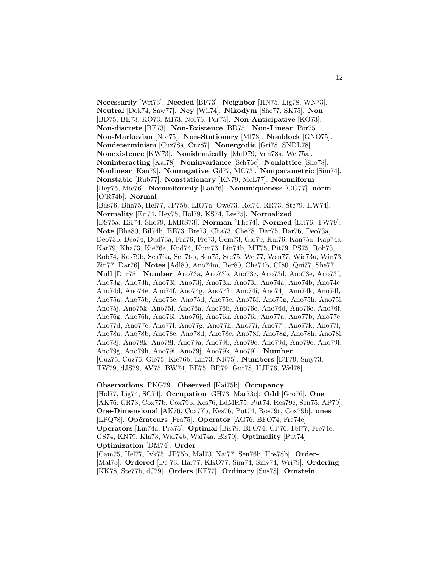**Necessarily** [Wri73]. **Needed** [BF73]. **Neighbor** [HN75, Lig78, WN73]. **Neutral** [Dok74, Saw77]. **Ney** [Wil74]. **Nikodym** [She77, SK75]. **Non** [BD75, BE73, KO73, MI73, Nor75, Por75]. **Non-Anticipative** [KO73]. **Non-discrete** [BE73]. **Non-Existence** [BD75]. **Non-Linear** [Por75]. **Non-Markovian** [Nor75]. **Non-Stationary** [MI73]. **Nonblock** [GNO75]. **Nondeterminism** [Cuz78a, Cuz87]. **Nonergodic** [Gri78, SNDL78]. **Nonexistence** [KW73]. **Nonidentically** [McD79, Van78a, Wei75a]. **Noninteracting** [Kal78]. **Noninvariance** [Sch76c]. **Nonlattice** [Sho78]. **Nonlinear** [Kan79]. **Nonnegative** [Gil77, MC73]. **Nonparametric** [Sim74]. **Nonstable** [Rub77]. **Nonstationary** [KN79, McL77]. **Nonuniform** [Hey75, Mic76]. **Nonuniformly** [Lan76]. **Nonuniqueness** [GG77]. **norm** [O'R74b]. **Normal** [Bas76, Bha75, Hel77, JP75b, LR77a, Owe73, Rei74, RR73, Ste79, HW74]. **Normality** [Eri74, Hey75, Hol79, KS74, Les75]. **Normalized** [DS75a, EK74, Sho79, LMRS73]. **Norman** [The74]. **Normed** [Eri76, TW79]. **Note** [Bha80, Bil74b, BE73, Bre73, Cha73, Che78, Dar75, Dar76, Deo73a, Deo73b, Deo74, Dud73a, Fra76, Fre73, Gem73, Glo79, Kal76, Kan75a, Kap74a, Kar79, Kha73, Kie76a, Kud74, Kum73, Lin74b, MT75, Pit79, PS75, Rob73, Rob74, Ros79b, Sch76a, Sen76b, Sen75, Ste75, Wei77, Wen77, Wic73a, Win73, Zin77, Dar76]. **Notes** [Adl80, Ano74m, Ber80, Cha74b, CI80, Qui77, She77]. **Null** [Dur78]. **Number** [Ano73a, Ano73b, Ano73c, Ano73d, Ano73e, Ano73f, Ano73g, Ano73h, Ano73i, Ano73j, Ano73k, Ano73l, Ano74a, Ano74b, Ano74c, Ano74d, Ano74e, Ano74f, Ano74g, Ano74h, Ano74i, Ano74j, Ano74k, Ano74l, Ano75a, Ano75b, Ano75c, Ano75d, Ano75e, Ano75f, Ano75g, Ano75h, Ano75i, Ano75j, Ano75k, Ano75l, Ano76a, Ano76b, Ano76c, Ano76d, Ano76e, Ano76f, Ano76g, Ano76h, Ano76i, Ano76j, Ano76k, Ano76l, Ano77a, Ano77b, Ano77c, Ano77d, Ano77e, Ano77f, Ano77g, Ano77h, Ano77i, Ano77j, Ano77k, Ano77l, Ano78a, Ano78b, Ano78c, Ano78d, Ano78e, Ano78f, Ano78g, Ano78h, Ano78i, Ano78j, Ano78k, Ano78l, Ano79a, Ano79b, Ano79c, Ano79d, Ano79e, Ano79f, Ano79g, Ano79h, Ano79i, Ano79j, Ano79k, Ano79l]. **Number** [Cuz75, Cuz76, Gle75, Kie76b, Lin73, NR75]. **Numbers** [DT79, Smy73, TW79, dJS79, AV75, BW74, BE75, BR79, Gut78, HJP76, Wel78].

## **Observations** [PKG79]. **Observed** [Kai75b]. **Occupancy**

[Hol77, Lig74, SC74]. **Occupation** [GH73, Mar73c]. **Odd** [Gro76]. **One** [AK76, CR73, Cox77b, Cox79b, Kes76, LdMR75, Put74, Ros79c, Sen75, AP79]. **One-Dimensional** [AK76, Cox77b, Kes76, Put74, Ros79c, Cox79b]. **ones** [LPQ78]. **Opérateurs** [Pra75]. **Operator** [AG76, BFO74, Fre74c]. **Operators** [Lin74a, Pra75]. **Optimal** [Bis79, BFO74, CP76, Fel77, Fre74c, GS74, KN79, Kla73, Wal74b, Wal74a, Bis79]. **Optimality** [Put74]. **Optimization** [DM74]. **Order**

[Cam75, Hel77, Ivk75, JP75b, Mal73, Nai77, Sen76b, Hos78b]. **Order-** [Mal73]. **Ordered** [De 73, Har77, KKO77, Sim74, Smy74, Wri79]. **Ordering** [KK78, Ste77b, dJ79]. **Orders** [KF77]. **Ordinary** [Sus78]. **Ornstein**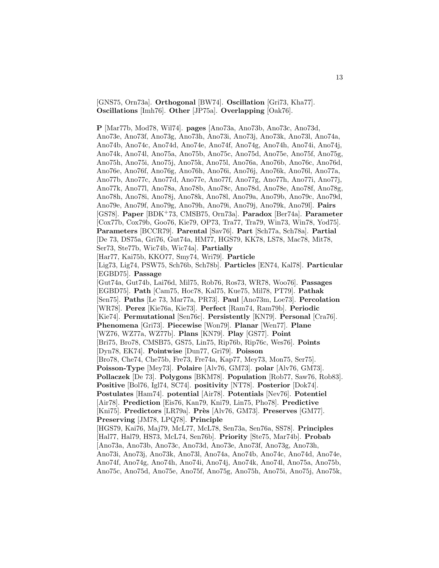[GNS75, Orn73a]. **Orthogonal** [BW74]. **Oscillation** [Gri73, Kha77]. **Oscillations** [Imh76]. **Other** [JP75a]. **Overlapping** [Oak76].

**P** [Mar77b, Mod78, Wil74]. **pages** [Ano73a, Ano73b, Ano73c, Ano73d, Ano73e, Ano73f, Ano73g, Ano73h, Ano73i, Ano73j, Ano73k, Ano73l, Ano74a, Ano74b, Ano74c, Ano74d, Ano74e, Ano74f, Ano74g, Ano74h, Ano74i, Ano74j, Ano74k, Ano74l, Ano75a, Ano75b, Ano75c, Ano75d, Ano75e, Ano75f, Ano75g, Ano75h, Ano75i, Ano75j, Ano75k, Ano75l, Ano76a, Ano76b, Ano76c, Ano76d, Ano76e, Ano76f, Ano76g, Ano76h, Ano76i, Ano76j, Ano76k, Ano76l, Ano77a, Ano77b, Ano77c, Ano77d, Ano77e, Ano77f, Ano77g, Ano77h, Ano77i, Ano77j, Ano77k, Ano77l, Ano78a, Ano78b, Ano78c, Ano78d, Ano78e, Ano78f, Ano78g, Ano78h, Ano78i, Ano78j, Ano78k, Ano78l, Ano79a, Ano79b, Ano79c, Ano79d, Ano79e, Ano79f, Ano79g, Ano79h, Ano79i, Ano79j, Ano79k, Ano79l]. **Pairs** [GS78]. **Paper** [BDK<sup>+</sup>73, CMSB75, Orn73a]. **Paradox** [Ber74a]. **Parameter** [Cox77b, Cox79b, Goo76, Kie79, OP73, Tra77, Tra79, Win73, Win78, Yod75]. **Parameters** [BCCR79]. **Parental** [Sav76]. **Part** [Sch77a, Sch78a]. **Partial** [De 73, DS75a, Gri76, Gut74a, HM77, HGS79, KK78, LS78, Mac78, Mit78, Ser73, Ste77b, Wic74b, Wic74a]. **Partially** [Har77, Kai75b, KKO77, Smy74, Wri79]. **Particle** [Lig73, Lig74, PSW75, Sch76b, Sch78b]. **Particles** [EN74, Kal78]. **Particular** [EGBD75]. **Passage** [Gut74a, Gut74b, Lai76d, Mil75, Rob76, Ros73, WR78, Woo76]. **Passages** [EGBD75]. **Path** [Cam75, Hoc78, Kal75, Kue75, Mil78, PT79]. **Pathak** [Sen75]. **Paths** [Le 73, Mar77a, PR73]. **Paul** [Ano73m, Loe73]. **Percolation** [WR78]. **Perez** [Kie76a, Kie73]. **Perfect** [Ram74, Ram79b]. **Periodic** [Kie74]. **Permutational** [Sen76c]. **Persistently** [KN79]. **Personal** [Cra76]. **Phenomena** [Gri73]. **Piecewise** [Won79]. **Planar** [Wen77]. **Plane** [WZ76, WZ77a, WZ77b]. **Plans** [KN79]. **Play** [GS77]. **Point** [Bri75, Bro78, CMSB75, GS75, Lin75, Rip76b, Rip76c, Wes76]. **Points** [Dyn78, EK74]. **Pointwise** [Dun77, Gri79]. **Poisson** [Bro78, Che74, Che75b, Fre73, Fre74a, Kap77, Mey73, Mon75, Ser75]. **Poisson-Type** [Mey73]. **Polaire** [Alv76, GM73]. **polar** [Alv76, GM73]. **Pollaczek** [De 73]. **Polygons** [BKM78]. **Population** [Rob77, Saw76, Rob83]. **Positive** [Bol76, Igl74, SC74]. **positivity** [NT78]. **Posterior** [Dok74]. **Postulates** [Ham74]. **potential** [Air78]. **Potentials** [Nev76]. **Potentiel** [Air78]. **Prediction** [Eis76, Kan79, Kni79, Lin75, Pho78]. **Predictive** [Kni75]. **Predictors** [LR79a]. **Près** [Alv76, GM73]. **Preserves** [GM77]. **Preserving** [JM78, LPQ78]. **Principle** [HGS79, Kai76, Maj79, McL77, McL78, Sen73a, Sen76a, SS78]. **Principles** [Hal77, Hal79, HS73, McL74, Sen76b]. **Priority** [Ste75, Mar74b]. **Probab** [Ano73a, Ano73b, Ano73c, Ano73d, Ano73e, Ano73f, Ano73g, Ano73h, Ano73i, Ano73j, Ano73k, Ano73l, Ano74a, Ano74b, Ano74c, Ano74d, Ano74e, Ano74f, Ano74g, Ano74h, Ano74i, Ano74j, Ano74k, Ano74l, Ano75a, Ano75b, Ano75c, Ano75d, Ano75e, Ano75f, Ano75g, Ano75h, Ano75i, Ano75j, Ano75k,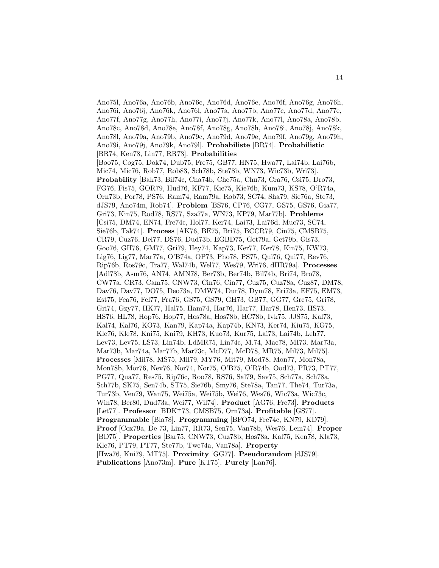Ano75l, Ano76a, Ano76b, Ano76c, Ano76d, Ano76e, Ano76f, Ano76g, Ano76h, Ano76i, Ano76j, Ano76k, Ano76l, Ano77a, Ano77b, Ano77c, Ano77d, Ano77e, Ano77f, Ano77g, Ano77h, Ano77i, Ano77j, Ano77k, Ano77l, Ano78a, Ano78b, Ano78c, Ano78d, Ano78e, Ano78f, Ano78g, Ano78h, Ano78i, Ano78j, Ano78k, Ano78l, Ano79a, Ano79b, Ano79c, Ano79d, Ano79e, Ano79f, Ano79g, Ano79h, Ano79i, Ano79j, Ano79k, Ano79l]. **Probabiliste** [BR74]. **Probabilistic** [BR74, Ken78, Lin77, RR73]. **Probabilities** [Boo75, Cog75, Dok74, Dub75, Fre75, GB77, HN75, Hwa77, Lai74b, Lai76b, Mic74, Mic76, Rob77, Rob83, Sch78b, Ste78b, WN73, Wic73b, Wri73]. **Probability** [Bak73, Bil74c, Cha74b, Che75a, Chu73, Cra76, Csi75, Dro73, FG76, Fis75, GOR79, Hud76, KF77, Kie75, Kie76b, Kum73, KS78, O'R74a, Orn73b, Por78, PS76, Ram74, Ram79a, Rob73, SC74, Sha79, Sie76a, Ste73, dJS79, Ano74m, Rob74]. **Problem** [BS76, CP76, CG77, GS75, GS76, Gia77, Gri73, Kin75, Rod78, RS77, Sza77a, WN73, KP79, Mar77b]. **Problems** [Csi75, DM74, EN74, Fre74c, Hol77, Ker74, Lai73, Lai76d, Muc73, SC74, Sie76b, Tak74]. **Process** [AK76, BE75, Bri75, BCCR79, Cin75, CMSB75, CR79, Cuz76, Del77, DS76, Dud73b, EGBD75, Get79a, Get79b, Gis73, Goo76, GH76, GM77, Gri79, Hey74, Kap73, Ker77, Ker78, Kin75, KW73, Lig76, Lig77, Mar77a, O'B74a, OP73, Pho78, PS75, Qui76, Qui77, Rev76, Rip76b, Ros79c, Tra77, Wal74b, Wel77, Wes79, Wri76, dHR79a]. **Processes** [Adl78b, Asm76, AN74, AMN78, Ber73b, Ber74b, Bil74b, Bri74, Bro78, CW77a, CR73, Cam75, CNW73, Cin76, Cin77, Cuz75, Cuz78a, Cuz87, DM78, Dav76, Dav77, DO75, Deo73a, DMW74, Dur78, Dym78, Eri73a, EF75, EM73, Est75, Fea76, Fel77, Fra76, GS75, GS79, GH73, GB77, GG77, Gre75, Gri78, Gri74, Gzy77, HK77, Hal75, Ham74, Har76, Har77, Har78, Hen73, HS73, HS76, HL78, Hop76, Hop77, Hos78a, Hos78b, HC78b, Ivk75, JJS75, Kal73, Kal74, Kal76, KO73, Kan79, Kap74a, Kap74b, KN73, Ker74, Kiu75, KG75, Kle76, Kle78, Kni75, Kni79, KH73, Kuo73, Kur75, Lai73, Lai74b, Leh77, Lev73, Lev75, LS73, Lin74b, LdMR75, Lin74c, M.74, Mac78, MI73, Mar73a, Mar73b, Mar74a, Mar77b, Mar73c, McD77, McD78, MR75, Mil73, Mil75]. **Processes** [Mil78, MS75, Mil79, MY76, Mit79, Mod78, Mon77, Mon78a, Mon78b, Mor76, Nev76, Nor74, Nor75, O'B75, O'R74b, Ood73, PR73, PT77, PG77, Qua77, Res75, Rip76c, Roo78, RS76, Sal79, Sav75, Sch77a, Sch78a, Sch77b, SK75, Sen74b, ST75, Sie76b, Smy76, Ste78a, Tan77, The74, Tur73a, Tur73b, Ven79, Wan75, Wei75a, Wei75b, Wei76, Wes76, Wic73a, Wic73c, Win78, Ber80, Dud73a, Wei77, Wil74]. **Product** [AG76, Fre73]. **Products** [Let77]. **Professor** [BDK<sup>+</sup>73, CMSB75, Orn73a]. **Profitable** [GS77]. **Programmable** [Bla78]. **Programming** [BFO74, Fre74c, KN79, KD79]. **Proof** [Cox79a, De 73, Lin77, RR73, Sen75, Van78b, Wes76, Lem74]. **Proper** [BD75]. **Properties** [Bar75, CNW73, Cuz78b, Hos78a, Kal75, Ken78, Kla73, Kle76, PT79, PT77, Ste77b, Twe74a, Van78a]. **Property** [Hwa76, Kni79, MT75]. **Proximity** [GG77]. **Pseudorandom** [dJS79]. **Publications** [Ano73m]. **Pure** [KT75]. **Purely** [Lan76].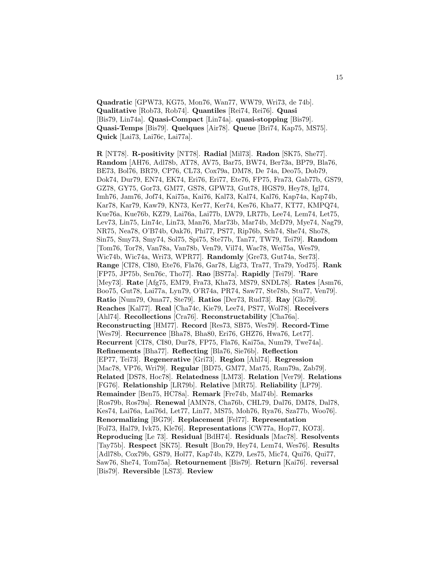**Quadratic** [GPW73, KG75, Mon76, Wan77, WW79, Wri73, de 74b]. **Qualitative** [Rob73, Rob74]. **Quantiles** [Rei74, Rei76]. **Quasi** [Bis79, Lin74a]. **Quasi-Compact** [Lin74a]. **quasi-stopping** [Bis79]. **Quasi-Temps** [Bis79]. **Quelques** [Air78]. **Queue** [Bri74, Kap75, MS75]. **Quick** [Lai73, Lai76c, Lai77a].

**R** [NT78]. **R-positivity** [NT78]. **Radial** [Mil73]. **Radon** [SK75, She77]. **Random** [AH76, Adl78b, AT78, AV75, Bar75, BW74, Ber73a, BP79, Bla76, BE73, Bol76, BR79, CP76, CL73, Cox79a, DM78, De 74a, Deo75, Dob79, Dok74, Dur79, EN74, EK74, Eri76, Eri77, Ete76, FP75, Fra73, Gab77b, GS79, GZ78, GY75, Gor73, GM77, GS78, GPW73, Gut78, HGS79, Hey78, Igl74, Imh76, Jam76, Jof74, Kai75a, Kai76, Kal73, Kal74, Kal76, Kap74a, Kap74b, Kar78, Kar79, Kaw79, KN73, Ker77, Ker74, Kes76, Kha77, KT77, KMPQ74, Kue76a, Kue76b, KZ79, Lai76a, Lai77b, LW79, LR77b, Lee74, Lem74, Let75, Lev73, Lin75, Lin74c, Lin73, Man76, Mar73b, Mar74b, McD79, Mye74, Nag79, NR75, Nea78, O'B74b, Oak76, Phi77, PS77, Rip76b, Sch74, She74, Sho78, Sin75, Smy73, Smy74, Sol75, Spi75, Ste77b, Tan77, TW79, Tei79]. **Random** [Tom76, Tor78, Van78a, Van78b, Ven79, Vil74, Wac78, Wei75a, Wes79, Wic74b, Wic74a, Wri73, WPR77]. **Randomly** [Gre73, Gut74a, Ser73]. **Range** [CI78, CI80, Ete76, Fla76, Gar78, Lig73, Tra77, Tra79, Yod75]. **Rank** [FP75, JP75b, Sen76c, Tho77]. **Rao** [BS77a]. **Rapidly** [Tei79]. **'Rare** [Mey73]. **Rate** [Afg75, EM79, Fra73, Kha73, MS79, SNDL78]. **Rates** [Asm76, Boo75, Gut78, Lai77a, Lyn79, O'R74a, PR74, Saw77, Ste78b, Stu77, Ven79]. **Ratio** [Num79, Oma77, Ste79]. **Ratios** [Der73, Rud73]. **Ray** [Glo79]. **Reaches** [Kal77]. **Real** [Cha74c, Kie79, Lee74, PS77, Wol78]. **Receivers** [Ahl74]. **Recollections** [Cra76]. **Reconstructability** [Cha76a]. **Reconstructing** [HM77]. **Record** [Res73, SB75, Wes79]. **Record-Time** [Wes79]. **Recurrence** [Bha78, Bha80, Eri76, GHZ76, Hwa76, Let77]. **Recurrent** [CI78, CI80, Dur78, FP75, Fla76, Kai75a, Num79, Twe74a]. **Refinements** [Bha77]. **Reflecting** [Bla76, Sie76b]. **Reflection** [EP77, Tei73]. **Regenerative** [Gri73]. **Region** [Ahl74]. **Regression** [Mac78, VP76, Wri79]. **Regular** [BD75, GM77, Mat75, Ram79a, Zab79]. **Related** [DS78, Hoc78]. **Relatedness** [LM73]. **Relation** [Ver79]. **Relations** [FG76]. **Relationship** [LR79b]. **Relative** [MR75]. **Reliability** [LP79]. **Remainder** [Ben75, HC78a]. **Remark** [Fre74b, Mal74b]. **Remarks** [Ros79b, Ros79a]. **Renewal** [AMN78, Cha76b, CHL79, Dal76, DM78, Dal78, Kes74, Lai76a, Lai76d, Let77, Lin77, MS75, Moh76, Rya76, Sza77b, Woo76]. **Renormalizing** [BG79]. **Replacement** [Fel77]. **Representation** [Fol73, Hal79, Ivk75, Kle76]. **Representations** [CW77a, Hop77, KO73]. **Reproducing** [Le 73]. **Residual** [BdH74]. **Residuals** [Mac78]. **Resolvents** [Tay75b]. **Respect** [SK75]. **Result** [Bon79, Hey74, Lem74, Wes76]. **Results** [Adl78b, Cox79b, GS79, Hol77, Kap74b, KZ79, Les75, Mic74, Qui76, Qui77, Saw76, She74, Tom75a]. **Retournement** [Bis79]. **Return** [Kai76]. **reversal** [Bis79]. **Reversible** [LS73]. **Review**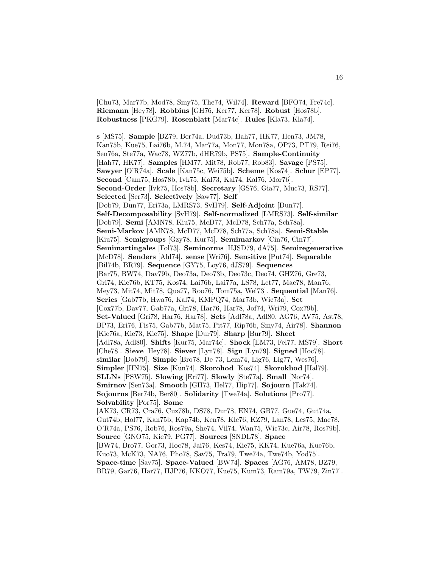[Chu73, Mar77b, Mod78, Smy75, The74, Wil74]. **Reward** [BFO74, Fre74c]. **Riemann** [Hey78]. **Robbins** [GH76, Ker77, Ker78]. **Robust** [Hos78b]. **Robustness** [PKG79]. **Rosenblatt** [Mar74c]. **Rules** [Kla73, Kla74].

**s** [MS75]. **Sample** [BZ79, Ber74a, Dud73b, Hah77, HK77, Hen73, JM78, Kan75b, Kue75, Lai76b, M.74, Mar77a, Mon77, Mon78a, OP73, PT79, Rei76, Sen76a, Ste77a, Wac78, WZ77b, dHR79b, PS75]. **Sample-Continuity** [Hah77, HK77]. **Samples** [HM77, Mit78, Rob77, Rob83]. **Savage** [PS75]. **Sawyer** [O'R74a]. **Scale** [Kan75c, Wei75b]. **Scheme** [Kos74]. **Schur** [EP77]. **Second** [Cam75, Hos78b, Ivk75, Kal73, Kal74, Kal76, Mor76]. **Second-Order** [Ivk75, Hos78b]. **Secretary** [GS76, Gia77, Muc73, RS77]. **Selected** [Ser73]. **Selectively** [Saw77]. **Self** [Dob79, Dun77, Eri73a, LMRS73, SvH79]. **Self-Adjoint** [Dun77]. **Self-Decomposability** [SvH79]. **Self-normalized** [LMRS73]. **Self-similar** [Dob79]. **Semi** [AMN78, Kiu75, McD77, McD78, Sch77a, Sch78a]. **Semi-Markov** [AMN78, McD77, McD78, Sch77a, Sch78a]. **Semi-Stable** [Kiu75]. **Semigroups** [Gzy78, Kur75]. **Semimarkov** [Cin76, Cin77]. **Semimartingales** [Fol73]. **Seminorms** [HJSD79, dA75]. **Semiregenerative** [McD78]. **Senders** [Ahl74]. **sense** [Wri76]. **Sensitive** [Put74]. **Separable** [Bil74b, BR79]. **Sequence** [GY75, Loy76, dJS79]. **Sequences** [Bar75, BW74, Dav79b, Deo73a, Deo73b, Deo73c, Deo74, GHZ76, Gre73, Gri74, Kie76b, KT75, Kos74, Lai76b, Lai77a, LS78, Let77, Mac78, Man76, Mey73, Mit74, Mit78, Qua77, Roo76, Tom75a, Wel73]. **Sequential** [Man76]. **Series** [Gab77b, Hwa76, Kal74, KMPQ74, Mar73b, Wic73a]. **Set** [Cox77b, Dav77, Gab77a, Gri78, Har76, Har78, Jof74, Wri79, Cox79b]. **Set-Valued** [Gri78, Har76, Har78]. **Sets** [Adl78a, Adl80, AG76, AV75, Ast78, BP73, Eri76, Fis75, Gab77b, Mat75, Pit77, Rip76b, Smy74, Air78]. **Shannon** [Kie76a, Kie73, Kie75]. **Shape** [Dur79]. **Sharp** [Bur79]. **Sheet** [Adl78a, Adl80]. **Shifts** [Kur75, Mar74c]. **Shock** [EM73, Fel77, MS79]. **Short** [Che78]. **Sieve** [Hey78]. **Siever** [Lyn78]. **Sign** [Lyn79]. **Signed** [Hoc78]. **similar** [Dob79]. **Simple** [Bro78, De 73, Lem74, Lig76, Lig77, Wes76]. **Simpler** [HN75]. **Size** [Kun74]. **Skorohod** [Kos74]. **Skorokhod** [Hal79]. **SLLNs** [PSW75]. **Slowing** [Eri77]. **Slowly** [Ste77a]. **Small** [Nor74]. **Smirnov** [Sen73a]. **Smooth** [GH73, Hel77, Hip77]. **Sojourn** [Tak74]. **Sojourns** [Ber74b, Ber80]. **Solidarity** [Twe74a]. **Solutions** [Pro77]. **Solvability** [Por75]. **Some** [AK73, CR73, Cra76, Cuz78b, DS78, Dur78, EN74, GB77, Gue74, Gut74a, Gut74b, Hol77, Kan75b, Kap74b, Ken78, Kle76, KZ79, Lan78, Les75, Mae78, O'R74a, PS76, Rob76, Ros79a, She74, Vil74, Wan75, Wic73c, Air78, Ros79b]. **Source** [GNO75, Kie79, PG77]. **Sources** [SNDL78]. **Space** [BW74, Bro77, Gor73, Hoc78, Jai76, Kes74, Kie75, KK74, Kue76a, Kue76b, Kuo73, McK73, NA76, Pho78, Sav75, Tra79, Twe74a, Twe74b, Yod75]. **Space-time** [Sav75]. **Space-Valued** [BW74]. **Spaces** [AG76, AM78, BZ79, BR79, Gar76, Har77, HJP76, KKO77, Kue75, Kum73, Ram79a, TW79, Zin77].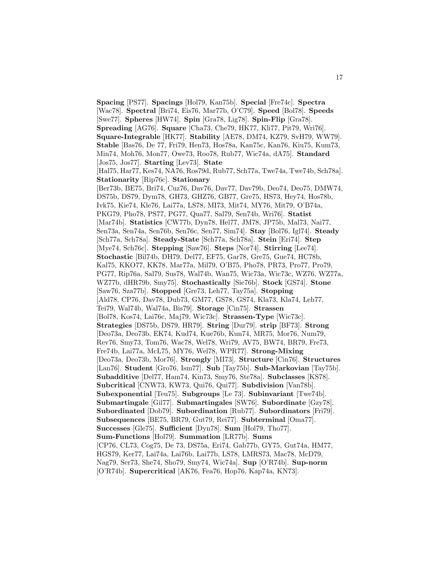**Spacing** [PS77]. **Spacings** [Hol79, Kan75b]. **Special** [Fre74c]. **Spectra** [Wac78]. **Spectral** [Bri74, Eis76, Mar77b, O'C79]. **Speed** [Bol78]. **Speeds** [Swe77]. **Spheres** [HW74]. **Spin** [Gra78, Lig78]. **Spin-Flip** [Gra78]. **Spreading** [AG76]. **Square** [Cha73, Che79, HK77, Kli77, Pit79, Wri76]. **Square-Integrable** [HK77]. **Stability** [AE78, DM74, KZ79, SvH79, WW79]. **Stable** [Bas76, De 77, Fri79, Hen73, Hos78a, Kan75c, Kan76, Kiu75, Kum73, Min74, Moh76, Mon77, Owe73, Roo78, Rub77, Wic74a, dA75]. **Standard** [Jos75, Jos77]. **Starting** [Lev73]. **State** [Hal75, Har77, Kes74, NA76, Ros79d, Rub77, Sch77a, Twe74a, Twe74b, Sch78a]. **Stationarity** [Rip76c]. **Stationary** [Ber73b, BE75, Bri74, Cuz76, Dav76, Dav77, Dav79b, Deo74, Deo75, DMW74, DS75b, DS79, Dym78, GH73, GHZ76, GB77, Gre75, HS73, Hey74, Hos78b, Ivk75, Kie74, Kle76, Lai77a, LS78, MI73, Mit74, MY76, Mit79, O'B74a, PKG79, Pho78, PS77, PG77, Qua77, Sal79, Sen74b, Wri76]. **Statist** [Mar74b]. **Statistics** [CW77b, Dyn78, Hel77, JM78, JP75b, Mal73, Nai77, Sen73a, Sen74a, Sen76b, Sen76c, Sen77, Sim74]. **Stay** [Bol76, Igl74]. **Steady** [Sch77a, Sch78a]. **Steady-State** [Sch77a, Sch78a]. **Stein** [Eri74]. **Step** [Mye74, Sch76c]. **Stepping** [Saw76]. **Steps** [Nor74]. **Stirring** [Lee74]. **Stochastic** [Bil74b, DH79, Del77, EF75, Gar78, Gre75, Gue74, HC78b, Kal75, KKO77, KK78, Mar77a, Mil79, O'B75, Pho78, PR73, Pro77, Pro79, PG77, Rip76a, Sal79, Sus78, Wal74b, Wan75, Wic73a, Wic73c, WZ76, WZ77a, WZ77b, dHR79b, Smy75]. **Stochastically** [Sie76b]. **Stock** [GS74]. **Stone** [Saw76, Sza77b]. **Stopped** [Gre73, Leh77, Tay75a]. **Stopping** [Ald78, CP76, Dav78, Dub73, GM77, GS78, GS74, Kla73, Kla74, Leh77, Tei79, Wal74b, Wal74a, Bis79]. **Storage** [Cin75]. **Strassen** [Bol78, Kos74, Lai76c, Maj79, Wic73c]. **Strassen-Type** [Wic73c]. **Strategies** [DS75b, DS79, HR79]. **String** [Dur79]. **strip** [BF73]. **Strong** [Deo73a, Deo73b, EK74, Kud74, Kue76b, Kun74, MR75, Mor76, Num79, Rev76, Smy73, Tom76, Wac78, Wel78, Wri79, AV75, BW74, BR79, Fre73, Fre74b, Lai77a, McL75, MY76, Wel78, WPR77]. **Strong-Mixing** [Deo73a, Deo73b, Mor76]. **Strongly** [MI73]. **Structure** [Cin76]. **Structures** [Lan76]. **Student** [Gro76, Ism77]. **Sub** [Tay75b]. **Sub-Markovian** [Tay75b]. **Subadditive** [Del77, Ham74, Kin73, Smy76, Ste78a]. **Subclasses** [KS78]. **Subcritical** [CNW73, KW73, Qui76, Qui77]. **Subdivision** [Van78b]. **Subexponential** [Teu75]. **Subgroups** [Le 73]. **Subinvariant** [Twe74b]. **Submartingale** [Gil77]. **Submartingales** [SW76]. **Subordinate** [Gzy78]. **Subordinated** [Dob79]. **Subordination** [Rub77]. **Subordinators** [Fri79]. **Subsequences** [BE75, BR79, Gut79, Rei77]. **Subterminal** [Oma77]. **Successes** [Gle75]. **Sufficient** [Dyn78]. **Sum** [Hol79, Tho77]. **Sum-Functions** [Hol79]. **Summation** [LR77b]. **Sums** [CP76, CL73, Cog75, De 73, DS75a, Eri74, Gab77b, GY75, Gut74a, HM77, HGS79, Ker77, Lai74a, Lai76b, Lai77b, LS78, LMRS73, Mac78, McD79, Nag79, Ser73, She74, Sho79, Smy74, Wic74a]. **Sup** [O'R74b]. **Sup-norm** [O'R74b]. **Supercritical** [AK76, Fea76, Hop76, Kap74a, KN73].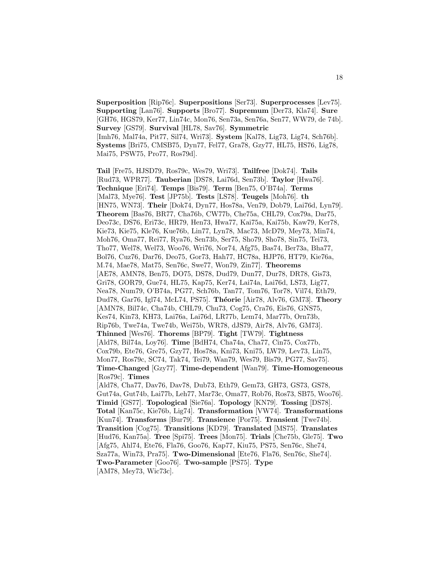**Superposition** [Rip76c]. **Superpositions** [Ser73]. **Superprocesses** [Lev75]. **Supporting** [Lan76]. **Supports** [Bro77]. **Supremum** [Der73, Kla74]. **Sure** [GH76, HGS79, Ker77, Lin74c, Mon76, Sen73a, Sen76a, Sen77, WW79, de 74b]. **Survey** [GS79]. **Survival** [HL78, Sav76]. **Symmetric** [Imh76, Mal74a, Pit77, Sil74, Wri73]. **System** [Kal78, Lig73, Lig74, Sch76b]. **Systems** [Bri75, CMSB75, Dyn77, Fel77, Gra78, Gzy77, HL75, HS76, Lig78, Mai75, PSW75, Pro77, Ros79d].

**Tail** [Fre75, HJSD79, Ros79c, Wes79, Wri73]. **Tailfree** [Dok74]. **Tails** [Rud73, WPR77]. **Tauberian** [DS78, Lai76d, Sen73b]. **Taylor** [Hwa76]. **Technique** [Eri74]. **Temps** [Bis79]. **Term** [Ben75, O'B74a]. **Terms** [Mal73, Mye76]. **Test** [JP75b]. **Tests** [LS78]. **Teugels** [Moh76]. **th** [HN75, WN73]. **Their** [Dok74, Dyn77, Hos78a, Ven79, Dob79, Lai76d, Lyn79]. **Theorem** [Bas76, BR77, Cha76b, CW77b, Che75a, CHL79, Cox79a, Dar75, Deo73c, DS76, Eri73c, HR79, Hen73, Hwa77, Kai75a, Kai75b, Kaw79, Ker78, Kie73, Kie75, Kle76, Kue76b, Lin77, Lyn78, Mac73, McD79, Mey73, Min74, Moh76, Oma77, Rei77, Rya76, Sen73b, Ser75, Sho79, Sho78, Sin75, Tei73, Tho77, Wel78, Wel73, Woo76, Wri76, Nor74, Afg75, Bas74, Ber73a, Bha77, Bol76, Cuz76, Dar76, Deo75, Gor73, Hah77, HC78a, HJP76, HT79, Kie76a, M.74, Mae78, Mat75, Sen76c, Swe77, Won79, Zin77]. **Theorems** [AE78, AMN78, Ben75, DO75, DS78, Dud79, Dun77, Dur78, DR78, Gis73, Gri78, GOR79, Gue74, HL75, Kap75, Ker74, Lai74a, Lai76d, LS73, Lig77, Nea78, Num79, O'B74a, PG77, Sch76b, Tan77, Tom76, Tor78, Vil74, Eth79, Dud78, Gar76, Igl74, McL74, PS75]. **Théorie** [Air78, Alv76, GM73]. **Theory** [AMN78, Bil74c, Cha74b, CHL79, Chu73, Cog75, Cra76, Eis76, GNS75, Kes74, Kin73, KH73, Lai76a, Lai76d, LR77b, Lem74, Mar77b, Orn73b, Rip76b, Twe74a, Twe74b, Wei75b, WR78, dJS79, Air78, Alv76, GM73]. **Thinned** [Wes76]. **Thorems** [BP79]. **Tight** [TW79]. **Tightness** [Ald78, Bil74a, Loy76]. **Time** [BdH74, Cha74a, Cha77, Cin75, Cox77b, Cox79b, Ete76, Gre75, Gzy77, Hos78a, Kni73, Kni75, LW79, Lev73, Lin75, Mon77, Ros79c, SC74, Tak74, Tei79, Wan79, Wes79, Bis79, PG77, Sav75]. **Time-Changed** [Gzy77]. **Time-dependent** [Wan79]. **Time-Homogeneous** [Ros79c]. **Times** [Ald78, Cha77, Dav76, Dav78, Dub73, Eth79, Gem73, GH73, GS73, GS78, Gut74a, Gut74b, Lai77b, Leh77, Mar73c, Oma77, Rob76, Ros73, SB75, Woo76]. **Timid** [GS77]. **Topological** [Sie76a]. **Topology** [KN79]. **Tossing** [DS78]. **Total** [Kan75c, Kie76b, Lig74]. **Transformation** [VW74]. **Transformations** [Kun74]. **Transforms** [Bur79]. **Transience** [Por75]. **Transient** [Twe74b]. **Transition** [Cog75]. **Transitions** [KD79]. **Translated** [MS75]. **Translates** [Hud76, Kan75a]. **Tree** [Spi75]. **Trees** [Mon75]. **Trials** [Che75b, Gle75]. **Two** [Afg75, Ahl74, Ete76, Fla76, Goo76, Kap77, Kiu75, PS75, Sen76c, She74, Sza77a, Win73, Pra75]. **Two-Dimensional** [Ete76, Fla76, Sen76c, She74]. **Two-Parameter** [Goo76]. **Two-sample** [PS75]. **Type** [AM78, Mey73, Wic73c].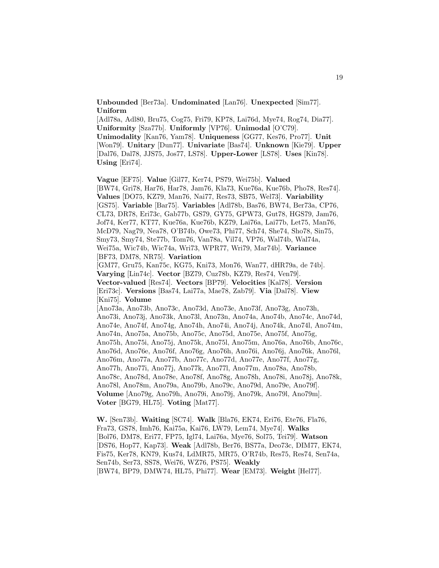**Unbounded** [Ber73a]. **Undominated** [Lan76]. **Unexpected** [Sim77]. **Uniform**

[Adl78a, Adl80, Bru75, Cog75, Fri79, KP78, Lai76d, Mye74, Rog74, Dia77]. **Uniformity** [Sza77b]. **Uniformly** [VP76]. **Unimodal** [O'C79]. **Unimodality** [Kan76, Yam78]. **Uniqueness** [GG77, Kes76, Pro77]. **Unit** [Won79]. **Unitary** [Dun77]. **Univariate** [Bas74]. **Unknown** [Kie79]. **Upper** [Dal76, Dal78, JJS75, Jos77, LS78]. **Upper-Lower** [LS78]. **Uses** [Kin78]. **Using** [Eri74].

**Vague** [EF75]. **Value** [Gil77, Ker74, PS79, Wei75b]. **Valued** [BW74, Gri78, Har76, Har78, Jam76, Kla73, Kue76a, Kue76b, Pho78, Res74]. **Values** [DO75, KZ79, Man76, Nai77, Res73, SB75, Wel73]. **Variability** [GS75]. **Variable** [Bar75]. **Variables** [Adl78b, Bas76, BW74, Ber73a, CP76, CL73, DR78, Eri73c, Gab77b, GS79, GY75, GPW73, Gut78, HGS79, Jam76, Jof74, Ker77, KT77, Kue76a, Kue76b, KZ79, Lai76a, Lai77b, Let75, Man76, McD79, Nag79, Nea78, O'B74b, Owe73, Phi77, Sch74, She74, Sho78, Sin75, Smy73, Smy74, Ste77b, Tom76, Van78a, Vil74, VP76, Wal74b, Wal74a, Wei75a, Wic74b, Wic74a, Wri73, WPR77, Wri79, Mar74b]. **Variance** [BF73, DM78, NR75]. **Variation**

[GM77, Gru75, Kan75c, KG75, Kni73, Mon76, Wan77, dHR79a, de 74b]. **Varying** [Lin74c]. **Vector** [BZ79, Cuz78b, KZ79, Res74, Ven79]. **Vector-valued** [Res74]. **Vectors** [BP79]. **Velocities** [Kal78]. **Version** [Eri73c]. **Versions** [Bas74, Lai77a, Mae78, Zab79]. **Via** [Dal78]. **View** [Kni75]. **Volume**

[Ano73a, Ano73b, Ano73c, Ano73d, Ano73e, Ano73f, Ano73g, Ano73h, Ano73i, Ano73j, Ano73k, Ano73l, Ano73n, Ano74a, Ano74b, Ano74c, Ano74d, Ano74e, Ano74f, Ano74g, Ano74h, Ano74i, Ano74j, Ano74k, Ano74l, Ano74m, Ano74n, Ano75a, Ano75b, Ano75c, Ano75d, Ano75e, Ano75f, Ano75g, Ano75h, Ano75i, Ano75j, Ano75k, Ano75l, Ano75m, Ano76a, Ano76b, Ano76c, Ano76d, Ano76e, Ano76f, Ano76g, Ano76h, Ano76i, Ano76j, Ano76k, Ano76l, Ano76m, Ano77a, Ano77b, Ano77c, Ano77d, Ano77e, Ano77f, Ano77g, Ano77h, Ano77i, Ano77j, Ano77k, Ano77l, Ano77m, Ano78a, Ano78b, Ano78c, Ano78d, Ano78e, Ano78f, Ano78g, Ano78h, Ano78i, Ano78j, Ano78k, Ano78l, Ano78m, Ano79a, Ano79b, Ano79c, Ano79d, Ano79e, Ano79f]. **Volume** [Ano79g, Ano79h, Ano79i, Ano79j, Ano79k, Ano79l, Ano79m]. **Voter** [BG79, HL75]. **Voting** [Mat77].

**W.** [Sen73b]. **Waiting** [SC74]. **Walk** [Bla76, EK74, Eri76, Ete76, Fla76, Fra73, GS78, Imh76, Kai75a, Kai76, LW79, Lem74, Mye74]. **Walks** [Bol76, DM78, Eri77, FP75, Igl74, Lai76a, Mye76, Sol75, Tei79]. **Watson** [DS76, Hop77, Kap73]. **Weak** [Adl78b, Ber76, BS77a, Deo73c, DIM77, EK74, Fis75, Ker78, KN79, Kus74, LdMR75, MR75, O'R74b, Res75, Res74, Sen74a, Sen74b, Ser73, SS78, Wei76, WZ76, PS75]. **Weakly** [BW74, BP79, DMW74, HL75, Phi77]. **Wear** [EM73]. **Weight** [Hel77].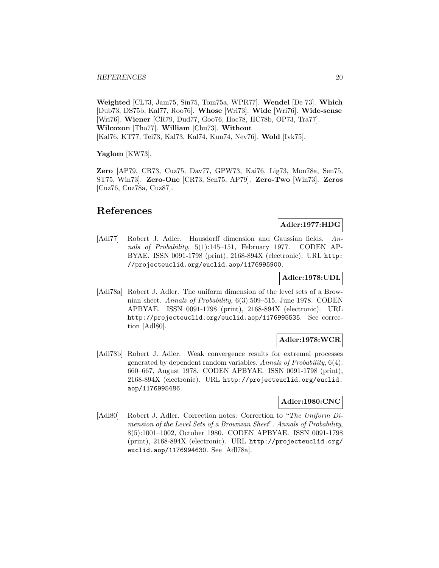**Weighted** [CL73, Jam75, Sin75, Tom75a, WPR77]. **Wendel** [De 73]. **Which** [Dub73, DS75b, Kal77, Roo76]. **Whose** [Wri73]. **Wide** [Wri76]. **Wide-sense** [Wri76]. **Wiener** [CR79, Dud77, Goo76, Hoc78, HC78b, OP73, Tra77]. **Wilcoxon** [Tho77]. **William** [Chu73]. **Without** [Kal76, KT77, Tei73, Kal73, Kal74, Kun74, Nev76]. **Wold** [Ivk75].

**Yaglom** [KW73].

**Zero** [AP79, CR73, Cuz75, Dav77, GPW73, Kai76, Lig73, Mon78a, Sen75, ST75, Win73]. **Zero-One** [CR73, Sen75, AP79]. **Zero-Two** [Win73]. **Zeros** [Cuz76, Cuz78a, Cuz87].

# **References**

## **Adler:1977:HDG**

[Adl77] Robert J. Adler. Hausdorff dimension and Gaussian fields. Annals of Probability, 5(1):145-151, February 1977. CODEN AP-BYAE. ISSN 0091-1798 (print), 2168-894X (electronic). URL http: //projecteuclid.org/euclid.aop/1176995900.

## **Adler:1978:UDL**

[Adl78a] Robert J. Adler. The uniform dimension of the level sets of a Brownian sheet. Annals of Probability, 6(3):509–515, June 1978. CODEN APBYAE. ISSN 0091-1798 (print), 2168-894X (electronic). URL http://projecteuclid.org/euclid.aop/1176995535. See correction [Adl80].

## **Adler:1978:WCR**

[Adl78b] Robert J. Adler. Weak convergence results for extremal processes generated by dependent random variables. Annals of Probability, 6(4): 660–667, August 1978. CODEN APBYAE. ISSN 0091-1798 (print), 2168-894X (electronic). URL http://projecteuclid.org/euclid. aop/1176995486.

## **Adler:1980:CNC**

[Adl80] Robert J. Adler. Correction notes: Correction to "The Uniform Dimension of the Level Sets of a Brownian Sheet". Annals of Probability, 8(5):1001–1002, October 1980. CODEN APBYAE. ISSN 0091-1798 (print), 2168-894X (electronic). URL http://projecteuclid.org/ euclid.aop/1176994630. See [Adl78a].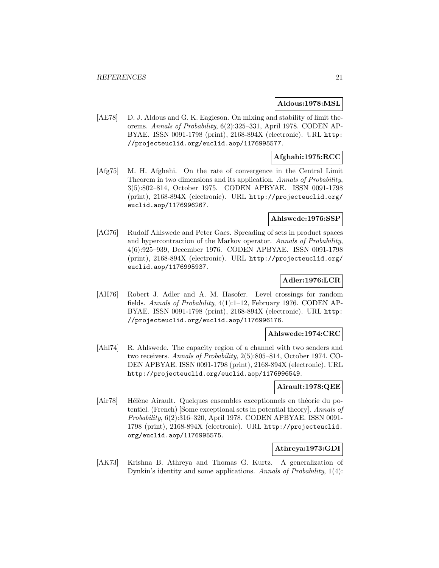## **Aldous:1978:MSL**

[AE78] D. J. Aldous and G. K. Eagleson. On mixing and stability of limit theorems. Annals of Probability, 6(2):325–331, April 1978. CODEN AP-BYAE. ISSN 0091-1798 (print), 2168-894X (electronic). URL http: //projecteuclid.org/euclid.aop/1176995577.

## **Afghahi:1975:RCC**

[Afg75] M. H. Afghahi. On the rate of convergence in the Central Limit Theorem in two dimensions and its application. Annals of Probability, 3(5):802–814, October 1975. CODEN APBYAE. ISSN 0091-1798 (print), 2168-894X (electronic). URL http://projecteuclid.org/ euclid.aop/1176996267.

## **Ahlswede:1976:SSP**

[AG76] Rudolf Ahlswede and Peter Gacs. Spreading of sets in product spaces and hypercontraction of the Markov operator. Annals of Probability, 4(6):925–939, December 1976. CODEN APBYAE. ISSN 0091-1798 (print), 2168-894X (electronic). URL http://projecteuclid.org/ euclid.aop/1176995937.

## **Adler:1976:LCR**

[AH76] Robert J. Adler and A. M. Hasofer. Level crossings for random fields. Annals of Probability, 4(1):1–12, February 1976. CODEN AP-BYAE. ISSN 0091-1798 (print), 2168-894X (electronic). URL http: //projecteuclid.org/euclid.aop/1176996176.

## **Ahlswede:1974:CRC**

[Ahl74] R. Ahlswede. The capacity region of a channel with two senders and two receivers. Annals of Probability, 2(5):805–814, October 1974. CO-DEN APBYAE. ISSN 0091-1798 (print), 2168-894X (electronic). URL http://projecteuclid.org/euclid.aop/1176996549.

## **Airault:1978:QEE**

[Air78] Hélène Airault. Quelques ensembles exceptionnels en théorie du potentiel. (French) [Some exceptional sets in potential theory]. Annals of Probability, 6(2):316–320, April 1978. CODEN APBYAE. ISSN 0091- 1798 (print), 2168-894X (electronic). URL http://projecteuclid. org/euclid.aop/1176995575.

## **Athreya:1973:GDI**

[AK73] Krishna B. Athreya and Thomas G. Kurtz. A generalization of Dynkin's identity and some applications. Annals of Probability, 1(4):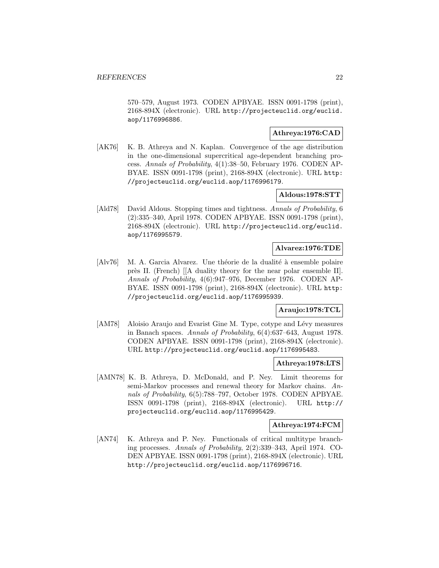570–579, August 1973. CODEN APBYAE. ISSN 0091-1798 (print), 2168-894X (electronic). URL http://projecteuclid.org/euclid. aop/1176996886.

## **Athreya:1976:CAD**

[AK76] K. B. Athreya and N. Kaplan. Convergence of the age distribution in the one-dimensional supercritical age-dependent branching process. Annals of Probability, 4(1):38–50, February 1976. CODEN AP-BYAE. ISSN 0091-1798 (print), 2168-894X (electronic). URL http: //projecteuclid.org/euclid.aop/1176996179.

## **Aldous:1978:STT**

[Ald78] David Aldous. Stopping times and tightness. Annals of Probability, 6 (2):335–340, April 1978. CODEN APBYAE. ISSN 0091-1798 (print), 2168-894X (electronic). URL http://projecteuclid.org/euclid. aop/1176995579.

## **Alvarez:1976:TDE**

 $\begin{bmatrix} \text{Alv76} \\ \text{M. A. Garcia Alvarez.} \end{bmatrix}$  The théorie de la dualité à ensemble polaire près II. (French)  $\left[\right]$ A duality theory for the near polar ensemble II. Annals of Probability, 4(6):947–976, December 1976. CODEN AP-BYAE. ISSN 0091-1798 (print), 2168-894X (electronic). URL http: //projecteuclid.org/euclid.aop/1176995939.

## **Araujo:1978:TCL**

[AM78] Aloisio Araujo and Evarist Gine M. Type, cotype and Lévy measures in Banach spaces. Annals of Probability, 6(4):637–643, August 1978. CODEN APBYAE. ISSN 0091-1798 (print), 2168-894X (electronic). URL http://projecteuclid.org/euclid.aop/1176995483.

## **Athreya:1978:LTS**

[AMN78] K. B. Athreya, D. McDonald, and P. Ney. Limit theorems for semi-Markov processes and renewal theory for Markov chains. Annals of Probability, 6(5):788–797, October 1978. CODEN APBYAE. ISSN 0091-1798 (print), 2168-894X (electronic). URL http:// projecteuclid.org/euclid.aop/1176995429.

## **Athreya:1974:FCM**

[AN74] K. Athreya and P. Ney. Functionals of critical multitype branching processes. Annals of Probability, 2(2):339–343, April 1974. CO-DEN APBYAE. ISSN 0091-1798 (print), 2168-894X (electronic). URL http://projecteuclid.org/euclid.aop/1176996716.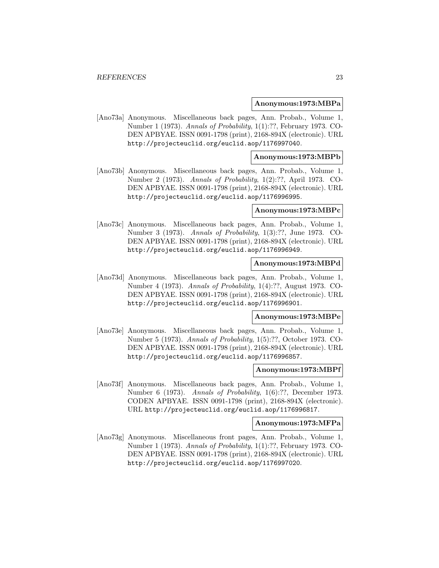#### **Anonymous:1973:MBPa**

[Ano73a] Anonymous. Miscellaneous back pages, Ann. Probab., Volume 1, Number 1 (1973). Annals of Probability, 1(1):??, February 1973. CO-DEN APBYAE. ISSN 0091-1798 (print), 2168-894X (electronic). URL http://projecteuclid.org/euclid.aop/1176997040.

## **Anonymous:1973:MBPb**

[Ano73b] Anonymous. Miscellaneous back pages, Ann. Probab., Volume 1, Number 2 (1973). Annals of Probability, 1(2):??, April 1973. CO-DEN APBYAE. ISSN 0091-1798 (print), 2168-894X (electronic). URL http://projecteuclid.org/euclid.aop/1176996995.

## **Anonymous:1973:MBPc**

[Ano73c] Anonymous. Miscellaneous back pages, Ann. Probab., Volume 1, Number 3 (1973). Annals of Probability, 1(3):??, June 1973. CO-DEN APBYAE. ISSN 0091-1798 (print), 2168-894X (electronic). URL http://projecteuclid.org/euclid.aop/1176996949.

## **Anonymous:1973:MBPd**

[Ano73d] Anonymous. Miscellaneous back pages, Ann. Probab., Volume 1, Number 4 (1973). Annals of Probability, 1(4):??, August 1973. CO-DEN APBYAE. ISSN 0091-1798 (print), 2168-894X (electronic). URL http://projecteuclid.org/euclid.aop/1176996901.

#### **Anonymous:1973:MBPe**

[Ano73e] Anonymous. Miscellaneous back pages, Ann. Probab., Volume 1, Number 5 (1973). Annals of Probability, 1(5):??, October 1973. CO-DEN APBYAE. ISSN 0091-1798 (print), 2168-894X (electronic). URL http://projecteuclid.org/euclid.aop/1176996857.

## **Anonymous:1973:MBPf**

[Ano73f] Anonymous. Miscellaneous back pages, Ann. Probab., Volume 1, Number 6 (1973). Annals of Probability, 1(6):??, December 1973. CODEN APBYAE. ISSN 0091-1798 (print), 2168-894X (electronic). URL http://projecteuclid.org/euclid.aop/1176996817.

#### **Anonymous:1973:MFPa**

[Ano73g] Anonymous. Miscellaneous front pages, Ann. Probab., Volume 1, Number 1 (1973). Annals of Probability, 1(1):??, February 1973. CO-DEN APBYAE. ISSN 0091-1798 (print), 2168-894X (electronic). URL http://projecteuclid.org/euclid.aop/1176997020.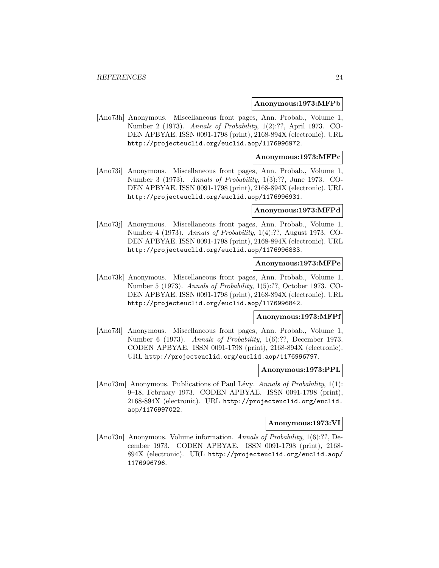#### **Anonymous:1973:MFPb**

[Ano73h] Anonymous. Miscellaneous front pages, Ann. Probab., Volume 1, Number 2 (1973). Annals of Probability, 1(2):??, April 1973. CO-DEN APBYAE. ISSN 0091-1798 (print), 2168-894X (electronic). URL http://projecteuclid.org/euclid.aop/1176996972.

## **Anonymous:1973:MFPc**

[Ano73i] Anonymous. Miscellaneous front pages, Ann. Probab., Volume 1, Number 3 (1973). Annals of Probability, 1(3):??, June 1973. CO-DEN APBYAE. ISSN 0091-1798 (print), 2168-894X (electronic). URL http://projecteuclid.org/euclid.aop/1176996931.

## **Anonymous:1973:MFPd**

[Ano73j] Anonymous. Miscellaneous front pages, Ann. Probab., Volume 1, Number 4 (1973). Annals of Probability, 1(4):??, August 1973. CO-DEN APBYAE. ISSN 0091-1798 (print), 2168-894X (electronic). URL http://projecteuclid.org/euclid.aop/1176996883.

## **Anonymous:1973:MFPe**

[Ano73k] Anonymous. Miscellaneous front pages, Ann. Probab., Volume 1, Number 5 (1973). Annals of Probability, 1(5):??, October 1973. CO-DEN APBYAE. ISSN 0091-1798 (print), 2168-894X (electronic). URL http://projecteuclid.org/euclid.aop/1176996842.

#### **Anonymous:1973:MFPf**

[Ano73l] Anonymous. Miscellaneous front pages, Ann. Probab., Volume 1, Number 6 (1973). Annals of Probability, 1(6):??, December 1973. CODEN APBYAE. ISSN 0091-1798 (print), 2168-894X (electronic). URL http://projecteuclid.org/euclid.aop/1176996797.

## **Anonymous:1973:PPL**

[Ano73m] Anonymous. Publications of Paul Lévy. Annals of Probability,  $1(1)$ : 9–18, February 1973. CODEN APBYAE. ISSN 0091-1798 (print), 2168-894X (electronic). URL http://projecteuclid.org/euclid. aop/1176997022.

#### **Anonymous:1973:VI**

[Ano73n] Anonymous. Volume information. Annals of Probability, 1(6):??, December 1973. CODEN APBYAE. ISSN 0091-1798 (print), 2168- 894X (electronic). URL http://projecteuclid.org/euclid.aop/ 1176996796.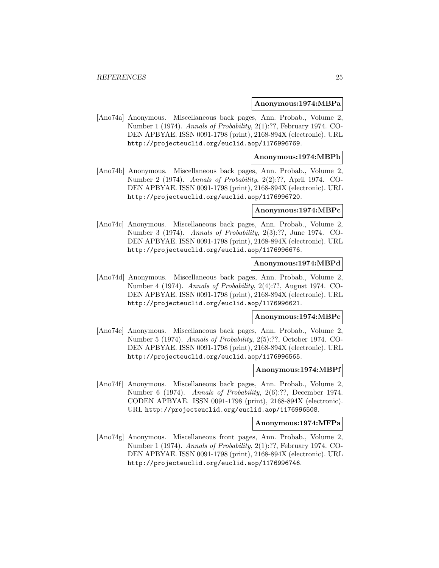#### **Anonymous:1974:MBPa**

[Ano74a] Anonymous. Miscellaneous back pages, Ann. Probab., Volume 2, Number 1 (1974). Annals of Probability, 2(1):??, February 1974. CO-DEN APBYAE. ISSN 0091-1798 (print), 2168-894X (electronic). URL http://projecteuclid.org/euclid.aop/1176996769.

## **Anonymous:1974:MBPb**

[Ano74b] Anonymous. Miscellaneous back pages, Ann. Probab., Volume 2, Number 2 (1974). Annals of Probability, 2(2):??, April 1974. CO-DEN APBYAE. ISSN 0091-1798 (print), 2168-894X (electronic). URL http://projecteuclid.org/euclid.aop/1176996720.

## **Anonymous:1974:MBPc**

[Ano74c] Anonymous. Miscellaneous back pages, Ann. Probab., Volume 2, Number 3 (1974). Annals of Probability, 2(3):??, June 1974. CO-DEN APBYAE. ISSN 0091-1798 (print), 2168-894X (electronic). URL http://projecteuclid.org/euclid.aop/1176996676.

## **Anonymous:1974:MBPd**

[Ano74d] Anonymous. Miscellaneous back pages, Ann. Probab., Volume 2, Number 4 (1974). Annals of Probability, 2(4):??, August 1974. CO-DEN APBYAE. ISSN 0091-1798 (print), 2168-894X (electronic). URL http://projecteuclid.org/euclid.aop/1176996621.

## **Anonymous:1974:MBPe**

[Ano74e] Anonymous. Miscellaneous back pages, Ann. Probab., Volume 2, Number 5 (1974). Annals of Probability, 2(5):??, October 1974. CO-DEN APBYAE. ISSN 0091-1798 (print), 2168-894X (electronic). URL http://projecteuclid.org/euclid.aop/1176996565.

## **Anonymous:1974:MBPf**

[Ano74f] Anonymous. Miscellaneous back pages, Ann. Probab., Volume 2, Number 6 (1974). Annals of Probability, 2(6):??, December 1974. CODEN APBYAE. ISSN 0091-1798 (print), 2168-894X (electronic). URL http://projecteuclid.org/euclid.aop/1176996508.

#### **Anonymous:1974:MFPa**

[Ano74g] Anonymous. Miscellaneous front pages, Ann. Probab., Volume 2, Number 1 (1974). Annals of Probability, 2(1):??, February 1974. CO-DEN APBYAE. ISSN 0091-1798 (print), 2168-894X (electronic). URL http://projecteuclid.org/euclid.aop/1176996746.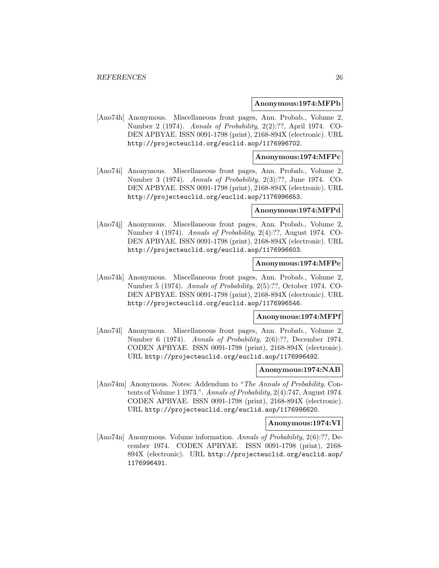#### **Anonymous:1974:MFPb**

[Ano74h] Anonymous. Miscellaneous front pages, Ann. Probab., Volume 2, Number 2 (1974). Annals of Probability, 2(2):??, April 1974. CO-DEN APBYAE. ISSN 0091-1798 (print), 2168-894X (electronic). URL http://projecteuclid.org/euclid.aop/1176996702.

## **Anonymous:1974:MFPc**

[Ano74i] Anonymous. Miscellaneous front pages, Ann. Probab., Volume 2, Number 3 (1974). Annals of Probability, 2(3):??, June 1974. CO-DEN APBYAE. ISSN 0091-1798 (print), 2168-894X (electronic). URL http://projecteuclid.org/euclid.aop/1176996653.

## **Anonymous:1974:MFPd**

[Ano74j] Anonymous. Miscellaneous front pages, Ann. Probab., Volume 2, Number 4 (1974). Annals of Probability, 2(4):??, August 1974. CO-DEN APBYAE. ISSN 0091-1798 (print), 2168-894X (electronic). URL http://projecteuclid.org/euclid.aop/1176996603.

## **Anonymous:1974:MFPe**

[Ano74k] Anonymous. Miscellaneous front pages, Ann. Probab., Volume 2, Number 5 (1974). Annals of Probability, 2(5):??, October 1974. CO-DEN APBYAE. ISSN 0091-1798 (print), 2168-894X (electronic). URL http://projecteuclid.org/euclid.aop/1176996546.

#### **Anonymous:1974:MFPf**

[Ano74l] Anonymous. Miscellaneous front pages, Ann. Probab., Volume 2, Number 6 (1974). Annals of Probability, 2(6):??, December 1974. CODEN APBYAE. ISSN 0091-1798 (print), 2168-894X (electronic). URL http://projecteuclid.org/euclid.aop/1176996492.

## **Anonymous:1974:NAB**

[Ano74m] Anonymous. Notes: Addendum to "The Annals of Probability, Contents of Volume 1 1973.". Annals of Probability, 2(4):747, August 1974. CODEN APBYAE. ISSN 0091-1798 (print), 2168-894X (electronic). URL http://projecteuclid.org/euclid.aop/1176996620.

## **Anonymous:1974:VI**

[Ano74n] Anonymous. Volume information. Annals of Probability, 2(6):??, December 1974. CODEN APBYAE. ISSN 0091-1798 (print), 2168- 894X (electronic). URL http://projecteuclid.org/euclid.aop/ 1176996491.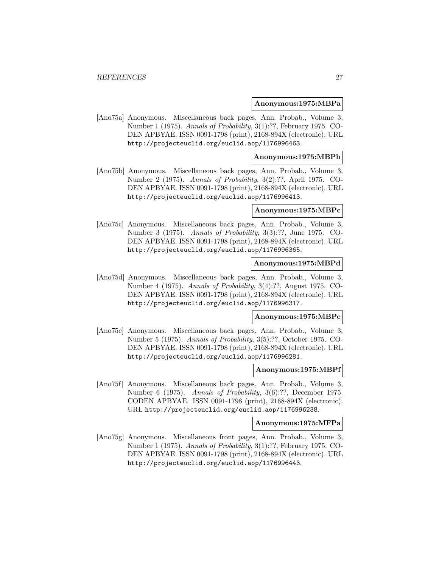#### **Anonymous:1975:MBPa**

[Ano75a] Anonymous. Miscellaneous back pages, Ann. Probab., Volume 3, Number 1 (1975). Annals of Probability, 3(1):??, February 1975. CO-DEN APBYAE. ISSN 0091-1798 (print), 2168-894X (electronic). URL http://projecteuclid.org/euclid.aop/1176996463.

## **Anonymous:1975:MBPb**

[Ano75b] Anonymous. Miscellaneous back pages, Ann. Probab., Volume 3, Number 2 (1975). Annals of Probability, 3(2):??, April 1975. CO-DEN APBYAE. ISSN 0091-1798 (print), 2168-894X (electronic). URL http://projecteuclid.org/euclid.aop/1176996413.

## **Anonymous:1975:MBPc**

[Ano75c] Anonymous. Miscellaneous back pages, Ann. Probab., Volume 3, Number 3 (1975). Annals of Probability, 3(3):??, June 1975. CO-DEN APBYAE. ISSN 0091-1798 (print), 2168-894X (electronic). URL http://projecteuclid.org/euclid.aop/1176996365.

## **Anonymous:1975:MBPd**

[Ano75d] Anonymous. Miscellaneous back pages, Ann. Probab., Volume 3, Number 4 (1975). Annals of Probability, 3(4):??, August 1975. CO-DEN APBYAE. ISSN 0091-1798 (print), 2168-894X (electronic). URL http://projecteuclid.org/euclid.aop/1176996317.

#### **Anonymous:1975:MBPe**

[Ano75e] Anonymous. Miscellaneous back pages, Ann. Probab., Volume 3, Number 5 (1975). Annals of Probability, 3(5):??, October 1975. CO-DEN APBYAE. ISSN 0091-1798 (print), 2168-894X (electronic). URL http://projecteuclid.org/euclid.aop/1176996281.

## **Anonymous:1975:MBPf**

[Ano75f] Anonymous. Miscellaneous back pages, Ann. Probab., Volume 3, Number 6 (1975). Annals of Probability, 3(6):??, December 1975. CODEN APBYAE. ISSN 0091-1798 (print), 2168-894X (electronic). URL http://projecteuclid.org/euclid.aop/1176996238.

#### **Anonymous:1975:MFPa**

[Ano75g] Anonymous. Miscellaneous front pages, Ann. Probab., Volume 3, Number 1 (1975). Annals of Probability, 3(1):??, February 1975. CO-DEN APBYAE. ISSN 0091-1798 (print), 2168-894X (electronic). URL http://projecteuclid.org/euclid.aop/1176996443.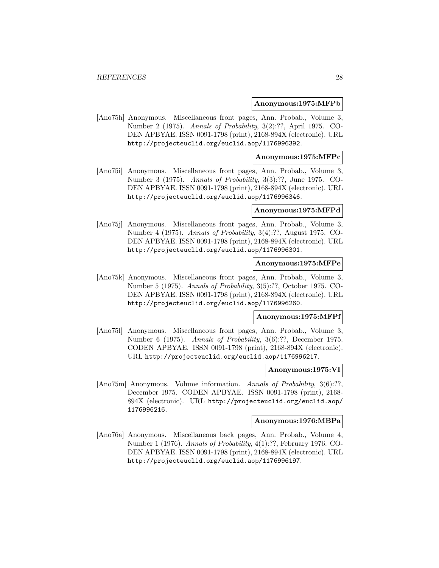#### **Anonymous:1975:MFPb**

[Ano75h] Anonymous. Miscellaneous front pages, Ann. Probab., Volume 3, Number 2 (1975). Annals of Probability, 3(2):??, April 1975. CO-DEN APBYAE. ISSN 0091-1798 (print), 2168-894X (electronic). URL http://projecteuclid.org/euclid.aop/1176996392.

## **Anonymous:1975:MFPc**

[Ano75i] Anonymous. Miscellaneous front pages, Ann. Probab., Volume 3, Number 3 (1975). Annals of Probability, 3(3):??, June 1975. CO-DEN APBYAE. ISSN 0091-1798 (print), 2168-894X (electronic). URL http://projecteuclid.org/euclid.aop/1176996346.

## **Anonymous:1975:MFPd**

[Ano75j] Anonymous. Miscellaneous front pages, Ann. Probab., Volume 3, Number 4 (1975). Annals of Probability, 3(4):??, August 1975. CO-DEN APBYAE. ISSN 0091-1798 (print), 2168-894X (electronic). URL http://projecteuclid.org/euclid.aop/1176996301.

## **Anonymous:1975:MFPe**

[Ano75k] Anonymous. Miscellaneous front pages, Ann. Probab., Volume 3, Number 5 (1975). Annals of Probability, 3(5):??, October 1975. CO-DEN APBYAE. ISSN 0091-1798 (print), 2168-894X (electronic). URL http://projecteuclid.org/euclid.aop/1176996260.

#### **Anonymous:1975:MFPf**

[Ano75l] Anonymous. Miscellaneous front pages, Ann. Probab., Volume 3, Number 6 (1975). Annals of Probability, 3(6):??, December 1975. CODEN APBYAE. ISSN 0091-1798 (print), 2168-894X (electronic). URL http://projecteuclid.org/euclid.aop/1176996217.

## **Anonymous:1975:VI**

[Ano75m] Anonymous. Volume information. Annals of Probability, 3(6):??, December 1975. CODEN APBYAE. ISSN 0091-1798 (print), 2168- 894X (electronic). URL http://projecteuclid.org/euclid.aop/ 1176996216.

## **Anonymous:1976:MBPa**

[Ano76a] Anonymous. Miscellaneous back pages, Ann. Probab., Volume 4, Number 1 (1976). Annals of Probability, 4(1):??, February 1976. CO-DEN APBYAE. ISSN 0091-1798 (print), 2168-894X (electronic). URL http://projecteuclid.org/euclid.aop/1176996197.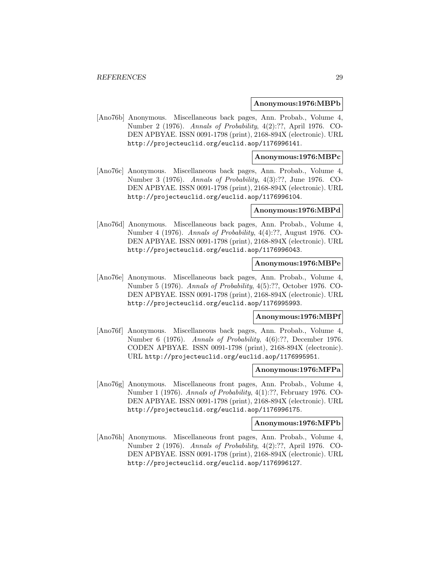#### **Anonymous:1976:MBPb**

[Ano76b] Anonymous. Miscellaneous back pages, Ann. Probab., Volume 4, Number 2 (1976). Annals of Probability, 4(2):??, April 1976. CO-DEN APBYAE. ISSN 0091-1798 (print), 2168-894X (electronic). URL http://projecteuclid.org/euclid.aop/1176996141.

## **Anonymous:1976:MBPc**

[Ano76c] Anonymous. Miscellaneous back pages, Ann. Probab., Volume 4, Number 3 (1976). Annals of Probability, 4(3):??, June 1976. CO-DEN APBYAE. ISSN 0091-1798 (print), 2168-894X (electronic). URL http://projecteuclid.org/euclid.aop/1176996104.

#### **Anonymous:1976:MBPd**

[Ano76d] Anonymous. Miscellaneous back pages, Ann. Probab., Volume 4, Number 4 (1976). Annals of Probability, 4(4):??, August 1976. CO-DEN APBYAE. ISSN 0091-1798 (print), 2168-894X (electronic). URL http://projecteuclid.org/euclid.aop/1176996043.

## **Anonymous:1976:MBPe**

[Ano76e] Anonymous. Miscellaneous back pages, Ann. Probab., Volume 4, Number 5 (1976). Annals of Probability, 4(5):??, October 1976. CO-DEN APBYAE. ISSN 0091-1798 (print), 2168-894X (electronic). URL http://projecteuclid.org/euclid.aop/1176995993.

#### **Anonymous:1976:MBPf**

[Ano76f] Anonymous. Miscellaneous back pages, Ann. Probab., Volume 4, Number 6 (1976). Annals of Probability, 4(6):??, December 1976. CODEN APBYAE. ISSN 0091-1798 (print), 2168-894X (electronic). URL http://projecteuclid.org/euclid.aop/1176995951.

## **Anonymous:1976:MFPa**

[Ano76g] Anonymous. Miscellaneous front pages, Ann. Probab., Volume 4, Number 1 (1976). Annals of Probability, 4(1):??, February 1976. CO-DEN APBYAE. ISSN 0091-1798 (print), 2168-894X (electronic). URL http://projecteuclid.org/euclid.aop/1176996175.

#### **Anonymous:1976:MFPb**

[Ano76h] Anonymous. Miscellaneous front pages, Ann. Probab., Volume 4, Number 2 (1976). Annals of Probability, 4(2):??, April 1976. CO-DEN APBYAE. ISSN 0091-1798 (print), 2168-894X (electronic). URL http://projecteuclid.org/euclid.aop/1176996127.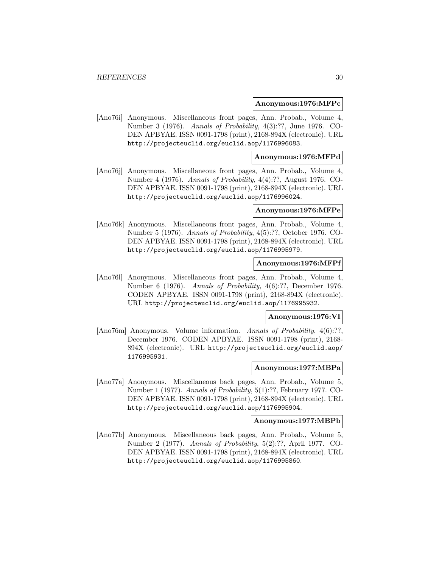#### **Anonymous:1976:MFPc**

[Ano76i] Anonymous. Miscellaneous front pages, Ann. Probab., Volume 4, Number 3 (1976). Annals of Probability, 4(3):??, June 1976. CO-DEN APBYAE. ISSN 0091-1798 (print), 2168-894X (electronic). URL http://projecteuclid.org/euclid.aop/1176996083.

## **Anonymous:1976:MFPd**

[Ano76j] Anonymous. Miscellaneous front pages, Ann. Probab., Volume 4, Number 4 (1976). Annals of Probability, 4(4):??, August 1976. CO-DEN APBYAE. ISSN 0091-1798 (print), 2168-894X (electronic). URL http://projecteuclid.org/euclid.aop/1176996024.

## **Anonymous:1976:MFPe**

[Ano76k] Anonymous. Miscellaneous front pages, Ann. Probab., Volume 4, Number 5 (1976). Annals of Probability, 4(5):??, October 1976. CO-DEN APBYAE. ISSN 0091-1798 (print), 2168-894X (electronic). URL http://projecteuclid.org/euclid.aop/1176995979.

## **Anonymous:1976:MFPf**

[Ano76l] Anonymous. Miscellaneous front pages, Ann. Probab., Volume 4, Number 6 (1976). Annals of Probability, 4(6):??, December 1976. CODEN APBYAE. ISSN 0091-1798 (print), 2168-894X (electronic). URL http://projecteuclid.org/euclid.aop/1176995932.

## **Anonymous:1976:VI**

[Ano76m] Anonymous. Volume information. Annals of Probability, 4(6):??, December 1976. CODEN APBYAE. ISSN 0091-1798 (print), 2168- 894X (electronic). URL http://projecteuclid.org/euclid.aop/ 1176995931.

## **Anonymous:1977:MBPa**

[Ano77a] Anonymous. Miscellaneous back pages, Ann. Probab., Volume 5, Number 1 (1977). Annals of Probability, 5(1):??, February 1977. CO-DEN APBYAE. ISSN 0091-1798 (print), 2168-894X (electronic). URL http://projecteuclid.org/euclid.aop/1176995904.

#### **Anonymous:1977:MBPb**

[Ano77b] Anonymous. Miscellaneous back pages, Ann. Probab., Volume 5, Number 2 (1977). Annals of Probability, 5(2):??, April 1977. CO-DEN APBYAE. ISSN 0091-1798 (print), 2168-894X (electronic). URL http://projecteuclid.org/euclid.aop/1176995860.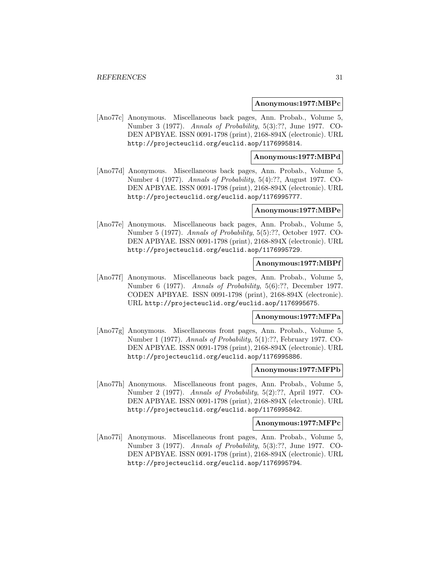#### **Anonymous:1977:MBPc**

[Ano77c] Anonymous. Miscellaneous back pages, Ann. Probab., Volume 5, Number 3 (1977). Annals of Probability, 5(3):??, June 1977. CO-DEN APBYAE. ISSN 0091-1798 (print), 2168-894X (electronic). URL http://projecteuclid.org/euclid.aop/1176995814.

## **Anonymous:1977:MBPd**

[Ano77d] Anonymous. Miscellaneous back pages, Ann. Probab., Volume 5, Number 4 (1977). Annals of Probability, 5(4):??, August 1977. CO-DEN APBYAE. ISSN 0091-1798 (print), 2168-894X (electronic). URL http://projecteuclid.org/euclid.aop/1176995777.

## **Anonymous:1977:MBPe**

[Ano77e] Anonymous. Miscellaneous back pages, Ann. Probab., Volume 5, Number 5 (1977). Annals of Probability, 5(5):??, October 1977. CO-DEN APBYAE. ISSN 0091-1798 (print), 2168-894X (electronic). URL http://projecteuclid.org/euclid.aop/1176995729.

## **Anonymous:1977:MBPf**

[Ano77f] Anonymous. Miscellaneous back pages, Ann. Probab., Volume 5, Number 6 (1977). Annals of Probability, 5(6):??, December 1977. CODEN APBYAE. ISSN 0091-1798 (print), 2168-894X (electronic). URL http://projecteuclid.org/euclid.aop/1176995675.

#### **Anonymous:1977:MFPa**

[Ano77g] Anonymous. Miscellaneous front pages, Ann. Probab., Volume 5, Number 1 (1977). Annals of Probability, 5(1):??, February 1977. CO-DEN APBYAE. ISSN 0091-1798 (print), 2168-894X (electronic). URL http://projecteuclid.org/euclid.aop/1176995886.

## **Anonymous:1977:MFPb**

[Ano77h] Anonymous. Miscellaneous front pages, Ann. Probab., Volume 5, Number 2 (1977). Annals of Probability, 5(2):??, April 1977. CO-DEN APBYAE. ISSN 0091-1798 (print), 2168-894X (electronic). URL http://projecteuclid.org/euclid.aop/1176995842.

#### **Anonymous:1977:MFPc**

[Ano77i] Anonymous. Miscellaneous front pages, Ann. Probab., Volume 5, Number 3 (1977). Annals of Probability, 5(3):??, June 1977. CO-DEN APBYAE. ISSN 0091-1798 (print), 2168-894X (electronic). URL http://projecteuclid.org/euclid.aop/1176995794.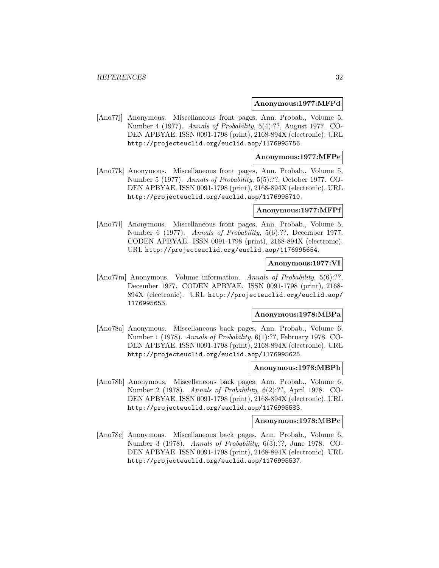#### **Anonymous:1977:MFPd**

[Ano77j] Anonymous. Miscellaneous front pages, Ann. Probab., Volume 5, Number 4 (1977). Annals of Probability, 5(4):??, August 1977. CO-DEN APBYAE. ISSN 0091-1798 (print), 2168-894X (electronic). URL http://projecteuclid.org/euclid.aop/1176995756.

## **Anonymous:1977:MFPe**

[Ano77k] Anonymous. Miscellaneous front pages, Ann. Probab., Volume 5, Number 5 (1977). Annals of Probability, 5(5):??, October 1977. CO-DEN APBYAE. ISSN 0091-1798 (print), 2168-894X (electronic). URL http://projecteuclid.org/euclid.aop/1176995710.

## **Anonymous:1977:MFPf**

[Ano77l] Anonymous. Miscellaneous front pages, Ann. Probab., Volume 5, Number 6 (1977). Annals of Probability, 5(6):??, December 1977. CODEN APBYAE. ISSN 0091-1798 (print), 2168-894X (electronic). URL http://projecteuclid.org/euclid.aop/1176995654.

## **Anonymous:1977:VI**

[Ano77m] Anonymous. Volume information. Annals of Probability, 5(6):??, December 1977. CODEN APBYAE. ISSN 0091-1798 (print), 2168- 894X (electronic). URL http://projecteuclid.org/euclid.aop/ 1176995653.

## **Anonymous:1978:MBPa**

[Ano78a] Anonymous. Miscellaneous back pages, Ann. Probab., Volume 6, Number 1 (1978). Annals of Probability, 6(1):??, February 1978. CO-DEN APBYAE. ISSN 0091-1798 (print), 2168-894X (electronic). URL http://projecteuclid.org/euclid.aop/1176995625.

## **Anonymous:1978:MBPb**

[Ano78b] Anonymous. Miscellaneous back pages, Ann. Probab., Volume 6, Number 2 (1978). Annals of Probability, 6(2):??, April 1978. CO-DEN APBYAE. ISSN 0091-1798 (print), 2168-894X (electronic). URL http://projecteuclid.org/euclid.aop/1176995583.

## **Anonymous:1978:MBPc**

[Ano78c] Anonymous. Miscellaneous back pages, Ann. Probab., Volume 6, Number 3 (1978). Annals of Probability, 6(3):??, June 1978. CO-DEN APBYAE. ISSN 0091-1798 (print), 2168-894X (electronic). URL http://projecteuclid.org/euclid.aop/1176995537.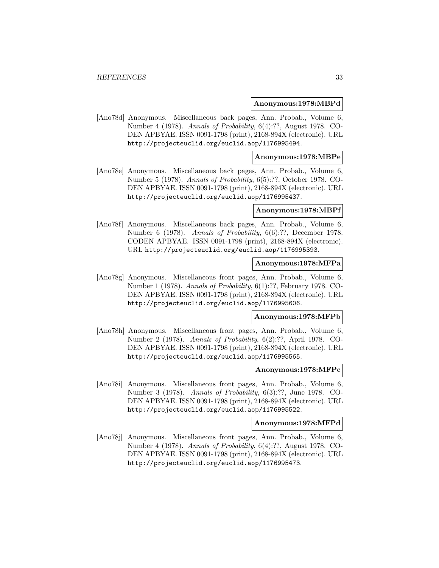#### **Anonymous:1978:MBPd**

[Ano78d] Anonymous. Miscellaneous back pages, Ann. Probab., Volume 6, Number 4 (1978). Annals of Probability, 6(4):??, August 1978. CO-DEN APBYAE. ISSN 0091-1798 (print), 2168-894X (electronic). URL http://projecteuclid.org/euclid.aop/1176995494.

## **Anonymous:1978:MBPe**

[Ano78e] Anonymous. Miscellaneous back pages, Ann. Probab., Volume 6, Number 5 (1978). Annals of Probability, 6(5):??, October 1978. CO-DEN APBYAE. ISSN 0091-1798 (print), 2168-894X (electronic). URL http://projecteuclid.org/euclid.aop/1176995437.

## **Anonymous:1978:MBPf**

[Ano78f] Anonymous. Miscellaneous back pages, Ann. Probab., Volume 6, Number 6 (1978). Annals of Probability, 6(6):??, December 1978. CODEN APBYAE. ISSN 0091-1798 (print), 2168-894X (electronic). URL http://projecteuclid.org/euclid.aop/1176995393.

## **Anonymous:1978:MFPa**

[Ano78g] Anonymous. Miscellaneous front pages, Ann. Probab., Volume 6, Number 1 (1978). Annals of Probability, 6(1):??, February 1978. CO-DEN APBYAE. ISSN 0091-1798 (print), 2168-894X (electronic). URL http://projecteuclid.org/euclid.aop/1176995606.

#### **Anonymous:1978:MFPb**

[Ano78h] Anonymous. Miscellaneous front pages, Ann. Probab., Volume 6, Number 2 (1978). Annals of Probability, 6(2):??, April 1978. CO-DEN APBYAE. ISSN 0091-1798 (print), 2168-894X (electronic). URL http://projecteuclid.org/euclid.aop/1176995565.

## **Anonymous:1978:MFPc**

[Ano78i] Anonymous. Miscellaneous front pages, Ann. Probab., Volume 6, Number 3 (1978). Annals of Probability, 6(3):??, June 1978. CO-DEN APBYAE. ISSN 0091-1798 (print), 2168-894X (electronic). URL http://projecteuclid.org/euclid.aop/1176995522.

#### **Anonymous:1978:MFPd**

[Ano78j] Anonymous. Miscellaneous front pages, Ann. Probab., Volume 6, Number 4 (1978). Annals of Probability, 6(4):??, August 1978. CO-DEN APBYAE. ISSN 0091-1798 (print), 2168-894X (electronic). URL http://projecteuclid.org/euclid.aop/1176995473.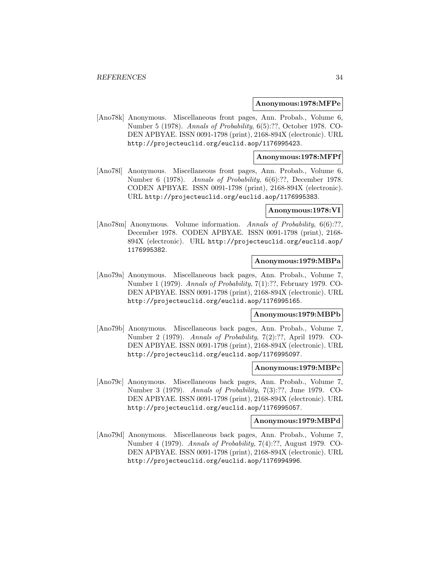#### **Anonymous:1978:MFPe**

[Ano78k] Anonymous. Miscellaneous front pages, Ann. Probab., Volume 6, Number 5 (1978). Annals of Probability, 6(5):??, October 1978. CO-DEN APBYAE. ISSN 0091-1798 (print), 2168-894X (electronic). URL http://projecteuclid.org/euclid.aop/1176995423.

## **Anonymous:1978:MFPf**

[Ano78l] Anonymous. Miscellaneous front pages, Ann. Probab., Volume 6, Number 6 (1978). Annals of Probability, 6(6):??, December 1978. CODEN APBYAE. ISSN 0091-1798 (print), 2168-894X (electronic). URL http://projecteuclid.org/euclid.aop/1176995383.

## **Anonymous:1978:VI**

[Ano78m] Anonymous. Volume information. Annals of Probability, 6(6):??, December 1978. CODEN APBYAE. ISSN 0091-1798 (print), 2168- 894X (electronic). URL http://projecteuclid.org/euclid.aop/ 1176995382.

## **Anonymous:1979:MBPa**

[Ano79a] Anonymous. Miscellaneous back pages, Ann. Probab., Volume 7, Number 1 (1979). Annals of Probability, 7(1):??, February 1979. CO-DEN APBYAE. ISSN 0091-1798 (print), 2168-894X (electronic). URL http://projecteuclid.org/euclid.aop/1176995165.

## **Anonymous:1979:MBPb**

[Ano79b] Anonymous. Miscellaneous back pages, Ann. Probab., Volume 7, Number 2 (1979). Annals of Probability, 7(2):??, April 1979. CO-DEN APBYAE. ISSN 0091-1798 (print), 2168-894X (electronic). URL http://projecteuclid.org/euclid.aop/1176995097.

## **Anonymous:1979:MBPc**

[Ano79c] Anonymous. Miscellaneous back pages, Ann. Probab., Volume 7, Number 3 (1979). Annals of Probability, 7(3):??, June 1979. CO-DEN APBYAE. ISSN 0091-1798 (print), 2168-894X (electronic). URL http://projecteuclid.org/euclid.aop/1176995057.

## **Anonymous:1979:MBPd**

[Ano79d] Anonymous. Miscellaneous back pages, Ann. Probab., Volume 7, Number 4 (1979). Annals of Probability, 7(4):??, August 1979. CO-DEN APBYAE. ISSN 0091-1798 (print), 2168-894X (electronic). URL http://projecteuclid.org/euclid.aop/1176994996.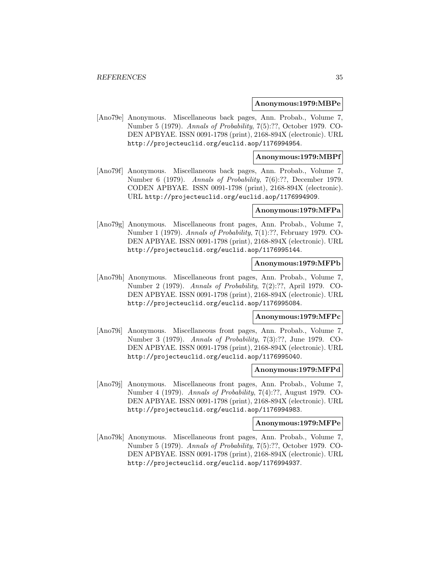#### **Anonymous:1979:MBPe**

[Ano79e] Anonymous. Miscellaneous back pages, Ann. Probab., Volume 7, Number 5 (1979). Annals of Probability, 7(5):??, October 1979. CO-DEN APBYAE. ISSN 0091-1798 (print), 2168-894X (electronic). URL http://projecteuclid.org/euclid.aop/1176994954.

## **Anonymous:1979:MBPf**

[Ano79f] Anonymous. Miscellaneous back pages, Ann. Probab., Volume 7, Number 6 (1979). Annals of Probability, 7(6):??, December 1979. CODEN APBYAE. ISSN 0091-1798 (print), 2168-894X (electronic). URL http://projecteuclid.org/euclid.aop/1176994909.

## **Anonymous:1979:MFPa**

[Ano79g] Anonymous. Miscellaneous front pages, Ann. Probab., Volume 7, Number 1 (1979). Annals of Probability, 7(1):??, February 1979. CO-DEN APBYAE. ISSN 0091-1798 (print), 2168-894X (electronic). URL http://projecteuclid.org/euclid.aop/1176995144.

## **Anonymous:1979:MFPb**

[Ano79h] Anonymous. Miscellaneous front pages, Ann. Probab., Volume 7, Number 2 (1979). Annals of Probability, 7(2):??, April 1979. CO-DEN APBYAE. ISSN 0091-1798 (print), 2168-894X (electronic). URL http://projecteuclid.org/euclid.aop/1176995084.

#### **Anonymous:1979:MFPc**

[Ano79i] Anonymous. Miscellaneous front pages, Ann. Probab., Volume 7, Number 3 (1979). Annals of Probability, 7(3):??, June 1979. CO-DEN APBYAE. ISSN 0091-1798 (print), 2168-894X (electronic). URL http://projecteuclid.org/euclid.aop/1176995040.

## **Anonymous:1979:MFPd**

[Ano79j] Anonymous. Miscellaneous front pages, Ann. Probab., Volume 7, Number 4 (1979). Annals of Probability, 7(4):??, August 1979. CO-DEN APBYAE. ISSN 0091-1798 (print), 2168-894X (electronic). URL http://projecteuclid.org/euclid.aop/1176994983.

#### **Anonymous:1979:MFPe**

[Ano79k] Anonymous. Miscellaneous front pages, Ann. Probab., Volume 7, Number 5 (1979). Annals of Probability, 7(5):??, October 1979. CO-DEN APBYAE. ISSN 0091-1798 (print), 2168-894X (electronic). URL http://projecteuclid.org/euclid.aop/1176994937.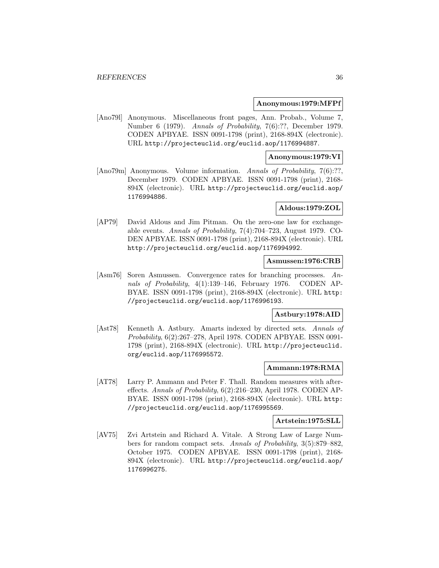## **Anonymous:1979:MFPf**

[Ano79l] Anonymous. Miscellaneous front pages, Ann. Probab., Volume 7, Number 6 (1979). Annals of Probability, 7(6):??, December 1979. CODEN APBYAE. ISSN 0091-1798 (print), 2168-894X (electronic). URL http://projecteuclid.org/euclid.aop/1176994887.

## **Anonymous:1979:VI**

[Ano79m] Anonymous. Volume information. Annals of Probability, 7(6):??, December 1979. CODEN APBYAE. ISSN 0091-1798 (print), 2168- 894X (electronic). URL http://projecteuclid.org/euclid.aop/ 1176994886.

## **Aldous:1979:ZOL**

[AP79] David Aldous and Jim Pitman. On the zero-one law for exchangeable events. Annals of Probability, 7(4):704–723, August 1979. CO-DEN APBYAE. ISSN 0091-1798 (print), 2168-894X (electronic). URL http://projecteuclid.org/euclid.aop/1176994992.

## **Asmussen:1976:CRB**

[Asm76] Soren Asmussen. Convergence rates for branching processes. Annals of Probability, 4(1):139–146, February 1976. CODEN AP-BYAE. ISSN 0091-1798 (print), 2168-894X (electronic). URL http: //projecteuclid.org/euclid.aop/1176996193.

## **Astbury:1978:AID**

[Ast78] Kenneth A. Astbury. Amarts indexed by directed sets. Annals of Probability, 6(2):267–278, April 1978. CODEN APBYAE. ISSN 0091- 1798 (print), 2168-894X (electronic). URL http://projecteuclid. org/euclid.aop/1176995572.

## **Ammann:1978:RMA**

[AT78] Larry P. Ammann and Peter F. Thall. Random measures with aftereffects. Annals of Probability, 6(2):216–230, April 1978. CODEN AP-BYAE. ISSN 0091-1798 (print), 2168-894X (electronic). URL http: //projecteuclid.org/euclid.aop/1176995569.

## **Artstein:1975:SLL**

[AV75] Zvi Artstein and Richard A. Vitale. A Strong Law of Large Numbers for random compact sets. Annals of Probability, 3(5):879–882, October 1975. CODEN APBYAE. ISSN 0091-1798 (print), 2168- 894X (electronic). URL http://projecteuclid.org/euclid.aop/ 1176996275.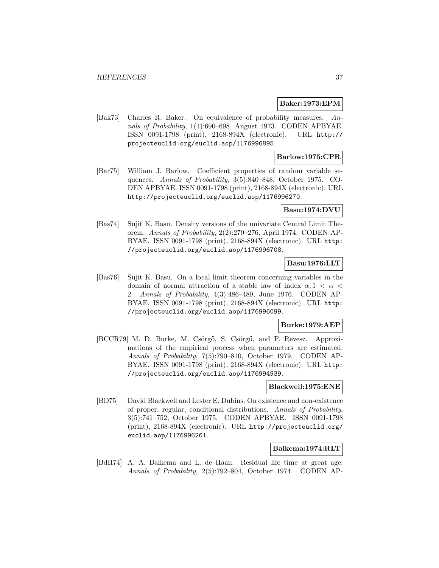#### **Baker:1973:EPM**

[Bak73] Charles R. Baker. On equivalence of probability measures. Annals of Probability, 1(4):690–698, August 1973. CODEN APBYAE. ISSN 0091-1798 (print), 2168-894X (electronic). URL http:// projecteuclid.org/euclid.aop/1176996895.

## **Barlow:1975:CPR**

[Bar75] William J. Barlow. Coefficient properties of random variable sequences. Annals of Probability, 3(5):840–848, October 1975. CO-DEN APBYAE. ISSN 0091-1798 (print), 2168-894X (electronic). URL http://projecteuclid.org/euclid.aop/1176996270.

#### **Basu:1974:DVU**

[Bas74] Sujit K. Basu. Density versions of the univariate Central Limit Theorem. Annals of Probability, 2(2):270–276, April 1974. CODEN AP-BYAE. ISSN 0091-1798 (print), 2168-894X (electronic). URL http: //projecteuclid.org/euclid.aop/1176996708.

### **Basu:1976:LLT**

[Bas76] Sujit K. Basu. On a local limit theorem concerning variables in the domain of normal attraction of a stable law of index  $\alpha$ ,  $1 < \alpha <$ 2. Annals of Probability, 4(3):486–489, June 1976. CODEN AP-BYAE. ISSN 0091-1798 (print), 2168-894X (electronic). URL http: //projecteuclid.org/euclid.aop/1176996099.

### **Burke:1979:AEP**

[BCCR79] M. D. Burke, M. Csörgő, S. Csörgő, and P. Revesz. Approximations of the empirical process when parameters are estimated. Annals of Probability, 7(5):790–810, October 1979. CODEN AP-BYAE. ISSN 0091-1798 (print), 2168-894X (electronic). URL http: //projecteuclid.org/euclid.aop/1176994939.

#### **Blackwell:1975:ENE**

[BD75] David Blackwell and Lester E. Dubins. On existence and non-existence of proper, regular, conditional distributions. Annals of Probability, 3(5):741–752, October 1975. CODEN APBYAE. ISSN 0091-1798 (print), 2168-894X (electronic). URL http://projecteuclid.org/ euclid.aop/1176996261.

#### **Balkema:1974:RLT**

[BdH74] A. A. Balkema and L. de Haan. Residual life time at great age. Annals of Probability, 2(5):792–804, October 1974. CODEN AP-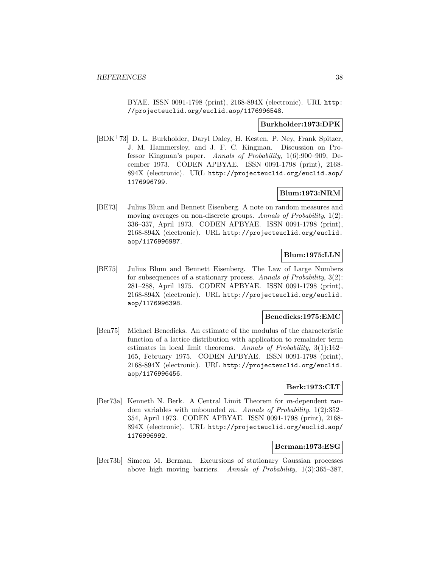BYAE. ISSN 0091-1798 (print), 2168-894X (electronic). URL http: //projecteuclid.org/euclid.aop/1176996548.

#### **Burkholder:1973:DPK**

[BDK<sup>+</sup>73] D. L. Burkholder, Daryl Daley, H. Kesten, P. Ney, Frank Spitzer, J. M. Hammersley, and J. F. C. Kingman. Discussion on Professor Kingman's paper. Annals of Probability, 1(6):900–909, December 1973. CODEN APBYAE. ISSN 0091-1798 (print), 2168- 894X (electronic). URL http://projecteuclid.org/euclid.aop/ 1176996799.

## **Blum:1973:NRM**

[BE73] Julius Blum and Bennett Eisenberg. A note on random measures and moving averages on non-discrete groups. Annals of Probability,  $1(2)$ : 336–337, April 1973. CODEN APBYAE. ISSN 0091-1798 (print), 2168-894X (electronic). URL http://projecteuclid.org/euclid. aop/1176996987.

## **Blum:1975:LLN**

[BE75] Julius Blum and Bennett Eisenberg. The Law of Large Numbers for subsequences of a stationary process. Annals of Probability, 3(2): 281–288, April 1975. CODEN APBYAE. ISSN 0091-1798 (print), 2168-894X (electronic). URL http://projecteuclid.org/euclid. aop/1176996398.

#### **Benedicks:1975:EMC**

[Ben75] Michael Benedicks. An estimate of the modulus of the characteristic function of a lattice distribution with application to remainder term estimates in local limit theorems. Annals of Probability, 3(1):162– 165, February 1975. CODEN APBYAE. ISSN 0091-1798 (print), 2168-894X (electronic). URL http://projecteuclid.org/euclid. aop/1176996456.

# **Berk:1973:CLT**

[Ber73a] Kenneth N. Berk. A Central Limit Theorem for m-dependent random variables with unbounded m. Annals of Probability,  $1(2):352-$ 354, April 1973. CODEN APBYAE. ISSN 0091-1798 (print), 2168- 894X (electronic). URL http://projecteuclid.org/euclid.aop/ 1176996992.

#### **Berman:1973:ESG**

[Ber73b] Simeon M. Berman. Excursions of stationary Gaussian processes above high moving barriers. Annals of Probability, 1(3):365–387,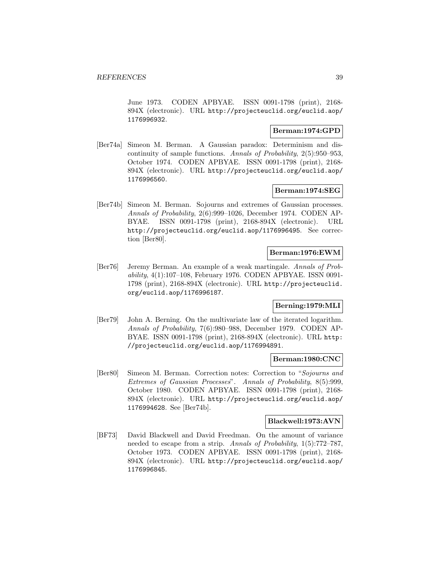June 1973. CODEN APBYAE. ISSN 0091-1798 (print), 2168- 894X (electronic). URL http://projecteuclid.org/euclid.aop/ 1176996932.

## **Berman:1974:GPD**

[Ber74a] Simeon M. Berman. A Gaussian paradox: Determinism and discontinuity of sample functions. Annals of Probability, 2(5):950–953, October 1974. CODEN APBYAE. ISSN 0091-1798 (print), 2168- 894X (electronic). URL http://projecteuclid.org/euclid.aop/ 1176996560.

## **Berman:1974:SEG**

[Ber74b] Simeon M. Berman. Sojourns and extremes of Gaussian processes. Annals of Probability, 2(6):999–1026, December 1974. CODEN AP-BYAE. ISSN 0091-1798 (print), 2168-894X (electronic). URL http://projecteuclid.org/euclid.aop/1176996495. See correction [Ber80].

## **Berman:1976:EWM**

[Ber76] Jeremy Berman. An example of a weak martingale. Annals of Probability, 4(1):107–108, February 1976. CODEN APBYAE. ISSN 0091- 1798 (print), 2168-894X (electronic). URL http://projecteuclid. org/euclid.aop/1176996187.

### **Berning:1979:MLI**

[Ber79] John A. Berning. On the multivariate law of the iterated logarithm. Annals of Probability, 7(6):980–988, December 1979. CODEN AP-BYAE. ISSN 0091-1798 (print), 2168-894X (electronic). URL http: //projecteuclid.org/euclid.aop/1176994891.

### **Berman:1980:CNC**

[Ber80] Simeon M. Berman. Correction notes: Correction to "Sojourns and Extremes of Gaussian Processes". Annals of Probability, 8(5):999, October 1980. CODEN APBYAE. ISSN 0091-1798 (print), 2168- 894X (electronic). URL http://projecteuclid.org/euclid.aop/ 1176994628. See [Ber74b].

### **Blackwell:1973:AVN**

[BF73] David Blackwell and David Freedman. On the amount of variance needed to escape from a strip. Annals of Probability, 1(5):772–787, October 1973. CODEN APBYAE. ISSN 0091-1798 (print), 2168- 894X (electronic). URL http://projecteuclid.org/euclid.aop/ 1176996845.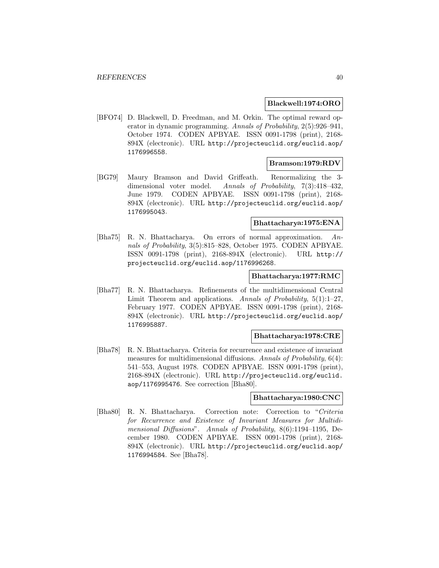#### **Blackwell:1974:ORO**

[BFO74] D. Blackwell, D. Freedman, and M. Orkin. The optimal reward operator in dynamic programming. Annals of Probability, 2(5):926–941, October 1974. CODEN APBYAE. ISSN 0091-1798 (print), 2168- 894X (electronic). URL http://projecteuclid.org/euclid.aop/ 1176996558.

## **Bramson:1979:RDV**

[BG79] Maury Bramson and David Griffeath. Renormalizing the 3 dimensional voter model. Annals of Probability, 7(3):418–432, June 1979. CODEN APBYAE. ISSN 0091-1798 (print), 2168- 894X (electronic). URL http://projecteuclid.org/euclid.aop/ 1176995043.

#### **Bhattacharya:1975:ENA**

[Bha75] R. N. Bhattacharya. On errors of normal approximation. Annals of Probability, 3(5):815–828, October 1975. CODEN APBYAE. ISSN 0091-1798 (print), 2168-894X (electronic). URL http:// projecteuclid.org/euclid.aop/1176996268.

## **Bhattacharya:1977:RMC**

[Bha77] R. N. Bhattacharya. Refinements of the multidimensional Central Limit Theorem and applications. Annals of Probability, 5(1):1–27, February 1977. CODEN APBYAE. ISSN 0091-1798 (print), 2168- 894X (electronic). URL http://projecteuclid.org/euclid.aop/ 1176995887.

#### **Bhattacharya:1978:CRE**

[Bha78] R. N. Bhattacharya. Criteria for recurrence and existence of invariant measures for multidimensional diffusions. Annals of Probability, 6(4): 541–553, August 1978. CODEN APBYAE. ISSN 0091-1798 (print), 2168-894X (electronic). URL http://projecteuclid.org/euclid. aop/1176995476. See correction [Bha80].

### **Bhattacharya:1980:CNC**

[Bha80] R. N. Bhattacharya. Correction note: Correction to "Criteria for Recurrence and Existence of Invariant Measures for Multidimensional Diffusions". Annals of Probability, 8(6):1194–1195, December 1980. CODEN APBYAE. ISSN 0091-1798 (print), 2168- 894X (electronic). URL http://projecteuclid.org/euclid.aop/ 1176994584. See [Bha78].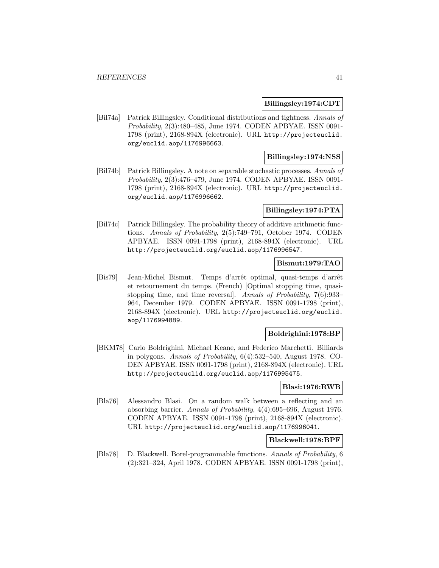#### **Billingsley:1974:CDT**

[Bil74a] Patrick Billingsley. Conditional distributions and tightness. Annals of Probability, 2(3):480–485, June 1974. CODEN APBYAE. ISSN 0091- 1798 (print), 2168-894X (electronic). URL http://projecteuclid. org/euclid.aop/1176996663.

## **Billingsley:1974:NSS**

[Bil74b] Patrick Billingsley. A note on separable stochastic processes. Annals of Probability, 2(3):476–479, June 1974. CODEN APBYAE. ISSN 0091- 1798 (print), 2168-894X (electronic). URL http://projecteuclid. org/euclid.aop/1176996662.

### **Billingsley:1974:PTA**

[Bil74c] Patrick Billingsley. The probability theory of additive arithmetic functions. Annals of Probability, 2(5):749–791, October 1974. CODEN APBYAE. ISSN 0091-1798 (print), 2168-894X (electronic). URL http://projecteuclid.org/euclid.aop/1176996547.

## **Bismut:1979:TAO**

[Bis79] Jean-Michel Bismut. Temps d'arrˆet optimal, quasi-temps d'arrˆet et retournement du temps. (French) [Optimal stopping time, quasistopping time, and time reversal]. Annals of Probability, 7(6):933– 964, December 1979. CODEN APBYAE. ISSN 0091-1798 (print), 2168-894X (electronic). URL http://projecteuclid.org/euclid. aop/1176994889.

### **Boldrighini:1978:BP**

[BKM78] Carlo Boldrighini, Michael Keane, and Federico Marchetti. Billiards in polygons. Annals of Probability, 6(4):532–540, August 1978. CO-DEN APBYAE. ISSN 0091-1798 (print), 2168-894X (electronic). URL http://projecteuclid.org/euclid.aop/1176995475.

### **Blasi:1976:RWB**

[Bla76] Alessandro Blasi. On a random walk between a reflecting and an absorbing barrier. Annals of Probability, 4(4):695–696, August 1976. CODEN APBYAE. ISSN 0091-1798 (print), 2168-894X (electronic). URL http://projecteuclid.org/euclid.aop/1176996041.

### **Blackwell:1978:BPF**

[Bla78] D. Blackwell. Borel-programmable functions. Annals of Probability, 6 (2):321–324, April 1978. CODEN APBYAE. ISSN 0091-1798 (print),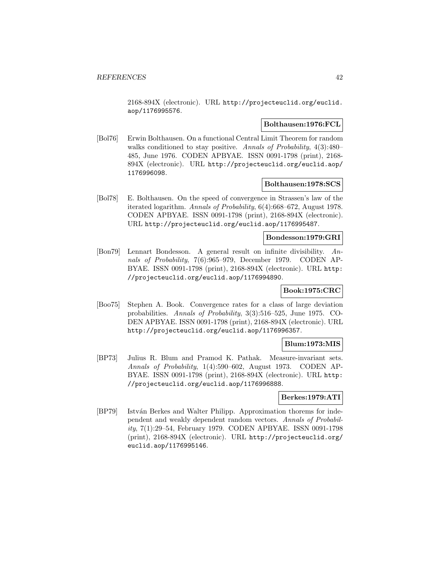2168-894X (electronic). URL http://projecteuclid.org/euclid. aop/1176995576.

### **Bolthausen:1976:FCL**

[Bol76] Erwin Bolthausen. On a functional Central Limit Theorem for random walks conditioned to stay positive. Annals of Probability, 4(3):480– 485, June 1976. CODEN APBYAE. ISSN 0091-1798 (print), 2168- 894X (electronic). URL http://projecteuclid.org/euclid.aop/ 1176996098.

### **Bolthausen:1978:SCS**

[Bol78] E. Bolthausen. On the speed of convergence in Strassen's law of the iterated logarithm. Annals of Probability, 6(4):668–672, August 1978. CODEN APBYAE. ISSN 0091-1798 (print), 2168-894X (electronic). URL http://projecteuclid.org/euclid.aop/1176995487.

### **Bondesson:1979:GRI**

[Bon79] Lennart Bondesson. A general result on infinite divisibility. Annals of Probability, 7(6):965–979, December 1979. CODEN AP-BYAE. ISSN 0091-1798 (print), 2168-894X (electronic). URL http: //projecteuclid.org/euclid.aop/1176994890.

### **Book:1975:CRC**

[Boo75] Stephen A. Book. Convergence rates for a class of large deviation probabilities. Annals of Probability, 3(3):516–525, June 1975. CO-DEN APBYAE. ISSN 0091-1798 (print), 2168-894X (electronic). URL http://projecteuclid.org/euclid.aop/1176996357.

### **Blum:1973:MIS**

[BP73] Julius R. Blum and Pramod K. Pathak. Measure-invariant sets. Annals of Probability, 1(4):590–602, August 1973. CODEN AP-BYAE. ISSN 0091-1798 (print), 2168-894X (electronic). URL http: //projecteuclid.org/euclid.aop/1176996888.

### **Berkes:1979:ATI**

[BP79] István Berkes and Walter Philipp. Approximation thorems for independent and weakly dependent random vectors. Annals of Probability, 7(1):29–54, February 1979. CODEN APBYAE. ISSN 0091-1798 (print), 2168-894X (electronic). URL http://projecteuclid.org/ euclid.aop/1176995146.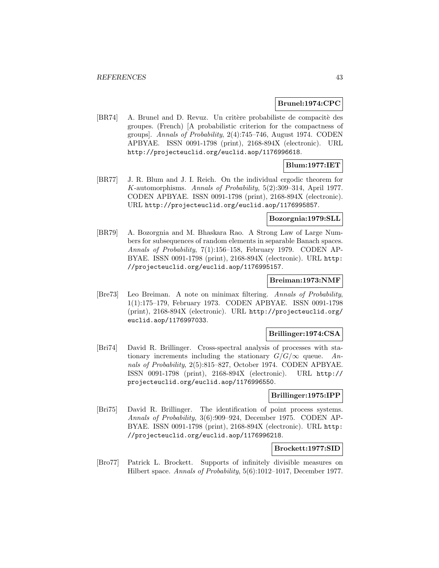### **Brunel:1974:CPC**

[BR74] A. Brunel and D. Revuz. Un critère probabiliste de compacité des groupes. (French) [A probabilistic criterion for the compactness of groups]. Annals of Probability, 2(4):745–746, August 1974. CODEN APBYAE. ISSN 0091-1798 (print), 2168-894X (electronic). URL http://projecteuclid.org/euclid.aop/1176996618.

# **Blum:1977:IET**

[BR77] J. R. Blum and J. I. Reich. On the individual ergodic theorem for K-automorphisms. Annals of Probability, 5(2):309–314, April 1977. CODEN APBYAE. ISSN 0091-1798 (print), 2168-894X (electronic). URL http://projecteuclid.org/euclid.aop/1176995857.

### **Bozorgnia:1979:SLL**

[BR79] A. Bozorgnia and M. Bhaskara Rao. A Strong Law of Large Numbers for subsequences of random elements in separable Banach spaces. Annals of Probability, 7(1):156–158, February 1979. CODEN AP-BYAE. ISSN 0091-1798 (print), 2168-894X (electronic). URL http: //projecteuclid.org/euclid.aop/1176995157.

#### **Breiman:1973:NMF**

[Bre73] Leo Breiman. A note on minimax filtering. Annals of Probability, 1(1):175–179, February 1973. CODEN APBYAE. ISSN 0091-1798 (print), 2168-894X (electronic). URL http://projecteuclid.org/ euclid.aop/1176997033.

### **Brillinger:1974:CSA**

[Bri74] David R. Brillinger. Cross-spectral analysis of processes with stationary increments including the stationary  $G/G/\infty$  queue. Annals of Probability, 2(5):815–827, October 1974. CODEN APBYAE. ISSN 0091-1798 (print), 2168-894X (electronic). URL http:// projecteuclid.org/euclid.aop/1176996550.

## **Brillinger:1975:IPP**

[Bri75] David R. Brillinger. The identification of point process systems. Annals of Probability, 3(6):909–924, December 1975. CODEN AP-BYAE. ISSN 0091-1798 (print), 2168-894X (electronic). URL http: //projecteuclid.org/euclid.aop/1176996218.

### **Brockett:1977:SID**

[Bro77] Patrick L. Brockett. Supports of infinitely divisible measures on Hilbert space. Annals of Probability, 5(6):1012–1017, December 1977.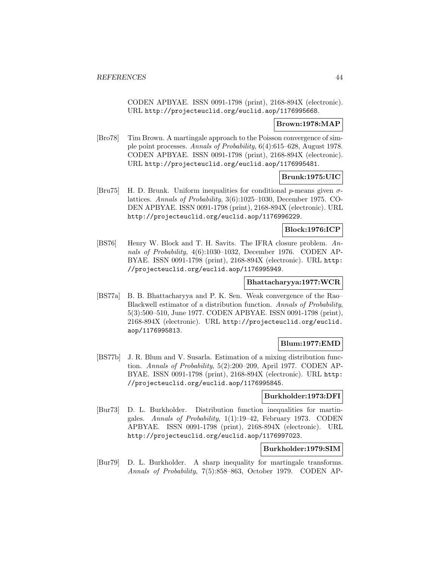CODEN APBYAE. ISSN 0091-1798 (print), 2168-894X (electronic). URL http://projecteuclid.org/euclid.aop/1176995668.

## **Brown:1978:MAP**

[Bro78] Tim Brown. A martingale approach to the Poisson convergence of simple point processes. Annals of Probability, 6(4):615–628, August 1978. CODEN APBYAE. ISSN 0091-1798 (print), 2168-894X (electronic). URL http://projecteuclid.org/euclid.aop/1176995481.

# **Brunk:1975:UIC**

 $|Bru75|$  H. D. Brunk. Uniform inequalities for conditional *p*-means given  $\sigma$ lattices. Annals of Probability, 3(6):1025–1030, December 1975. CO-DEN APBYAE. ISSN 0091-1798 (print), 2168-894X (electronic). URL http://projecteuclid.org/euclid.aop/1176996229.

#### **Block:1976:ICP**

[BS76] Henry W. Block and T. H. Savits. The IFRA closure problem. Annals of Probability, 4(6):1030–1032, December 1976. CODEN AP-BYAE. ISSN 0091-1798 (print), 2168-894X (electronic). URL http: //projecteuclid.org/euclid.aop/1176995949.

#### **Bhattacharyya:1977:WCR**

[BS77a] B. B. Bhattacharyya and P. K. Sen. Weak convergence of the Rao– Blackwell estimator of a distribution function. Annals of Probability, 5(3):500–510, June 1977. CODEN APBYAE. ISSN 0091-1798 (print), 2168-894X (electronic). URL http://projecteuclid.org/euclid. aop/1176995813.

## **Blum:1977:EMD**

[BS77b] J. R. Blum and V. Susarla. Estimation of a mixing distribution function. Annals of Probability, 5(2):200–209, April 1977. CODEN AP-BYAE. ISSN 0091-1798 (print), 2168-894X (electronic). URL http: //projecteuclid.org/euclid.aop/1176995845.

## **Burkholder:1973:DFI**

[Bur73] D. L. Burkholder. Distribution function inequalities for martingales. Annals of Probability, 1(1):19–42, February 1973. CODEN APBYAE. ISSN 0091-1798 (print), 2168-894X (electronic). URL http://projecteuclid.org/euclid.aop/1176997023.

## **Burkholder:1979:SIM**

[Bur79] D. L. Burkholder. A sharp inequality for martingale transforms. Annals of Probability, 7(5):858–863, October 1979. CODEN AP-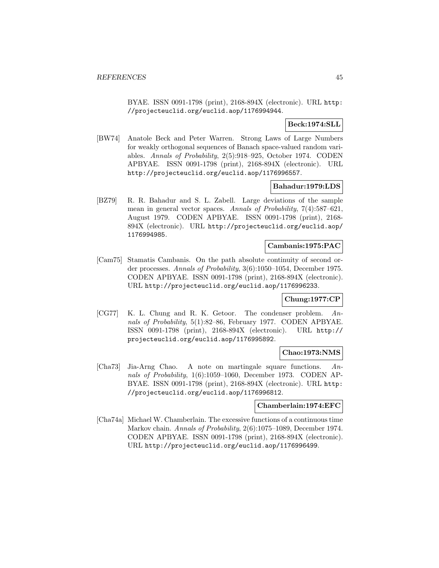BYAE. ISSN 0091-1798 (print), 2168-894X (electronic). URL http: //projecteuclid.org/euclid.aop/1176994944.

## **Beck:1974:SLL**

[BW74] Anatole Beck and Peter Warren. Strong Laws of Large Numbers for weakly orthogonal sequences of Banach space-valued random variables. Annals of Probability, 2(5):918–925, October 1974. CODEN APBYAE. ISSN 0091-1798 (print), 2168-894X (electronic). URL http://projecteuclid.org/euclid.aop/1176996557.

#### **Bahadur:1979:LDS**

[BZ79] R. R. Bahadur and S. L. Zabell. Large deviations of the sample mean in general vector spaces. Annals of Probability, 7(4):587–621, August 1979. CODEN APBYAE. ISSN 0091-1798 (print), 2168- 894X (electronic). URL http://projecteuclid.org/euclid.aop/ 1176994985.

#### **Cambanis:1975:PAC**

[Cam75] Stamatis Cambanis. On the path absolute continuity of second order processes. Annals of Probability, 3(6):1050–1054, December 1975. CODEN APBYAE. ISSN 0091-1798 (print), 2168-894X (electronic). URL http://projecteuclid.org/euclid.aop/1176996233.

#### **Chung:1977:CP**

[CG77] K. L. Chung and R. K. Getoor. The condenser problem. Annals of Probability, 5(1):82–86, February 1977. CODEN APBYAE. ISSN 0091-1798 (print), 2168-894X (electronic). URL http:// projecteuclid.org/euclid.aop/1176995892.

#### **Chao:1973:NMS**

[Cha73] Jia-Arng Chao. A note on martingale square functions. Annals of Probability, 1(6):1059–1060, December 1973. CODEN AP-BYAE. ISSN 0091-1798 (print), 2168-894X (electronic). URL http: //projecteuclid.org/euclid.aop/1176996812.

#### **Chamberlain:1974:EFC**

[Cha74a] Michael W. Chamberlain. The excessive functions of a continuous time Markov chain. Annals of Probability, 2(6):1075–1089, December 1974. CODEN APBYAE. ISSN 0091-1798 (print), 2168-894X (electronic). URL http://projecteuclid.org/euclid.aop/1176996499.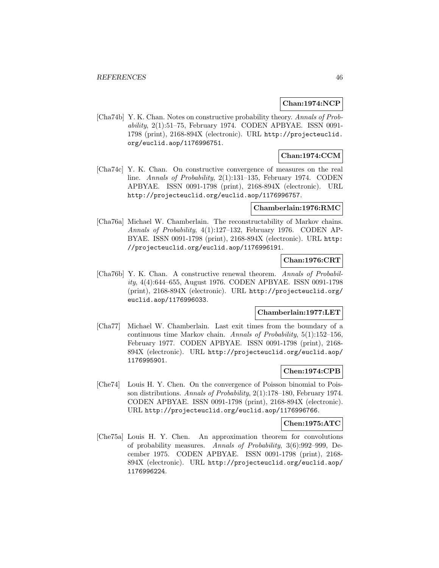## **Chan:1974:NCP**

[Cha74b] Y. K. Chan. Notes on constructive probability theory. Annals of Probability, 2(1):51–75, February 1974. CODEN APBYAE. ISSN 0091- 1798 (print), 2168-894X (electronic). URL http://projecteuclid. org/euclid.aop/1176996751.

# **Chan:1974:CCM**

[Cha74c] Y. K. Chan. On constructive convergence of measures on the real line. Annals of Probability, 2(1):131–135, February 1974. CODEN APBYAE. ISSN 0091-1798 (print), 2168-894X (electronic). URL http://projecteuclid.org/euclid.aop/1176996757.

## **Chamberlain:1976:RMC**

[Cha76a] Michael W. Chamberlain. The reconstructability of Markov chains. Annals of Probability, 4(1):127–132, February 1976. CODEN AP-BYAE. ISSN 0091-1798 (print), 2168-894X (electronic). URL http: //projecteuclid.org/euclid.aop/1176996191.

# **Chan:1976:CRT**

[Cha76b] Y. K. Chan. A constructive renewal theorem. Annals of Probability, 4(4):644–655, August 1976. CODEN APBYAE. ISSN 0091-1798 (print), 2168-894X (electronic). URL http://projecteuclid.org/ euclid.aop/1176996033.

### **Chamberlain:1977:LET**

[Cha77] Michael W. Chamberlain. Last exit times from the boundary of a continuous time Markov chain. Annals of Probability, 5(1):152–156, February 1977. CODEN APBYAE. ISSN 0091-1798 (print), 2168- 894X (electronic). URL http://projecteuclid.org/euclid.aop/ 1176995901.

# **Chen:1974:CPB**

[Che74] Louis H. Y. Chen. On the convergence of Poisson binomial to Poisson distributions. Annals of Probability, 2(1):178–180, February 1974. CODEN APBYAE. ISSN 0091-1798 (print), 2168-894X (electronic). URL http://projecteuclid.org/euclid.aop/1176996766.

#### **Chen:1975:ATC**

[Che75a] Louis H. Y. Chen. An approximation theorem for convolutions of probability measures. Annals of Probability, 3(6):992–999, December 1975. CODEN APBYAE. ISSN 0091-1798 (print), 2168- 894X (electronic). URL http://projecteuclid.org/euclid.aop/ 1176996224.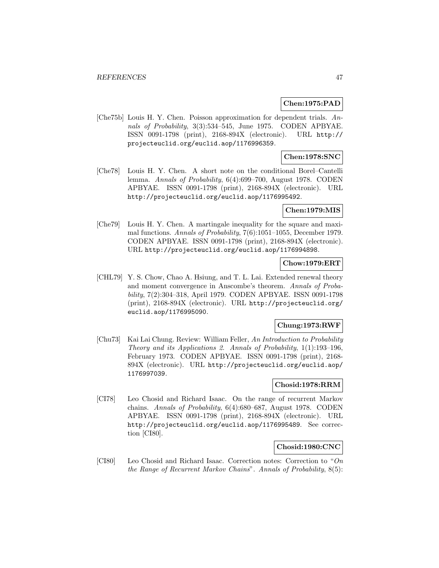### **Chen:1975:PAD**

[Che75b] Louis H. Y. Chen. Poisson approximation for dependent trials. Annals of Probability, 3(3):534–545, June 1975. CODEN APBYAE. ISSN 0091-1798 (print), 2168-894X (electronic). URL http:// projecteuclid.org/euclid.aop/1176996359.

## **Chen:1978:SNC**

[Che78] Louis H. Y. Chen. A short note on the conditional Borel–Cantelli lemma. Annals of Probability, 6(4):699–700, August 1978. CODEN APBYAE. ISSN 0091-1798 (print), 2168-894X (electronic). URL http://projecteuclid.org/euclid.aop/1176995492.

#### **Chen:1979:MIS**

[Che79] Louis H. Y. Chen. A martingale inequality for the square and maximal functions. Annals of Probability, 7(6):1051–1055, December 1979. CODEN APBYAE. ISSN 0091-1798 (print), 2168-894X (electronic). URL http://projecteuclid.org/euclid.aop/1176994898.

## **Chow:1979:ERT**

[CHL79] Y. S. Chow, Chao A. Hsiung, and T. L. Lai. Extended renewal theory and moment convergence in Anscombe's theorem. Annals of Probability, 7(2):304–318, April 1979. CODEN APBYAE. ISSN 0091-1798 (print), 2168-894X (electronic). URL http://projecteuclid.org/ euclid.aop/1176995090.

## **Chung:1973:RWF**

[Chu73] Kai Lai Chung. Review: William Feller, An Introduction to Probability Theory and its Applications 2. Annals of Probability, 1(1):193–196, February 1973. CODEN APBYAE. ISSN 0091-1798 (print), 2168- 894X (electronic). URL http://projecteuclid.org/euclid.aop/ 1176997039.

#### **Chosid:1978:RRM**

[CI78] Leo Chosid and Richard Isaac. On the range of recurrent Markov chains. Annals of Probability, 6(4):680–687, August 1978. CODEN APBYAE. ISSN 0091-1798 (print), 2168-894X (electronic). URL http://projecteuclid.org/euclid.aop/1176995489. See correction [CI80].

### **Chosid:1980:CNC**

[CI80] Leo Chosid and Richard Isaac. Correction notes: Correction to "On the Range of Recurrent Markov Chains". Annals of Probability, 8(5):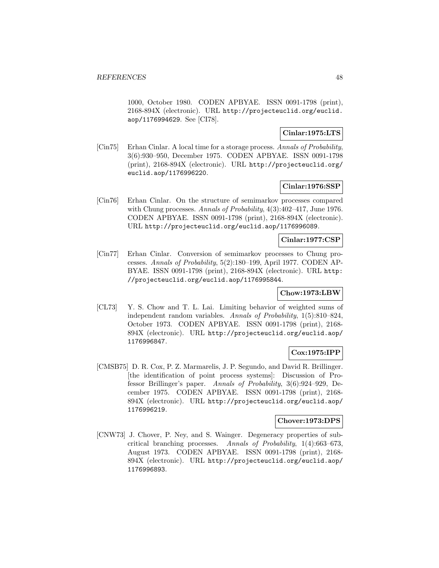1000, October 1980. CODEN APBYAE. ISSN 0091-1798 (print), 2168-894X (electronic). URL http://projecteuclid.org/euclid. aop/1176994629. See [CI78].

# **Cinlar:1975:LTS**

[Cin75] Erhan Cinlar. A local time for a storage process. Annals of Probability, 3(6):930–950, December 1975. CODEN APBYAE. ISSN 0091-1798 (print), 2168-894X (electronic). URL http://projecteuclid.org/ euclid.aop/1176996220.

### **Cinlar:1976:SSP**

[Cin76] Erhan Cinlar. On the structure of semimarkov processes compared with Chung processes. Annals of Probability,  $4(3):402-417$ , June 1976. CODEN APBYAE. ISSN 0091-1798 (print), 2168-894X (electronic). URL http://projecteuclid.org/euclid.aop/1176996089.

## **Cinlar:1977:CSP**

[Cin77] Erhan Cinlar. Conversion of semimarkov processes to Chung processes. Annals of Probability, 5(2):180–199, April 1977. CODEN AP-BYAE. ISSN 0091-1798 (print), 2168-894X (electronic). URL http: //projecteuclid.org/euclid.aop/1176995844.

## **Chow:1973:LBW**

[CL73] Y. S. Chow and T. L. Lai. Limiting behavior of weighted sums of independent random variables. Annals of Probability, 1(5):810–824, October 1973. CODEN APBYAE. ISSN 0091-1798 (print), 2168- 894X (electronic). URL http://projecteuclid.org/euclid.aop/ 1176996847.

## **Cox:1975:IPP**

[CMSB75] D. R. Cox, P. Z. Marmarelis, J. P. Segundo, and David R. Brillinger. [the identification of point process systems]: Discussion of Professor Brillinger's paper. Annals of Probability, 3(6):924–929, December 1975. CODEN APBYAE. ISSN 0091-1798 (print), 2168- 894X (electronic). URL http://projecteuclid.org/euclid.aop/ 1176996219.

#### **Chover:1973:DPS**

[CNW73] J. Chover, P. Ney, and S. Wainger. Degeneracy properties of subcritical branching processes. Annals of Probability, 1(4):663–673, August 1973. CODEN APBYAE. ISSN 0091-1798 (print), 2168- 894X (electronic). URL http://projecteuclid.org/euclid.aop/ 1176996893.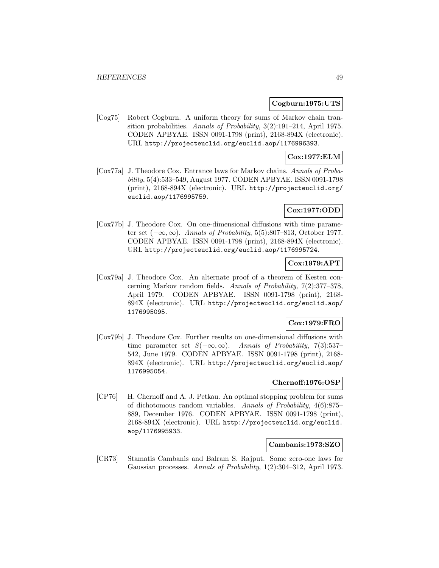#### **Cogburn:1975:UTS**

[Cog75] Robert Cogburn. A uniform theory for sums of Markov chain transition probabilities. Annals of Probability, 3(2):191–214, April 1975. CODEN APBYAE. ISSN 0091-1798 (print), 2168-894X (electronic). URL http://projecteuclid.org/euclid.aop/1176996393.

### **Cox:1977:ELM**

[Cox77a] J. Theodore Cox. Entrance laws for Markov chains. Annals of Probability, 5(4):533–549, August 1977. CODEN APBYAE. ISSN 0091-1798 (print), 2168-894X (electronic). URL http://projecteuclid.org/ euclid.aop/1176995759.

## **Cox:1977:ODD**

[Cox77b] J. Theodore Cox. On one-dimensional diffusions with time parameter set  $(-\infty, \infty)$ . Annals of Probability, 5(5):807–813, October 1977. CODEN APBYAE. ISSN 0091-1798 (print), 2168-894X (electronic). URL http://projecteuclid.org/euclid.aop/1176995724.

### **Cox:1979:APT**

[Cox79a] J. Theodore Cox. An alternate proof of a theorem of Kesten concerning Markov random fields. Annals of Probability, 7(2):377–378, April 1979. CODEN APBYAE. ISSN 0091-1798 (print), 2168- 894X (electronic). URL http://projecteuclid.org/euclid.aop/ 1176995095.

## **Cox:1979:FRO**

[Cox79b] J. Theodore Cox. Further results on one-dimensional diffusions with time parameter set  $S(-\infty, \infty)$ . Annals of Probability, 7(3):537– 542, June 1979. CODEN APBYAE. ISSN 0091-1798 (print), 2168- 894X (electronic). URL http://projecteuclid.org/euclid.aop/ 1176995054.

## **Chernoff:1976:OSP**

[CP76] H. Chernoff and A. J. Petkau. An optimal stopping problem for sums of dichotomous random variables. Annals of Probability, 4(6):875– 889, December 1976. CODEN APBYAE. ISSN 0091-1798 (print), 2168-894X (electronic). URL http://projecteuclid.org/euclid. aop/1176995933.

#### **Cambanis:1973:SZO**

[CR73] Stamatis Cambanis and Balram S. Rajput. Some zero-one laws for Gaussian processes. Annals of Probability, 1(2):304–312, April 1973.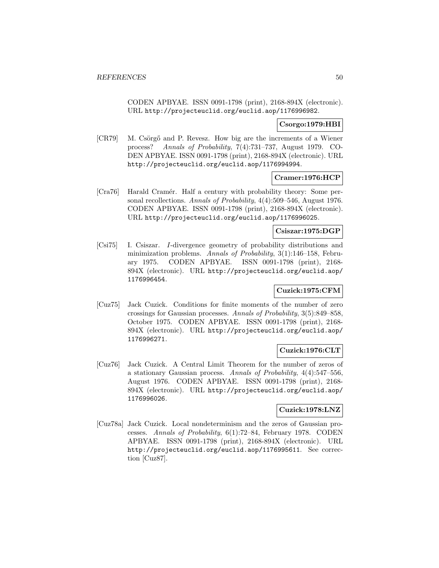CODEN APBYAE. ISSN 0091-1798 (print), 2168-894X (electronic). URL http://projecteuclid.org/euclid.aop/1176996982.

## **Csorgo:1979:HBI**

[CR79] M. Csörgő and P. Revesz. How big are the increments of a Wiener process? Annals of Probability, 7(4):731–737, August 1979. CO-DEN APBYAE. ISSN 0091-1798 (print), 2168-894X (electronic). URL http://projecteuclid.org/euclid.aop/1176994994.

### **Cramer:1976:HCP**

[Cra76] Harald Cramér. Half a century with probability theory: Some personal recollections. Annals of Probability, 4(4):509–546, August 1976. CODEN APBYAE. ISSN 0091-1798 (print), 2168-894X (electronic). URL http://projecteuclid.org/euclid.aop/1176996025.

### **Csiszar:1975:DGP**

[Csi75] I. Csiszar. I-divergence geometry of probability distributions and minimization problems. Annals of Probability, 3(1):146–158, February 1975. CODEN APBYAE. ISSN 0091-1798 (print), 2168- 894X (electronic). URL http://projecteuclid.org/euclid.aop/ 1176996454.

## **Cuzick:1975:CFM**

[Cuz75] Jack Cuzick. Conditions for finite moments of the number of zero crossings for Gaussian processes. Annals of Probability, 3(5):849–858, October 1975. CODEN APBYAE. ISSN 0091-1798 (print), 2168- 894X (electronic). URL http://projecteuclid.org/euclid.aop/ 1176996271.

## **Cuzick:1976:CLT**

[Cuz76] Jack Cuzick. A Central Limit Theorem for the number of zeros of a stationary Gaussian process. Annals of Probability, 4(4):547–556, August 1976. CODEN APBYAE. ISSN 0091-1798 (print), 2168- 894X (electronic). URL http://projecteuclid.org/euclid.aop/ 1176996026.

## **Cuzick:1978:LNZ**

[Cuz78a] Jack Cuzick. Local nondeterminism and the zeros of Gaussian processes. Annals of Probability, 6(1):72–84, February 1978. CODEN APBYAE. ISSN 0091-1798 (print), 2168-894X (electronic). URL http://projecteuclid.org/euclid.aop/1176995611. See correction [Cuz87].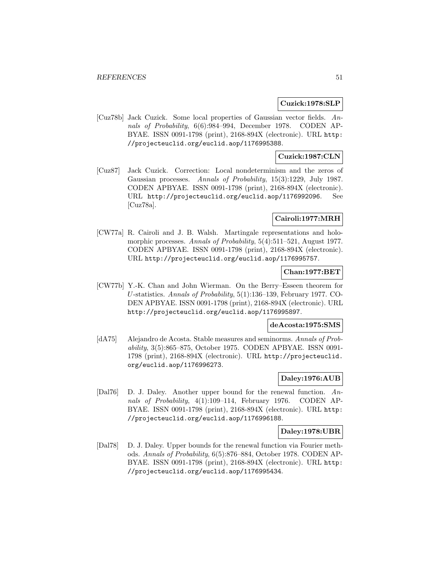#### **Cuzick:1978:SLP**

[Cuz78b] Jack Cuzick. Some local properties of Gaussian vector fields. Annals of Probability, 6(6):984–994, December 1978. CODEN AP-BYAE. ISSN 0091-1798 (print), 2168-894X (electronic). URL http: //projecteuclid.org/euclid.aop/1176995388.

## **Cuzick:1987:CLN**

[Cuz87] Jack Cuzick. Correction: Local nondeterminism and the zeros of Gaussian processes. Annals of Probability, 15(3):1229, July 1987. CODEN APBYAE. ISSN 0091-1798 (print), 2168-894X (electronic). URL http://projecteuclid.org/euclid.aop/1176992096. See [Cuz78a].

## **Cairoli:1977:MRH**

[CW77a] R. Cairoli and J. B. Walsh. Martingale representations and holomorphic processes. Annals of Probability, 5(4):511–521, August 1977. CODEN APBYAE. ISSN 0091-1798 (print), 2168-894X (electronic). URL http://projecteuclid.org/euclid.aop/1176995757.

## **Chan:1977:BET**

[CW77b] Y.-K. Chan and John Wierman. On the Berry–Esseen theorem for U-statistics. Annals of Probability, 5(1):136–139, February 1977. CO-DEN APBYAE. ISSN 0091-1798 (print), 2168-894X (electronic). URL http://projecteuclid.org/euclid.aop/1176995897.

#### **deAcosta:1975:SMS**

[dA75] Alejandro de Acosta. Stable measures and seminorms. Annals of Probability, 3(5):865–875, October 1975. CODEN APBYAE. ISSN 0091- 1798 (print), 2168-894X (electronic). URL http://projecteuclid. org/euclid.aop/1176996273.

## **Daley:1976:AUB**

[Dal76] D. J. Daley. Another upper bound for the renewal function. Annals of Probability, 4(1):109–114, February 1976. CODEN AP-BYAE. ISSN 0091-1798 (print), 2168-894X (electronic). URL http: //projecteuclid.org/euclid.aop/1176996188.

### **Daley:1978:UBR**

[Dal78] D. J. Daley. Upper bounds for the renewal function via Fourier methods. Annals of Probability, 6(5):876–884, October 1978. CODEN AP-BYAE. ISSN 0091-1798 (print), 2168-894X (electronic). URL http: //projecteuclid.org/euclid.aop/1176995434.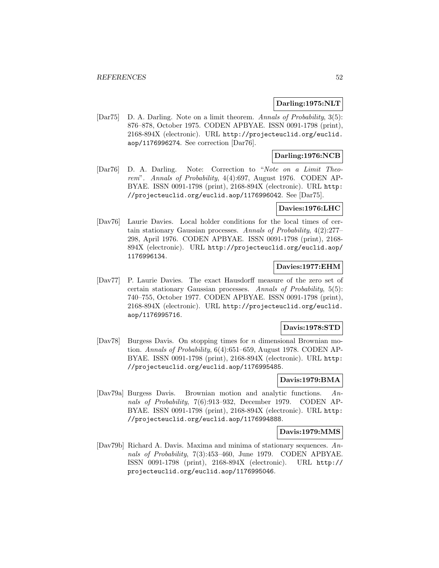#### **Darling:1975:NLT**

[Dar75] D. A. Darling. Note on a limit theorem. Annals of Probability, 3(5): 876–878, October 1975. CODEN APBYAE. ISSN 0091-1798 (print), 2168-894X (electronic). URL http://projecteuclid.org/euclid. aop/1176996274. See correction [Dar76].

## **Darling:1976:NCB**

[Dar76] D. A. Darling. Note: Correction to "Note on a Limit Theorem". Annals of Probability, 4(4):697, August 1976. CODEN AP-BYAE. ISSN 0091-1798 (print), 2168-894X (electronic). URL http: //projecteuclid.org/euclid.aop/1176996042. See [Dar75].

## **Davies:1976:LHC**

[Dav76] Laurie Davies. Local holder conditions for the local times of certain stationary Gaussian processes. Annals of Probability, 4(2):277– 298, April 1976. CODEN APBYAE. ISSN 0091-1798 (print), 2168- 894X (electronic). URL http://projecteuclid.org/euclid.aop/ 1176996134.

### **Davies:1977:EHM**

[Dav77] P. Laurie Davies. The exact Hausdorff measure of the zero set of certain stationary Gaussian processes. Annals of Probability, 5(5): 740–755, October 1977. CODEN APBYAE. ISSN 0091-1798 (print), 2168-894X (electronic). URL http://projecteuclid.org/euclid. aop/1176995716.

#### **Davis:1978:STD**

 $[DaV78]$  Burgess Davis. On stopping times for *n* dimensional Brownian motion. Annals of Probability, 6(4):651–659, August 1978. CODEN AP-BYAE. ISSN 0091-1798 (print), 2168-894X (electronic). URL http: //projecteuclid.org/euclid.aop/1176995485.

### **Davis:1979:BMA**

[Dav79a] Burgess Davis. Brownian motion and analytic functions. Annals of Probability, 7(6):913–932, December 1979. CODEN AP-BYAE. ISSN 0091-1798 (print), 2168-894X (electronic). URL http: //projecteuclid.org/euclid.aop/1176994888.

#### **Davis:1979:MMS**

[Dav79b] Richard A. Davis. Maxima and minima of stationary sequences. Annals of Probability, 7(3):453–460, June 1979. CODEN APBYAE. ISSN 0091-1798 (print), 2168-894X (electronic). URL http:// projecteuclid.org/euclid.aop/1176995046.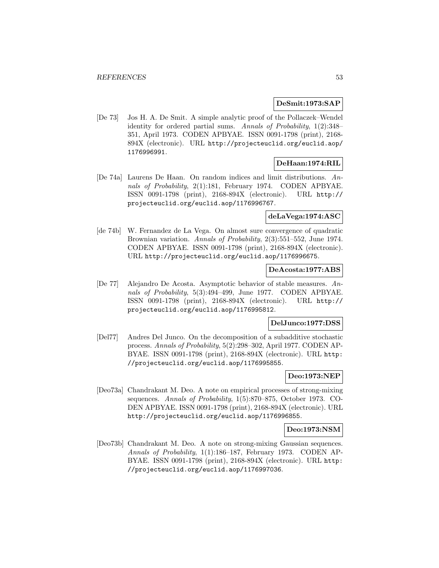#### **DeSmit:1973:SAP**

[De 73] Jos H. A. De Smit. A simple analytic proof of the Pollaczek–Wendel identity for ordered partial sums. Annals of Probability, 1(2):348– 351, April 1973. CODEN APBYAE. ISSN 0091-1798 (print), 2168- 894X (electronic). URL http://projecteuclid.org/euclid.aop/ 1176996991.

### **DeHaan:1974:RIL**

[De 74a] Laurens De Haan. On random indices and limit distributions. Annals of Probability, 2(1):181, February 1974. CODEN APBYAE. ISSN 0091-1798 (print), 2168-894X (electronic). URL http:// projecteuclid.org/euclid.aop/1176996767.

# **deLaVega:1974:ASC**

[de 74b] W. Fernandez de La Vega. On almost sure convergence of quadratic Brownian variation. Annals of Probability, 2(3):551–552, June 1974. CODEN APBYAE. ISSN 0091-1798 (print), 2168-894X (electronic). URL http://projecteuclid.org/euclid.aop/1176996675.

### **DeAcosta:1977:ABS**

[De 77] Alejandro De Acosta. Asymptotic behavior of stable measures. Annals of Probability, 5(3):494–499, June 1977. CODEN APBYAE. ISSN 0091-1798 (print), 2168-894X (electronic). URL http:// projecteuclid.org/euclid.aop/1176995812.

## **DelJunco:1977:DSS**

[Del77] Andres Del Junco. On the decomposition of a subadditive stochastic process. Annals of Probability, 5(2):298–302, April 1977. CODEN AP-BYAE. ISSN 0091-1798 (print), 2168-894X (electronic). URL http: //projecteuclid.org/euclid.aop/1176995855.

### **Deo:1973:NEP**

[Deo73a] Chandrakant M. Deo. A note on empirical processes of strong-mixing sequences. Annals of Probability, 1(5):870–875, October 1973. CO-DEN APBYAE. ISSN 0091-1798 (print), 2168-894X (electronic). URL http://projecteuclid.org/euclid.aop/1176996855.

#### **Deo:1973:NSM**

[Deo73b] Chandrakant M. Deo. A note on strong-mixing Gaussian sequences. Annals of Probability, 1(1):186–187, February 1973. CODEN AP-BYAE. ISSN 0091-1798 (print), 2168-894X (electronic). URL http: //projecteuclid.org/euclid.aop/1176997036.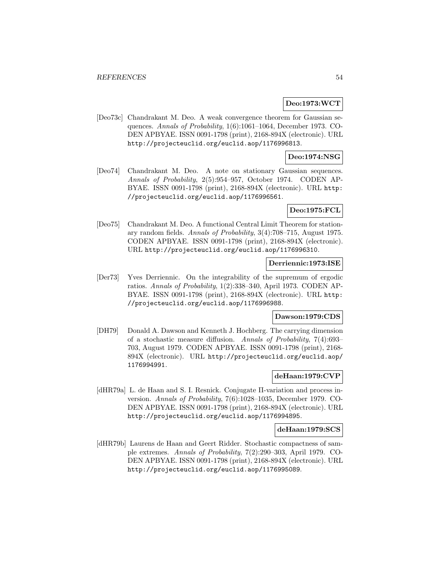#### **Deo:1973:WCT**

[Deo73c] Chandrakant M. Deo. A weak convergence theorem for Gaussian sequences. Annals of Probability, 1(6):1061–1064, December 1973. CO-DEN APBYAE. ISSN 0091-1798 (print), 2168-894X (electronic). URL http://projecteuclid.org/euclid.aop/1176996813.

#### **Deo:1974:NSG**

[Deo74] Chandrakant M. Deo. A note on stationary Gaussian sequences. Annals of Probability, 2(5):954–957, October 1974. CODEN AP-BYAE. ISSN 0091-1798 (print), 2168-894X (electronic). URL http: //projecteuclid.org/euclid.aop/1176996561.

### **Deo:1975:FCL**

[Deo75] Chandrakant M. Deo. A functional Central Limit Theorem for stationary random fields. Annals of Probability, 3(4):708–715, August 1975. CODEN APBYAE. ISSN 0091-1798 (print), 2168-894X (electronic). URL http://projecteuclid.org/euclid.aop/1176996310.

## **Derriennic:1973:ISE**

[Der73] Yves Derriennic. On the integrability of the supremum of ergodic ratios. Annals of Probability, 1(2):338–340, April 1973. CODEN AP-BYAE. ISSN 0091-1798 (print), 2168-894X (electronic). URL http: //projecteuclid.org/euclid.aop/1176996988.

#### **Dawson:1979:CDS**

[DH79] Donald A. Dawson and Kenneth J. Hochberg. The carrying dimension of a stochastic measure diffusion. Annals of Probability, 7(4):693– 703, August 1979. CODEN APBYAE. ISSN 0091-1798 (print), 2168- 894X (electronic). URL http://projecteuclid.org/euclid.aop/ 1176994991.

### **deHaan:1979:CVP**

[dHR79a] L. de Haan and S. I. Resnick. Conjugate Π-variation and process inversion. Annals of Probability, 7(6):1028–1035, December 1979. CO-DEN APBYAE. ISSN 0091-1798 (print), 2168-894X (electronic). URL http://projecteuclid.org/euclid.aop/1176994895.

#### **deHaan:1979:SCS**

[dHR79b] Laurens de Haan and Geert Ridder. Stochastic compactness of sample extremes. Annals of Probability, 7(2):290–303, April 1979. CO-DEN APBYAE. ISSN 0091-1798 (print), 2168-894X (electronic). URL http://projecteuclid.org/euclid.aop/1176995089.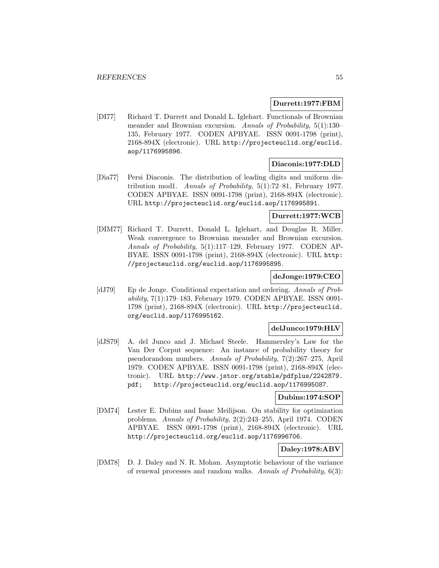### **Durrett:1977:FBM**

[DI77] Richard T. Durrett and Donald L. Iglehart. Functionals of Brownian meander and Brownian excursion. Annals of Probability, 5(1):130– 135, February 1977. CODEN APBYAE. ISSN 0091-1798 (print), 2168-894X (electronic). URL http://projecteuclid.org/euclid. aop/1176995896.

## **Diaconis:1977:DLD**

[Dia77] Persi Diaconis. The distribution of leading digits and uniform distribution mod1. Annals of Probability, 5(1):72–81, February 1977. CODEN APBYAE. ISSN 0091-1798 (print), 2168-894X (electronic). URL http://projecteuclid.org/euclid.aop/1176995891.

### **Durrett:1977:WCB**

[DIM77] Richard T. Durrett, Donald L. Iglehart, and Douglas R. Miller. Weak convergence to Brownian meander and Brownian excursion. Annals of Probability, 5(1):117–129, February 1977. CODEN AP-BYAE. ISSN 0091-1798 (print), 2168-894X (electronic). URL http: //projecteuclid.org/euclid.aop/1176995895.

## **deJonge:1979:CEO**

[dJ79] Ep de Jonge. Conditional expectation and ordering. Annals of Probability, 7(1):179–183, February 1979. CODEN APBYAE. ISSN 0091- 1798 (print), 2168-894X (electronic). URL http://projecteuclid. org/euclid.aop/1176995162.

#### **delJunco:1979:HLV**

[dJS79] A. del Junco and J. Michael Steele. Hammersley's Law for the Van Der Corput sequence: An instance of probability theory for pseudorandom numbers. Annals of Probability, 7(2):267–275, April 1979. CODEN APBYAE. ISSN 0091-1798 (print), 2168-894X (electronic). URL http://www.jstor.org/stable/pdfplus/2242879. pdf; http://projecteuclid.org/euclid.aop/1176995087.

#### **Dubins:1974:SOP**

[DM74] Lester E. Dubins and Isaac Meilijson. On stability for optimization problems. Annals of Probability, 2(2):243–255, April 1974. CODEN APBYAE. ISSN 0091-1798 (print), 2168-894X (electronic). URL http://projecteuclid.org/euclid.aop/1176996706.

## **Daley:1978:ABV**

[DM78] D. J. Daley and N. R. Mohan. Asymptotic behaviour of the variance of renewal processes and random walks. Annals of Probability, 6(3):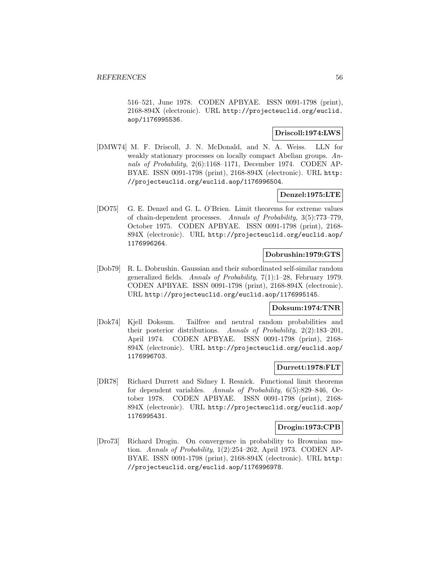516–521, June 1978. CODEN APBYAE. ISSN 0091-1798 (print), 2168-894X (electronic). URL http://projecteuclid.org/euclid. aop/1176995536.

### **Driscoll:1974:LWS**

[DMW74] M. F. Driscoll, J. N. McDonald, and N. A. Weiss. LLN for weakly stationary processes on locally compact Abelian groups. Annals of Probability, 2(6):1168–1171, December 1974. CODEN AP-BYAE. ISSN 0091-1798 (print), 2168-894X (electronic). URL http: //projecteuclid.org/euclid.aop/1176996504.

## **Denzel:1975:LTE**

[DO75] G. E. Denzel and G. L. O'Brien. Limit theorems for extreme values of chain-dependent processes. Annals of Probability, 3(5):773–779, October 1975. CODEN APBYAE. ISSN 0091-1798 (print), 2168- 894X (electronic). URL http://projecteuclid.org/euclid.aop/ 1176996264.

## **Dobrushin:1979:GTS**

[Dob79] R. L. Dobrushin. Gaussian and their subordinated self-similar random generalized fields. Annals of Probability, 7(1):1–28, February 1979. CODEN APBYAE. ISSN 0091-1798 (print), 2168-894X (electronic). URL http://projecteuclid.org/euclid.aop/1176995145.

### **Doksum:1974:TNR**

[Dok74] Kjell Doksum. Tailfree and neutral random probabilities and their posterior distributions. Annals of Probability, 2(2):183–201, April 1974. CODEN APBYAE. ISSN 0091-1798 (print), 2168- 894X (electronic). URL http://projecteuclid.org/euclid.aop/ 1176996703.

## **Durrett:1978:FLT**

[DR78] Richard Durrett and Sidney I. Resnick. Functional limit theorems for dependent variables. Annals of Probability, 6(5):829–846, October 1978. CODEN APBYAE. ISSN 0091-1798 (print), 2168- 894X (electronic). URL http://projecteuclid.org/euclid.aop/ 1176995431.

## **Drogin:1973:CPB**

[Dro73] Richard Drogin. On convergence in probability to Brownian motion. Annals of Probability, 1(2):254–262, April 1973. CODEN AP-BYAE. ISSN 0091-1798 (print), 2168-894X (electronic). URL http: //projecteuclid.org/euclid.aop/1176996978.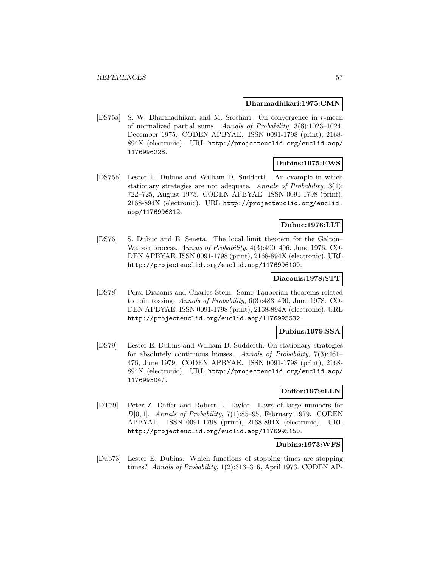#### **Dharmadhikari:1975:CMN**

[DS75a] S. W. Dharmadhikari and M. Sreehari. On convergence in r-mean of normalized partial sums. Annals of Probability, 3(6):1023–1024, December 1975. CODEN APBYAE. ISSN 0091-1798 (print), 2168- 894X (electronic). URL http://projecteuclid.org/euclid.aop/ 1176996228.

### **Dubins:1975:EWS**

[DS75b] Lester E. Dubins and William D. Sudderth. An example in which stationary strategies are not adequate. Annals of Probability, 3(4): 722–725, August 1975. CODEN APBYAE. ISSN 0091-1798 (print), 2168-894X (electronic). URL http://projecteuclid.org/euclid. aop/1176996312.

## **Dubuc:1976:LLT**

[DS76] S. Dubuc and E. Seneta. The local limit theorem for the Galton– Watson process. Annals of Probability, 4(3):490–496, June 1976. CO-DEN APBYAE. ISSN 0091-1798 (print), 2168-894X (electronic). URL http://projecteuclid.org/euclid.aop/1176996100.

#### **Diaconis:1978:STT**

[DS78] Persi Diaconis and Charles Stein. Some Tauberian theorems related to coin tossing. Annals of Probability, 6(3):483–490, June 1978. CO-DEN APBYAE. ISSN 0091-1798 (print), 2168-894X (electronic). URL http://projecteuclid.org/euclid.aop/1176995532.

## **Dubins:1979:SSA**

[DS79] Lester E. Dubins and William D. Sudderth. On stationary strategies for absolutely continuous houses. Annals of Probability, 7(3):461– 476, June 1979. CODEN APBYAE. ISSN 0091-1798 (print), 2168- 894X (electronic). URL http://projecteuclid.org/euclid.aop/ 1176995047.

### **Daffer:1979:LLN**

[DT79] Peter Z. Daffer and Robert L. Taylor. Laws of large numbers for  $D[0, 1]$ . Annals of Probability, 7(1):85–95, February 1979. CODEN APBYAE. ISSN 0091-1798 (print), 2168-894X (electronic). URL http://projecteuclid.org/euclid.aop/1176995150.

#### **Dubins:1973:WFS**

[Dub73] Lester E. Dubins. Which functions of stopping times are stopping times? Annals of Probability, 1(2):313–316, April 1973. CODEN AP-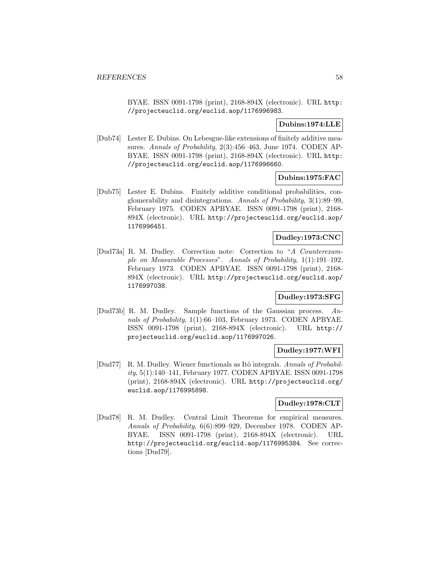BYAE. ISSN 0091-1798 (print), 2168-894X (electronic). URL http: //projecteuclid.org/euclid.aop/1176996983.

### **Dubins:1974:LLE**

[Dub74] Lester E. Dubins. On Lebesgue-like extensions of finitely additive measures. Annals of Probability, 2(3):456–463, June 1974. CODEN AP-BYAE. ISSN 0091-1798 (print), 2168-894X (electronic). URL http: //projecteuclid.org/euclid.aop/1176996660.

### **Dubins:1975:FAC**

[Dub75] Lester E. Dubins. Finitely additive conditional probabilities, conglomerability and disintegrations. Annals of Probability, 3(1):89–99, February 1975. CODEN APBYAE. ISSN 0091-1798 (print), 2168- 894X (electronic). URL http://projecteuclid.org/euclid.aop/ 1176996451.

# **Dudley:1973:CNC**

[Dud73a] R. M. Dudley. Correction note: Correction to "A Counterexample on Measurable Processes". Annals of Probability, 1(1):191–192, February 1973. CODEN APBYAE. ISSN 0091-1798 (print), 2168- 894X (electronic). URL http://projecteuclid.org/euclid.aop/ 1176997038.

## **Dudley:1973:SFG**

[Dud73b] R. M. Dudley. Sample functions of the Gaussian process. Annals of Probability, 1(1):66–103, February 1973. CODEN APBYAE. ISSN 0091-1798 (print), 2168-894X (electronic). URL http:// projecteuclid.org/euclid.aop/1176997026.

## **Dudley:1977:WFI**

[Dud77] R. M. Dudley. Wiener functionals as Itô integrals. Annals of Probability, 5(1):140–141, February 1977. CODEN APBYAE. ISSN 0091-1798 (print), 2168-894X (electronic). URL http://projecteuclid.org/ euclid.aop/1176995898.

## **Dudley:1978:CLT**

[Dud78] R. M. Dudley. Central Limit Theorems for empirical measures. Annals of Probability, 6(6):899–929, December 1978. CODEN AP-BYAE. ISSN 0091-1798 (print), 2168-894X (electronic). URL http://projecteuclid.org/euclid.aop/1176995384. See corrections [Dud79].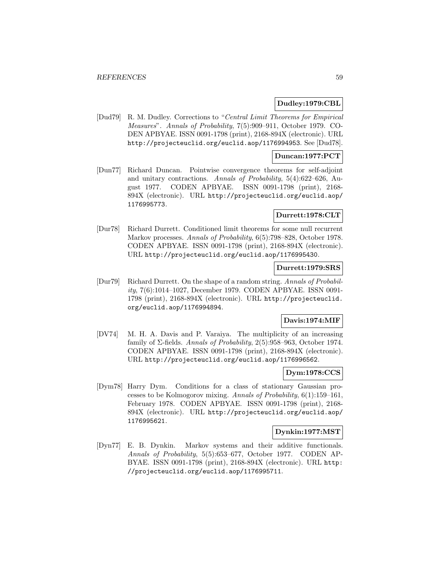## **Dudley:1979:CBL**

[Dud79] R. M. Dudley. Corrections to "Central Limit Theorems for Empirical Measures". Annals of Probability, 7(5):909–911, October 1979. CO-DEN APBYAE. ISSN 0091-1798 (print), 2168-894X (electronic). URL http://projecteuclid.org/euclid.aop/1176994953. See [Dud78].

### **Duncan:1977:PCT**

[Dun77] Richard Duncan. Pointwise convergence theorems for self-adjoint and unitary contractions. Annals of Probability, 5(4):622–626, August 1977. CODEN APBYAE. ISSN 0091-1798 (print), 2168- 894X (electronic). URL http://projecteuclid.org/euclid.aop/ 1176995773.

## **Durrett:1978:CLT**

[Dur78] Richard Durrett. Conditioned limit theorems for some null recurrent Markov processes. Annals of Probability, 6(5):798–828, October 1978. CODEN APBYAE. ISSN 0091-1798 (print), 2168-894X (electronic). URL http://projecteuclid.org/euclid.aop/1176995430.

### **Durrett:1979:SRS**

[Dur79] Richard Durrett. On the shape of a random string. Annals of Probability, 7(6):1014–1027, December 1979. CODEN APBYAE. ISSN 0091- 1798 (print), 2168-894X (electronic). URL http://projecteuclid. org/euclid.aop/1176994894.

## **Davis:1974:MIF**

[DV74] M. H. A. Davis and P. Varaiya. The multiplicity of an increasing family of  $\Sigma$ -fields. Annals of Probability, 2(5):958–963, October 1974. CODEN APBYAE. ISSN 0091-1798 (print), 2168-894X (electronic). URL http://projecteuclid.org/euclid.aop/1176996562.

### **Dym:1978:CCS**

[Dym78] Harry Dym. Conditions for a class of stationary Gaussian processes to be Kolmogorov mixing. Annals of Probability, 6(1):159–161, February 1978. CODEN APBYAE. ISSN 0091-1798 (print), 2168- 894X (electronic). URL http://projecteuclid.org/euclid.aop/ 1176995621.

### **Dynkin:1977:MST**

[Dyn77] E. B. Dynkin. Markov systems and their additive functionals. Annals of Probability, 5(5):653–677, October 1977. CODEN AP-BYAE. ISSN 0091-1798 (print), 2168-894X (electronic). URL http: //projecteuclid.org/euclid.aop/1176995711.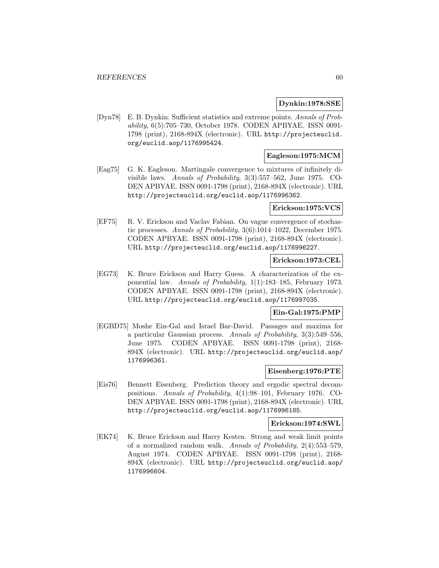### **Dynkin:1978:SSE**

[Dyn78] E. B. Dynkin. Sufficient statistics and extreme points. Annals of Probability, 6(5):705–730, October 1978. CODEN APBYAE. ISSN 0091- 1798 (print), 2168-894X (electronic). URL http://projecteuclid. org/euclid.aop/1176995424.

## **Eagleson:1975:MCM**

[Eag75] G. K. Eagleson. Martingale convergence to mixtures of infinitely divisible laws. Annals of Probability, 3(3):557–562, June 1975. CO-DEN APBYAE. ISSN 0091-1798 (print), 2168-894X (electronic). URL http://projecteuclid.org/euclid.aop/1176996362.

#### **Erickson:1975:VCS**

[EF75] R. V. Erickson and Vaclav Fabian. On vague convergence of stochastic processes. Annals of Probability, 3(6):1014–1022, December 1975. CODEN APBYAE. ISSN 0091-1798 (print), 2168-894X (electronic). URL http://projecteuclid.org/euclid.aop/1176996227.

# **Erickson:1973:CEL**

[EG73] K. Bruce Erickson and Harry Guess. A characterization of the exponential law. Annals of Probability, 1(1):183–185, February 1973. CODEN APBYAE. ISSN 0091-1798 (print), 2168-894X (electronic). URL http://projecteuclid.org/euclid.aop/1176997035.

### **Ein-Gal:1975:PMP**

[EGBD75] Moshe Ein-Gal and Israel Bar-David. Passages and maxima for a particular Gaussian process. Annals of Probability, 3(3):549–556, June 1975. CODEN APBYAE. ISSN 0091-1798 (print), 2168- 894X (electronic). URL http://projecteuclid.org/euclid.aop/ 1176996361.

### **Eisenberg:1976:PTE**

[Eis76] Bennett Eisenberg. Prediction theory and ergodic spectral decompositions. Annals of Probability, 4(1):98–101, February 1976. CO-DEN APBYAE. ISSN 0091-1798 (print), 2168-894X (electronic). URL http://projecteuclid.org/euclid.aop/1176996185.

#### **Erickson:1974:SWL**

[EK74] K. Bruce Erickson and Harry Kesten. Strong and weak limit points of a normalized random walk. Annals of Probability, 2(4):553–579, August 1974. CODEN APBYAE. ISSN 0091-1798 (print), 2168- 894X (electronic). URL http://projecteuclid.org/euclid.aop/ 1176996604.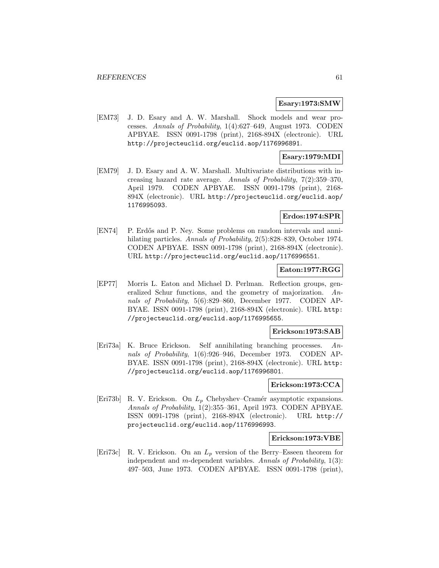#### **Esary:1973:SMW**

[EM73] J. D. Esary and A. W. Marshall. Shock models and wear processes. Annals of Probability, 1(4):627–649, August 1973. CODEN APBYAE. ISSN 0091-1798 (print), 2168-894X (electronic). URL http://projecteuclid.org/euclid.aop/1176996891.

### **Esary:1979:MDI**

[EM79] J. D. Esary and A. W. Marshall. Multivariate distributions with increasing hazard rate average. Annals of Probability, 7(2):359–370, April 1979. CODEN APBYAE. ISSN 0091-1798 (print), 2168- 894X (electronic). URL http://projecteuclid.org/euclid.aop/ 1176995093.

## **Erdos:1974:SPR**

[EN74] P. Erdős and P. Ney. Some problems on random intervals and annihilating particles. Annals of Probability, 2(5):828–839, October 1974. CODEN APBYAE. ISSN 0091-1798 (print), 2168-894X (electronic). URL http://projecteuclid.org/euclid.aop/1176996551.

## **Eaton:1977:RGG**

[EP77] Morris L. Eaton and Michael D. Perlman. Reflection groups, generalized Schur functions, and the geometry of majorization. Annals of Probability, 5(6):829–860, December 1977. CODEN AP-BYAE. ISSN 0091-1798 (print), 2168-894X (electronic). URL http: //projecteuclid.org/euclid.aop/1176995655.

### **Erickson:1973:SAB**

[Eri73a] K. Bruce Erickson. Self annihilating branching processes. Annals of Probability, 1(6):926–946, December 1973. CODEN AP-BYAE. ISSN 0091-1798 (print), 2168-894X (electronic). URL http: //projecteuclid.org/euclid.aop/1176996801.

#### **Erickson:1973:CCA**

[Eri73b] R. V. Erickson. On  $L_p$  Chebyshev–Cramér asymptotic expansions. Annals of Probability, 1(2):355–361, April 1973. CODEN APBYAE. ISSN 0091-1798 (print), 2168-894X (electronic). URL http:// projecteuclid.org/euclid.aop/1176996993.

#### **Erickson:1973:VBE**

[Eri73c] R. V. Erickson. On an  $L_p$  version of the Berry–Esseen theorem for independent and m-dependent variables. Annals of Probability, 1(3): 497–503, June 1973. CODEN APBYAE. ISSN 0091-1798 (print),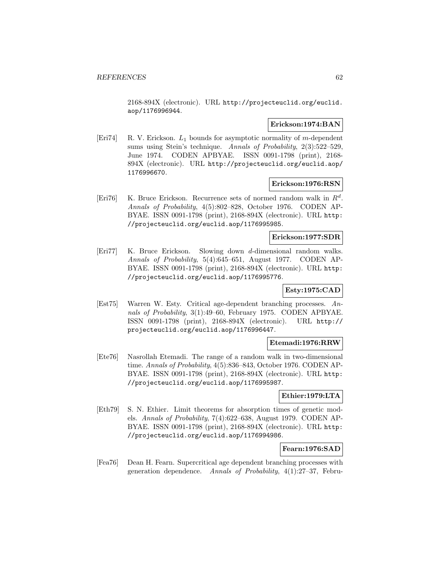2168-894X (electronic). URL http://projecteuclid.org/euclid. aop/1176996944.

#### **Erickson:1974:BAN**

[Eri74] R. V. Erickson.  $L_1$  bounds for asymptotic normality of m-dependent sums using Stein's technique. Annals of Probability, 2(3):522–529, June 1974. CODEN APBYAE. ISSN 0091-1798 (print), 2168- 894X (electronic). URL http://projecteuclid.org/euclid.aop/ 1176996670.

### **Erickson:1976:RSN**

[Eri76] K. Bruce Erickson. Recurrence sets of normed random walk in  $R^d$ . Annals of Probability, 4(5):802–828, October 1976. CODEN AP-BYAE. ISSN 0091-1798 (print), 2168-894X (electronic). URL http: //projecteuclid.org/euclid.aop/1176995985.

## **Erickson:1977:SDR**

[Eri77] K. Bruce Erickson. Slowing down d-dimensional random walks. Annals of Probability, 5(4):645–651, August 1977. CODEN AP-BYAE. ISSN 0091-1798 (print), 2168-894X (electronic). URL http: //projecteuclid.org/euclid.aop/1176995776.

### **Esty:1975:CAD**

[Est75] Warren W. Esty. Critical age-dependent branching processes. Annals of Probability, 3(1):49–60, February 1975. CODEN APBYAE. ISSN 0091-1798 (print), 2168-894X (electronic). URL http:// projecteuclid.org/euclid.aop/1176996447.

### **Etemadi:1976:RRW**

[Ete76] Nasrollah Etemadi. The range of a random walk in two-dimensional time. Annals of Probability, 4(5):836–843, October 1976. CODEN AP-BYAE. ISSN 0091-1798 (print), 2168-894X (electronic). URL http: //projecteuclid.org/euclid.aop/1176995987.

### **Ethier:1979:LTA**

[Eth79] S. N. Ethier. Limit theorems for absorption times of genetic models. Annals of Probability, 7(4):622–638, August 1979. CODEN AP-BYAE. ISSN 0091-1798 (print), 2168-894X (electronic). URL http: //projecteuclid.org/euclid.aop/1176994986.

## **Fearn:1976:SAD**

[Fea76] Dean H. Fearn. Supercritical age dependent branching processes with generation dependence. Annals of Probability, 4(1):27–37, Febru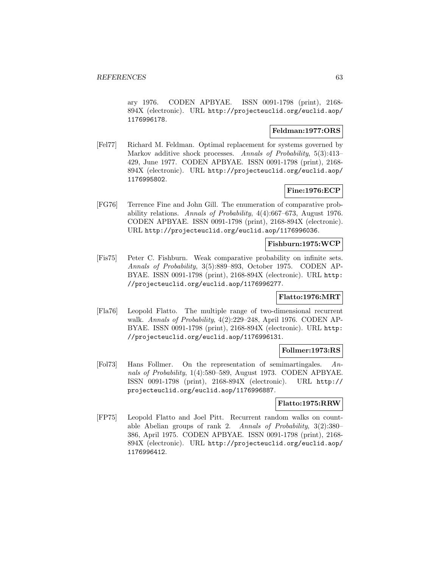ary 1976. CODEN APBYAE. ISSN 0091-1798 (print), 2168- 894X (electronic). URL http://projecteuclid.org/euclid.aop/ 1176996178.

## **Feldman:1977:ORS**

[Fel77] Richard M. Feldman. Optimal replacement for systems governed by Markov additive shock processes. Annals of Probability, 5(3):413– 429, June 1977. CODEN APBYAE. ISSN 0091-1798 (print), 2168- 894X (electronic). URL http://projecteuclid.org/euclid.aop/ 1176995802.

## **Fine:1976:ECP**

[FG76] Terrence Fine and John Gill. The enumeration of comparative probability relations. Annals of Probability, 4(4):667–673, August 1976. CODEN APBYAE. ISSN 0091-1798 (print), 2168-894X (electronic). URL http://projecteuclid.org/euclid.aop/1176996036.

## **Fishburn:1975:WCP**

[Fis75] Peter C. Fishburn. Weak comparative probability on infinite sets. Annals of Probability, 3(5):889–893, October 1975. CODEN AP-BYAE. ISSN 0091-1798 (print), 2168-894X (electronic). URL http: //projecteuclid.org/euclid.aop/1176996277.

### **Flatto:1976:MRT**

[Fla76] Leopold Flatto. The multiple range of two-dimensional recurrent walk. Annals of Probability, 4(2):229–248, April 1976. CODEN AP-BYAE. ISSN 0091-1798 (print), 2168-894X (electronic). URL http: //projecteuclid.org/euclid.aop/1176996131.

## **Follmer:1973:RS**

[Fol73] Hans Follmer. On the representation of semimartingales. Annals of Probability, 1(4):580–589, August 1973. CODEN APBYAE. ISSN 0091-1798 (print), 2168-894X (electronic). URL http:// projecteuclid.org/euclid.aop/1176996887.

#### **Flatto:1975:RRW**

[FP75] Leopold Flatto and Joel Pitt. Recurrent random walks on countable Abelian groups of rank 2. Annals of Probability, 3(2):380– 386, April 1975. CODEN APBYAE. ISSN 0091-1798 (print), 2168- 894X (electronic). URL http://projecteuclid.org/euclid.aop/ 1176996412.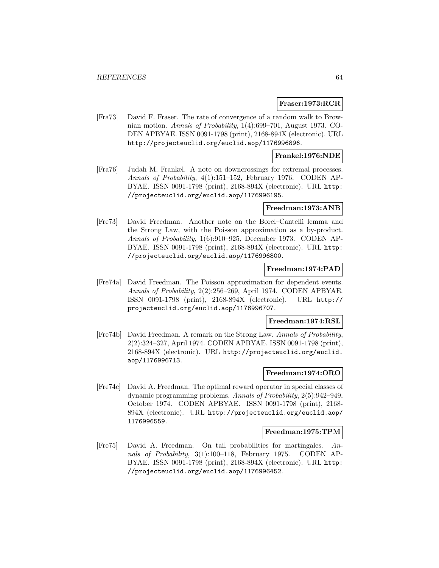#### **Fraser:1973:RCR**

[Fra73] David F. Fraser. The rate of convergence of a random walk to Brownian motion. Annals of Probability, 1(4):699–701, August 1973. CO-DEN APBYAE. ISSN 0091-1798 (print), 2168-894X (electronic). URL http://projecteuclid.org/euclid.aop/1176996896.

### **Frankel:1976:NDE**

[Fra76] Judah M. Frankel. A note on downcrossings for extremal processes. Annals of Probability, 4(1):151–152, February 1976. CODEN AP-BYAE. ISSN 0091-1798 (print), 2168-894X (electronic). URL http: //projecteuclid.org/euclid.aop/1176996195.

#### **Freedman:1973:ANB**

[Fre73] David Freedman. Another note on the Borel–Cantelli lemma and the Strong Law, with the Poisson approximation as a by-product. Annals of Probability, 1(6):910–925, December 1973. CODEN AP-BYAE. ISSN 0091-1798 (print), 2168-894X (electronic). URL http: //projecteuclid.org/euclid.aop/1176996800.

### **Freedman:1974:PAD**

[Fre74a] David Freedman. The Poisson approximation for dependent events. Annals of Probability, 2(2):256–269, April 1974. CODEN APBYAE. ISSN 0091-1798 (print), 2168-894X (electronic). URL http:// projecteuclid.org/euclid.aop/1176996707.

# **Freedman:1974:RSL**

[Fre74b] David Freedman. A remark on the Strong Law. Annals of Probability, 2(2):324–327, April 1974. CODEN APBYAE. ISSN 0091-1798 (print), 2168-894X (electronic). URL http://projecteuclid.org/euclid. aop/1176996713.

#### **Freedman:1974:ORO**

[Fre74c] David A. Freedman. The optimal reward operator in special classes of dynamic programming problems. Annals of Probability, 2(5):942–949, October 1974. CODEN APBYAE. ISSN 0091-1798 (print), 2168- 894X (electronic). URL http://projecteuclid.org/euclid.aop/ 1176996559.

#### **Freedman:1975:TPM**

[Fre75] David A. Freedman. On tail probabilities for martingales. Annals of Probability, 3(1):100–118, February 1975. CODEN AP-BYAE. ISSN 0091-1798 (print), 2168-894X (electronic). URL http: //projecteuclid.org/euclid.aop/1176996452.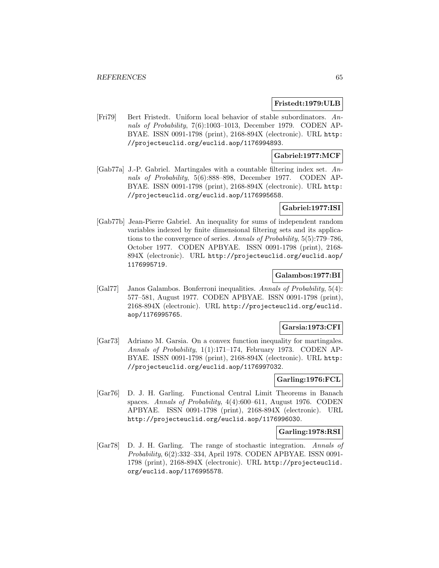#### **Fristedt:1979:ULB**

[Fri79] Bert Fristedt. Uniform local behavior of stable subordinators. Annals of Probability, 7(6):1003–1013, December 1979. CODEN AP-BYAE. ISSN 0091-1798 (print), 2168-894X (electronic). URL http: //projecteuclid.org/euclid.aop/1176994893.

# **Gabriel:1977:MCF**

[Gab77a] J.-P. Gabriel. Martingales with a countable filtering index set. Annals of Probability, 5(6):888–898, December 1977. CODEN AP-BYAE. ISSN 0091-1798 (print), 2168-894X (electronic). URL http: //projecteuclid.org/euclid.aop/1176995658.

## **Gabriel:1977:ISI**

[Gab77b] Jean-Pierre Gabriel. An inequality for sums of independent random variables indexed by finite dimensional filtering sets and its applications to the convergence of series. Annals of Probability, 5(5):779–786, October 1977. CODEN APBYAE. ISSN 0091-1798 (print), 2168- 894X (electronic). URL http://projecteuclid.org/euclid.aop/ 1176995719.

## **Galambos:1977:BI**

[Gal77] Janos Galambos. Bonferroni inequalities. Annals of Probability, 5(4): 577–581, August 1977. CODEN APBYAE. ISSN 0091-1798 (print), 2168-894X (electronic). URL http://projecteuclid.org/euclid. aop/1176995765.

### **Garsia:1973:CFI**

[Gar73] Adriano M. Garsia. On a convex function inequality for martingales. Annals of Probability, 1(1):171–174, February 1973. CODEN AP-BYAE. ISSN 0091-1798 (print), 2168-894X (electronic). URL http: //projecteuclid.org/euclid.aop/1176997032.

### **Garling:1976:FCL**

[Gar76] D. J. H. Garling. Functional Central Limit Theorems in Banach spaces. Annals of Probability, 4(4):600–611, August 1976. CODEN APBYAE. ISSN 0091-1798 (print), 2168-894X (electronic). URL http://projecteuclid.org/euclid.aop/1176996030.

### **Garling:1978:RSI**

[Gar78] D. J. H. Garling. The range of stochastic integration. Annals of Probability, 6(2):332–334, April 1978. CODEN APBYAE. ISSN 0091- 1798 (print), 2168-894X (electronic). URL http://projecteuclid. org/euclid.aop/1176995578.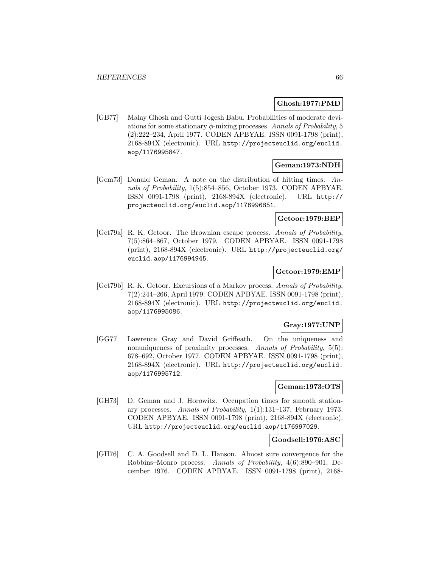### **Ghosh:1977:PMD**

[GB77] Malay Ghosh and Gutti Jogesh Babu. Probabilities of moderate deviations for some stationary  $\phi$ -mixing processes. Annals of Probability, 5 (2):222–234, April 1977. CODEN APBYAE. ISSN 0091-1798 (print), 2168-894X (electronic). URL http://projecteuclid.org/euclid. aop/1176995847.

## **Geman:1973:NDH**

[Gem73] Donald Geman. A note on the distribution of hitting times. Annals of Probability, 1(5):854–856, October 1973. CODEN APBYAE. ISSN 0091-1798 (print), 2168-894X (electronic). URL http:// projecteuclid.org/euclid.aop/1176996851.

### **Getoor:1979:BEP**

[Get79a] R. K. Getoor. The Brownian escape process. Annals of Probability, 7(5):864–867, October 1979. CODEN APBYAE. ISSN 0091-1798 (print), 2168-894X (electronic). URL http://projecteuclid.org/ euclid.aop/1176994945.

### **Getoor:1979:EMP**

[Get79b] R. K. Getoor. Excursions of a Markov process. Annals of Probability, 7(2):244–266, April 1979. CODEN APBYAE. ISSN 0091-1798 (print), 2168-894X (electronic). URL http://projecteuclid.org/euclid. aop/1176995086.

### **Gray:1977:UNP**

[GG77] Lawrence Gray and David Griffeath. On the uniqueness and nonuniqueness of proximity processes. Annals of Probability, 5(5): 678–692, October 1977. CODEN APBYAE. ISSN 0091-1798 (print), 2168-894X (electronic). URL http://projecteuclid.org/euclid. aop/1176995712.

## **Geman:1973:OTS**

[GH73] D. Geman and J. Horowitz. Occupation times for smooth stationary processes. Annals of Probability, 1(1):131–137, February 1973. CODEN APBYAE. ISSN 0091-1798 (print), 2168-894X (electronic). URL http://projecteuclid.org/euclid.aop/1176997029.

### **Goodsell:1976:ASC**

[GH76] C. A. Goodsell and D. L. Hanson. Almost sure convergence for the Robbins–Monro process. Annals of Probability, 4(6):890–901, December 1976. CODEN APBYAE. ISSN 0091-1798 (print), 2168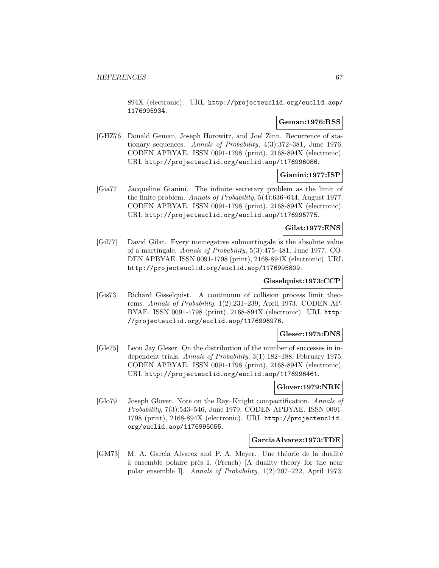894X (electronic). URL http://projecteuclid.org/euclid.aop/ 1176995934.

# **Geman:1976:RSS**

[GHZ76] Donald Geman, Joseph Horowitz, and Joel Zinn. Recurrence of stationary sequences. Annals of Probability, 4(3):372–381, June 1976. CODEN APBYAE. ISSN 0091-1798 (print), 2168-894X (electronic). URL http://projecteuclid.org/euclid.aop/1176996086.

## **Gianini:1977:ISP**

[Gia77] Jacqueline Gianini. The infinite secretary problem as the limit of the finite problem. Annals of Probability, 5(4):636–644, August 1977. CODEN APBYAE. ISSN 0091-1798 (print), 2168-894X (electronic). URL http://projecteuclid.org/euclid.aop/1176995775.

## **Gilat:1977:ENS**

[Gil77] David Gilat. Every nonnegative submartingale is the absolute value of a martingale. Annals of Probability, 5(3):475–481, June 1977. CO-DEN APBYAE. ISSN 0091-1798 (print), 2168-894X (electronic). URL http://projecteuclid.org/euclid.aop/1176995809.

#### **Gisselquist:1973:CCP**

[Gis73] Richard Gisselquist. A continuum of collision process limit theorems. Annals of Probability, 1(2):231–239, April 1973. CODEN AP-BYAE. ISSN 0091-1798 (print), 2168-894X (electronic). URL http: //projecteuclid.org/euclid.aop/1176996976.

### **Gleser:1975:DNS**

[Gle75] Leon Jay Gleser. On the distribution of the number of successes in independent trials. Annals of Probability, 3(1):182–188, February 1975. CODEN APBYAE. ISSN 0091-1798 (print), 2168-894X (electronic). URL http://projecteuclid.org/euclid.aop/1176996461.

#### **Glover:1979:NRK**

[Glo79] Joseph Glover. Note on the Ray–Knight compactification. Annals of Probability, 7(3):543–546, June 1979. CODEN APBYAE. ISSN 0091- 1798 (print), 2168-894X (electronic). URL http://projecteuclid. org/euclid.aop/1176995055.

### **GarciaAlvarez:1973:TDE**

[GM73] M. A. Garcia Alvarez and P. A. Meyer. Une théorie de la dualité à ensemble polaire près I. (French) [A duality theory for the near polar ensemble I]. Annals of Probability, 1(2):207–222, April 1973.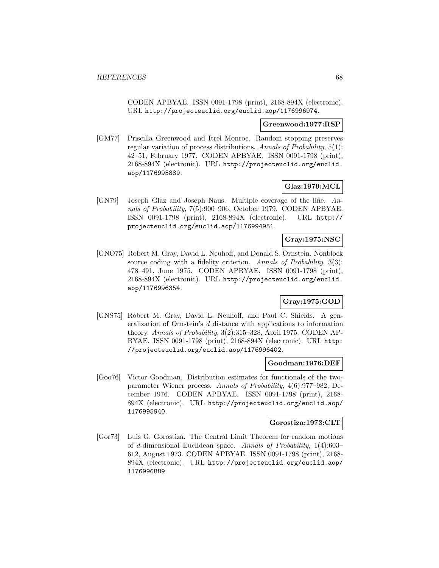CODEN APBYAE. ISSN 0091-1798 (print), 2168-894X (electronic). URL http://projecteuclid.org/euclid.aop/1176996974.

#### **Greenwood:1977:RSP**

[GM77] Priscilla Greenwood and Itrel Monroe. Random stopping preserves regular variation of process distributions. Annals of Probability, 5(1): 42–51, February 1977. CODEN APBYAE. ISSN 0091-1798 (print), 2168-894X (electronic). URL http://projecteuclid.org/euclid. aop/1176995889.

## **Glaz:1979:MCL**

[GN79] Joseph Glaz and Joseph Naus. Multiple coverage of the line. Annals of Probability, 7(5):900–906, October 1979. CODEN APBYAE. ISSN 0091-1798 (print), 2168-894X (electronic). URL http:// projecteuclid.org/euclid.aop/1176994951.

## **Gray:1975:NSC**

[GNO75] Robert M. Gray, David L. Neuhoff, and Donald S. Ornstein. Nonblock source coding with a fidelity criterion. Annals of Probability, 3(3): 478–491, June 1975. CODEN APBYAE. ISSN 0091-1798 (print), 2168-894X (electronic). URL http://projecteuclid.org/euclid. aop/1176996354.

## **Gray:1975:GOD**

[GNS75] Robert M. Gray, David L. Neuhoff, and Paul C. Shields. A generalization of Ornstein's  $\bar{d}$  distance with applications to information theory. Annals of Probability, 3(2):315–328, April 1975. CODEN AP-BYAE. ISSN 0091-1798 (print), 2168-894X (electronic). URL http: //projecteuclid.org/euclid.aop/1176996402.

#### **Goodman:1976:DEF**

[Goo76] Victor Goodman. Distribution estimates for functionals of the twoparameter Wiener process. Annals of Probability, 4(6):977–982, December 1976. CODEN APBYAE. ISSN 0091-1798 (print), 2168- 894X (electronic). URL http://projecteuclid.org/euclid.aop/ 1176995940.

#### **Gorostiza:1973:CLT**

[Gor73] Luis G. Gorostiza. The Central Limit Theorem for random motions of d-dimensional Euclidean space. Annals of Probability, 1(4):603– 612, August 1973. CODEN APBYAE. ISSN 0091-1798 (print), 2168- 894X (electronic). URL http://projecteuclid.org/euclid.aop/ 1176996889.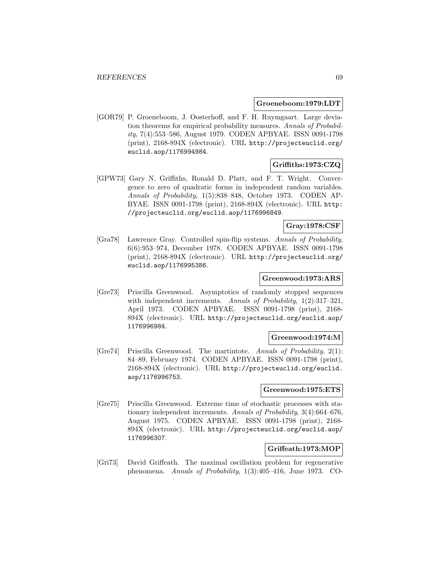#### **Groeneboom:1979:LDT**

[GOR79] P. Groeneboom, J. Oosterhoff, and F. H. Ruymgaart. Large deviation theorems for empirical probability measures. Annals of Probability, 7(4):553–586, August 1979. CODEN APBYAE. ISSN 0091-1798 (print), 2168-894X (electronic). URL http://projecteuclid.org/ euclid.aop/1176994984.

## **Griffiths:1973:CZQ**

[GPW73] Gary N. Griffiths, Ronald D. Platt, and F. T. Wright. Convergence to zero of quadratic forms in independent random variables. Annals of Probability, 1(5):838–848, October 1973. CODEN AP-BYAE. ISSN 0091-1798 (print), 2168-894X (electronic). URL http: //projecteuclid.org/euclid.aop/1176996849.

## **Gray:1978:CSF**

[Gra78] Lawrence Gray. Controlled spin-flip systems. Annals of Probability, 6(6):953–974, December 1978. CODEN APBYAE. ISSN 0091-1798 (print), 2168-894X (electronic). URL http://projecteuclid.org/ euclid.aop/1176995386.

#### **Greenwood:1973:ARS**

[Gre73] Priscilla Greenwood. Asymptotics of randomly stopped sequences with independent increments. Annals of Probability, 1(2):317–321, April 1973. CODEN APBYAE. ISSN 0091-1798 (print), 2168- 894X (electronic). URL http://projecteuclid.org/euclid.aop/ 1176996984.

#### **Greenwood:1974:M**

[Gre74] Priscilla Greenwood. The martintote. Annals of Probability, 2(1): 84–89, February 1974. CODEN APBYAE. ISSN 0091-1798 (print), 2168-894X (electronic). URL http://projecteuclid.org/euclid. aop/1176996753.

### **Greenwood:1975:ETS**

[Gre75] Priscilla Greenwood. Extreme time of stochastic processes with stationary independent increments. Annals of Probability, 3(4):664–676, August 1975. CODEN APBYAE. ISSN 0091-1798 (print), 2168- 894X (electronic). URL http://projecteuclid.org/euclid.aop/ 1176996307.

## **Griffeath:1973:MOP**

[Gri73] David Griffeath. The maximal oscillation problem for regenerative phenomena. Annals of Probability, 1(3):405–416, June 1973. CO-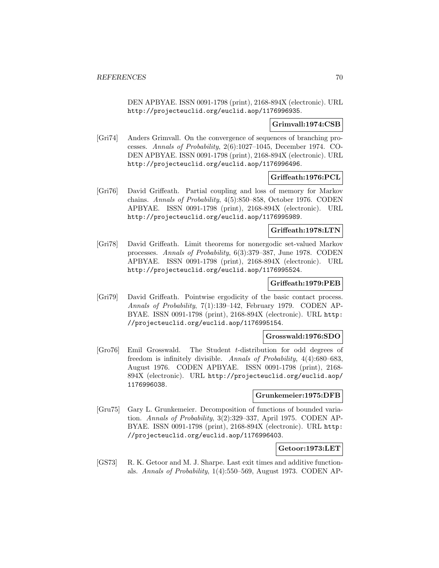DEN APBYAE. ISSN 0091-1798 (print), 2168-894X (electronic). URL http://projecteuclid.org/euclid.aop/1176996935.

# **Grimvall:1974:CSB**

[Gri74] Anders Grimvall. On the convergence of sequences of branching processes. Annals of Probability, 2(6):1027–1045, December 1974. CO-DEN APBYAE. ISSN 0091-1798 (print), 2168-894X (electronic). URL http://projecteuclid.org/euclid.aop/1176996496.

## **Griffeath:1976:PCL**

[Gri76] David Griffeath. Partial coupling and loss of memory for Markov chains. Annals of Probability, 4(5):850–858, October 1976. CODEN APBYAE. ISSN 0091-1798 (print), 2168-894X (electronic). URL http://projecteuclid.org/euclid.aop/1176995989.

#### **Griffeath:1978:LTN**

[Gri78] David Griffeath. Limit theorems for nonergodic set-valued Markov processes. Annals of Probability, 6(3):379–387, June 1978. CODEN APBYAE. ISSN 0091-1798 (print), 2168-894X (electronic). URL http://projecteuclid.org/euclid.aop/1176995524.

## **Griffeath:1979:PEB**

[Gri79] David Griffeath. Pointwise ergodicity of the basic contact process. Annals of Probability, 7(1):139–142, February 1979. CODEN AP-BYAE. ISSN 0091-1798 (print), 2168-894X (electronic). URL http: //projecteuclid.org/euclid.aop/1176995154.

#### **Grosswald:1976:SDO**

[Gro76] Emil Grosswald. The Student t-distribution for odd degrees of freedom is infinitely divisible. Annals of Probability, 4(4):680–683, August 1976. CODEN APBYAE. ISSN 0091-1798 (print), 2168- 894X (electronic). URL http://projecteuclid.org/euclid.aop/ 1176996038.

### **Grunkemeier:1975:DFB**

[Gru75] Gary L. Grunkemeier. Decomposition of functions of bounded variation. Annals of Probability, 3(2):329–337, April 1975. CODEN AP-BYAE. ISSN 0091-1798 (print), 2168-894X (electronic). URL http: //projecteuclid.org/euclid.aop/1176996403.

## **Getoor:1973:LET**

[GS73] R. K. Getoor and M. J. Sharpe. Last exit times and additive functionals. Annals of Probability, 1(4):550–569, August 1973. CODEN AP-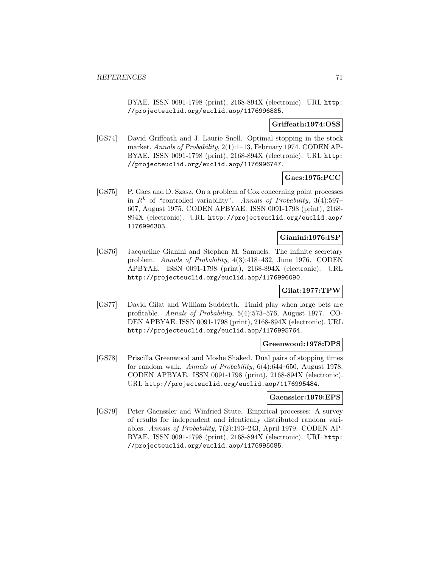BYAE. ISSN 0091-1798 (print), 2168-894X (electronic). URL http: //projecteuclid.org/euclid.aop/1176996885.

## **Griffeath:1974:OSS**

[GS74] David Griffeath and J. Laurie Snell. Optimal stopping in the stock market. Annals of Probability, 2(1):1–13, February 1974. CODEN AP-BYAE. ISSN 0091-1798 (print), 2168-894X (electronic). URL http: //projecteuclid.org/euclid.aop/1176996747.

## **Gacs:1975:PCC**

[GS75] P. Gacs and D. Szasz. On a problem of Cox concerning point processes in  $R^k$  of "controlled variability". Annals of Probability, 3(4):597– 607, August 1975. CODEN APBYAE. ISSN 0091-1798 (print), 2168- 894X (electronic). URL http://projecteuclid.org/euclid.aop/ 1176996303.

## **Gianini:1976:ISP**

[GS76] Jacqueline Gianini and Stephen M. Samuels. The infinite secretary problem. Annals of Probability, 4(3):418–432, June 1976. CODEN APBYAE. ISSN 0091-1798 (print), 2168-894X (electronic). URL http://projecteuclid.org/euclid.aop/1176996090.

# **Gilat:1977:TPW**

[GS77] David Gilat and William Sudderth. Timid play when large bets are profitable. Annals of Probability, 5(4):573–576, August 1977. CO-DEN APBYAE. ISSN 0091-1798 (print), 2168-894X (electronic). URL http://projecteuclid.org/euclid.aop/1176995764.

### **Greenwood:1978:DPS**

[GS78] Priscilla Greenwood and Moshe Shaked. Dual pairs of stopping times for random walk. Annals of Probability, 6(4):644–650, August 1978. CODEN APBYAE. ISSN 0091-1798 (print), 2168-894X (electronic). URL http://projecteuclid.org/euclid.aop/1176995484.

#### **Gaenssler:1979:EPS**

[GS79] Peter Gaenssler and Winfried Stute. Empirical processes: A survey of results for independent and identically distributed random variables. Annals of Probability, 7(2):193–243, April 1979. CODEN AP-BYAE. ISSN 0091-1798 (print), 2168-894X (electronic). URL http: //projecteuclid.org/euclid.aop/1176995085.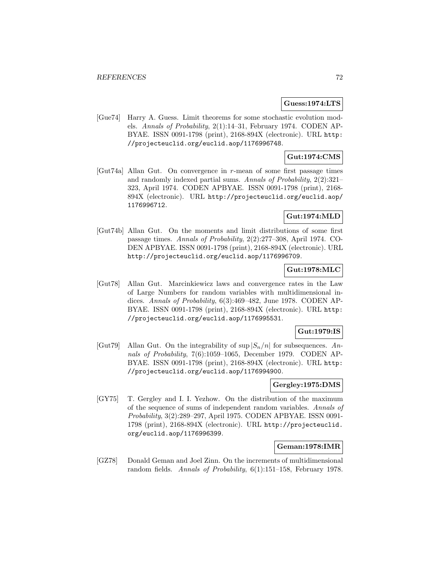#### **Guess:1974:LTS**

[Gue74] Harry A. Guess. Limit theorems for some stochastic evolution models. Annals of Probability, 2(1):14–31, February 1974. CODEN AP-BYAE. ISSN 0091-1798 (print), 2168-894X (electronic). URL http: //projecteuclid.org/euclid.aop/1176996748.

### **Gut:1974:CMS**

[Gut74a] Allan Gut. On convergence in r-mean of some first passage times and randomly indexed partial sums. Annals of Probability, 2(2):321– 323, April 1974. CODEN APBYAE. ISSN 0091-1798 (print), 2168- 894X (electronic). URL http://projecteuclid.org/euclid.aop/ 1176996712.

# **Gut:1974:MLD**

[Gut74b] Allan Gut. On the moments and limit distributions of some first passage times. Annals of Probability, 2(2):277–308, April 1974. CO-DEN APBYAE. ISSN 0091-1798 (print), 2168-894X (electronic). URL http://projecteuclid.org/euclid.aop/1176996709.

# **Gut:1978:MLC**

[Gut78] Allan Gut. Marcinkiewicz laws and convergence rates in the Law of Large Numbers for random variables with multidimensional indices. Annals of Probability, 6(3):469–482, June 1978. CODEN AP-BYAE. ISSN 0091-1798 (print), 2168-894X (electronic). URL http: //projecteuclid.org/euclid.aop/1176995531.

# **Gut:1979:IS**

[Gut79] Allan Gut. On the integrability of  $\sup |S_n/n|$  for subsequences. Annals of Probability, 7(6):1059–1065, December 1979. CODEN AP-BYAE. ISSN 0091-1798 (print), 2168-894X (electronic). URL http: //projecteuclid.org/euclid.aop/1176994900.

### **Gergley:1975:DMS**

[GY75] T. Gergley and I. I. Yezhow. On the distribution of the maximum of the sequence of sums of independent random variables. Annals of Probability, 3(2):289–297, April 1975. CODEN APBYAE. ISSN 0091- 1798 (print), 2168-894X (electronic). URL http://projecteuclid. org/euclid.aop/1176996399.

#### **Geman:1978:IMR**

[GZ78] Donald Geman and Joel Zinn. On the increments of multidimensional random fields. Annals of Probability, 6(1):151–158, February 1978.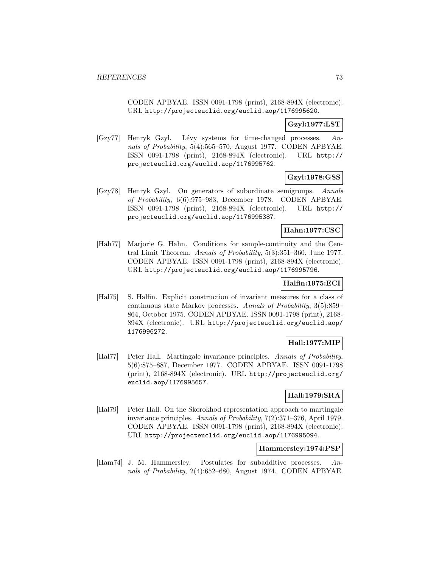CODEN APBYAE. ISSN 0091-1798 (print), 2168-894X (electronic). URL http://projecteuclid.org/euclid.aop/1176995620.

# **Gzyl:1977:LST**

 $[Gzy77]$  Henryk Gzyl. Lévy systems for time-changed processes. Annals of Probability, 5(4):565–570, August 1977. CODEN APBYAE. ISSN 0091-1798 (print), 2168-894X (electronic). URL http:// projecteuclid.org/euclid.aop/1176995762.

# **Gzyl:1978:GSS**

[Gzy78] Henryk Gzyl. On generators of subordinate semigroups. Annals of Probability, 6(6):975–983, December 1978. CODEN APBYAE. ISSN 0091-1798 (print), 2168-894X (electronic). URL http:// projecteuclid.org/euclid.aop/1176995387.

## **Hahn:1977:CSC**

[Hah77] Marjorie G. Hahn. Conditions for sample-continuity and the Central Limit Theorem. Annals of Probability, 5(3):351–360, June 1977. CODEN APBYAE. ISSN 0091-1798 (print), 2168-894X (electronic). URL http://projecteuclid.org/euclid.aop/1176995796.

## **Halfin:1975:ECI**

[Hal75] S. Halfin. Explicit construction of invariant measures for a class of continuous state Markov processes. Annals of Probability, 3(5):859– 864, October 1975. CODEN APBYAE. ISSN 0091-1798 (print), 2168- 894X (electronic). URL http://projecteuclid.org/euclid.aop/ 1176996272.

# **Hall:1977:MIP**

[Hal77] Peter Hall. Martingale invariance principles. Annals of Probability, 5(6):875–887, December 1977. CODEN APBYAE. ISSN 0091-1798 (print), 2168-894X (electronic). URL http://projecteuclid.org/ euclid.aop/1176995657.

## **Hall:1979:SRA**

[Hal79] Peter Hall. On the Skorokhod representation approach to martingale invariance principles. Annals of Probability, 7(2):371–376, April 1979. CODEN APBYAE. ISSN 0091-1798 (print), 2168-894X (electronic). URL http://projecteuclid.org/euclid.aop/1176995094.

### **Hammersley:1974:PSP**

[Ham74] J. M. Hammersley. Postulates for subadditive processes. Annals of Probability, 2(4):652–680, August 1974. CODEN APBYAE.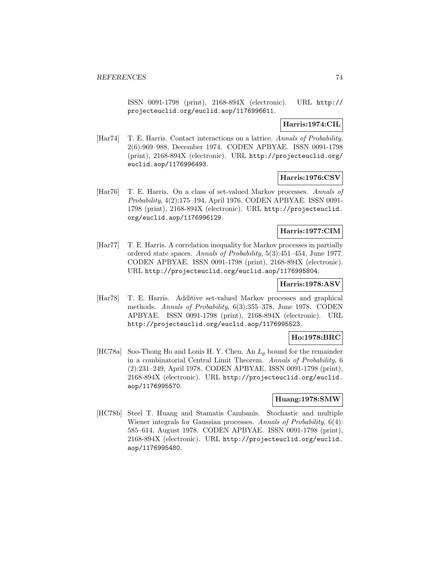ISSN 0091-1798 (print), 2168-894X (electronic). URL http:// projecteuclid.org/euclid.aop/1176996611.

## **Harris:1974:CIL**

[Har74] T. E. Harris. Contact interactions on a lattice. Annals of Probability, 2(6):969–988, December 1974. CODEN APBYAE. ISSN 0091-1798 (print), 2168-894X (electronic). URL http://projecteuclid.org/ euclid.aop/1176996493.

# **Harris:1976:CSV**

[Har76] T. E. Harris. On a class of set-valued Markov processes. Annals of Probability, 4(2):175–194, April 1976. CODEN APBYAE. ISSN 0091- 1798 (print), 2168-894X (electronic). URL http://projecteuclid. org/euclid.aop/1176996129.

# **Harris:1977:CIM**

[Har77] T. E. Harris. A correlation inequality for Markov processes in partially ordered state spaces. Annals of Probability, 5(3):451–454, June 1977. CODEN APBYAE. ISSN 0091-1798 (print), 2168-894X (electronic). URL http://projecteuclid.org/euclid.aop/1176995804.

# **Harris:1978:ASV**

[Har78] T. E. Harris. Additive set-valued Markov processes and graphical methods. Annals of Probability, 6(3):355–378, June 1978. CODEN APBYAE. ISSN 0091-1798 (print), 2168-894X (electronic). URL http://projecteuclid.org/euclid.aop/1176995523.

# **Ho:1978:BRC**

[HC78a] Soo-Thong Ho and Louis H. Y. Chen. An  $L_p$  bound for the remainder in a combinatorial Central Limit Theorem. Annals of Probability, 6 (2):231–249, April 1978. CODEN APBYAE. ISSN 0091-1798 (print), 2168-894X (electronic). URL http://projecteuclid.org/euclid. aop/1176995570.

## **Huang:1978:SMW**

[HC78b] Steel T. Huang and Stamatis Cambanis. Stochastic and multiple Wiener integrals for Gaussian processes. Annals of Probability, 6(4): 585–614, August 1978. CODEN APBYAE. ISSN 0091-1798 (print), 2168-894X (electronic). URL http://projecteuclid.org/euclid. aop/1176995480.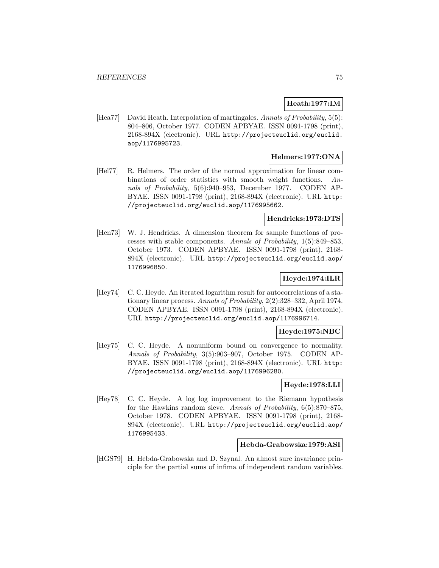## **Heath:1977:IM**

[Hea77] David Heath. Interpolation of martingales. Annals of Probability, 5(5): 804–806, October 1977. CODEN APBYAE. ISSN 0091-1798 (print), 2168-894X (electronic). URL http://projecteuclid.org/euclid. aop/1176995723.

## **Helmers:1977:ONA**

[Hel77] R. Helmers. The order of the normal approximation for linear combinations of order statistics with smooth weight functions. Annals of Probability, 5(6):940–953, December 1977. CODEN AP-BYAE. ISSN 0091-1798 (print), 2168-894X (electronic). URL http: //projecteuclid.org/euclid.aop/1176995662.

#### **Hendricks:1973:DTS**

[Hen73] W. J. Hendricks. A dimension theorem for sample functions of processes with stable components. Annals of Probability, 1(5):849–853, October 1973. CODEN APBYAE. ISSN 0091-1798 (print), 2168- 894X (electronic). URL http://projecteuclid.org/euclid.aop/ 1176996850.

## **Heyde:1974:ILR**

[Hey74] C. C. Heyde. An iterated logarithm result for autocorrelations of a stationary linear process. Annals of Probability, 2(2):328–332, April 1974. CODEN APBYAE. ISSN 0091-1798 (print), 2168-894X (electronic). URL http://projecteuclid.org/euclid.aop/1176996714.

## **Heyde:1975:NBC**

[Hey75] C. C. Heyde. A nonuniform bound on convergence to normality. Annals of Probability, 3(5):903–907, October 1975. CODEN AP-BYAE. ISSN 0091-1798 (print), 2168-894X (electronic). URL http: //projecteuclid.org/euclid.aop/1176996280.

## **Heyde:1978:LLI**

[Hey78] C. C. Heyde. A log log improvement to the Riemann hypothesis for the Hawkins random sieve. Annals of Probability, 6(5):870–875, October 1978. CODEN APBYAE. ISSN 0091-1798 (print), 2168- 894X (electronic). URL http://projecteuclid.org/euclid.aop/ 1176995433.

#### **Hebda-Grabowska:1979:ASI**

[HGS79] H. Hebda-Grabowska and D. Szynal. An almost sure invariance principle for the partial sums of infima of independent random variables.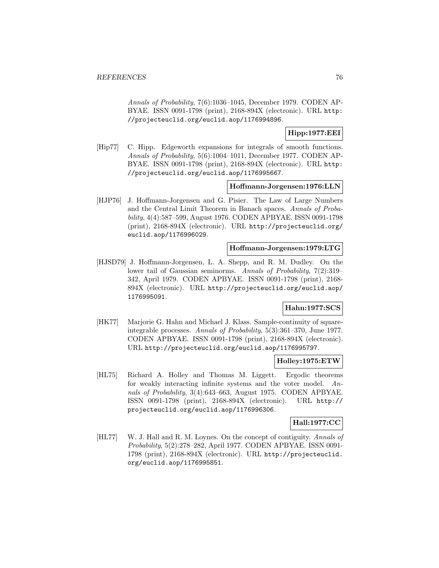Annals of Probability, 7(6):1036–1045, December 1979. CODEN AP-BYAE. ISSN 0091-1798 (print), 2168-894X (electronic). URL http: //projecteuclid.org/euclid.aop/1176994896.

**Hipp:1977:EEI**

[Hip77] C. Hipp. Edgeworth expansions for integrals of smooth functions. Annals of Probability, 5(6):1004–1011, December 1977. CODEN AP-BYAE. ISSN 0091-1798 (print), 2168-894X (electronic). URL http: //projecteuclid.org/euclid.aop/1176995667.

#### **Hoffmann-Jorgensen:1976:LLN**

[HJP76] J. Hoffmann-Jorgensen and G. Pisier. The Law of Large Numbers and the Central Limit Theorem in Banach spaces. Annals of Probability, 4(4):587–599, August 1976. CODEN APBYAE. ISSN 0091-1798 (print), 2168-894X (electronic). URL http://projecteuclid.org/ euclid.aop/1176996029.

## **Hoffmann-Jorgensen:1979:LTG**

[HJSD79] J. Hoffmann-Jorgensen, L. A. Shepp, and R. M. Dudley. On the lower tail of Gaussian seminorms. Annals of Probability, 7(2):319– 342, April 1979. CODEN APBYAE. ISSN 0091-1798 (print), 2168- 894X (electronic). URL http://projecteuclid.org/euclid.aop/ 1176995091.

## **Hahn:1977:SCS**

[HK77] Marjorie G. Hahn and Michael J. Klass. Sample-continuity of squareintegrable processes. Annals of Probability, 5(3):361–370, June 1977. CODEN APBYAE. ISSN 0091-1798 (print), 2168-894X (electronic). URL http://projecteuclid.org/euclid.aop/1176995797.

### **Holley:1975:ETW**

[HL75] Richard A. Holley and Thomas M. Liggett. Ergodic theorems for weakly interacting infinite systems and the voter model. Annals of Probability, 3(4):643–663, August 1975. CODEN APBYAE. ISSN 0091-1798 (print), 2168-894X (electronic). URL http:// projecteuclid.org/euclid.aop/1176996306.

### **Hall:1977:CC**

[HL77] W. J. Hall and R. M. Loynes. On the concept of contiguity. Annals of Probability, 5(2):278–282, April 1977. CODEN APBYAE. ISSN 0091- 1798 (print), 2168-894X (electronic). URL http://projecteuclid. org/euclid.aop/1176995851.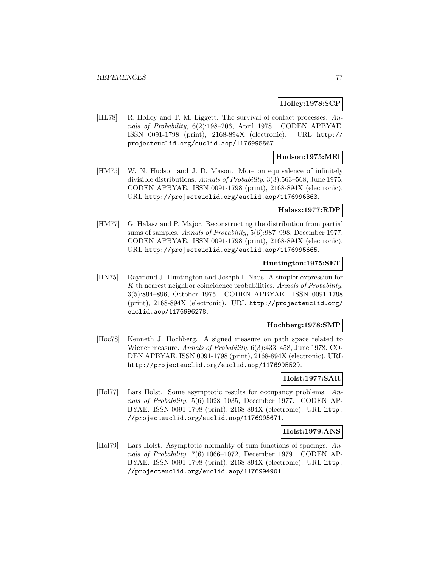### **Holley:1978:SCP**

[HL78] R. Holley and T. M. Liggett. The survival of contact processes. Annals of Probability, 6(2):198–206, April 1978. CODEN APBYAE. ISSN 0091-1798 (print), 2168-894X (electronic). URL http:// projecteuclid.org/euclid.aop/1176995567.

## **Hudson:1975:MEI**

[HM75] W. N. Hudson and J. D. Mason. More on equivalence of infinitely divisible distributions. Annals of Probability, 3(3):563–568, June 1975. CODEN APBYAE. ISSN 0091-1798 (print), 2168-894X (electronic). URL http://projecteuclid.org/euclid.aop/1176996363.

#### **Halasz:1977:RDP**

[HM77] G. Halasz and P. Major. Reconstructing the distribution from partial sums of samples. Annals of Probability, 5(6):987–998, December 1977. CODEN APBYAE. ISSN 0091-1798 (print), 2168-894X (electronic). URL http://projecteuclid.org/euclid.aop/1176995665.

#### **Huntington:1975:SET**

[HN75] Raymond J. Huntington and Joseph I. Naus. A simpler expression for K th nearest neighbor coincidence probabilities. Annals of Probability, 3(5):894–896, October 1975. CODEN APBYAE. ISSN 0091-1798 (print), 2168-894X (electronic). URL http://projecteuclid.org/ euclid.aop/1176996278.

#### **Hochberg:1978:SMP**

[Hoc78] Kenneth J. Hochberg. A signed measure on path space related to Wiener measure. Annals of Probability, 6(3):433–458, June 1978. CO-DEN APBYAE. ISSN 0091-1798 (print), 2168-894X (electronic). URL http://projecteuclid.org/euclid.aop/1176995529.

## **Holst:1977:SAR**

[Hol77] Lars Holst. Some asymptotic results for occupancy problems. Annals of Probability, 5(6):1028–1035, December 1977. CODEN AP-BYAE. ISSN 0091-1798 (print), 2168-894X (electronic). URL http: //projecteuclid.org/euclid.aop/1176995671.

#### **Holst:1979:ANS**

[Hol79] Lars Holst. Asymptotic normality of sum-functions of spacings. Annals of Probability, 7(6):1066–1072, December 1979. CODEN AP-BYAE. ISSN 0091-1798 (print), 2168-894X (electronic). URL http: //projecteuclid.org/euclid.aop/1176994901.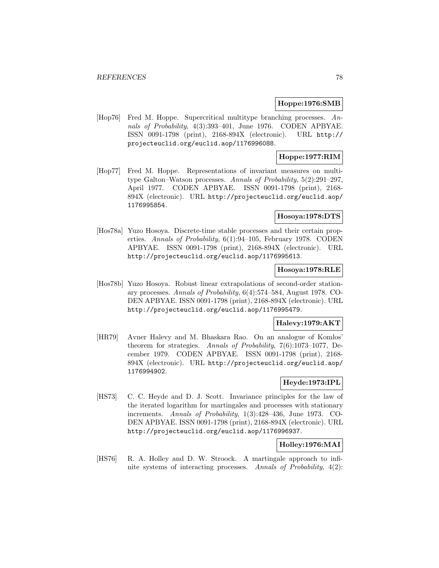### **Hoppe:1976:SMB**

[Hop76] Fred M. Hoppe. Supercritical multitype branching processes. Annals of Probability, 4(3):393–401, June 1976. CODEN APBYAE. ISSN 0091-1798 (print), 2168-894X (electronic). URL http:// projecteuclid.org/euclid.aop/1176996088.

## **Hoppe:1977:RIM**

[Hop77] Fred M. Hoppe. Representations of invariant measures on multitype Galton–Watson processes. Annals of Probability, 5(2):291–297, April 1977. CODEN APBYAE. ISSN 0091-1798 (print), 2168- 894X (electronic). URL http://projecteuclid.org/euclid.aop/ 1176995854.

# **Hosoya:1978:DTS**

[Hos78a] Yuzo Hosoya. Discrete-time stable processes and their certain properties. Annals of Probability, 6(1):94–105, February 1978. CODEN APBYAE. ISSN 0091-1798 (print), 2168-894X (electronic). URL http://projecteuclid.org/euclid.aop/1176995613.

#### **Hosoya:1978:RLE**

[Hos78b] Yuzo Hosoya. Robust linear extrapolations of second-order stationary processes. Annals of Probability, 6(4):574–584, August 1978. CO-DEN APBYAE. ISSN 0091-1798 (print), 2168-894X (electronic). URL http://projecteuclid.org/euclid.aop/1176995479.

### **Halevy:1979:AKT**

[HR79] Avner Halevy and M. Bhaskara Rao. On an analogue of Komlos' theorem for strategies. Annals of Probability, 7(6):1073–1077, December 1979. CODEN APBYAE. ISSN 0091-1798 (print), 2168- 894X (electronic). URL http://projecteuclid.org/euclid.aop/ 1176994902.

# **Heyde:1973:IPL**

[HS73] C. C. Heyde and D. J. Scott. Invariance principles for the law of the iterated logarithm for martingales and processes with stationary increments. Annals of Probability, 1(3):428–436, June 1973. CO-DEN APBYAE. ISSN 0091-1798 (print), 2168-894X (electronic). URL http://projecteuclid.org/euclid.aop/1176996937.

## **Holley:1976:MAI**

[HS76] R. A. Holley and D. W. Stroock. A martingale approach to infinite systems of interacting processes. Annals of Probability, 4(2):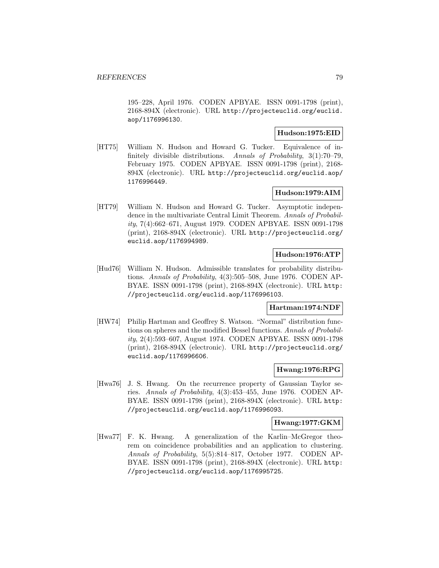195–228, April 1976. CODEN APBYAE. ISSN 0091-1798 (print), 2168-894X (electronic). URL http://projecteuclid.org/euclid. aop/1176996130.

# **Hudson:1975:EID**

[HT75] William N. Hudson and Howard G. Tucker. Equivalence of infinitely divisible distributions. Annals of Probability, 3(1):70–79, February 1975. CODEN APBYAE. ISSN 0091-1798 (print), 2168- 894X (electronic). URL http://projecteuclid.org/euclid.aop/ 1176996449.

## **Hudson:1979:AIM**

[HT79] William N. Hudson and Howard G. Tucker. Asymptotic independence in the multivariate Central Limit Theorem. Annals of Probability, 7(4):662–671, August 1979. CODEN APBYAE. ISSN 0091-1798 (print), 2168-894X (electronic). URL http://projecteuclid.org/ euclid.aop/1176994989.

## **Hudson:1976:ATP**

[Hud76] William N. Hudson. Admissible translates for probability distributions. Annals of Probability, 4(3):505–508, June 1976. CODEN AP-BYAE. ISSN 0091-1798 (print), 2168-894X (electronic). URL http: //projecteuclid.org/euclid.aop/1176996103.

## **Hartman:1974:NDF**

[HW74] Philip Hartman and Geoffrey S. Watson. "Normal" distribution functions on spheres and the modified Bessel functions. Annals of Probability, 2(4):593–607, August 1974. CODEN APBYAE. ISSN 0091-1798 (print), 2168-894X (electronic). URL http://projecteuclid.org/ euclid.aop/1176996606.

### **Hwang:1976:RPG**

[Hwa76] J. S. Hwang. On the recurrence property of Gaussian Taylor series. Annals of Probability, 4(3):453–455, June 1976. CODEN AP-BYAE. ISSN 0091-1798 (print), 2168-894X (electronic). URL http: //projecteuclid.org/euclid.aop/1176996093.

#### **Hwang:1977:GKM**

[Hwa77] F. K. Hwang. A generalization of the Karlin–McGregor theorem on coincidence probabilities and an application to clustering. Annals of Probability, 5(5):814–817, October 1977. CODEN AP-BYAE. ISSN 0091-1798 (print), 2168-894X (electronic). URL http: //projecteuclid.org/euclid.aop/1176995725.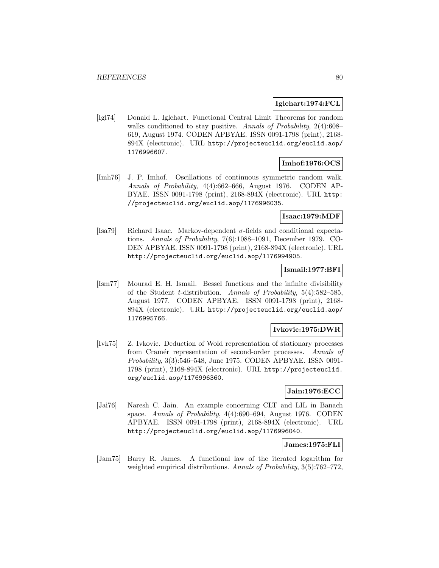### **Iglehart:1974:FCL**

[Igl74] Donald L. Iglehart. Functional Central Limit Theorems for random walks conditioned to stay positive. Annals of Probability, 2(4):608– 619, August 1974. CODEN APBYAE. ISSN 0091-1798 (print), 2168- 894X (electronic). URL http://projecteuclid.org/euclid.aop/ 1176996607.

# **Imhof:1976:OCS**

[Imh76] J. P. Imhof. Oscillations of continuous symmetric random walk. Annals of Probability, 4(4):662–666, August 1976. CODEN AP-BYAE. ISSN 0091-1798 (print), 2168-894X (electronic). URL http: //projecteuclid.org/euclid.aop/1176996035.

## **Isaac:1979:MDF**

[Isa79] Richard Isaac. Markov-dependent  $\sigma$ -fields and conditional expectations. Annals of Probability, 7(6):1088–1091, December 1979. CO-DEN APBYAE. ISSN 0091-1798 (print), 2168-894X (electronic). URL http://projecteuclid.org/euclid.aop/1176994905.

### **Ismail:1977:BFI**

[Ism77] Mourad E. H. Ismail. Bessel functions and the infinite divisibility of the Student t-distribution. Annals of Probability, 5(4):582–585, August 1977. CODEN APBYAE. ISSN 0091-1798 (print), 2168- 894X (electronic). URL http://projecteuclid.org/euclid.aop/ 1176995766.

## **Ivkovic:1975:DWR**

[Ivk75] Z. Ivkovic. Deduction of Wold representation of stationary processes from Cramér representation of second-order processes. Annals of Probability, 3(3):546–548, June 1975. CODEN APBYAE. ISSN 0091- 1798 (print), 2168-894X (electronic). URL http://projecteuclid. org/euclid.aop/1176996360.

## **Jain:1976:ECC**

[Jai76] Naresh C. Jain. An example concerning CLT and LIL in Banach space. Annals of Probability, 4(4):690–694, August 1976. CODEN APBYAE. ISSN 0091-1798 (print), 2168-894X (electronic). URL http://projecteuclid.org/euclid.aop/1176996040.

#### **James:1975:FLI**

[Jam75] Barry R. James. A functional law of the iterated logarithm for weighted empirical distributions. Annals of Probability,  $3(5)$ :762–772,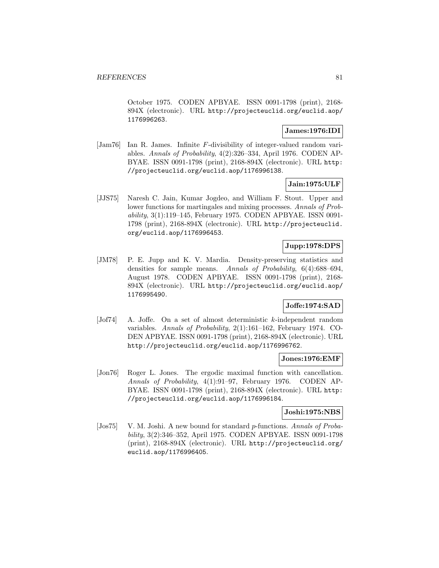October 1975. CODEN APBYAE. ISSN 0091-1798 (print), 2168- 894X (electronic). URL http://projecteuclid.org/euclid.aop/ 1176996263.

## **James:1976:IDI**

[Jam76] Ian R. James. Infinite F-divisibility of integer-valued random variables. Annals of Probability, 4(2):326–334, April 1976. CODEN AP-BYAE. ISSN 0091-1798 (print), 2168-894X (electronic). URL http: //projecteuclid.org/euclid.aop/1176996138.

## **Jain:1975:ULF**

[JJS75] Naresh C. Jain, Kumar Jogdeo, and William F. Stout. Upper and lower functions for martingales and mixing processes. Annals of Probability, 3(1):119–145, February 1975. CODEN APBYAE. ISSN 0091- 1798 (print), 2168-894X (electronic). URL http://projecteuclid. org/euclid.aop/1176996453.

## **Jupp:1978:DPS**

[JM78] P. E. Jupp and K. V. Mardia. Density-preserving statistics and densities for sample means. Annals of Probability, 6(4):688–694, August 1978. CODEN APBYAE. ISSN 0091-1798 (print), 2168- 894X (electronic). URL http://projecteuclid.org/euclid.aop/ 1176995490.

## **Joffe:1974:SAD**

[Jof74] A. Joffe. On a set of almost deterministic k-independent random variables. Annals of Probability, 2(1):161–162, February 1974. CO-DEN APBYAE. ISSN 0091-1798 (print), 2168-894X (electronic). URL http://projecteuclid.org/euclid.aop/1176996762.

### **Jones:1976:EMF**

[Jon76] Roger L. Jones. The ergodic maximal function with cancellation. Annals of Probability, 4(1):91–97, February 1976. CODEN AP-BYAE. ISSN 0091-1798 (print), 2168-894X (electronic). URL http: //projecteuclid.org/euclid.aop/1176996184.

#### **Joshi:1975:NBS**

[Jos75] V. M. Joshi. A new bound for standard p-functions. Annals of Probability, 3(2):346–352, April 1975. CODEN APBYAE. ISSN 0091-1798 (print), 2168-894X (electronic). URL http://projecteuclid.org/ euclid.aop/1176996405.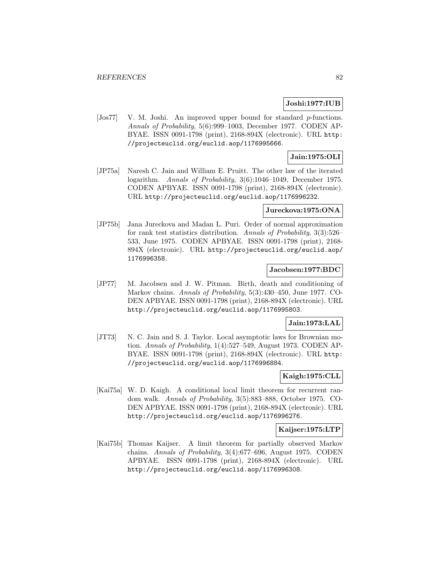### **Joshi:1977:IUB**

[Jos77] V. M. Joshi. An improved upper bound for standard p-functions. Annals of Probability, 5(6):999–1003, December 1977. CODEN AP-BYAE. ISSN 0091-1798 (print), 2168-894X (electronic). URL http: //projecteuclid.org/euclid.aop/1176995666.

## **Jain:1975:OLI**

[JP75a] Naresh C. Jain and William E. Pruitt. The other law of the iterated logarithm. Annals of Probability, 3(6):1046–1049, December 1975. CODEN APBYAE. ISSN 0091-1798 (print), 2168-894X (electronic). URL http://projecteuclid.org/euclid.aop/1176996232.

#### **Jureckova:1975:ONA**

[JP75b] Jana Jureckova and Madan L. Puri. Order of normal approximation for rank test statistics distribution. Annals of Probability, 3(3):526– 533, June 1975. CODEN APBYAE. ISSN 0091-1798 (print), 2168- 894X (electronic). URL http://projecteuclid.org/euclid.aop/ 1176996358.

#### **Jacobsen:1977:BDC**

[JP77] M. Jacobsen and J. W. Pitman. Birth, death and conditioning of Markov chains. Annals of Probability, 5(3):430–450, June 1977. CO-DEN APBYAE. ISSN 0091-1798 (print), 2168-894X (electronic). URL http://projecteuclid.org/euclid.aop/1176995803.

#### **Jain:1973:LAL**

[JT73] N. C. Jain and S. J. Taylor. Local asymptotic laws for Brownian motion. Annals of Probability, 1(4):527–549, August 1973. CODEN AP-BYAE. ISSN 0091-1798 (print), 2168-894X (electronic). URL http: //projecteuclid.org/euclid.aop/1176996884.

## **Kaigh:1975:CLL**

[Kai75a] W. D. Kaigh. A conditional local limit theorem for recurrent random walk. Annals of Probability, 3(5):883–888, October 1975. CO-DEN APBYAE. ISSN 0091-1798 (print), 2168-894X (electronic). URL http://projecteuclid.org/euclid.aop/1176996276.

## **Kaijser:1975:LTP**

[Kai75b] Thomas Kaijser. A limit theorem for partially observed Markov chains. Annals of Probability, 3(4):677–696, August 1975. CODEN APBYAE. ISSN 0091-1798 (print), 2168-894X (electronic). URL http://projecteuclid.org/euclid.aop/1176996308.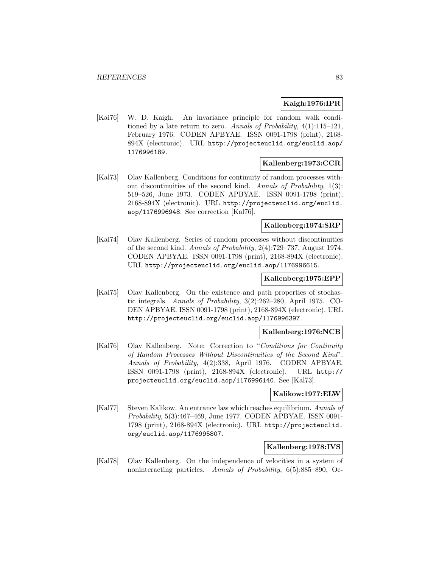## **Kaigh:1976:IPR**

[Kai76] W. D. Kaigh. An invariance principle for random walk conditioned by a late return to zero. Annals of Probability, 4(1):115–121, February 1976. CODEN APBYAE. ISSN 0091-1798 (print), 2168- 894X (electronic). URL http://projecteuclid.org/euclid.aop/ 1176996189.

## **Kallenberg:1973:CCR**

[Kal73] Olav Kallenberg. Conditions for continuity of random processes without discontinuities of the second kind. Annals of Probability, 1(3): 519–526, June 1973. CODEN APBYAE. ISSN 0091-1798 (print), 2168-894X (electronic). URL http://projecteuclid.org/euclid. aop/1176996948. See correction [Kal76].

## **Kallenberg:1974:SRP**

[Kal74] Olav Kallenberg. Series of random processes without discontinuities of the second kind. Annals of Probability, 2(4):729–737, August 1974. CODEN APBYAE. ISSN 0091-1798 (print), 2168-894X (electronic). URL http://projecteuclid.org/euclid.aop/1176996615.

#### **Kallenberg:1975:EPP**

[Kal75] Olav Kallenberg. On the existence and path properties of stochastic integrals. Annals of Probability, 3(2):262–280, April 1975. CO-DEN APBYAE. ISSN 0091-1798 (print), 2168-894X (electronic). URL http://projecteuclid.org/euclid.aop/1176996397.

# **Kallenberg:1976:NCB**

[Kal76] Olav Kallenberg. Note: Correction to "Conditions for Continuity of Random Processes Without Discontinuities of the Second Kind". Annals of Probability, 4(2):338, April 1976. CODEN APBYAE. ISSN 0091-1798 (print), 2168-894X (electronic). URL http:// projecteuclid.org/euclid.aop/1176996140. See [Kal73].

#### **Kalikow:1977:ELW**

[Kal77] Steven Kalikow. An entrance law which reaches equilibrium. Annals of Probability, 5(3):467–469, June 1977. CODEN APBYAE. ISSN 0091- 1798 (print), 2168-894X (electronic). URL http://projecteuclid. org/euclid.aop/1176995807.

## **Kallenberg:1978:IVS**

[Kal78] Olav Kallenberg. On the independence of velocities in a system of noninteracting particles. Annals of Probability, 6(5):885–890, Oc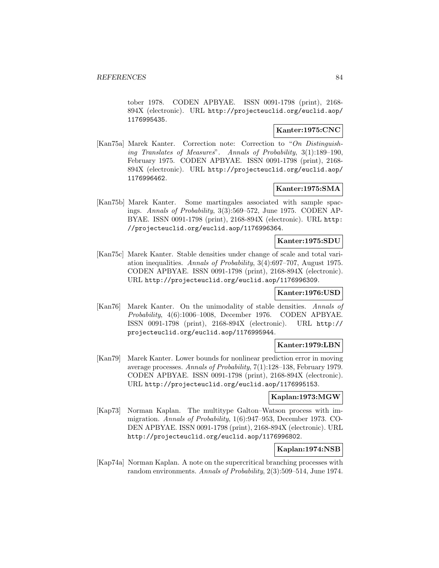tober 1978. CODEN APBYAE. ISSN 0091-1798 (print), 2168- 894X (electronic). URL http://projecteuclid.org/euclid.aop/ 1176995435.

# **Kanter:1975:CNC**

[Kan75a] Marek Kanter. Correction note: Correction to "On Distinguishing Translates of Measures". Annals of Probability, 3(1):189–190, February 1975. CODEN APBYAE. ISSN 0091-1798 (print), 2168- 894X (electronic). URL http://projecteuclid.org/euclid.aop/ 1176996462.

# **Kanter:1975:SMA**

[Kan75b] Marek Kanter. Some martingales associated with sample spacings. Annals of Probability, 3(3):569–572, June 1975. CODEN AP-BYAE. ISSN 0091-1798 (print), 2168-894X (electronic). URL http: //projecteuclid.org/euclid.aop/1176996364.

### **Kanter:1975:SDU**

[Kan75c] Marek Kanter. Stable densities under change of scale and total variation inequalities. Annals of Probability, 3(4):697–707, August 1975. CODEN APBYAE. ISSN 0091-1798 (print), 2168-894X (electronic). URL http://projecteuclid.org/euclid.aop/1176996309.

### **Kanter:1976:USD**

[Kan76] Marek Kanter. On the unimodality of stable densities. Annals of Probability, 4(6):1006–1008, December 1976. CODEN APBYAE. ISSN 0091-1798 (print), 2168-894X (electronic). URL http:// projecteuclid.org/euclid.aop/1176995944.

### **Kanter:1979:LBN**

[Kan79] Marek Kanter. Lower bounds for nonlinear prediction error in moving average processes. Annals of Probability, 7(1):128–138, February 1979. CODEN APBYAE. ISSN 0091-1798 (print), 2168-894X (electronic). URL http://projecteuclid.org/euclid.aop/1176995153.

### **Kaplan:1973:MGW**

[Kap73] Norman Kaplan. The multitype Galton–Watson process with immigration. Annals of Probability, 1(6):947–953, December 1973. CO-DEN APBYAE. ISSN 0091-1798 (print), 2168-894X (electronic). URL http://projecteuclid.org/euclid.aop/1176996802.

### **Kaplan:1974:NSB**

[Kap74a] Norman Kaplan. A note on the supercritical branching processes with random environments. Annals of Probability, 2(3):509–514, June 1974.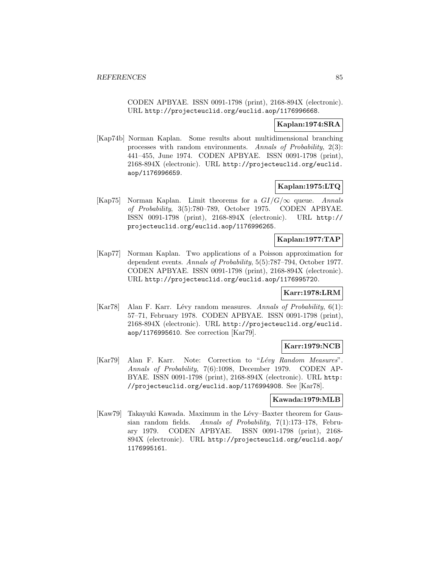CODEN APBYAE. ISSN 0091-1798 (print), 2168-894X (electronic). URL http://projecteuclid.org/euclid.aop/1176996668.

## **Kaplan:1974:SRA**

[Kap74b] Norman Kaplan. Some results about multidimensional branching processes with random environments. Annals of Probability, 2(3): 441–455, June 1974. CODEN APBYAE. ISSN 0091-1798 (print), 2168-894X (electronic). URL http://projecteuclid.org/euclid. aop/1176996659.

# **Kaplan:1975:LTQ**

[Kap75] Norman Kaplan. Limit theorems for a  $GI/G/\infty$  queue. Annals of Probability, 3(5):780–789, October 1975. CODEN APBYAE. ISSN 0091-1798 (print), 2168-894X (electronic). URL http:// projecteuclid.org/euclid.aop/1176996265.

## **Kaplan:1977:TAP**

[Kap77] Norman Kaplan. Two applications of a Poisson approximation for dependent events. Annals of Probability, 5(5):787–794, October 1977. CODEN APBYAE. ISSN 0091-1798 (print), 2168-894X (electronic). URL http://projecteuclid.org/euclid.aop/1176995720.

### **Karr:1978:LRM**

[Kar78] Alan F. Karr. Lévy random measures. Annals of Probability,  $6(1)$ : 57–71, February 1978. CODEN APBYAE. ISSN 0091-1798 (print), 2168-894X (electronic). URL http://projecteuclid.org/euclid. aop/1176995610. See correction [Kar79].

## **Karr:1979:NCB**

[Kar79] Alan F. Karr. Note: Correction to "Lévy Random Measures". Annals of Probability, 7(6):1098, December 1979. CODEN AP-BYAE. ISSN 0091-1798 (print), 2168-894X (electronic). URL http: //projecteuclid.org/euclid.aop/1176994908. See [Kar78].

### **Kawada:1979:MLB**

[Kaw79] Takayuki Kawada. Maximum in the Lévy–Baxter theorem for Gaussian random fields. Annals of Probability, 7(1):173–178, February 1979. CODEN APBYAE. ISSN 0091-1798 (print), 2168- 894X (electronic). URL http://projecteuclid.org/euclid.aop/ 1176995161.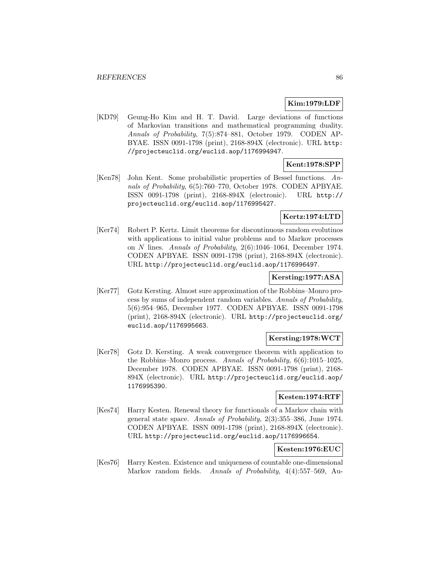## **Kim:1979:LDF**

[KD79] Geung-Ho Kim and H. T. David. Large deviations of functions of Markovian transitions and mathematical programming duality. Annals of Probability, 7(5):874–881, October 1979. CODEN AP-BYAE. ISSN 0091-1798 (print), 2168-894X (electronic). URL http: //projecteuclid.org/euclid.aop/1176994947.

# **Kent:1978:SPP**

[Ken78] John Kent. Some probabilistic properties of Bessel functions. Annals of Probability, 6(5):760–770, October 1978. CODEN APBYAE. ISSN 0091-1798 (print), 2168-894X (electronic). URL http:// projecteuclid.org/euclid.aop/1176995427.

# **Kertz:1974:LTD**

[Ker74] Robert P. Kertz. Limit theorems for discontinuous random evolutinos with applications to initial value problems and to Markov processes on N lines. Annals of Probability, 2(6):1046–1064, December 1974. CODEN APBYAE. ISSN 0091-1798 (print), 2168-894X (electronic). URL http://projecteuclid.org/euclid.aop/1176996497.

## **Kersting:1977:ASA**

[Ker77] Gotz Kersting. Almost sure approximation of the Robbins–Monro process by sums of independent random variables. Annals of Probability, 5(6):954–965, December 1977. CODEN APBYAE. ISSN 0091-1798 (print), 2168-894X (electronic). URL http://projecteuclid.org/ euclid.aop/1176995663.

## **Kersting:1978:WCT**

[Ker78] Gotz D. Kersting. A weak convergence theorem with application to the Robbins–Monro process. Annals of Probability, 6(6):1015–1025, December 1978. CODEN APBYAE. ISSN 0091-1798 (print), 2168- 894X (electronic). URL http://projecteuclid.org/euclid.aop/ 1176995390.

### **Kesten:1974:RTF**

[Kes74] Harry Kesten. Renewal theory for functionals of a Markov chain with general state space. Annals of Probability, 2(3):355–386, June 1974. CODEN APBYAE. ISSN 0091-1798 (print), 2168-894X (electronic). URL http://projecteuclid.org/euclid.aop/1176996654.

# **Kesten:1976:EUC**

[Kes76] Harry Kesten. Existence and uniqueness of countable one-dimensional Markov random fields. Annals of Probability, 4(4):557–569, Au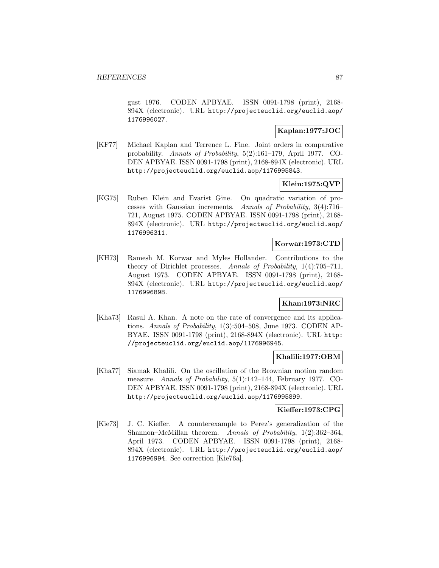gust 1976. CODEN APBYAE. ISSN 0091-1798 (print), 2168- 894X (electronic). URL http://projecteuclid.org/euclid.aop/ 1176996027.

### **Kaplan:1977:JOC**

[KF77] Michael Kaplan and Terrence L. Fine. Joint orders in comparative probability. Annals of Probability, 5(2):161–179, April 1977. CO-DEN APBYAE. ISSN 0091-1798 (print), 2168-894X (electronic). URL http://projecteuclid.org/euclid.aop/1176995843.

## **Klein:1975:QVP**

[KG75] Ruben Klein and Evarist Gine. On quadratic variation of processes with Gaussian increments. Annals of Probability, 3(4):716– 721, August 1975. CODEN APBYAE. ISSN 0091-1798 (print), 2168- 894X (electronic). URL http://projecteuclid.org/euclid.aop/ 1176996311.

#### **Korwar:1973:CTD**

[KH73] Ramesh M. Korwar and Myles Hollander. Contributions to the theory of Dirichlet processes. Annals of Probability, 1(4):705–711, August 1973. CODEN APBYAE. ISSN 0091-1798 (print), 2168- 894X (electronic). URL http://projecteuclid.org/euclid.aop/ 1176996898.

## **Khan:1973:NRC**

[Kha73] Rasul A. Khan. A note on the rate of convergence and its applications. Annals of Probability, 1(3):504–508, June 1973. CODEN AP-BYAE. ISSN 0091-1798 (print), 2168-894X (electronic). URL http: //projecteuclid.org/euclid.aop/1176996945.

### **Khalili:1977:OBM**

[Kha77] Siamak Khalili. On the oscillation of the Brownian motion random measure. Annals of Probability, 5(1):142–144, February 1977. CO-DEN APBYAE. ISSN 0091-1798 (print), 2168-894X (electronic). URL http://projecteuclid.org/euclid.aop/1176995899.

### **Kieffer:1973:CPG**

[Kie73] J. C. Kieffer. A counterexample to Perez's generalization of the Shannon–McMillan theorem. Annals of Probability, 1(2):362–364, April 1973. CODEN APBYAE. ISSN 0091-1798 (print), 2168- 894X (electronic). URL http://projecteuclid.org/euclid.aop/ 1176996994. See correction [Kie76a].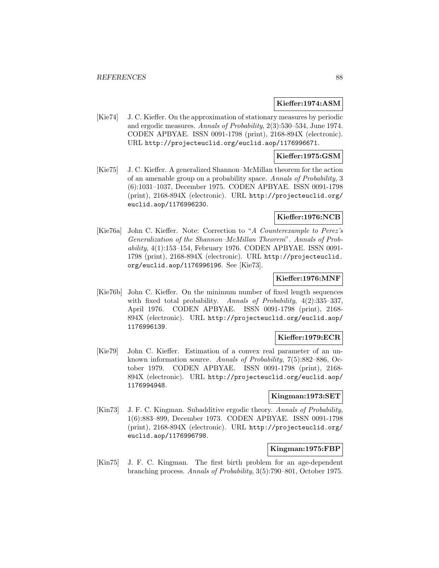### **Kieffer:1974:ASM**

[Kie74] J. C. Kieffer. On the approximation of stationary measures by periodic and ergodic measures. Annals of Probability, 2(3):530–534, June 1974. CODEN APBYAE. ISSN 0091-1798 (print), 2168-894X (electronic). URL http://projecteuclid.org/euclid.aop/1176996671.

## **Kieffer:1975:GSM**

[Kie75] J. C. Kieffer. A generalized Shannon–McMillan theorem for the action of an amenable group on a probability space. Annals of Probability, 3 (6):1031–1037, December 1975. CODEN APBYAE. ISSN 0091-1798 (print), 2168-894X (electronic). URL http://projecteuclid.org/ euclid.aop/1176996230.

## **Kieffer:1976:NCB**

[Kie76a] John C. Kieffer. Note: Correction to "A Counterexample to Perez's Generalization of the Shannon–McMillan Theorem". Annals of Probability, 4(1):153–154, February 1976. CODEN APBYAE. ISSN 0091- 1798 (print), 2168-894X (electronic). URL http://projecteuclid. org/euclid.aop/1176996196. See [Kie73].

## **Kieffer:1976:MNF**

[Kie76b] John C. Kieffer. On the minimum number of fixed length sequences with fixed total probability. Annals of Probability,  $4(2):335-337$ , April 1976. CODEN APBYAE. ISSN 0091-1798 (print), 2168- 894X (electronic). URL http://projecteuclid.org/euclid.aop/ 1176996139.

## **Kieffer:1979:ECR**

[Kie79] John C. Kieffer. Estimation of a convex real parameter of an unknown information source. Annals of Probability, 7(5):882–886, October 1979. CODEN APBYAE. ISSN 0091-1798 (print), 2168- 894X (electronic). URL http://projecteuclid.org/euclid.aop/ 1176994948.

## **Kingman:1973:SET**

[Kin73] J. F. C. Kingman. Subadditive ergodic theory. Annals of Probability, 1(6):883–899, December 1973. CODEN APBYAE. ISSN 0091-1798 (print), 2168-894X (electronic). URL http://projecteuclid.org/ euclid.aop/1176996798.

## **Kingman:1975:FBP**

[Kin75] J. F. C. Kingman. The first birth problem for an age-dependent branching process. Annals of Probability, 3(5):790–801, October 1975.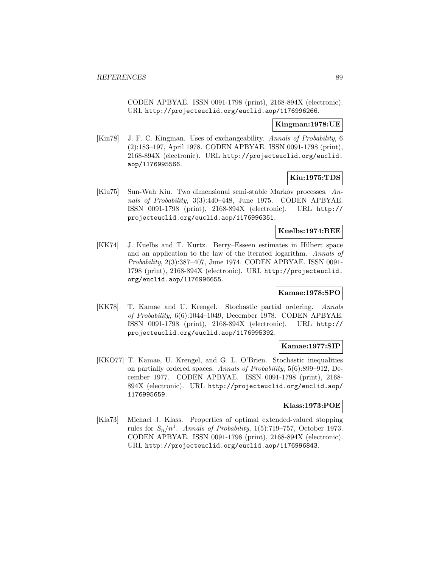CODEN APBYAE. ISSN 0091-1798 (print), 2168-894X (electronic). URL http://projecteuclid.org/euclid.aop/1176996266.

### **Kingman:1978:UE**

[Kin78] J. F. C. Kingman. Uses of exchangeability. Annals of Probability, 6 (2):183–197, April 1978. CODEN APBYAE. ISSN 0091-1798 (print), 2168-894X (electronic). URL http://projecteuclid.org/euclid. aop/1176995566.

## **Kiu:1975:TDS**

[Kiu75] Sun-Wah Kiu. Two dimensional semi-stable Markov processes. Annals of Probability, 3(3):440–448, June 1975. CODEN APBYAE. ISSN 0091-1798 (print), 2168-894X (electronic). URL http:// projecteuclid.org/euclid.aop/1176996351.

## **Kuelbs:1974:BEE**

[KK74] J. Kuelbs and T. Kurtz. Berry–Esseen estimates in Hilbert space and an application to the law of the iterated logarithm. Annals of Probability, 2(3):387–407, June 1974. CODEN APBYAE. ISSN 0091- 1798 (print), 2168-894X (electronic). URL http://projecteuclid. org/euclid.aop/1176996655.

### **Kamae:1978:SPO**

[KK78] T. Kamae and U. Krengel. Stochastic partial ordering. Annals of Probability, 6(6):1044–1049, December 1978. CODEN APBYAE. ISSN 0091-1798 (print), 2168-894X (electronic). URL http:// projecteuclid.org/euclid.aop/1176995392.

### **Kamae:1977:SIP**

[KKO77] T. Kamae, U. Krengel, and G. L. O'Brien. Stochastic inequalities on partially ordered spaces. Annals of Probability, 5(6):899–912, December 1977. CODEN APBYAE. ISSN 0091-1798 (print), 2168- 894X (electronic). URL http://projecteuclid.org/euclid.aop/ 1176995659.

### **Klass:1973:POE**

[Kla73] Michael J. Klass. Properties of optimal extended-valued stopping rules for  $S_n/n^1$ . Annals of Probability, 1(5):719–757, October 1973. CODEN APBYAE. ISSN 0091-1798 (print), 2168-894X (electronic). URL http://projecteuclid.org/euclid.aop/1176996843.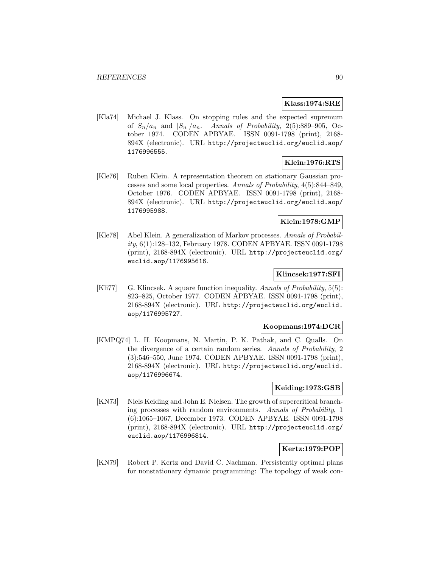#### **Klass:1974:SRE**

[Kla74] Michael J. Klass. On stopping rules and the expected supremum of  $S_n/a_n$  and  $|S_n|/a_n$ . Annals of Probability, 2(5):889-905, October 1974. CODEN APBYAE. ISSN 0091-1798 (print), 2168- 894X (electronic). URL http://projecteuclid.org/euclid.aop/ 1176996555.

### **Klein:1976:RTS**

[Kle76] Ruben Klein. A representation theorem on stationary Gaussian processes and some local properties. Annals of Probability, 4(5):844–849, October 1976. CODEN APBYAE. ISSN 0091-1798 (print), 2168- 894X (electronic). URL http://projecteuclid.org/euclid.aop/ 1176995988.

### **Klein:1978:GMP**

[Kle78] Abel Klein. A generalization of Markov processes. Annals of Probability, 6(1):128–132, February 1978. CODEN APBYAE. ISSN 0091-1798 (print), 2168-894X (electronic). URL http://projecteuclid.org/ euclid.aop/1176995616.

### **Klincsek:1977:SFI**

[Kli77] G. Klincsek. A square function inequality. Annals of Probability, 5(5): 823–825, October 1977. CODEN APBYAE. ISSN 0091-1798 (print), 2168-894X (electronic). URL http://projecteuclid.org/euclid. aop/1176995727.

### **Koopmans:1974:DCR**

[KMPQ74] L. H. Koopmans, N. Martin, P. K. Pathak, and C. Qualls. On the divergence of a certain random series. Annals of Probability, 2 (3):546–550, June 1974. CODEN APBYAE. ISSN 0091-1798 (print), 2168-894X (electronic). URL http://projecteuclid.org/euclid. aop/1176996674.

### **Keiding:1973:GSB**

[KN73] Niels Keiding and John E. Nielsen. The growth of supercritical branching processes with random environments. Annals of Probability, 1 (6):1065–1067, December 1973. CODEN APBYAE. ISSN 0091-1798 (print), 2168-894X (electronic). URL http://projecteuclid.org/ euclid.aop/1176996814.

# **Kertz:1979:POP**

[KN79] Robert P. Kertz and David C. Nachman. Persistently optimal plans for nonstationary dynamic programming: The topology of weak con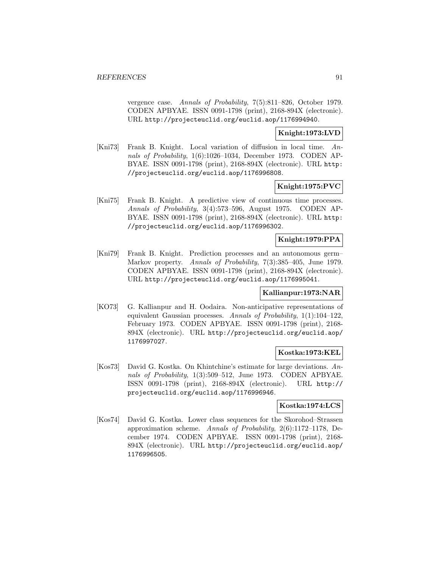vergence case. Annals of Probability, 7(5):811–826, October 1979. CODEN APBYAE. ISSN 0091-1798 (print), 2168-894X (electronic). URL http://projecteuclid.org/euclid.aop/1176994940.

### **Knight:1973:LVD**

[Kni73] Frank B. Knight. Local variation of diffusion in local time. Annals of Probability, 1(6):1026–1034, December 1973. CODEN AP-BYAE. ISSN 0091-1798 (print), 2168-894X (electronic). URL http: //projecteuclid.org/euclid.aop/1176996808.

### **Knight:1975:PVC**

[Kni75] Frank B. Knight. A predictive view of continuous time processes. Annals of Probability, 3(4):573–596, August 1975. CODEN AP-BYAE. ISSN 0091-1798 (print), 2168-894X (electronic). URL http: //projecteuclid.org/euclid.aop/1176996302.

### **Knight:1979:PPA**

[Kni79] Frank B. Knight. Prediction processes and an autonomous germ– Markov property. Annals of Probability, 7(3):385–405, June 1979. CODEN APBYAE. ISSN 0091-1798 (print), 2168-894X (electronic). URL http://projecteuclid.org/euclid.aop/1176995041.

### **Kallianpur:1973:NAR**

[KO73] G. Kallianpur and H. Oodaira. Non-anticipative representations of equivalent Gaussian processes. Annals of Probability, 1(1):104–122, February 1973. CODEN APBYAE. ISSN 0091-1798 (print), 2168- 894X (electronic). URL http://projecteuclid.org/euclid.aop/ 1176997027.

### **Kostka:1973:KEL**

[Kos73] David G. Kostka. On Khintchine's estimate for large deviations. Annals of Probability, 1(3):509–512, June 1973. CODEN APBYAE. ISSN 0091-1798 (print), 2168-894X (electronic). URL http:// projecteuclid.org/euclid.aop/1176996946.

#### **Kostka:1974:LCS**

[Kos74] David G. Kostka. Lower class sequences for the Skorohod–Strassen approximation scheme. Annals of Probability, 2(6):1172–1178, December 1974. CODEN APBYAE. ISSN 0091-1798 (print), 2168- 894X (electronic). URL http://projecteuclid.org/euclid.aop/ 1176996505.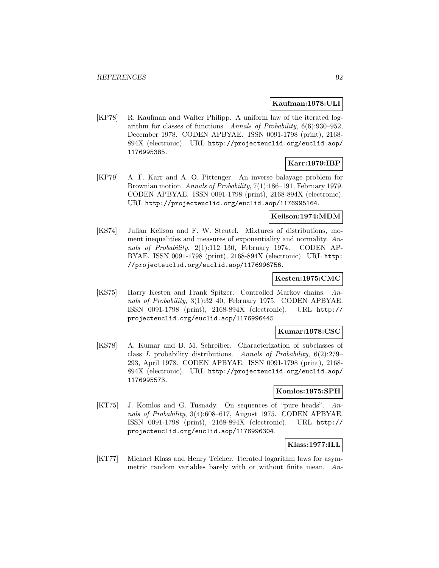### **Kaufman:1978:ULI**

[KP78] R. Kaufman and Walter Philipp. A uniform law of the iterated logarithm for classes of functions. Annals of Probability, 6(6):930–952, December 1978. CODEN APBYAE. ISSN 0091-1798 (print), 2168- 894X (electronic). URL http://projecteuclid.org/euclid.aop/ 1176995385.

# **Karr:1979:IBP**

[KP79] A. F. Karr and A. O. Pittenger. An inverse balayage problem for Brownian motion. Annals of Probability, 7(1):186–191, February 1979. CODEN APBYAE. ISSN 0091-1798 (print), 2168-894X (electronic). URL http://projecteuclid.org/euclid.aop/1176995164.

### **Keilson:1974:MDM**

[KS74] Julian Keilson and F. W. Steutel. Mixtures of distributions, moment inequalities and measures of exponentiality and normality. Annals of Probability, 2(1):112–130, February 1974. CODEN AP-BYAE. ISSN 0091-1798 (print), 2168-894X (electronic). URL http: //projecteuclid.org/euclid.aop/1176996756.

# **Kesten:1975:CMC**

[KS75] Harry Kesten and Frank Spitzer. Controlled Markov chains. Annals of Probability, 3(1):32–40, February 1975. CODEN APBYAE. ISSN 0091-1798 (print), 2168-894X (electronic). URL http:// projecteuclid.org/euclid.aop/1176996445.

## **Kumar:1978:CSC**

[KS78] A. Kumar and B. M. Schreiber. Characterization of subclasses of class L probability distributions. Annals of Probability, 6(2):279– 293, April 1978. CODEN APBYAE. ISSN 0091-1798 (print), 2168- 894X (electronic). URL http://projecteuclid.org/euclid.aop/ 1176995573.

## **Komlos:1975:SPH**

[KT75] J. Komlos and G. Tusnady. On sequences of "pure heads". Annals of Probability, 3(4):608–617, August 1975. CODEN APBYAE. ISSN 0091-1798 (print), 2168-894X (electronic). URL http:// projecteuclid.org/euclid.aop/1176996304.

### **Klass:1977:ILL**

[KT77] Michael Klass and Henry Teicher. Iterated logarithm laws for asymmetric random variables barely with or without finite mean. An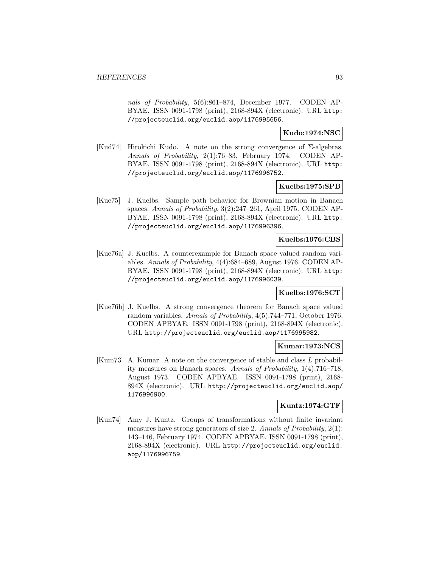nals of Probability, 5(6):861–874, December 1977. CODEN AP-BYAE. ISSN 0091-1798 (print), 2168-894X (electronic). URL http: //projecteuclid.org/euclid.aop/1176995656.

### **Kudo:1974:NSC**

[Kud74] Hirokichi Kudo. A note on the strong convergence of Σ-algebras. Annals of Probability, 2(1):76–83, February 1974. CODEN AP-BYAE. ISSN 0091-1798 (print), 2168-894X (electronic). URL http: //projecteuclid.org/euclid.aop/1176996752.

### **Kuelbs:1975:SPB**

[Kue75] J. Kuelbs. Sample path behavior for Brownian motion in Banach spaces. Annals of Probability, 3(2):247–261, April 1975. CODEN AP-BYAE. ISSN 0091-1798 (print), 2168-894X (electronic). URL http: //projecteuclid.org/euclid.aop/1176996396.

### **Kuelbs:1976:CBS**

[Kue76a] J. Kuelbs. A counterexample for Banach space valued random variables. Annals of Probability, 4(4):684–689, August 1976. CODEN AP-BYAE. ISSN 0091-1798 (print), 2168-894X (electronic). URL http: //projecteuclid.org/euclid.aop/1176996039.

#### **Kuelbs:1976:SCT**

[Kue76b] J. Kuelbs. A strong convergence theorem for Banach space valued random variables. Annals of Probability, 4(5):744–771, October 1976. CODEN APBYAE. ISSN 0091-1798 (print), 2168-894X (electronic). URL http://projecteuclid.org/euclid.aop/1176995982.

#### **Kumar:1973:NCS**

[Kum73] A. Kumar. A note on the convergence of stable and class L probability measures on Banach spaces. Annals of Probability, 1(4):716–718, August 1973. CODEN APBYAE. ISSN 0091-1798 (print), 2168- 894X (electronic). URL http://projecteuclid.org/euclid.aop/ 1176996900.

## **Kuntz:1974:GTF**

[Kun74] Amy J. Kuntz. Groups of transformations without finite invariant measures have strong generators of size 2. Annals of Probability, 2(1): 143–146, February 1974. CODEN APBYAE. ISSN 0091-1798 (print), 2168-894X (electronic). URL http://projecteuclid.org/euclid. aop/1176996759.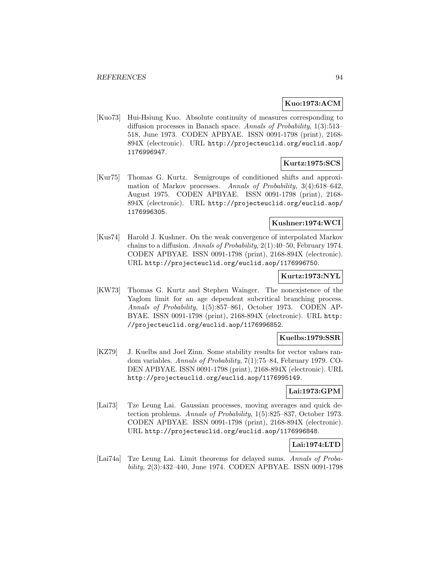## **Kuo:1973:ACM**

[Kuo73] Hui-Hsiung Kuo. Absolute continuity of measures corresponding to diffusion processes in Banach space. Annals of Probability, 1(3):513– 518, June 1973. CODEN APBYAE. ISSN 0091-1798 (print), 2168- 894X (electronic). URL http://projecteuclid.org/euclid.aop/ 1176996947.

## **Kurtz:1975:SCS**

[Kur75] Thomas G. Kurtz. Semigroups of conditioned shifts and approximation of Markov processes. Annals of Probability, 3(4):618–642, August 1975. CODEN APBYAE. ISSN 0091-1798 (print), 2168- 894X (electronic). URL http://projecteuclid.org/euclid.aop/ 1176996305.

### **Kushner:1974:WCI**

[Kus74] Harold J. Kushner. On the weak convergence of interpolated Markov chains to a diffusion. Annals of Probability, 2(1):40–50, February 1974. CODEN APBYAE. ISSN 0091-1798 (print), 2168-894X (electronic). URL http://projecteuclid.org/euclid.aop/1176996750.

# **Kurtz:1973:NYL**

[KW73] Thomas G. Kurtz and Stephen Wainger. The nonexistence of the Yaglom limit for an age dependent subcritical branching process. Annals of Probability, 1(5):857–861, October 1973. CODEN AP-BYAE. ISSN 0091-1798 (print), 2168-894X (electronic). URL http: //projecteuclid.org/euclid.aop/1176996852.

### **Kuelbs:1979:SSR**

[KZ79] J. Kuelbs and Joel Zinn. Some stability results for vector values random variables. Annals of Probability, 7(1):75–84, February 1979. CO-DEN APBYAE. ISSN 0091-1798 (print), 2168-894X (electronic). URL http://projecteuclid.org/euclid.aop/1176995149.

#### **Lai:1973:GPM**

[Lai73] Tze Leung Lai. Gaussian processes, moving averages and quick detection problems. Annals of Probability, 1(5):825–837, October 1973. CODEN APBYAE. ISSN 0091-1798 (print), 2168-894X (electronic). URL http://projecteuclid.org/euclid.aop/1176996848.

### **Lai:1974:LTD**

[Lai74a] Tze Leung Lai. Limit theorems for delayed sums. Annals of Probability, 2(3):432–440, June 1974. CODEN APBYAE. ISSN 0091-1798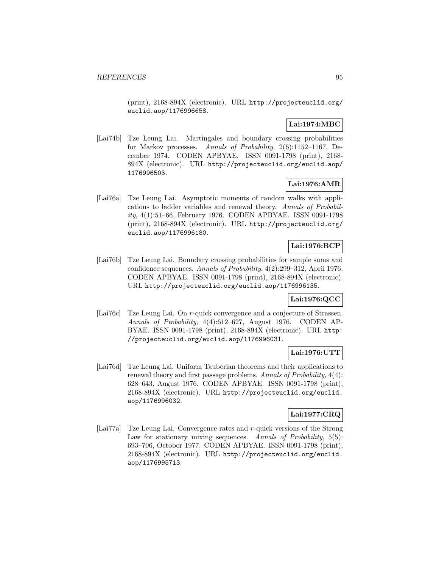(print), 2168-894X (electronic). URL http://projecteuclid.org/ euclid.aop/1176996658.

# **Lai:1974:MBC**

[Lai74b] Tze Leung Lai. Martingales and boundary crossing probabilities for Markov processes. Annals of Probability, 2(6):1152–1167, December 1974. CODEN APBYAE. ISSN 0091-1798 (print), 2168- 894X (electronic). URL http://projecteuclid.org/euclid.aop/ 1176996503.

## **Lai:1976:AMR**

[Lai76a] Tze Leung Lai. Asymptotic moments of random walks with applications to ladder variables and renewal theory. Annals of Probability, 4(1):51–66, February 1976. CODEN APBYAE. ISSN 0091-1798 (print), 2168-894X (electronic). URL http://projecteuclid.org/ euclid.aop/1176996180.

# **Lai:1976:BCP**

[Lai76b] Tze Leung Lai. Boundary crossing probabilities for sample sums and confidence sequences. Annals of Probability, 4(2):299–312, April 1976. CODEN APBYAE. ISSN 0091-1798 (print), 2168-894X (electronic). URL http://projecteuclid.org/euclid.aop/1176996135.

## **Lai:1976:QCC**

[Lai76c] Tze Leung Lai. On r-quick convergence and a conjecture of Strassen. Annals of Probability, 4(4):612–627, August 1976. CODEN AP-BYAE. ISSN 0091-1798 (print), 2168-894X (electronic). URL http: //projecteuclid.org/euclid.aop/1176996031.

# **Lai:1976:UTT**

[Lai76d] Tze Leung Lai. Uniform Tauberian theorems and their applications to renewal theory and first passage problems. Annals of Probability, 4(4): 628–643, August 1976. CODEN APBYAE. ISSN 0091-1798 (print), 2168-894X (electronic). URL http://projecteuclid.org/euclid. aop/1176996032.

## **Lai:1977:CRQ**

[Lai77a] Tze Leung Lai. Convergence rates and r-quick versions of the Strong Law for stationary mixing sequences. Annals of Probability, 5(5): 693–706, October 1977. CODEN APBYAE. ISSN 0091-1798 (print), 2168-894X (electronic). URL http://projecteuclid.org/euclid. aop/1176995713.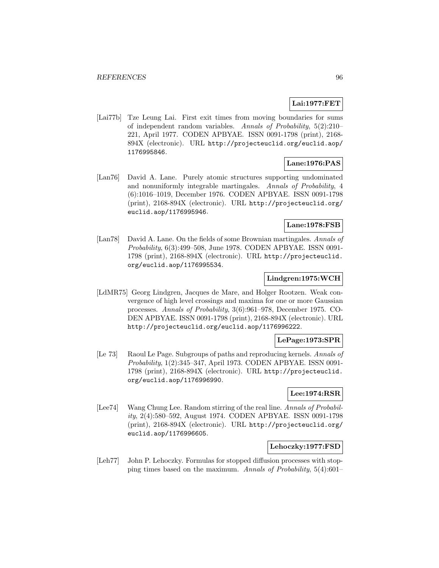# **Lai:1977:FET**

[Lai77b] Tze Leung Lai. First exit times from moving boundaries for sums of independent random variables. Annals of Probability, 5(2):210– 221, April 1977. CODEN APBYAE. ISSN 0091-1798 (print), 2168- 894X (electronic). URL http://projecteuclid.org/euclid.aop/ 1176995846.

## **Lane:1976:PAS**

[Lan76] David A. Lane. Purely atomic structures supporting undominated and nonuniformly integrable martingales. Annals of Probability, 4 (6):1016–1019, December 1976. CODEN APBYAE. ISSN 0091-1798 (print), 2168-894X (electronic). URL http://projecteuclid.org/ euclid.aop/1176995946.

## **Lane:1978:FSB**

[Lan78] David A. Lane. On the fields of some Brownian martingales. Annals of Probability, 6(3):499–508, June 1978. CODEN APBYAE. ISSN 0091- 1798 (print), 2168-894X (electronic). URL http://projecteuclid. org/euclid.aop/1176995534.

### **Lindgren:1975:WCH**

[LdMR75] Georg Lindgren, Jacques de Mare, and Holger Rootzen. Weak convergence of high level crossings and maxima for one or more Gaussian processes. Annals of Probability, 3(6):961–978, December 1975. CO-DEN APBYAE. ISSN 0091-1798 (print), 2168-894X (electronic). URL http://projecteuclid.org/euclid.aop/1176996222.

### **LePage:1973:SPR**

[Le 73] Raoul Le Page. Subgroups of paths and reproducing kernels. Annals of Probability, 1(2):345–347, April 1973. CODEN APBYAE. ISSN 0091- 1798 (print), 2168-894X (electronic). URL http://projecteuclid. org/euclid.aop/1176996990.

## **Lee:1974:RSR**

[Lee74] Wang Chung Lee. Random stirring of the real line. Annals of Probability, 2(4):580–592, August 1974. CODEN APBYAE. ISSN 0091-1798 (print), 2168-894X (electronic). URL http://projecteuclid.org/ euclid.aop/1176996605.

#### **Lehoczky:1977:FSD**

[Leh77] John P. Lehoczky. Formulas for stopped diffusion processes with stopping times based on the maximum. Annals of Probability, 5(4):601–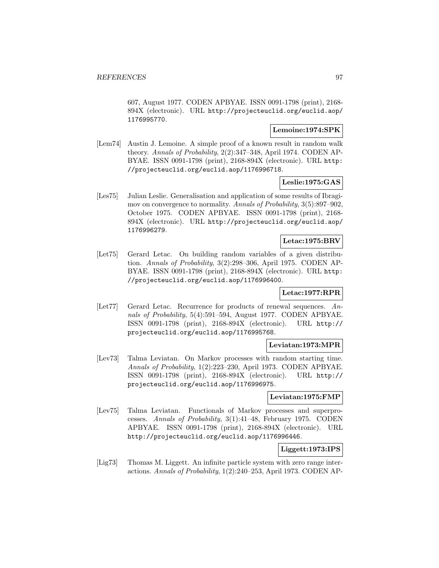607, August 1977. CODEN APBYAE. ISSN 0091-1798 (print), 2168- 894X (electronic). URL http://projecteuclid.org/euclid.aop/ 1176995770.

## **Lemoine:1974:SPK**

[Lem74] Austin J. Lemoine. A simple proof of a known result in random walk theory. Annals of Probability, 2(2):347–348, April 1974. CODEN AP-BYAE. ISSN 0091-1798 (print), 2168-894X (electronic). URL http: //projecteuclid.org/euclid.aop/1176996718.

## **Leslie:1975:GAS**

[Les75] Julian Leslie. Generalisation and application of some results of Ibragimov on convergence to normality. Annals of Probability, 3(5):897–902, October 1975. CODEN APBYAE. ISSN 0091-1798 (print), 2168- 894X (electronic). URL http://projecteuclid.org/euclid.aop/ 1176996279.

## **Letac:1975:BRV**

[Let75] Gerard Letac. On building random variables of a given distribution. Annals of Probability, 3(2):298–306, April 1975. CODEN AP-BYAE. ISSN 0091-1798 (print), 2168-894X (electronic). URL http: //projecteuclid.org/euclid.aop/1176996400.

## **Letac:1977:RPR**

[Let77] Gerard Letac. Recurrence for products of renewal sequences. Annals of Probability, 5(4):591–594, August 1977. CODEN APBYAE. ISSN 0091-1798 (print), 2168-894X (electronic). URL http:// projecteuclid.org/euclid.aop/1176995768.

# **Leviatan:1973:MPR**

[Lev73] Talma Leviatan. On Markov processes with random starting time. Annals of Probability, 1(2):223–230, April 1973. CODEN APBYAE. ISSN 0091-1798 (print), 2168-894X (electronic). URL http:// projecteuclid.org/euclid.aop/1176996975.

### **Leviatan:1975:FMP**

[Lev75] Talma Leviatan. Functionals of Markov processes and superprocesses. Annals of Probability, 3(1):41–48, February 1975. CODEN APBYAE. ISSN 0091-1798 (print), 2168-894X (electronic). URL http://projecteuclid.org/euclid.aop/1176996446.

## **Liggett:1973:IPS**

[Lig73] Thomas M. Liggett. An infinite particle system with zero range interactions. Annals of Probability, 1(2):240–253, April 1973. CODEN AP-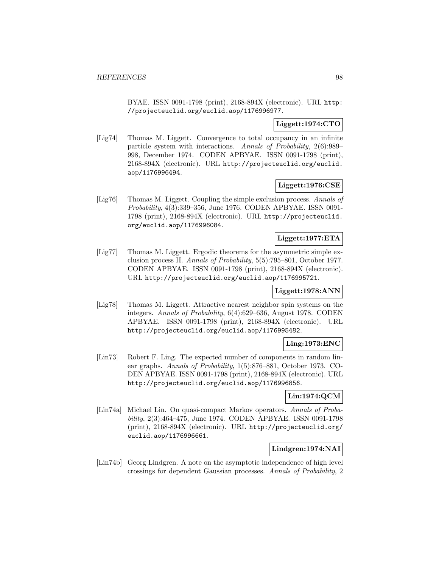BYAE. ISSN 0091-1798 (print), 2168-894X (electronic). URL http: //projecteuclid.org/euclid.aop/1176996977.

# **Liggett:1974:CTO**

[Lig74] Thomas M. Liggett. Convergence to total occupancy in an infinite particle system with interactions. Annals of Probability, 2(6):989– 998, December 1974. CODEN APBYAE. ISSN 0091-1798 (print), 2168-894X (electronic). URL http://projecteuclid.org/euclid. aop/1176996494.

# **Liggett:1976:CSE**

[Lig76] Thomas M. Liggett. Coupling the simple exclusion process. Annals of Probability, 4(3):339–356, June 1976. CODEN APBYAE. ISSN 0091- 1798 (print), 2168-894X (electronic). URL http://projecteuclid. org/euclid.aop/1176996084.

# **Liggett:1977:ETA**

[Lig77] Thomas M. Liggett. Ergodic theorems for the asymmetric simple exclusion process II. Annals of Probability, 5(5):795–801, October 1977. CODEN APBYAE. ISSN 0091-1798 (print), 2168-894X (electronic). URL http://projecteuclid.org/euclid.aop/1176995721.

### **Liggett:1978:ANN**

[Lig78] Thomas M. Liggett. Attractive nearest neighbor spin systems on the integers. Annals of Probability, 6(4):629–636, August 1978. CODEN APBYAE. ISSN 0091-1798 (print), 2168-894X (electronic). URL http://projecteuclid.org/euclid.aop/1176995482.

## **Ling:1973:ENC**

[Lin73] Robert F. Ling. The expected number of components in random linear graphs. Annals of Probability, 1(5):876–881, October 1973. CO-DEN APBYAE. ISSN 0091-1798 (print), 2168-894X (electronic). URL http://projecteuclid.org/euclid.aop/1176996856.

# **Lin:1974:QCM**

[Lin74a] Michael Lin. On quasi-compact Markov operators. Annals of Probability, 2(3):464–475, June 1974. CODEN APBYAE. ISSN 0091-1798 (print), 2168-894X (electronic). URL http://projecteuclid.org/ euclid.aop/1176996661.

## **Lindgren:1974:NAI**

[Lin74b] Georg Lindgren. A note on the asymptotic independence of high level crossings for dependent Gaussian processes. Annals of Probability, 2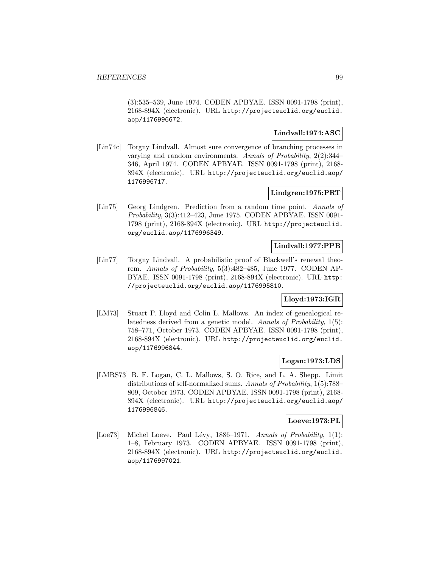(3):535–539, June 1974. CODEN APBYAE. ISSN 0091-1798 (print), 2168-894X (electronic). URL http://projecteuclid.org/euclid. aop/1176996672.

## **Lindvall:1974:ASC**

[Lin74c] Torgny Lindvall. Almost sure convergence of branching processes in varying and random environments. Annals of Probability, 2(2):344– 346, April 1974. CODEN APBYAE. ISSN 0091-1798 (print), 2168- 894X (electronic). URL http://projecteuclid.org/euclid.aop/ 1176996717.

## **Lindgren:1975:PRT**

[Lin75] Georg Lindgren. Prediction from a random time point. Annals of Probability, 3(3):412–423, June 1975. CODEN APBYAE. ISSN 0091- 1798 (print), 2168-894X (electronic). URL http://projecteuclid. org/euclid.aop/1176996349.

### **Lindvall:1977:PPB**

[Lin77] Torgny Lindvall. A probabilistic proof of Blackwell's renewal theorem. Annals of Probability, 5(3):482–485, June 1977. CODEN AP-BYAE. ISSN 0091-1798 (print), 2168-894X (electronic). URL http: //projecteuclid.org/euclid.aop/1176995810.

# **Lloyd:1973:IGR**

[LM73] Stuart P. Lloyd and Colin L. Mallows. An index of genealogical relatedness derived from a genetic model. Annals of Probability, 1(5): 758–771, October 1973. CODEN APBYAE. ISSN 0091-1798 (print), 2168-894X (electronic). URL http://projecteuclid.org/euclid. aop/1176996844.

## **Logan:1973:LDS**

[LMRS73] B. F. Logan, C. L. Mallows, S. O. Rice, and L. A. Shepp. Limit distributions of self-normalized sums. Annals of Probability, 1(5):788– 809, October 1973. CODEN APBYAE. ISSN 0091-1798 (print), 2168- 894X (electronic). URL http://projecteuclid.org/euclid.aop/ 1176996846.

### **Loeve:1973:PL**

[Loe73] Michel Loeve. Paul Lévy, 1886–1971. Annals of Probability,  $1(1)$ : 1–8, February 1973. CODEN APBYAE. ISSN 0091-1798 (print), 2168-894X (electronic). URL http://projecteuclid.org/euclid. aop/1176997021.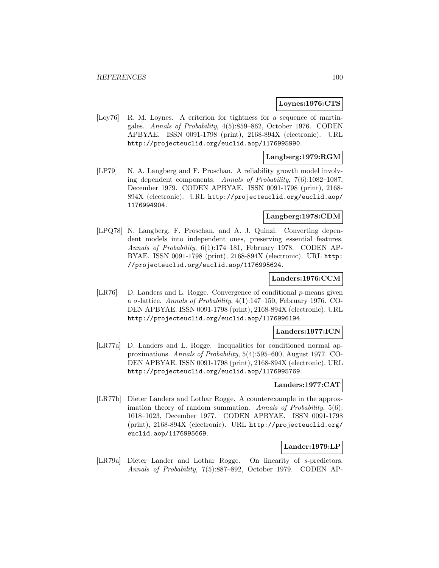#### **Loynes:1976:CTS**

[Loy76] R. M. Loynes. A criterion for tightness for a sequence of martingales. Annals of Probability, 4(5):859–862, October 1976. CODEN APBYAE. ISSN 0091-1798 (print), 2168-894X (electronic). URL http://projecteuclid.org/euclid.aop/1176995990.

### **Langberg:1979:RGM**

[LP79] N. A. Langberg and F. Proschan. A reliability growth model involving dependent components. Annals of Probability, 7(6):1082–1087, December 1979. CODEN APBYAE. ISSN 0091-1798 (print), 2168- 894X (electronic). URL http://projecteuclid.org/euclid.aop/ 1176994904.

## **Langberg:1978:CDM**

[LPQ78] N. Langberg, F. Proschan, and A. J. Quinzi. Converting dependent models into independent ones, preserving essential features. Annals of Probability, 6(1):174–181, February 1978. CODEN AP-BYAE. ISSN 0091-1798 (print), 2168-894X (electronic). URL http: //projecteuclid.org/euclid.aop/1176995624.

### **Landers:1976:CCM**

[LR76] D. Landers and L. Rogge. Convergence of conditional  $p$ -means given a  $\sigma$ -lattice. Annals of Probability, 4(1):147–150, February 1976. CO-DEN APBYAE. ISSN 0091-1798 (print), 2168-894X (electronic). URL http://projecteuclid.org/euclid.aop/1176996194.

### **Landers:1977:ICN**

[LR77a] D. Landers and L. Rogge. Inequalities for conditioned normal approximations. Annals of Probability, 5(4):595–600, August 1977. CO-DEN APBYAE. ISSN 0091-1798 (print), 2168-894X (electronic). URL http://projecteuclid.org/euclid.aop/1176995769.

#### **Landers:1977:CAT**

[LR77b] Dieter Landers and Lothar Rogge. A counterexample in the approximation theory of random summation. Annals of Probability, 5(6): 1018–1023, December 1977. CODEN APBYAE. ISSN 0091-1798 (print), 2168-894X (electronic). URL http://projecteuclid.org/ euclid.aop/1176995669.

### **Lander:1979:LP**

[LR79a] Dieter Lander and Lothar Rogge. On linearity of s-predictors. Annals of Probability, 7(5):887–892, October 1979. CODEN AP-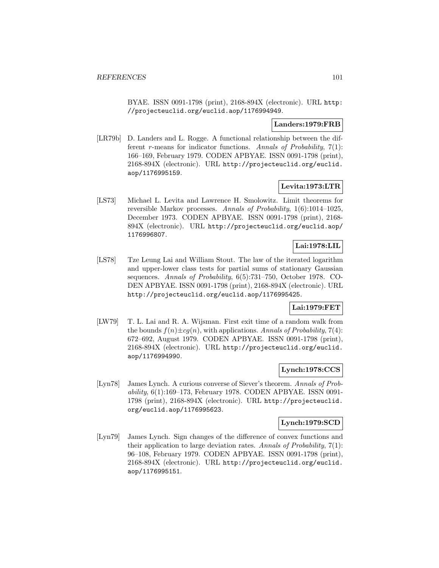BYAE. ISSN 0091-1798 (print), 2168-894X (electronic). URL http: //projecteuclid.org/euclid.aop/1176994949.

### **Landers:1979:FRB**

[LR79b] D. Landers and L. Rogge. A functional relationship between the different r-means for indicator functions. Annals of Probability,  $7(1)$ : 166–169, February 1979. CODEN APBYAE. ISSN 0091-1798 (print), 2168-894X (electronic). URL http://projecteuclid.org/euclid. aop/1176995159.

# **Levita:1973:LTR**

[LS73] Michael L. Levita and Lawrence H. Smolowitz. Limit theorems for reversible Markov processes. Annals of Probability, 1(6):1014–1025, December 1973. CODEN APBYAE. ISSN 0091-1798 (print), 2168- 894X (electronic). URL http://projecteuclid.org/euclid.aop/ 1176996807.

# **Lai:1978:LIL**

[LS78] Tze Leung Lai and William Stout. The law of the iterated logarithm and upper-lower class tests for partial sums of stationary Gaussian sequences. Annals of Probability, 6(5):731–750, October 1978. CO-DEN APBYAE. ISSN 0091-1798 (print), 2168-894X (electronic). URL http://projecteuclid.org/euclid.aop/1176995425.

# **Lai:1979:FET**

[LW79] T. L. Lai and R. A. Wijsman. First exit time of a random walk from the bounds  $f(n) \pm cg(n)$ , with applications. Annals of Probability, 7(4): 672–692, August 1979. CODEN APBYAE. ISSN 0091-1798 (print), 2168-894X (electronic). URL http://projecteuclid.org/euclid. aop/1176994990.

## **Lynch:1978:CCS**

[Lyn78] James Lynch. A curious converse of Siever's theorem. Annals of Probability, 6(1):169–173, February 1978. CODEN APBYAE. ISSN 0091- 1798 (print), 2168-894X (electronic). URL http://projecteuclid. org/euclid.aop/1176995623.

### **Lynch:1979:SCD**

[Lyn79] James Lynch. Sign changes of the difference of convex functions and their application to large deviation rates. Annals of Probability, 7(1): 96–108, February 1979. CODEN APBYAE. ISSN 0091-1798 (print), 2168-894X (electronic). URL http://projecteuclid.org/euclid. aop/1176995151.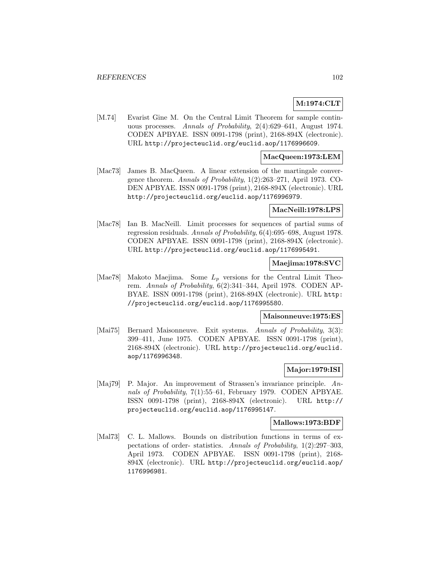# **M:1974:CLT**

[M.74] Evarist Gine M. On the Central Limit Theorem for sample continuous processes. Annals of Probability, 2(4):629–641, August 1974. CODEN APBYAE. ISSN 0091-1798 (print), 2168-894X (electronic). URL http://projecteuclid.org/euclid.aop/1176996609.

#### **MacQueen:1973:LEM**

[Mac73] James B. MacQueen. A linear extension of the martingale convergence theorem. Annals of Probability, 1(2):263–271, April 1973. CO-DEN APBYAE. ISSN 0091-1798 (print), 2168-894X (electronic). URL http://projecteuclid.org/euclid.aop/1176996979.

#### **MacNeill:1978:LPS**

[Mac78] Ian B. MacNeill. Limit processes for sequences of partial sums of regression residuals. Annals of Probability, 6(4):695–698, August 1978. CODEN APBYAE. ISSN 0091-1798 (print), 2168-894X (electronic). URL http://projecteuclid.org/euclid.aop/1176995491.

### **Maejima:1978:SVC**

[Mae78] Makoto Maejima. Some  $L_p$  versions for the Central Limit Theorem. Annals of Probability, 6(2):341–344, April 1978. CODEN AP-BYAE. ISSN 0091-1798 (print), 2168-894X (electronic). URL http: //projecteuclid.org/euclid.aop/1176995580.

#### **Maisonneuve:1975:ES**

[Mai75] Bernard Maisonneuve. Exit systems. Annals of Probability, 3(3): 399–411, June 1975. CODEN APBYAE. ISSN 0091-1798 (print), 2168-894X (electronic). URL http://projecteuclid.org/euclid. aop/1176996348.

#### **Major:1979:ISI**

[Maj79] P. Major. An improvement of Strassen's invariance principle. Annals of Probability, 7(1):55–61, February 1979. CODEN APBYAE. ISSN 0091-1798 (print), 2168-894X (electronic). URL http:// projecteuclid.org/euclid.aop/1176995147.

#### **Mallows:1973:BDF**

[Mal73] C. L. Mallows. Bounds on distribution functions in terms of expectations of order- statistics. Annals of Probability, 1(2):297–303, April 1973. CODEN APBYAE. ISSN 0091-1798 (print), 2168- 894X (electronic). URL http://projecteuclid.org/euclid.aop/ 1176996981.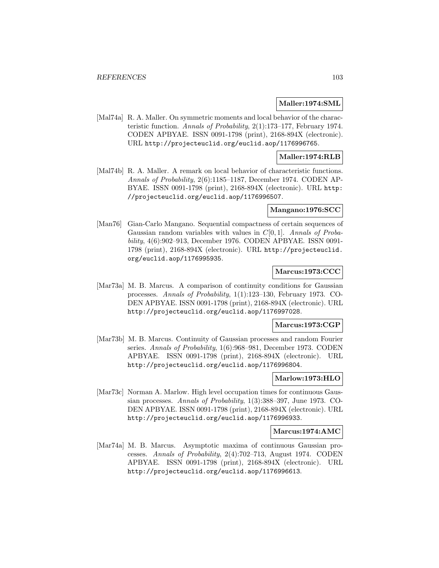#### **Maller:1974:SML**

[Mal74a] R. A. Maller. On symmetric moments and local behavior of the characteristic function. Annals of Probability, 2(1):173–177, February 1974. CODEN APBYAE. ISSN 0091-1798 (print), 2168-894X (electronic). URL http://projecteuclid.org/euclid.aop/1176996765.

### **Maller:1974:RLB**

[Mal74b] R. A. Maller. A remark on local behavior of characteristic functions. Annals of Probability, 2(6):1185–1187, December 1974. CODEN AP-BYAE. ISSN 0091-1798 (print), 2168-894X (electronic). URL http: //projecteuclid.org/euclid.aop/1176996507.

#### **Mangano:1976:SCC**

[Man76] Gian-Carlo Mangano. Sequential compactness of certain sequences of Gaussian random variables with values in  $C[0, 1]$ . Annals of Probability, 4(6):902–913, December 1976. CODEN APBYAE. ISSN 0091- 1798 (print), 2168-894X (electronic). URL http://projecteuclid. org/euclid.aop/1176995935.

### **Marcus:1973:CCC**

[Mar73a] M. B. Marcus. A comparison of continuity conditions for Gaussian processes. Annals of Probability, 1(1):123–130, February 1973. CO-DEN APBYAE. ISSN 0091-1798 (print), 2168-894X (electronic). URL http://projecteuclid.org/euclid.aop/1176997028.

#### **Marcus:1973:CGP**

[Mar73b] M. B. Marcus. Continuity of Gaussian processes and random Fourier series. Annals of Probability, 1(6):968–981, December 1973. CODEN APBYAE. ISSN 0091-1798 (print), 2168-894X (electronic). URL http://projecteuclid.org/euclid.aop/1176996804.

### **Marlow:1973:HLO**

[Mar73c] Norman A. Marlow. High level occupation times for continuous Gaussian processes. Annals of Probability, 1(3):388–397, June 1973. CO-DEN APBYAE. ISSN 0091-1798 (print), 2168-894X (electronic). URL http://projecteuclid.org/euclid.aop/1176996933.

#### **Marcus:1974:AMC**

[Mar74a] M. B. Marcus. Asymptotic maxima of continuous Gaussian processes. Annals of Probability, 2(4):702–713, August 1974. CODEN APBYAE. ISSN 0091-1798 (print), 2168-894X (electronic). URL http://projecteuclid.org/euclid.aop/1176996613.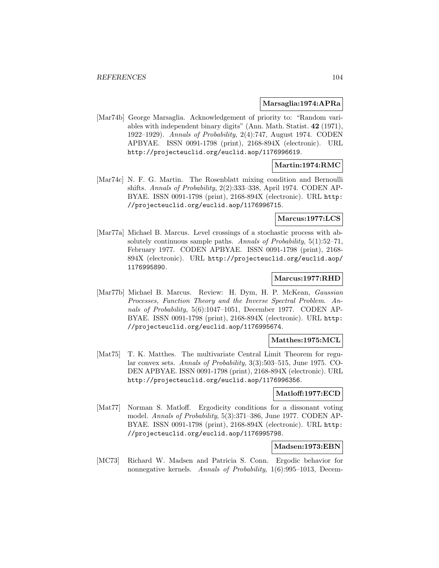#### **Marsaglia:1974:APRa**

[Mar74b] George Marsaglia. Acknowledgement of priority to: "Random variables with independent binary digits" (Ann. Math. Statist. **42** (1971), 1922–1929). Annals of Probability, 2(4):747, August 1974. CODEN APBYAE. ISSN 0091-1798 (print), 2168-894X (electronic). URL http://projecteuclid.org/euclid.aop/1176996619.

## **Martin:1974:RMC**

[Mar74c] N. F. G. Martin. The Rosenblatt mixing condition and Bernoulli shifts. Annals of Probability, 2(2):333–338, April 1974. CODEN AP-BYAE. ISSN 0091-1798 (print), 2168-894X (electronic). URL http: //projecteuclid.org/euclid.aop/1176996715.

### **Marcus:1977:LCS**

[Mar77a] Michael B. Marcus. Level crossings of a stochastic process with absolutely continuous sample paths. Annals of Probability, 5(1):52–71, February 1977. CODEN APBYAE. ISSN 0091-1798 (print), 2168- 894X (electronic). URL http://projecteuclid.org/euclid.aop/ 1176995890.

### **Marcus:1977:RHD**

[Mar77b] Michael B. Marcus. Review: H. Dym, H. P. McKean, Gaussian Processes, Function Theory and the Inverse Spectral Problem. Annals of Probability, 5(6):1047–1051, December 1977. CODEN AP-BYAE. ISSN 0091-1798 (print), 2168-894X (electronic). URL http: //projecteuclid.org/euclid.aop/1176995674.

### **Matthes:1975:MCL**

[Mat75] T. K. Matthes. The multivariate Central Limit Theorem for regular convex sets. Annals of Probability, 3(3):503–515, June 1975. CO-DEN APBYAE. ISSN 0091-1798 (print), 2168-894X (electronic). URL http://projecteuclid.org/euclid.aop/1176996356.

#### **Matloff:1977:ECD**

[Mat77] Norman S. Matloff. Ergodicity conditions for a dissonant voting model. Annals of Probability, 5(3):371–386, June 1977. CODEN AP-BYAE. ISSN 0091-1798 (print), 2168-894X (electronic). URL http: //projecteuclid.org/euclid.aop/1176995798.

#### **Madsen:1973:EBN**

[MC73] Richard W. Madsen and Patricia S. Conn. Ergodic behavior for nonnegative kernels. Annals of Probability, 1(6):995–1013, Decem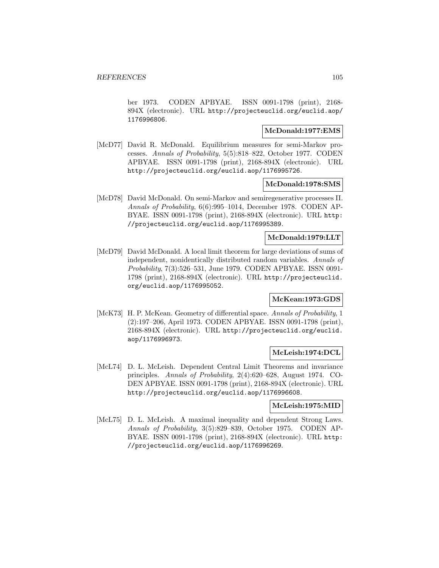ber 1973. CODEN APBYAE. ISSN 0091-1798 (print), 2168- 894X (electronic). URL http://projecteuclid.org/euclid.aop/ 1176996806.

## **McDonald:1977:EMS**

[McD77] David R. McDonald. Equilibrium measures for semi-Markov processes. Annals of Probability, 5(5):818–822, October 1977. CODEN APBYAE. ISSN 0091-1798 (print), 2168-894X (electronic). URL http://projecteuclid.org/euclid.aop/1176995726.

### **McDonald:1978:SMS**

[McD78] David McDonald. On semi-Markov and semiregenerative processes II. Annals of Probability, 6(6):995–1014, December 1978. CODEN AP-BYAE. ISSN 0091-1798 (print), 2168-894X (electronic). URL http: //projecteuclid.org/euclid.aop/1176995389.

## **McDonald:1979:LLT**

[McD79] David McDonald. A local limit theorem for large deviations of sums of independent, nonidentically distributed random variables. Annals of Probability, 7(3):526–531, June 1979. CODEN APBYAE. ISSN 0091- 1798 (print), 2168-894X (electronic). URL http://projecteuclid. org/euclid.aop/1176995052.

# **McKean:1973:GDS**

[McK73] H. P. McKean. Geometry of differential space. Annals of Probability, 1 (2):197–206, April 1973. CODEN APBYAE. ISSN 0091-1798 (print), 2168-894X (electronic). URL http://projecteuclid.org/euclid. aop/1176996973.

### **McLeish:1974:DCL**

[McL74] D. L. McLeish. Dependent Central Limit Theorems and invariance principles. Annals of Probability, 2(4):620–628, August 1974. CO-DEN APBYAE. ISSN 0091-1798 (print), 2168-894X (electronic). URL http://projecteuclid.org/euclid.aop/1176996608.

#### **McLeish:1975:MID**

[McL75] D. L. McLeish. A maximal inequality and dependent Strong Laws. Annals of Probability, 3(5):829–839, October 1975. CODEN AP-BYAE. ISSN 0091-1798 (print), 2168-894X (electronic). URL http: //projecteuclid.org/euclid.aop/1176996269.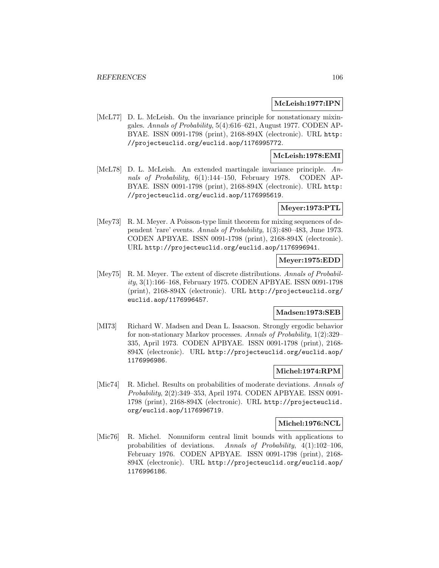### **McLeish:1977:IPN**

[McL77] D. L. McLeish. On the invariance principle for nonstationary mixingales. Annals of Probability, 5(4):616–621, August 1977. CODEN AP-BYAE. ISSN 0091-1798 (print), 2168-894X (electronic). URL http: //projecteuclid.org/euclid.aop/1176995772.

# **McLeish:1978:EMI**

[McL78] D. L. McLeish. An extended martingale invariance principle. Annals of Probability, 6(1):144-150, February 1978. CODEN AP-BYAE. ISSN 0091-1798 (print), 2168-894X (electronic). URL http: //projecteuclid.org/euclid.aop/1176995619.

## **Meyer:1973:PTL**

[Mey73] R. M. Meyer. A Poisson-type limit theorem for mixing sequences of dependent 'rare' events. Annals of Probability, 1(3):480–483, June 1973. CODEN APBYAE. ISSN 0091-1798 (print), 2168-894X (electronic). URL http://projecteuclid.org/euclid.aop/1176996941.

## **Meyer:1975:EDD**

[Mey75] R. M. Meyer. The extent of discrete distributions. Annals of Probability, 3(1):166–168, February 1975. CODEN APBYAE. ISSN 0091-1798 (print), 2168-894X (electronic). URL http://projecteuclid.org/ euclid.aop/1176996457.

## **Madsen:1973:SEB**

[MI73] Richard W. Madsen and Dean L. Isaacson. Strongly ergodic behavior for non-stationary Markov processes. Annals of Probability, 1(2):329– 335, April 1973. CODEN APBYAE. ISSN 0091-1798 (print), 2168- 894X (electronic). URL http://projecteuclid.org/euclid.aop/ 1176996986.

### **Michel:1974:RPM**

[Mic74] R. Michel. Results on probabilities of moderate deviations. Annals of Probability, 2(2):349–353, April 1974. CODEN APBYAE. ISSN 0091- 1798 (print), 2168-894X (electronic). URL http://projecteuclid. org/euclid.aop/1176996719.

#### **Michel:1976:NCL**

[Mic76] R. Michel. Nonuniform central limit bounds with applications to probabilities of deviations. Annals of Probability, 4(1):102–106, February 1976. CODEN APBYAE. ISSN 0091-1798 (print), 2168- 894X (electronic). URL http://projecteuclid.org/euclid.aop/ 1176996186.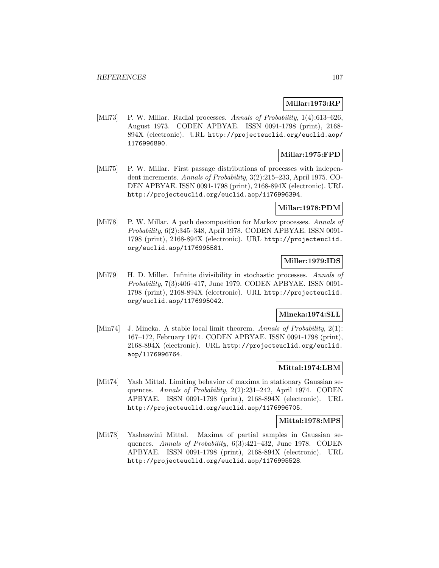## **Millar:1973:RP**

[Mil73] P. W. Millar. Radial processes. Annals of Probability, 1(4):613–626, August 1973. CODEN APBYAE. ISSN 0091-1798 (print), 2168- 894X (electronic). URL http://projecteuclid.org/euclid.aop/ 1176996890.

## **Millar:1975:FPD**

[Mil75] P. W. Millar. First passage distributions of processes with independent increments. Annals of Probability, 3(2):215–233, April 1975. CO-DEN APBYAE. ISSN 0091-1798 (print), 2168-894X (electronic). URL http://projecteuclid.org/euclid.aop/1176996394.

## **Millar:1978:PDM**

[Mil78] P. W. Millar. A path decomposition for Markov processes. Annals of Probability, 6(2):345–348, April 1978. CODEN APBYAE. ISSN 0091- 1798 (print), 2168-894X (electronic). URL http://projecteuclid. org/euclid.aop/1176995581.

## **Miller:1979:IDS**

[Mil79] H. D. Miller. Infinite divisibility in stochastic processes. Annals of Probability, 7(3):406–417, June 1979. CODEN APBYAE. ISSN 0091- 1798 (print), 2168-894X (electronic). URL http://projecteuclid. org/euclid.aop/1176995042.

# **Mineka:1974:SLL**

[Min74] J. Mineka. A stable local limit theorem. Annals of Probability, 2(1): 167–172, February 1974. CODEN APBYAE. ISSN 0091-1798 (print), 2168-894X (electronic). URL http://projecteuclid.org/euclid. aop/1176996764.

## **Mittal:1974:LBM**

[Mit74] Yash Mittal. Limiting behavior of maxima in stationary Gaussian sequences. Annals of Probability, 2(2):231–242, April 1974. CODEN APBYAE. ISSN 0091-1798 (print), 2168-894X (electronic). URL http://projecteuclid.org/euclid.aop/1176996705.

#### **Mittal:1978:MPS**

[Mit78] Yashaswini Mittal. Maxima of partial samples in Gaussian sequences. Annals of Probability, 6(3):421–432, June 1978. CODEN APBYAE. ISSN 0091-1798 (print), 2168-894X (electronic). URL http://projecteuclid.org/euclid.aop/1176995528.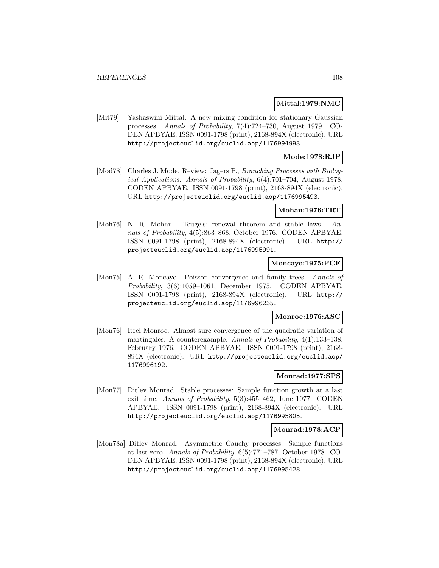#### **Mittal:1979:NMC**

[Mit79] Yashaswini Mittal. A new mixing condition for stationary Gaussian processes. Annals of Probability, 7(4):724–730, August 1979. CO-DEN APBYAE. ISSN 0091-1798 (print), 2168-894X (electronic). URL http://projecteuclid.org/euclid.aop/1176994993.

## **Mode:1978:RJP**

[Mod78] Charles J. Mode. Review: Jagers P., Branching Processes with Biological Applications. Annals of Probability, 6(4):701–704, August 1978. CODEN APBYAE. ISSN 0091-1798 (print), 2168-894X (electronic). URL http://projecteuclid.org/euclid.aop/1176995493.

### **Mohan:1976:TRT**

[Moh76] N. R. Mohan. Teugels' renewal theorem and stable laws. Annals of Probability, 4(5):863–868, October 1976. CODEN APBYAE. ISSN 0091-1798 (print), 2168-894X (electronic). URL http:// projecteuclid.org/euclid.aop/1176995991.

### **Moncayo:1975:PCF**

[Mon75] A. R. Moncayo. Poisson convergence and family trees. Annals of Probability, 3(6):1059–1061, December 1975. CODEN APBYAE. ISSN 0091-1798 (print), 2168-894X (electronic). URL http:// projecteuclid.org/euclid.aop/1176996235.

#### **Monroe:1976:ASC**

[Mon76] Itrel Monroe. Almost sure convergence of the quadratic variation of martingales: A counterexample. Annals of Probability, 4(1):133–138, February 1976. CODEN APBYAE. ISSN 0091-1798 (print), 2168- 894X (electronic). URL http://projecteuclid.org/euclid.aop/ 1176996192.

#### **Monrad:1977:SPS**

[Mon77] Ditlev Monrad. Stable processes: Sample function growth at a last exit time. Annals of Probability, 5(3):455–462, June 1977. CODEN APBYAE. ISSN 0091-1798 (print), 2168-894X (electronic). URL http://projecteuclid.org/euclid.aop/1176995805.

### **Monrad:1978:ACP**

[Mon78a] Ditlev Monrad. Asymmetric Cauchy processes: Sample functions at last zero. Annals of Probability, 6(5):771–787, October 1978. CO-DEN APBYAE. ISSN 0091-1798 (print), 2168-894X (electronic). URL http://projecteuclid.org/euclid.aop/1176995428.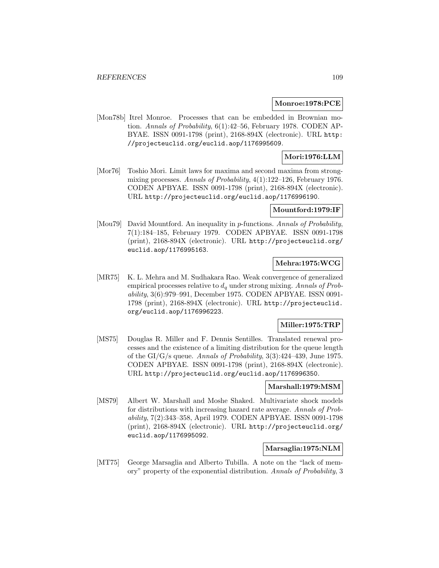#### **Monroe:1978:PCE**

[Mon78b] Itrel Monroe. Processes that can be embedded in Brownian motion. Annals of Probability, 6(1):42–56, February 1978. CODEN AP-BYAE. ISSN 0091-1798 (print), 2168-894X (electronic). URL http: //projecteuclid.org/euclid.aop/1176995609.

## **Mori:1976:LLM**

[Mor76] Toshio Mori. Limit laws for maxima and second maxima from strongmixing processes. Annals of Probability,  $4(1)$ :122–126, February 1976. CODEN APBYAE. ISSN 0091-1798 (print), 2168-894X (electronic). URL http://projecteuclid.org/euclid.aop/1176996190.

#### **Mountford:1979:IF**

[Mou79] David Mountford. An inequality in p-functions. Annals of Probability, 7(1):184–185, February 1979. CODEN APBYAE. ISSN 0091-1798 (print), 2168-894X (electronic). URL http://projecteuclid.org/ euclid.aop/1176995163.

### **Mehra:1975:WCG**

[MR75] K. L. Mehra and M. Sudhakara Rao. Weak convergence of generalized empirical processes relative to  $d_q$  under strong mixing. Annals of Probability, 3(6):979–991, December 1975. CODEN APBYAE. ISSN 0091- 1798 (print), 2168-894X (electronic). URL http://projecteuclid. org/euclid.aop/1176996223.

# **Miller:1975:TRP**

[MS75] Douglas R. Miller and F. Dennis Sentilles. Translated renewal processes and the existence of a limiting distribution for the queue length of the GI/G/s queue. Annals of Probability, 3(3):424–439, June 1975. CODEN APBYAE. ISSN 0091-1798 (print), 2168-894X (electronic). URL http://projecteuclid.org/euclid.aop/1176996350.

#### **Marshall:1979:MSM**

[MS79] Albert W. Marshall and Moshe Shaked. Multivariate shock models for distributions with increasing hazard rate average. Annals of Probability, 7(2):343–358, April 1979. CODEN APBYAE. ISSN 0091-1798 (print), 2168-894X (electronic). URL http://projecteuclid.org/ euclid.aop/1176995092.

### **Marsaglia:1975:NLM**

[MT75] George Marsaglia and Alberto Tubilla. A note on the "lack of memory" property of the exponential distribution. Annals of Probability, 3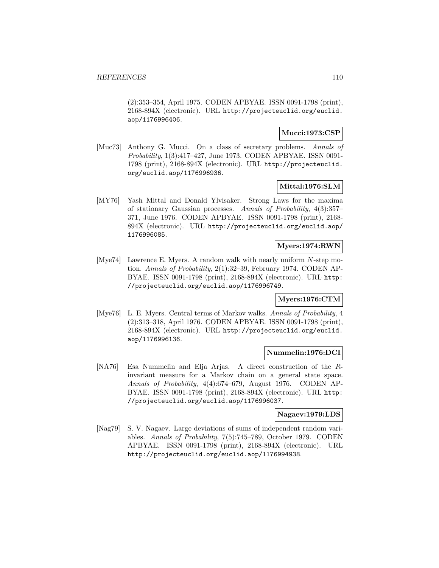(2):353–354, April 1975. CODEN APBYAE. ISSN 0091-1798 (print), 2168-894X (electronic). URL http://projecteuclid.org/euclid. aop/1176996406.

## **Mucci:1973:CSP**

[Muc73] Anthony G. Mucci. On a class of secretary problems. Annals of Probability, 1(3):417–427, June 1973. CODEN APBYAE. ISSN 0091- 1798 (print), 2168-894X (electronic). URL http://projecteuclid. org/euclid.aop/1176996936.

### **Mittal:1976:SLM**

[MY76] Yash Mittal and Donald Ylvisaker. Strong Laws for the maxima of stationary Gaussian processes. Annals of Probability, 4(3):357– 371, June 1976. CODEN APBYAE. ISSN 0091-1798 (print), 2168- 894X (electronic). URL http://projecteuclid.org/euclid.aop/ 1176996085.

### **Myers:1974:RWN**

[Mye74] Lawrence E. Myers. A random walk with nearly uniform N-step motion. Annals of Probability, 2(1):32–39, February 1974. CODEN AP-BYAE. ISSN 0091-1798 (print), 2168-894X (electronic). URL http: //projecteuclid.org/euclid.aop/1176996749.

## **Myers:1976:CTM**

[Mye76] L. E. Myers. Central terms of Markov walks. Annals of Probability, 4 (2):313–318, April 1976. CODEN APBYAE. ISSN 0091-1798 (print), 2168-894X (electronic). URL http://projecteuclid.org/euclid. aop/1176996136.

#### **Nummelin:1976:DCI**

[NA76] Esa Nummelin and Elja Arjas. A direct construction of the Rinvariant measure for a Markov chain on a general state space. Annals of Probability, 4(4):674–679, August 1976. CODEN AP-BYAE. ISSN 0091-1798 (print), 2168-894X (electronic). URL http: //projecteuclid.org/euclid.aop/1176996037.

### **Nagaev:1979:LDS**

[Nag79] S. V. Nagaev. Large deviations of sums of independent random variables. Annals of Probability, 7(5):745–789, October 1979. CODEN APBYAE. ISSN 0091-1798 (print), 2168-894X (electronic). URL http://projecteuclid.org/euclid.aop/1176994938.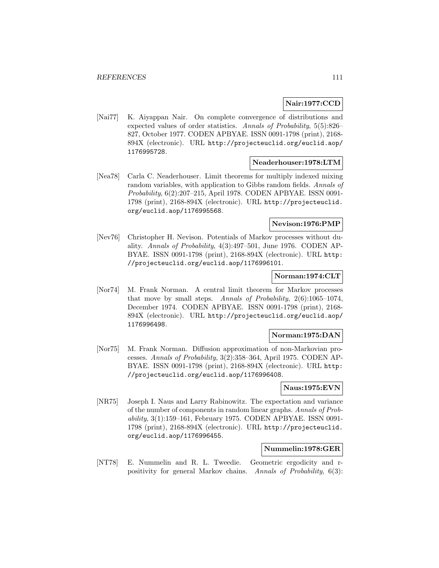### **Nair:1977:CCD**

[Nai77] K. Aiyappan Nair. On complete convergence of distributions and expected values of order statistics. Annals of Probability, 5(5):826– 827, October 1977. CODEN APBYAE. ISSN 0091-1798 (print), 2168- 894X (electronic). URL http://projecteuclid.org/euclid.aop/ 1176995728.

### **Neaderhouser:1978:LTM**

[Nea78] Carla C. Neaderhouser. Limit theorems for multiply indexed mixing random variables, with application to Gibbs random fields. Annals of Probability, 6(2):207–215, April 1978. CODEN APBYAE. ISSN 0091- 1798 (print), 2168-894X (electronic). URL http://projecteuclid. org/euclid.aop/1176995568.

### **Nevison:1976:PMP**

[Nev76] Christopher H. Nevison. Potentials of Markov processes without duality. Annals of Probability, 4(3):497–501, June 1976. CODEN AP-BYAE. ISSN 0091-1798 (print), 2168-894X (electronic). URL http: //projecteuclid.org/euclid.aop/1176996101.

### **Norman:1974:CLT**

[Nor74] M. Frank Norman. A central limit theorem for Markov processes that move by small steps. Annals of Probability, 2(6):1065–1074, December 1974. CODEN APBYAE. ISSN 0091-1798 (print), 2168- 894X (electronic). URL http://projecteuclid.org/euclid.aop/ 1176996498.

### **Norman:1975:DAN**

[Nor75] M. Frank Norman. Diffusion approximation of non-Markovian processes. Annals of Probability, 3(2):358–364, April 1975. CODEN AP-BYAE. ISSN 0091-1798 (print), 2168-894X (electronic). URL http: //projecteuclid.org/euclid.aop/1176996408.

## **Naus:1975:EVN**

[NR75] Joseph I. Naus and Larry Rabinowitz. The expectation and variance of the number of components in random linear graphs. Annals of Probability, 3(1):159–161, February 1975. CODEN APBYAE. ISSN 0091- 1798 (print), 2168-894X (electronic). URL http://projecteuclid. org/euclid.aop/1176996455.

# **Nummelin:1978:GER**

[NT78] E. Nummelin and R. L. Tweedie. Geometric ergodicity and rpositivity for general Markov chains. Annals of Probability, 6(3):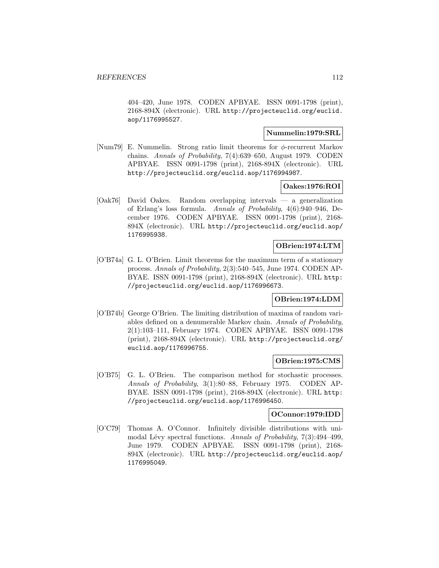404–420, June 1978. CODEN APBYAE. ISSN 0091-1798 (print), 2168-894X (electronic). URL http://projecteuclid.org/euclid. aop/1176995527.

# **Nummelin:1979:SRL**

[Num79] E. Nummelin. Strong ratio limit theorems for  $\phi$ -recurrent Markov chains. Annals of Probability, 7(4):639–650, August 1979. CODEN APBYAE. ISSN 0091-1798 (print), 2168-894X (electronic). URL http://projecteuclid.org/euclid.aop/1176994987.

### **Oakes:1976:ROI**

[Oak76] David Oakes. Random overlapping intervals — a generalization of Erlang's loss formula. Annals of Probability, 4(6):940–946, December 1976. CODEN APBYAE. ISSN 0091-1798 (print), 2168- 894X (electronic). URL http://projecteuclid.org/euclid.aop/ 1176995938.

#### **OBrien:1974:LTM**

[O'B74a] G. L. O'Brien. Limit theorems for the maximum term of a stationary process. Annals of Probability, 2(3):540–545, June 1974. CODEN AP-BYAE. ISSN 0091-1798 (print), 2168-894X (electronic). URL http: //projecteuclid.org/euclid.aop/1176996673.

# **OBrien:1974:LDM**

[O'B74b] George O'Brien. The limiting distribution of maxima of random variables defined on a denumerable Markov chain. Annals of Probability, 2(1):103–111, February 1974. CODEN APBYAE. ISSN 0091-1798 (print), 2168-894X (electronic). URL http://projecteuclid.org/ euclid.aop/1176996755.

#### **OBrien:1975:CMS**

[O'B75] G. L. O'Brien. The comparison method for stochastic processes. Annals of Probability, 3(1):80–88, February 1975. CODEN AP-BYAE. ISSN 0091-1798 (print), 2168-894X (electronic). URL http: //projecteuclid.org/euclid.aop/1176996450.

### **OConnor:1979:IDD**

[O'C79] Thomas A. O'Connor. Infinitely divisible distributions with unimodal Lévy spectral functions. Annals of Probability,  $7(3):494-499$ , June 1979. CODEN APBYAE. ISSN 0091-1798 (print), 2168- 894X (electronic). URL http://projecteuclid.org/euclid.aop/ 1176995049.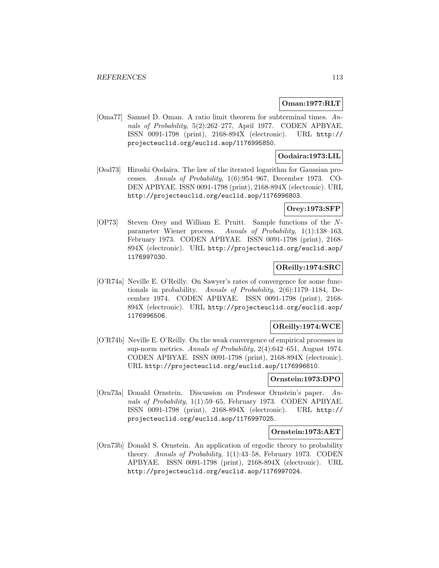## **Oman:1977:RLT**

[Oma77] Samuel D. Oman. A ratio limit theorem for subterminal times. Annals of Probability, 5(2):262–277, April 1977. CODEN APBYAE. ISSN 0091-1798 (print), 2168-894X (electronic). URL http:// projecteuclid.org/euclid.aop/1176995850.

## **Oodaira:1973:LIL**

[Ood73] Hiroshi Oodaira. The law of the iterated logarithm for Gaussian processes. Annals of Probability, 1(6):954–967, December 1973. CO-DEN APBYAE. ISSN 0091-1798 (print), 2168-894X (electronic). URL http://projecteuclid.org/euclid.aop/1176996803.

### **Orey:1973:SFP**

[OP73] Steven Orey and William E. Pruitt. Sample functions of the Nparameter Wiener process. Annals of Probability, 1(1):138–163, February 1973. CODEN APBYAE. ISSN 0091-1798 (print), 2168- 894X (electronic). URL http://projecteuclid.org/euclid.aop/ 1176997030.

## **OReilly:1974:SRC**

[O'R74a] Neville E. O'Reilly. On Sawyer's rates of convergence for some functionals in probability. Annals of Probability, 2(6):1179–1184, December 1974. CODEN APBYAE. ISSN 0091-1798 (print), 2168- 894X (electronic). URL http://projecteuclid.org/euclid.aop/ 1176996506.

## **OReilly:1974:WCE**

[O'R74b] Neville E. O'Reilly. On the weak convergence of empirical processes in sup-norm metrics. Annals of Probability, 2(4):642–651, August 1974. CODEN APBYAE. ISSN 0091-1798 (print), 2168-894X (electronic). URL http://projecteuclid.org/euclid.aop/1176996610.

### **Ornstein:1973:DPO**

[Orn73a] Donald Ornstein. Discussion on Professor Ornstein's paper. Annals of Probability, 1(1):59–65, February 1973. CODEN APBYAE. ISSN 0091-1798 (print), 2168-894X (electronic). URL http:// projecteuclid.org/euclid.aop/1176997025.

### **Ornstein:1973:AET**

[Orn73b] Donald S. Ornstein. An application of ergodic theory to probability theory. Annals of Probability, 1(1):43–58, February 1973. CODEN APBYAE. ISSN 0091-1798 (print), 2168-894X (electronic). URL http://projecteuclid.org/euclid.aop/1176997024.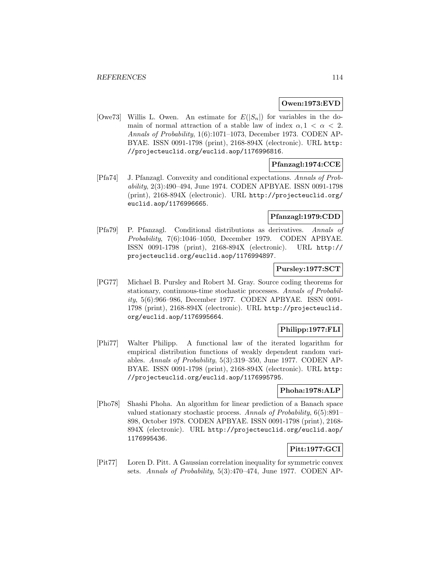## **Owen:1973:EVD**

[Owe73] Willis L. Owen. An estimate for  $E(|S_n|)$  for variables in the domain of normal attraction of a stable law of index  $\alpha$ ,  $1 < \alpha < 2$ . Annals of Probability, 1(6):1071–1073, December 1973. CODEN AP-BYAE. ISSN 0091-1798 (print), 2168-894X (electronic). URL http: //projecteuclid.org/euclid.aop/1176996816.

# **Pfanzagl:1974:CCE**

[Pfa74] J. Pfanzagl. Convexity and conditional expectations. Annals of Probability, 2(3):490–494, June 1974. CODEN APBYAE. ISSN 0091-1798 (print), 2168-894X (electronic). URL http://projecteuclid.org/ euclid.aop/1176996665.

# **Pfanzagl:1979:CDD**

[Pfa79] P. Pfanzagl. Conditional distributions as derivatives. Annals of Probability, 7(6):1046–1050, December 1979. CODEN APBYAE. ISSN 0091-1798 (print), 2168-894X (electronic). URL http:// projecteuclid.org/euclid.aop/1176994897.

### **Pursley:1977:SCT**

[PG77] Michael B. Pursley and Robert M. Gray. Source coding theorems for stationary, continuous-time stochastic processes. Annals of Probability, 5(6):966–986, December 1977. CODEN APBYAE. ISSN 0091- 1798 (print), 2168-894X (electronic). URL http://projecteuclid. org/euclid.aop/1176995664.

# **Philipp:1977:FLI**

[Phi77] Walter Philipp. A functional law of the iterated logarithm for empirical distribution functions of weakly dependent random variables. Annals of Probability, 5(3):319–350, June 1977. CODEN AP-BYAE. ISSN 0091-1798 (print), 2168-894X (electronic). URL http: //projecteuclid.org/euclid.aop/1176995795.

### **Phoha:1978:ALP**

[Pho78] Shashi Phoha. An algorithm for linear prediction of a Banach space valued stationary stochastic process. Annals of Probability, 6(5):891– 898, October 1978. CODEN APBYAE. ISSN 0091-1798 (print), 2168- 894X (electronic). URL http://projecteuclid.org/euclid.aop/ 1176995436.

# **Pitt:1977:GCI**

[Pit77] Loren D. Pitt. A Gaussian correlation inequality for symmetric convex sets. Annals of Probability, 5(3):470–474, June 1977. CODEN AP-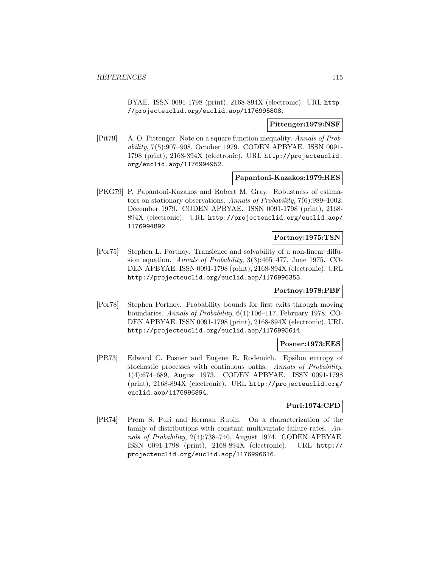BYAE. ISSN 0091-1798 (print), 2168-894X (electronic). URL http: //projecteuclid.org/euclid.aop/1176995808.

#### **Pittenger:1979:NSF**

[Pit79] A. O. Pittenger. Note on a square function inequality. Annals of Probability, 7(5):907–908, October 1979. CODEN APBYAE. ISSN 0091- 1798 (print), 2168-894X (electronic). URL http://projecteuclid. org/euclid.aop/1176994952.

#### **Papantoni-Kazakos:1979:RES**

[PKG79] P. Papantoni-Kazakos and Robert M. Gray. Robustness of estimators on stationary observations. Annals of Probability, 7(6):989–1002, December 1979. CODEN APBYAE. ISSN 0091-1798 (print), 2168- 894X (electronic). URL http://projecteuclid.org/euclid.aop/ 1176994892.

# **Portnoy:1975:TSN**

[Por75] Stephen L. Portnoy. Transience and solvability of a non-linear diffusion equation. Annals of Probability, 3(3):465–477, June 1975. CO-DEN APBYAE. ISSN 0091-1798 (print), 2168-894X (electronic). URL http://projecteuclid.org/euclid.aop/1176996353.

### **Portnoy:1978:PBF**

[Por78] Stephen Portnoy. Probability bounds for first exits through moving boundaries. Annals of Probability, 6(1):106–117, February 1978. CO-DEN APBYAE. ISSN 0091-1798 (print), 2168-894X (electronic). URL http://projecteuclid.org/euclid.aop/1176995614.

#### **Posner:1973:EES**

[PR73] Edward C. Posner and Eugene R. Rodemich. Epsilon entropy of stochastic processes with continuous paths. Annals of Probability, 1(4):674–689, August 1973. CODEN APBYAE. ISSN 0091-1798 (print), 2168-894X (electronic). URL http://projecteuclid.org/ euclid.aop/1176996894.

## **Puri:1974:CFD**

[PR74] Prem S. Puri and Herman Rubin. On a characterization of the family of distributions with constant multivariate failure rates. Annals of Probability, 2(4):738–740, August 1974. CODEN APBYAE. ISSN 0091-1798 (print), 2168-894X (electronic). URL http:// projecteuclid.org/euclid.aop/1176996616.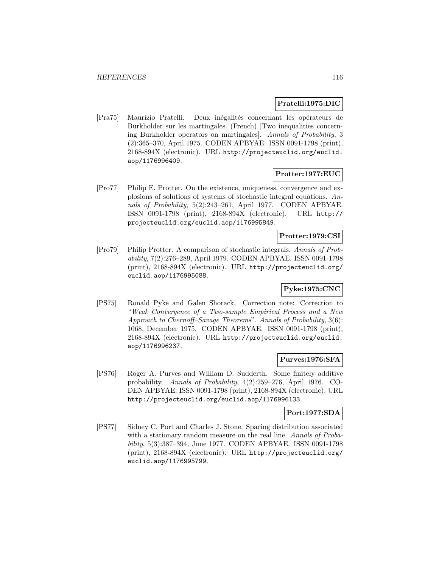### **Pratelli:1975:DIC**

[Pra75] Maurizio Pratelli. Deux inégalités concernant les opérateurs de Burkholder sur les martingales. (French) [Two inequalities concerning Burkholder operators on martingales]. Annals of Probability, 3 (2):365–370, April 1975. CODEN APBYAE. ISSN 0091-1798 (print), 2168-894X (electronic). URL http://projecteuclid.org/euclid. aop/1176996409.

## **Protter:1977:EUC**

[Pro77] Philip E. Protter. On the existence, uniqueness, convergence and explosions of solutions of systems of stochastic integral equations. Annals of Probability, 5(2):243–261, April 1977. CODEN APBYAE. ISSN 0091-1798 (print), 2168-894X (electronic). URL http:// projecteuclid.org/euclid.aop/1176995849.

# **Protter:1979:CSI**

[Pro79] Philip Protter. A comparison of stochastic integrals. Annals of Probability, 7(2):276–289, April 1979. CODEN APBYAE. ISSN 0091-1798 (print), 2168-894X (electronic). URL http://projecteuclid.org/ euclid.aop/1176995088.

# **Pyke:1975:CNC**

[PS75] Ronald Pyke and Galen Shorack. Correction note: Correction to "Weak Convergence of a Two-sample Empirical Process and a New Approach to Chernoff–Savage Theorems". Annals of Probability, 3(6): 1068, December 1975. CODEN APBYAE. ISSN 0091-1798 (print), 2168-894X (electronic). URL http://projecteuclid.org/euclid. aop/1176996237.

### **Purves:1976:SFA**

[PS76] Roger A. Purves and William D. Sudderth. Some finitely additive probability. Annals of Probability, 4(2):259–276, April 1976. CO-DEN APBYAE. ISSN 0091-1798 (print), 2168-894X (electronic). URL http://projecteuclid.org/euclid.aop/1176996133.

### **Port:1977:SDA**

[PS77] Sidney C. Port and Charles J. Stone. Spacing distribution associated with a stationary random measure on the real line. Annals of Probability, 5(3):387–394, June 1977. CODEN APBYAE. ISSN 0091-1798 (print), 2168-894X (electronic). URL http://projecteuclid.org/ euclid.aop/1176995799.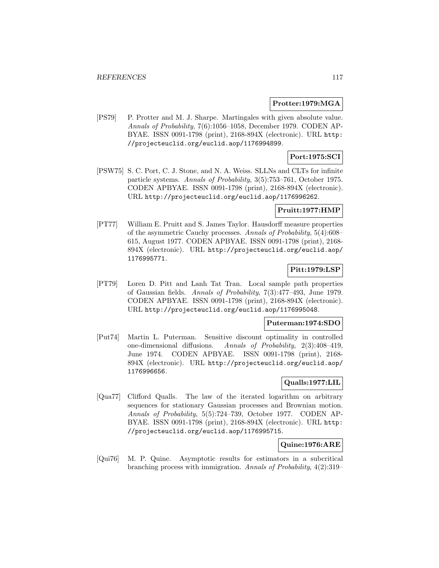#### **Protter:1979:MGA**

[PS79] P. Protter and M. J. Sharpe. Martingales with given absolute value. Annals of Probability, 7(6):1056–1058, December 1979. CODEN AP-BYAE. ISSN 0091-1798 (print), 2168-894X (electronic). URL http: //projecteuclid.org/euclid.aop/1176994899.

### **Port:1975:SCI**

[PSW75] S. C. Port, C. J. Stone, and N. A. Weiss. SLLNs and CLTs for infinite particle systems. Annals of Probability, 3(5):753–761, October 1975. CODEN APBYAE. ISSN 0091-1798 (print), 2168-894X (electronic). URL http://projecteuclid.org/euclid.aop/1176996262.

### **Pruitt:1977:HMP**

[PT77] William E. Pruitt and S. James Taylor. Hausdorff measure properties of the asymmetric Cauchy processes. Annals of Probability, 5(4):608– 615, August 1977. CODEN APBYAE. ISSN 0091-1798 (print), 2168- 894X (electronic). URL http://projecteuclid.org/euclid.aop/ 1176995771.

# **Pitt:1979:LSP**

[PT79] Loren D. Pitt and Lanh Tat Tran. Local sample path properties of Gaussian fields. Annals of Probability, 7(3):477–493, June 1979. CODEN APBYAE. ISSN 0091-1798 (print), 2168-894X (electronic). URL http://projecteuclid.org/euclid.aop/1176995048.

### **Puterman:1974:SDO**

[Put74] Martin L. Puterman. Sensitive discount optimality in controlled one-dimensional diffusions. Annals of Probability, 2(3):408–419, June 1974. CODEN APBYAE. ISSN 0091-1798 (print), 2168- 894X (electronic). URL http://projecteuclid.org/euclid.aop/ 1176996656.

# **Qualls:1977:LIL**

[Qua77] Clifford Qualls. The law of the iterated logarithm on arbitrary sequences for stationary Gaussian processes and Brownian motion. Annals of Probability, 5(5):724–739, October 1977. CODEN AP-BYAE. ISSN 0091-1798 (print), 2168-894X (electronic). URL http: //projecteuclid.org/euclid.aop/1176995715.

### **Quine:1976:ARE**

[Qui76] M. P. Quine. Asymptotic results for estimators in a subcritical branching process with immigration. Annals of Probability, 4(2):319–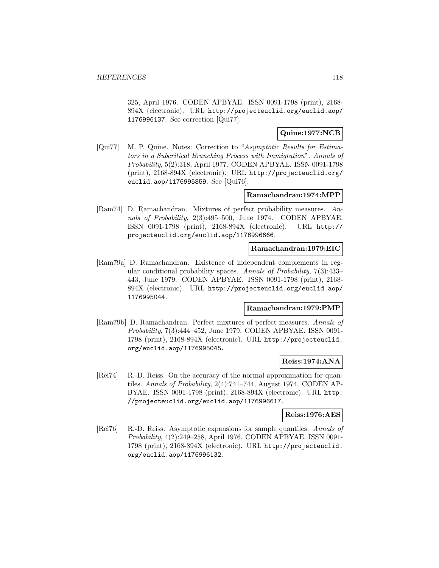325, April 1976. CODEN APBYAE. ISSN 0091-1798 (print), 2168- 894X (electronic). URL http://projecteuclid.org/euclid.aop/ 1176996137. See correction [Qui77].

# **Quine:1977:NCB**

[Qui77] M. P. Quine. Notes: Correction to "Asymptotic Results for Estimators in a Subcritical Branching Process with Immigration". Annals of Probability, 5(2):318, April 1977. CODEN APBYAE. ISSN 0091-1798 (print), 2168-894X (electronic). URL http://projecteuclid.org/ euclid.aop/1176995859. See [Qui76].

## **Ramachandran:1974:MPP**

[Ram74] D. Ramachandran. Mixtures of perfect probability measures. Annals of Probability, 2(3):495–500, June 1974. CODEN APBYAE. ISSN 0091-1798 (print), 2168-894X (electronic). URL http:// projecteuclid.org/euclid.aop/1176996666.

## **Ramachandran:1979:EIC**

[Ram79a] D. Ramachandran. Existence of independent complements in regular conditional probability spaces. Annals of Probability, 7(3):433– 443, June 1979. CODEN APBYAE. ISSN 0091-1798 (print), 2168- 894X (electronic). URL http://projecteuclid.org/euclid.aop/ 1176995044.

# **Ramachandran:1979:PMP**

[Ram79b] D. Ramachandran. Perfect mixtures of perfect measures. Annals of Probability, 7(3):444–452, June 1979. CODEN APBYAE. ISSN 0091- 1798 (print), 2168-894X (electronic). URL http://projecteuclid. org/euclid.aop/1176995045.

# **Reiss:1974:ANA**

[Rei74] R.-D. Reiss. On the accuracy of the normal approximation for quantiles. Annals of Probability, 2(4):741–744, August 1974. CODEN AP-BYAE. ISSN 0091-1798 (print), 2168-894X (electronic). URL http: //projecteuclid.org/euclid.aop/1176996617.

# **Reiss:1976:AES**

[Rei76] R.-D. Reiss. Asymptotic expansions for sample quantiles. Annals of Probability, 4(2):249–258, April 1976. CODEN APBYAE. ISSN 0091- 1798 (print), 2168-894X (electronic). URL http://projecteuclid. org/euclid.aop/1176996132.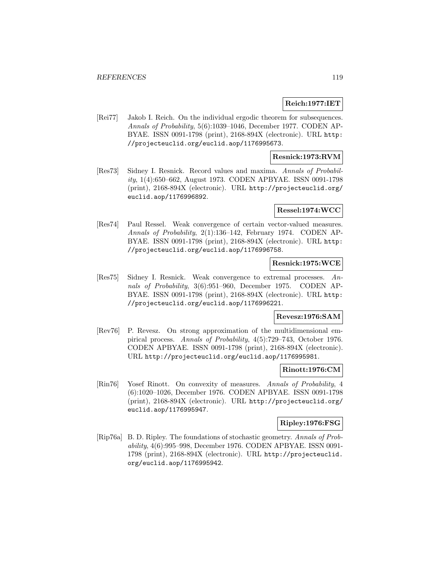#### **Reich:1977:IET**

[Rei77] Jakob I. Reich. On the individual ergodic theorem for subsequences. Annals of Probability, 5(6):1039–1046, December 1977. CODEN AP-BYAE. ISSN 0091-1798 (print), 2168-894X (electronic). URL http: //projecteuclid.org/euclid.aop/1176995673.

## **Resnick:1973:RVM**

[Res73] Sidney I. Resnick. Record values and maxima. Annals of Probability, 1(4):650–662, August 1973. CODEN APBYAE. ISSN 0091-1798 (print), 2168-894X (electronic). URL http://projecteuclid.org/ euclid.aop/1176996892.

#### **Ressel:1974:WCC**

[Res74] Paul Ressel. Weak convergence of certain vector-valued measures. Annals of Probability, 2(1):136–142, February 1974. CODEN AP-BYAE. ISSN 0091-1798 (print), 2168-894X (electronic). URL http: //projecteuclid.org/euclid.aop/1176996758.

## **Resnick:1975:WCE**

[Res75] Sidney I. Resnick. Weak convergence to extremal processes. Annals of Probability, 3(6):951–960, December 1975. CODEN AP-BYAE. ISSN 0091-1798 (print), 2168-894X (electronic). URL http: //projecteuclid.org/euclid.aop/1176996221.

#### **Revesz:1976:SAM**

[Rev76] P. Revesz. On strong approximation of the multidimensional empirical process. Annals of Probability, 4(5):729–743, October 1976. CODEN APBYAE. ISSN 0091-1798 (print), 2168-894X (electronic). URL http://projecteuclid.org/euclid.aop/1176995981.

## **Rinott:1976:CM**

[Rin76] Yosef Rinott. On convexity of measures. Annals of Probability, 4 (6):1020–1026, December 1976. CODEN APBYAE. ISSN 0091-1798 (print), 2168-894X (electronic). URL http://projecteuclid.org/ euclid.aop/1176995947.

#### **Ripley:1976:FSG**

[Rip76a] B. D. Ripley. The foundations of stochastic geometry. Annals of Probability, 4(6):995–998, December 1976. CODEN APBYAE. ISSN 0091- 1798 (print), 2168-894X (electronic). URL http://projecteuclid. org/euclid.aop/1176995942.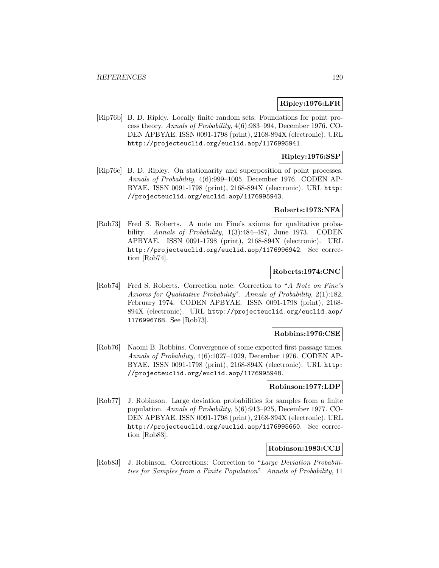### **Ripley:1976:LFR**

[Rip76b] B. D. Ripley. Locally finite random sets: Foundations for point process theory. Annals of Probability, 4(6):983–994, December 1976. CO-DEN APBYAE. ISSN 0091-1798 (print), 2168-894X (electronic). URL http://projecteuclid.org/euclid.aop/1176995941.

### **Ripley:1976:SSP**

[Rip76c] B. D. Ripley. On stationarity and superposition of point processes. Annals of Probability, 4(6):999–1005, December 1976. CODEN AP-BYAE. ISSN 0091-1798 (print), 2168-894X (electronic). URL http: //projecteuclid.org/euclid.aop/1176995943.

#### **Roberts:1973:NFA**

[Rob73] Fred S. Roberts. A note on Fine's axioms for qualitative probability. Annals of Probability, 1(3):484–487, June 1973. CODEN APBYAE. ISSN 0091-1798 (print), 2168-894X (electronic). URL http://projecteuclid.org/euclid.aop/1176996942. See correction [Rob74].

# **Roberts:1974:CNC**

[Rob74] Fred S. Roberts. Correction note: Correction to "A Note on Fine's Axioms for Qualitative Probability". Annals of Probability, 2(1):182, February 1974. CODEN APBYAE. ISSN 0091-1798 (print), 2168- 894X (electronic). URL http://projecteuclid.org/euclid.aop/ 1176996768. See [Rob73].

#### **Robbins:1976:CSE**

[Rob76] Naomi B. Robbins. Convergence of some expected first passage times. Annals of Probability, 4(6):1027–1029, December 1976. CODEN AP-BYAE. ISSN 0091-1798 (print), 2168-894X (electronic). URL http: //projecteuclid.org/euclid.aop/1176995948.

### **Robinson:1977:LDP**

[Rob77] J. Robinson. Large deviation probabilities for samples from a finite population. Annals of Probability, 5(6):913–925, December 1977. CO-DEN APBYAE. ISSN 0091-1798 (print), 2168-894X (electronic). URL http://projecteuclid.org/euclid.aop/1176995660. See correction [Rob83].

### **Robinson:1983:CCB**

[Rob83] J. Robinson. Corrections: Correction to "Large Deviation Probabilities for Samples from a Finite Population". Annals of Probability, 11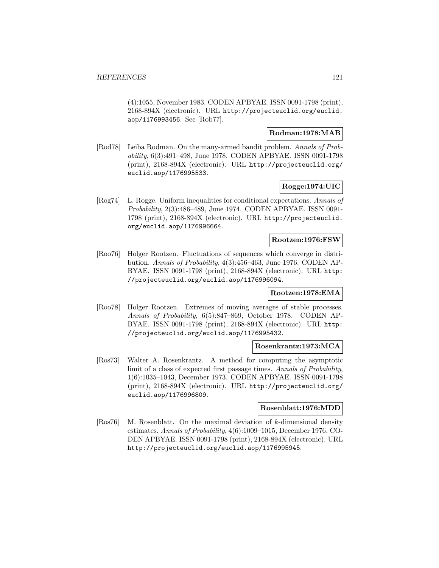(4):1055, November 1983. CODEN APBYAE. ISSN 0091-1798 (print), 2168-894X (electronic). URL http://projecteuclid.org/euclid. aop/1176993456. See [Rob77].

## **Rodman:1978:MAB**

[Rod78] Leiba Rodman. On the many-armed bandit problem. Annals of Probability, 6(3):491–498, June 1978. CODEN APBYAE. ISSN 0091-1798 (print), 2168-894X (electronic). URL http://projecteuclid.org/ euclid.aop/1176995533.

### **Rogge:1974:UIC**

[Rog74] L. Rogge. Uniform inequalities for conditional expectations. Annals of Probability, 2(3):486–489, June 1974. CODEN APBYAE. ISSN 0091- 1798 (print), 2168-894X (electronic). URL http://projecteuclid. org/euclid.aop/1176996664.

### **Rootzen:1976:FSW**

[Roo76] Holger Rootzen. Fluctuations of sequences which converge in distribution. Annals of Probability, 4(3):456–463, June 1976. CODEN AP-BYAE. ISSN 0091-1798 (print), 2168-894X (electronic). URL http: //projecteuclid.org/euclid.aop/1176996094.

### **Rootzen:1978:EMA**

[Roo78] Holger Rootzen. Extremes of moving averages of stable processes. Annals of Probability, 6(5):847–869, October 1978. CODEN AP-BYAE. ISSN 0091-1798 (print), 2168-894X (electronic). URL http: //projecteuclid.org/euclid.aop/1176995432.

### **Rosenkrantz:1973:MCA**

[Ros73] Walter A. Rosenkrantz. A method for computing the asymptotic limit of a class of expected first passage times. Annals of Probability, 1(6):1035–1043, December 1973. CODEN APBYAE. ISSN 0091-1798 (print), 2168-894X (electronic). URL http://projecteuclid.org/ euclid.aop/1176996809.

#### **Rosenblatt:1976:MDD**

[Ros76] M. Rosenblatt. On the maximal deviation of k-dimensional density estimates. Annals of Probability, 4(6):1009–1015, December 1976. CO-DEN APBYAE. ISSN 0091-1798 (print), 2168-894X (electronic). URL http://projecteuclid.org/euclid.aop/1176995945.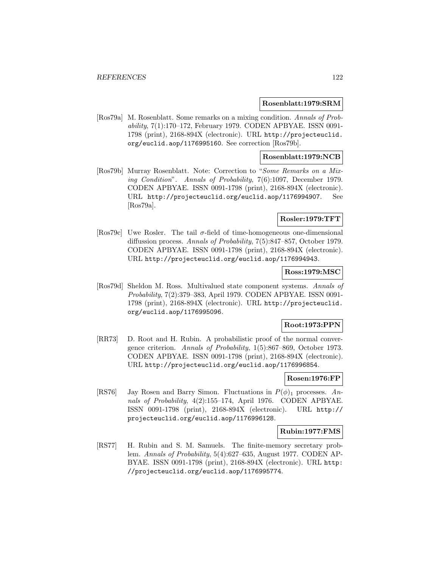#### **Rosenblatt:1979:SRM**

[Ros79a] M. Rosenblatt. Some remarks on a mixing condition. Annals of Probability, 7(1):170–172, February 1979. CODEN APBYAE. ISSN 0091- 1798 (print), 2168-894X (electronic). URL http://projecteuclid. org/euclid.aop/1176995160. See correction [Ros79b].

## **Rosenblatt:1979:NCB**

[Ros79b] Murray Rosenblatt. Note: Correction to "Some Remarks on a Mixing Condition". Annals of Probability, 7(6):1097, December 1979. CODEN APBYAE. ISSN 0091-1798 (print), 2168-894X (electronic). URL http://projecteuclid.org/euclid.aop/1176994907. See [Ros79a].

# **Rosler:1979:TFT**

[Ros79c] Uwe Rosler. The tail  $\sigma$ -field of time-homogeneous one-dimensional diffussion process. Annals of Probability, 7(5):847–857, October 1979. CODEN APBYAE. ISSN 0091-1798 (print), 2168-894X (electronic). URL http://projecteuclid.org/euclid.aop/1176994943.

### **Ross:1979:MSC**

[Ros79d] Sheldon M. Ross. Multivalued state component systems. Annals of Probability, 7(2):379–383, April 1979. CODEN APBYAE. ISSN 0091- 1798 (print), 2168-894X (electronic). URL http://projecteuclid. org/euclid.aop/1176995096.

### **Root:1973:PPN**

[RR73] D. Root and H. Rubin. A probabilistic proof of the normal convergence criterion. Annals of Probability, 1(5):867–869, October 1973. CODEN APBYAE. ISSN 0091-1798 (print), 2168-894X (electronic). URL http://projecteuclid.org/euclid.aop/1176996854.

# **Rosen:1976:FP**

[RS76] Jay Rosen and Barry Simon. Fluctuations in  $P(\phi)$ <sub>1</sub> processes. Annals of Probability, 4(2):155–174, April 1976. CODEN APBYAE. ISSN 0091-1798 (print), 2168-894X (electronic). URL http:// projecteuclid.org/euclid.aop/1176996128.

#### **Rubin:1977:FMS**

[RS77] H. Rubin and S. M. Samuels. The finite-memory secretary problem. Annals of Probability, 5(4):627–635, August 1977. CODEN AP-BYAE. ISSN 0091-1798 (print), 2168-894X (electronic). URL http: //projecteuclid.org/euclid.aop/1176995774.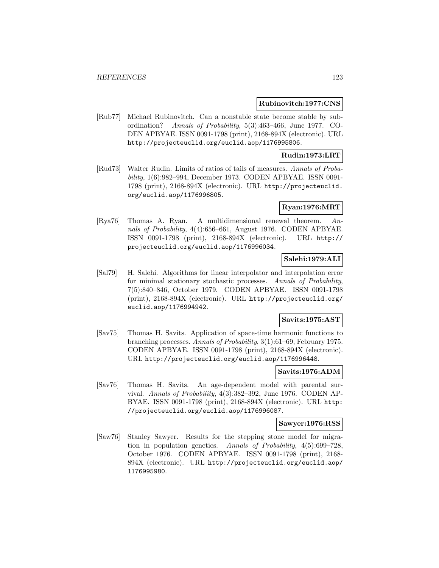### **Rubinovitch:1977:CNS**

[Rub77] Michael Rubinovitch. Can a nonstable state become stable by subordination? Annals of Probability, 5(3):463–466, June 1977. CO-DEN APBYAE. ISSN 0091-1798 (print), 2168-894X (electronic). URL http://projecteuclid.org/euclid.aop/1176995806.

### **Rudin:1973:LRT**

[Rud73] Walter Rudin. Limits of ratios of tails of measures. Annals of Probability, 1(6):982–994, December 1973. CODEN APBYAE. ISSN 0091- 1798 (print), 2168-894X (electronic). URL http://projecteuclid. org/euclid.aop/1176996805.

# **Ryan:1976:MRT**

[Rya76] Thomas A. Ryan. A multidimensional renewal theorem. Annals of Probability, 4(4):656–661, August 1976. CODEN APBYAE. ISSN 0091-1798 (print), 2168-894X (electronic). URL http:// projecteuclid.org/euclid.aop/1176996034.

## **Salehi:1979:ALI**

[Sal79] H. Salehi. Algorithms for linear interpolator and interpolation error for minimal stationary stochastic processes. Annals of Probability, 7(5):840–846, October 1979. CODEN APBYAE. ISSN 0091-1798 (print), 2168-894X (electronic). URL http://projecteuclid.org/ euclid.aop/1176994942.

# **Savits:1975:AST**

[Sav75] Thomas H. Savits. Application of space-time harmonic functions to branching processes. Annals of Probability, 3(1):61–69, February 1975. CODEN APBYAE. ISSN 0091-1798 (print), 2168-894X (electronic). URL http://projecteuclid.org/euclid.aop/1176996448.

### **Savits:1976:ADM**

[Sav76] Thomas H. Savits. An age-dependent model with parental survival. Annals of Probability, 4(3):382–392, June 1976. CODEN AP-BYAE. ISSN 0091-1798 (print), 2168-894X (electronic). URL http: //projecteuclid.org/euclid.aop/1176996087.

#### **Sawyer:1976:RSS**

[Saw76] Stanley Sawyer. Results for the stepping stone model for migration in population genetics. Annals of Probability, 4(5):699–728, October 1976. CODEN APBYAE. ISSN 0091-1798 (print), 2168- 894X (electronic). URL http://projecteuclid.org/euclid.aop/ 1176995980.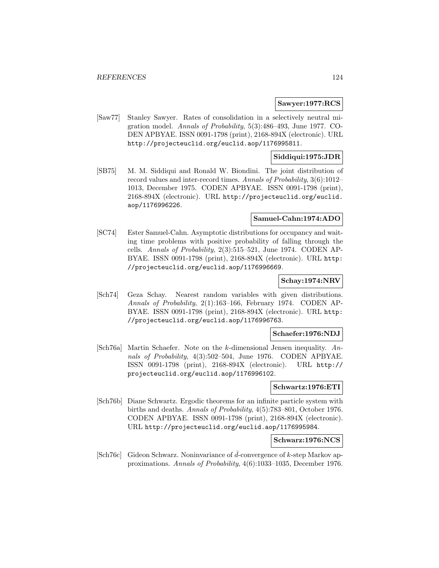#### **Sawyer:1977:RCS**

[Saw77] Stanley Sawyer. Rates of consolidation in a selectively neutral migration model. Annals of Probability, 5(3):486–493, June 1977. CO-DEN APBYAE. ISSN 0091-1798 (print), 2168-894X (electronic). URL http://projecteuclid.org/euclid.aop/1176995811.

### **Siddiqui:1975:JDR**

[SB75] M. M. Siddiqui and Ronald W. Biondini. The joint distribution of record values and inter-record times. Annals of Probability, 3(6):1012– 1013, December 1975. CODEN APBYAE. ISSN 0091-1798 (print), 2168-894X (electronic). URL http://projecteuclid.org/euclid. aop/1176996226.

#### **Samuel-Cahn:1974:ADO**

[SC74] Ester Samuel-Cahn. Asymptotic distributions for occupancy and waiting time problems with positive probability of falling through the cells. Annals of Probability, 2(3):515–521, June 1974. CODEN AP-BYAE. ISSN 0091-1798 (print), 2168-894X (electronic). URL http: //projecteuclid.org/euclid.aop/1176996669.

### **Schay:1974:NRV**

[Sch74] Geza Schay. Nearest random variables with given distributions. Annals of Probability, 2(1):163–166, February 1974. CODEN AP-BYAE. ISSN 0091-1798 (print), 2168-894X (electronic). URL http: //projecteuclid.org/euclid.aop/1176996763.

### **Schaefer:1976:NDJ**

[Sch76a] Martin Schaefer. Note on the k-dimensional Jensen inequality. Annals of Probability, 4(3):502–504, June 1976. CODEN APBYAE. ISSN 0091-1798 (print), 2168-894X (electronic). URL http:// projecteuclid.org/euclid.aop/1176996102.

#### **Schwartz:1976:ETI**

[Sch76b] Diane Schwartz. Ergodic theorems for an infinite particle system with births and deaths. Annals of Probability, 4(5):783–801, October 1976. CODEN APBYAE. ISSN 0091-1798 (print), 2168-894X (electronic). URL http://projecteuclid.org/euclid.aop/1176995984.

#### **Schwarz:1976:NCS**

[Sch76c] Gideon Schwarz. Noninvariance of  $\bar{d}$ -convergence of k-step Markov approximations. Annals of Probability, 4(6):1033–1035, December 1976.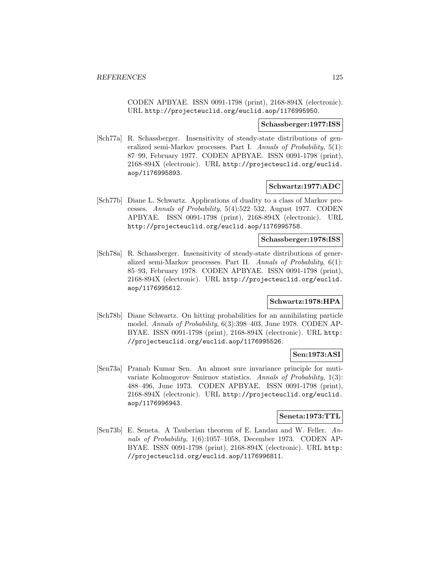CODEN APBYAE. ISSN 0091-1798 (print), 2168-894X (electronic). URL http://projecteuclid.org/euclid.aop/1176995950.

#### **Schassberger:1977:ISS**

[Sch77a] R. Schassberger. Insensitivity of steady-state distributions of generalized semi-Markov processes. Part I. Annals of Probability, 5(1): 87–99, February 1977. CODEN APBYAE. ISSN 0091-1798 (print), 2168-894X (electronic). URL http://projecteuclid.org/euclid. aop/1176995893.

### **Schwartz:1977:ADC**

[Sch77b] Diane L. Schwartz. Applications of duality to a class of Markov processes. Annals of Probability, 5(4):522–532, August 1977. CODEN APBYAE. ISSN 0091-1798 (print), 2168-894X (electronic). URL http://projecteuclid.org/euclid.aop/1176995758.

#### **Schassberger:1978:ISS**

[Sch78a] R. Schassberger. Insensitivity of steady-state distributions of generalized semi-Markov processes. Part II. Annals of Probability, 6(1): 85–93, February 1978. CODEN APBYAE. ISSN 0091-1798 (print), 2168-894X (electronic). URL http://projecteuclid.org/euclid. aop/1176995612.

# **Schwartz:1978:HPA**

[Sch78b] Diane Schwartz. On hitting probabilities for an annihilating particle model. Annals of Probability, 6(3):398–403, June 1978. CODEN AP-BYAE. ISSN 0091-1798 (print), 2168-894X (electronic). URL http: //projecteuclid.org/euclid.aop/1176995526.

## **Sen:1973:ASI**

[Sen73a] Pranab Kumar Sen. An almost sure invariance principle for mutivariate Kolmogorov–Smirnov statistics. Annals of Probability, 1(3): 488–496, June 1973. CODEN APBYAE. ISSN 0091-1798 (print), 2168-894X (electronic). URL http://projecteuclid.org/euclid. aop/1176996943.

### **Seneta:1973:TTL**

[Sen73b] E. Seneta. A Tauberian theorem of E. Landau and W. Feller. Annals of Probability, 1(6):1057–1058, December 1973. CODEN AP-BYAE. ISSN 0091-1798 (print), 2168-894X (electronic). URL http: //projecteuclid.org/euclid.aop/1176996811.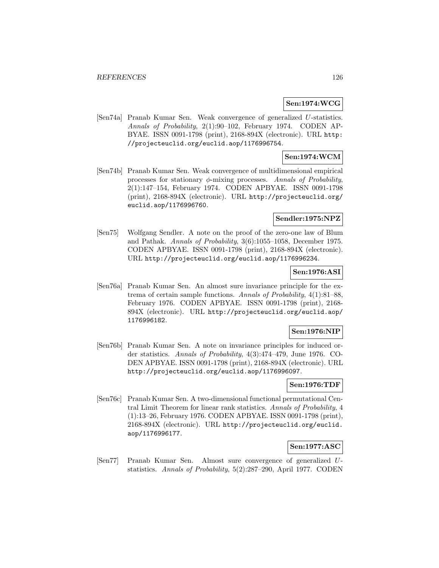### **Sen:1974:WCG**

[Sen74a] Pranab Kumar Sen. Weak convergence of generalized U-statistics. Annals of Probability, 2(1):90–102, February 1974. CODEN AP-BYAE. ISSN 0091-1798 (print), 2168-894X (electronic). URL http: //projecteuclid.org/euclid.aop/1176996754.

## **Sen:1974:WCM**

[Sen74b] Pranab Kumar Sen. Weak convergence of multidimensional empirical processes for stationary  $\phi$ -mixing processes. Annals of Probability, 2(1):147–154, February 1974. CODEN APBYAE. ISSN 0091-1798 (print), 2168-894X (electronic). URL http://projecteuclid.org/ euclid.aop/1176996760.

## **Sendler:1975:NPZ**

[Sen75] Wolfgang Sendler. A note on the proof of the zero-one law of Blum and Pathak. Annals of Probability, 3(6):1055–1058, December 1975. CODEN APBYAE. ISSN 0091-1798 (print), 2168-894X (electronic). URL http://projecteuclid.org/euclid.aop/1176996234.

## **Sen:1976:ASI**

[Sen76a] Pranab Kumar Sen. An almost sure invariance principle for the extrema of certain sample functions. Annals of Probability, 4(1):81–88, February 1976. CODEN APBYAE. ISSN 0091-1798 (print), 2168- 894X (electronic). URL http://projecteuclid.org/euclid.aop/ 1176996182.

## **Sen:1976:NIP**

[Sen76b] Pranab Kumar Sen. A note on invariance principles for induced order statistics. Annals of Probability, 4(3):474–479, June 1976. CO-DEN APBYAE. ISSN 0091-1798 (print), 2168-894X (electronic). URL http://projecteuclid.org/euclid.aop/1176996097.

### **Sen:1976:TDF**

[Sen76c] Pranab Kumar Sen. A two-dimensional functional permutational Central Limit Theorem for linear rank statistics. Annals of Probability, 4 (1):13–26, February 1976. CODEN APBYAE. ISSN 0091-1798 (print), 2168-894X (electronic). URL http://projecteuclid.org/euclid. aop/1176996177.

### **Sen:1977:ASC**

[Sen77] Pranab Kumar Sen. Almost sure convergence of generalized Ustatistics. Annals of Probability, 5(2):287–290, April 1977. CODEN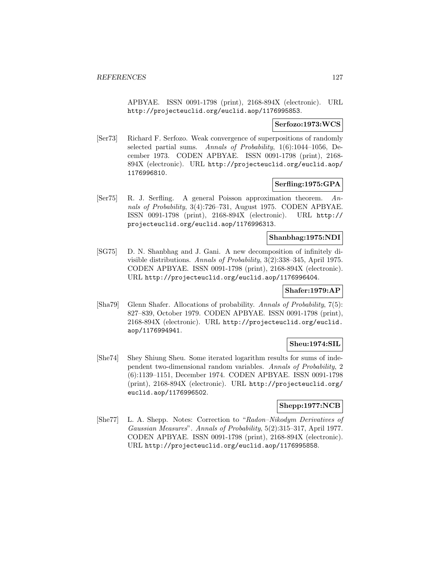APBYAE. ISSN 0091-1798 (print), 2168-894X (electronic). URL http://projecteuclid.org/euclid.aop/1176995853.

### **Serfozo:1973:WCS**

[Ser73] Richard F. Serfozo. Weak convergence of superpositions of randomly selected partial sums. Annals of Probability, 1(6):1044–1056, December 1973. CODEN APBYAE. ISSN 0091-1798 (print), 2168- 894X (electronic). URL http://projecteuclid.org/euclid.aop/ 1176996810.

## **Serfling:1975:GPA**

[Ser75] R. J. Serfling. A general Poisson approximation theorem. Annals of Probability, 3(4):726–731, August 1975. CODEN APBYAE. ISSN 0091-1798 (print), 2168-894X (electronic). URL http:// projecteuclid.org/euclid.aop/1176996313.

## **Shanbhag:1975:NDI**

[SG75] D. N. Shanbhag and J. Gani. A new decomposition of infinitely divisible distributions. Annals of Probability, 3(2):338–345, April 1975. CODEN APBYAE. ISSN 0091-1798 (print), 2168-894X (electronic). URL http://projecteuclid.org/euclid.aop/1176996404.

### **Shafer:1979:AP**

[Sha79] Glenn Shafer. Allocations of probability. Annals of Probability, 7(5): 827–839, October 1979. CODEN APBYAE. ISSN 0091-1798 (print), 2168-894X (electronic). URL http://projecteuclid.org/euclid. aop/1176994941.

# **Sheu:1974:SIL**

[She74] Shey Shiung Sheu. Some iterated logarithm results for sums of independent two-dimensional random variables. Annals of Probability, 2 (6):1139–1151, December 1974. CODEN APBYAE. ISSN 0091-1798 (print), 2168-894X (electronic). URL http://projecteuclid.org/ euclid.aop/1176996502.

# **Shepp:1977:NCB**

[She77] L. A. Shepp. Notes: Correction to "Radon–Nikodym Derivatives of Gaussian Measures". Annals of Probability, 5(2):315–317, April 1977. CODEN APBYAE. ISSN 0091-1798 (print), 2168-894X (electronic). URL http://projecteuclid.org/euclid.aop/1176995858.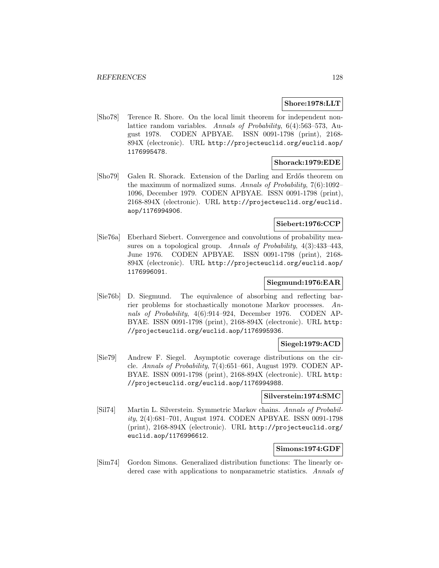### **Shore:1978:LLT**

[Sho78] Terence R. Shore. On the local limit theorem for independent nonlattice random variables. Annals of Probability, 6(4):563–573, August 1978. CODEN APBYAE. ISSN 0091-1798 (print), 2168- 894X (electronic). URL http://projecteuclid.org/euclid.aop/ 1176995478.

#### **Shorack:1979:EDE**

[Sho79] Galen R. Shorack. Extension of the Darling and Erdős theorem on the maximum of normalized sums. Annals of Probability, 7(6):1092– 1096, December 1979. CODEN APBYAE. ISSN 0091-1798 (print), 2168-894X (electronic). URL http://projecteuclid.org/euclid. aop/1176994906.

### **Siebert:1976:CCP**

[Sie76a] Eberhard Siebert. Convergence and convolutions of probability measures on a topological group. Annals of Probability, 4(3):433–443, June 1976. CODEN APBYAE. ISSN 0091-1798 (print), 2168- 894X (electronic). URL http://projecteuclid.org/euclid.aop/ 1176996091.

### **Siegmund:1976:EAR**

[Sie76b] D. Siegmund. The equivalence of absorbing and reflecting barrier problems for stochastically monotone Markov processes. Annals of Probability, 4(6):914–924, December 1976. CODEN AP-BYAE. ISSN 0091-1798 (print), 2168-894X (electronic). URL http: //projecteuclid.org/euclid.aop/1176995936.

## **Siegel:1979:ACD**

[Sie79] Andrew F. Siegel. Asymptotic coverage distributions on the circle. Annals of Probability, 7(4):651–661, August 1979. CODEN AP-BYAE. ISSN 0091-1798 (print), 2168-894X (electronic). URL http: //projecteuclid.org/euclid.aop/1176994988.

### **Silverstein:1974:SMC**

[Sil74] Martin L. Silverstein. Symmetric Markov chains. Annals of Probability, 2(4):681–701, August 1974. CODEN APBYAE. ISSN 0091-1798 (print), 2168-894X (electronic). URL http://projecteuclid.org/ euclid.aop/1176996612.

## **Simons:1974:GDF**

[Sim74] Gordon Simons. Generalized distribution functions: The linearly ordered case with applications to nonparametric statistics. Annals of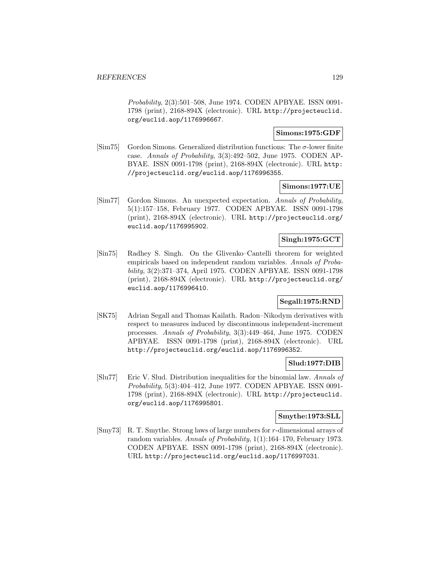Probability, 2(3):501–508, June 1974. CODEN APBYAE. ISSN 0091- 1798 (print), 2168-894X (electronic). URL http://projecteuclid. org/euclid.aop/1176996667.

### **Simons:1975:GDF**

 $[\text{Sim } 75]$  Gordon Simons. Generalized distribution functions: The  $\sigma$ -lower finite case. Annals of Probability, 3(3):492–502, June 1975. CODEN AP-BYAE. ISSN 0091-1798 (print), 2168-894X (electronic). URL http: //projecteuclid.org/euclid.aop/1176996355.

#### **Simons:1977:UE**

[Sim77] Gordon Simons. An unexpected expectation. Annals of Probability, 5(1):157–158, February 1977. CODEN APBYAE. ISSN 0091-1798 (print), 2168-894X (electronic). URL http://projecteuclid.org/ euclid.aop/1176995902.

### **Singh:1975:GCT**

[Sin75] Radhey S. Singh. On the Glivenko–Cantelli theorem for weighted empiricals based on independent random variables. Annals of Probability, 3(2):371–374, April 1975. CODEN APBYAE. ISSN 0091-1798 (print), 2168-894X (electronic). URL http://projecteuclid.org/ euclid.aop/1176996410.

# **Segall:1975:RND**

[SK75] Adrian Segall and Thomas Kailath. Radon–Nikodym derivatives with respect to measures induced by discontinuous independent-increment processes. Annals of Probability, 3(3):449–464, June 1975. CODEN APBYAE. ISSN 0091-1798 (print), 2168-894X (electronic). URL http://projecteuclid.org/euclid.aop/1176996352.

### **Slud:1977:DIB**

[Slu77] Eric V. Slud. Distribution inequalities for the binomial law. Annals of Probability, 5(3):404–412, June 1977. CODEN APBYAE. ISSN 0091- 1798 (print), 2168-894X (electronic). URL http://projecteuclid. org/euclid.aop/1176995801.

### **Smythe:1973:SLL**

[Smy73] R. T. Smythe. Strong laws of large numbers for r-dimensional arrays of random variables. Annals of Probability, 1(1):164–170, February 1973. CODEN APBYAE. ISSN 0091-1798 (print), 2168-894X (electronic). URL http://projecteuclid.org/euclid.aop/1176997031.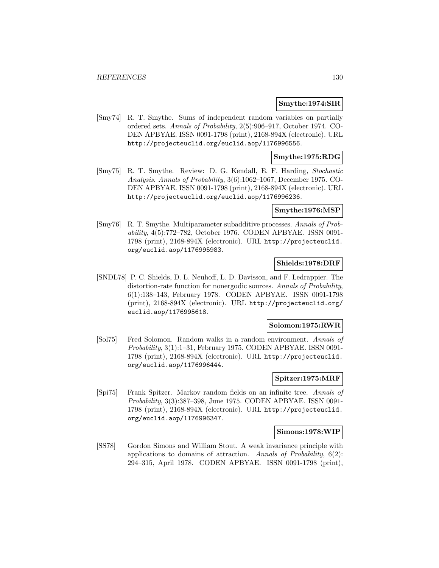### **Smythe:1974:SIR**

[Smy74] R. T. Smythe. Sums of independent random variables on partially ordered sets. Annals of Probability, 2(5):906–917, October 1974. CO-DEN APBYAE. ISSN 0091-1798 (print), 2168-894X (electronic). URL http://projecteuclid.org/euclid.aop/1176996556.

### **Smythe:1975:RDG**

[Smy75] R. T. Smythe. Review: D. G. Kendall, E. F. Harding, Stochastic Analysis. Annals of Probability, 3(6):1062–1067, December 1975. CO-DEN APBYAE. ISSN 0091-1798 (print), 2168-894X (electronic). URL http://projecteuclid.org/euclid.aop/1176996236.

### **Smythe:1976:MSP**

[Smy76] R. T. Smythe. Multiparameter subadditive processes. Annals of Probability, 4(5):772–782, October 1976. CODEN APBYAE. ISSN 0091- 1798 (print), 2168-894X (electronic). URL http://projecteuclid. org/euclid.aop/1176995983.

## **Shields:1978:DRF**

[SNDL78] P. C. Shields, D. L. Neuhoff, L. D. Davisson, and F. Ledrappier. The distortion-rate function for nonergodic sources. Annals of Probability, 6(1):138–143, February 1978. CODEN APBYAE. ISSN 0091-1798 (print), 2168-894X (electronic). URL http://projecteuclid.org/ euclid.aop/1176995618.

#### **Solomon:1975:RWR**

[Sol75] Fred Solomon. Random walks in a random environment. Annals of Probability, 3(1):1–31, February 1975. CODEN APBYAE. ISSN 0091- 1798 (print), 2168-894X (electronic). URL http://projecteuclid. org/euclid.aop/1176996444.

## **Spitzer:1975:MRF**

[Spi75] Frank Spitzer. Markov random fields on an infinite tree. Annals of Probability, 3(3):387–398, June 1975. CODEN APBYAE. ISSN 0091- 1798 (print), 2168-894X (electronic). URL http://projecteuclid. org/euclid.aop/1176996347.

#### **Simons:1978:WIP**

[SS78] Gordon Simons and William Stout. A weak invariance principle with applications to domains of attraction. Annals of Probability,  $6(2)$ : 294–315, April 1978. CODEN APBYAE. ISSN 0091-1798 (print),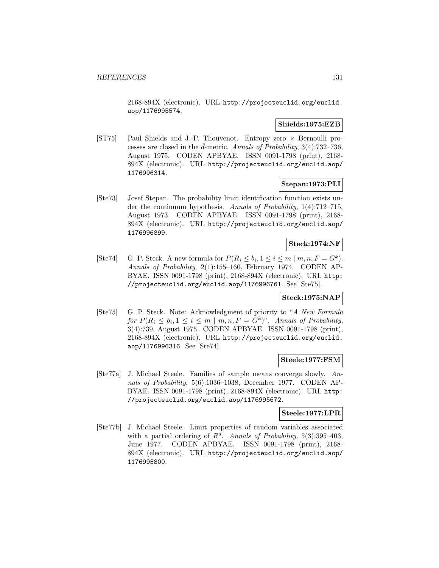2168-894X (electronic). URL http://projecteuclid.org/euclid. aop/1176995574.

## **Shields:1975:EZB**

[ST75] Paul Shields and J.-P. Thouvenot. Entropy zero × Bernoulli processes are closed in the  $\bar{d}$ -metric. Annals of Probability, 3(4):732-736, August 1975. CODEN APBYAE. ISSN 0091-1798 (print), 2168- 894X (electronic). URL http://projecteuclid.org/euclid.aop/ 1176996314.

# **Stepan:1973:PLI**

[Ste73] Josef Stepan. The probability limit identification function exists under the continuum hypothesis. Annals of Probability, 1(4):712–715, August 1973. CODEN APBYAE. ISSN 0091-1798 (print), 2168- 894X (electronic). URL http://projecteuclid.org/euclid.aop/ 1176996899.

# **Steck:1974:NF**

[Ste74] G. P. Steck. A new formula for  $P(R_i \leq b_i, 1 \leq i \leq m \mid m, n, F = G^k)$ . Annals of Probability, 2(1):155–160, February 1974. CODEN AP-BYAE. ISSN 0091-1798 (print), 2168-894X (electronic). URL http: //projecteuclid.org/euclid.aop/1176996761. See [Ste75].

# **Steck:1975:NAP**

[Ste75] G. P. Steck. Note: Acknowledgment of priority to "A New Formula for  $P(R_i \leq b_i, 1 \leq i \leq m \mid m, n, F = G^k)$ ". Annals of Probability, 3(4):739, August 1975. CODEN APBYAE. ISSN 0091-1798 (print), 2168-894X (electronic). URL http://projecteuclid.org/euclid. aop/1176996316. See [Ste74].

### **Steele:1977:FSM**

[Ste77a] J. Michael Steele. Families of sample means converge slowly. Annals of Probability, 5(6):1036–1038, December 1977. CODEN AP-BYAE. ISSN 0091-1798 (print), 2168-894X (electronic). URL http: //projecteuclid.org/euclid.aop/1176995672.

# **Steele:1977:LPR**

[Ste77b] J. Michael Steele. Limit properties of random variables associated with a partial ordering of  $R^d$ . Annals of Probability, 5(3):395-403, June 1977. CODEN APBYAE. ISSN 0091-1798 (print), 2168- 894X (electronic). URL http://projecteuclid.org/euclid.aop/ 1176995800.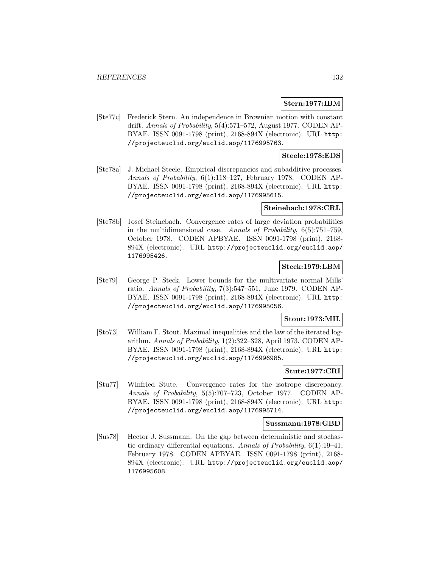### **Stern:1977:IBM**

[Ste77c] Frederick Stern. An independence in Brownian motion with constant drift. Annals of Probability, 5(4):571–572, August 1977. CODEN AP-BYAE. ISSN 0091-1798 (print), 2168-894X (electronic). URL http: //projecteuclid.org/euclid.aop/1176995763.

## **Steele:1978:EDS**

[Ste78a] J. Michael Steele. Empirical discrepancies and subadditive processes. Annals of Probability, 6(1):118–127, February 1978. CODEN AP-BYAE. ISSN 0091-1798 (print), 2168-894X (electronic). URL http: //projecteuclid.org/euclid.aop/1176995615.

### **Steinebach:1978:CRL**

[Ste78b] Josef Steinebach. Convergence rates of large deviation probabilities in the multidimensional case. Annals of Probability, 6(5):751–759, October 1978. CODEN APBYAE. ISSN 0091-1798 (print), 2168- 894X (electronic). URL http://projecteuclid.org/euclid.aop/ 1176995426.

# **Steck:1979:LBM**

[Ste79] George P. Steck. Lower bounds for the multivariate normal Mills' ratio. Annals of Probability, 7(3):547–551, June 1979. CODEN AP-BYAE. ISSN 0091-1798 (print), 2168-894X (electronic). URL http: //projecteuclid.org/euclid.aop/1176995056.

# **Stout:1973:MIL**

[Sto73] William F. Stout. Maximal inequalities and the law of the iterated logarithm. Annals of Probability, 1(2):322–328, April 1973. CODEN AP-BYAE. ISSN 0091-1798 (print), 2168-894X (electronic). URL http: //projecteuclid.org/euclid.aop/1176996985.

#### **Stute:1977:CRI**

[Stu77] Winfried Stute. Convergence rates for the isotrope discrepancy. Annals of Probability, 5(5):707–723, October 1977. CODEN AP-BYAE. ISSN 0091-1798 (print), 2168-894X (electronic). URL http: //projecteuclid.org/euclid.aop/1176995714.

#### **Sussmann:1978:GBD**

[Sus78] Hector J. Sussmann. On the gap between deterministic and stochastic ordinary differential equations. Annals of Probability, 6(1):19–41, February 1978. CODEN APBYAE. ISSN 0091-1798 (print), 2168- 894X (electronic). URL http://projecteuclid.org/euclid.aop/ 1176995608.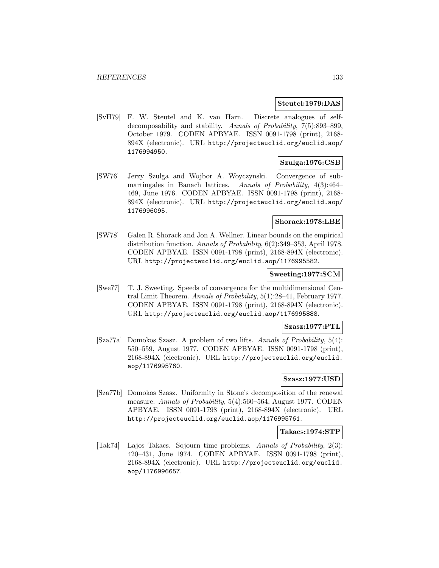### **Steutel:1979:DAS**

[SvH79] F. W. Steutel and K. van Harn. Discrete analogues of selfdecomposability and stability. Annals of Probability, 7(5):893–899, October 1979. CODEN APBYAE. ISSN 0091-1798 (print), 2168- 894X (electronic). URL http://projecteuclid.org/euclid.aop/ 1176994950.

## **Szulga:1976:CSB**

[SW76] Jerzy Szulga and Wojbor A. Woyczynski. Convergence of submartingales in Banach lattices. Annals of Probability, 4(3):464– 469, June 1976. CODEN APBYAE. ISSN 0091-1798 (print), 2168- 894X (electronic). URL http://projecteuclid.org/euclid.aop/ 1176996095.

### **Shorack:1978:LBE**

[SW78] Galen R. Shorack and Jon A. Wellner. Linear bounds on the empirical distribution function. Annals of Probability, 6(2):349–353, April 1978. CODEN APBYAE. ISSN 0091-1798 (print), 2168-894X (electronic). URL http://projecteuclid.org/euclid.aop/1176995582.

#### **Sweeting:1977:SCM**

[Swe77] T. J. Sweeting. Speeds of convergence for the multidimensional Central Limit Theorem. Annals of Probability, 5(1):28–41, February 1977. CODEN APBYAE. ISSN 0091-1798 (print), 2168-894X (electronic). URL http://projecteuclid.org/euclid.aop/1176995888.

### **Szasz:1977:PTL**

[Sza77a] Domokos Szasz. A problem of two lifts. Annals of Probability, 5(4): 550–559, August 1977. CODEN APBYAE. ISSN 0091-1798 (print), 2168-894X (electronic). URL http://projecteuclid.org/euclid. aop/1176995760.

## **Szasz:1977:USD**

[Sza77b] Domokos Szasz. Uniformity in Stone's decomposition of the renewal measure. Annals of Probability, 5(4):560–564, August 1977. CODEN APBYAE. ISSN 0091-1798 (print), 2168-894X (electronic). URL http://projecteuclid.org/euclid.aop/1176995761.

### **Takacs:1974:STP**

[Tak74] Lajos Takacs. Sojourn time problems. Annals of Probability, 2(3): 420–431, June 1974. CODEN APBYAE. ISSN 0091-1798 (print), 2168-894X (electronic). URL http://projecteuclid.org/euclid. aop/1176996657.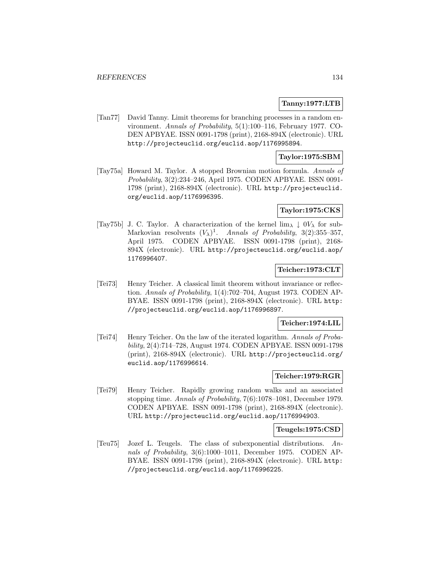### **Tanny:1977:LTB**

[Tan77] David Tanny. Limit theorems for branching processes in a random environment. Annals of Probability, 5(1):100–116, February 1977. CO-DEN APBYAE. ISSN 0091-1798 (print), 2168-894X (electronic). URL http://projecteuclid.org/euclid.aop/1176995894.

## **Taylor:1975:SBM**

[Tay75a] Howard M. Taylor. A stopped Brownian motion formula. Annals of Probability, 3(2):234–246, April 1975. CODEN APBYAE. ISSN 0091- 1798 (print), 2168-894X (electronic). URL http://projecteuclid. org/euclid.aop/1176996395.

### **Taylor:1975:CKS**

[Tay75b] J. C. Taylor. A characterization of the kernel  $\lim_{\lambda} \downarrow 0V_{\lambda}$  for sub-Markovian resolvents  $(V_\lambda)^1$ . Annals of Probability, 3(2):355–357, April 1975. CODEN APBYAE. ISSN 0091-1798 (print), 2168- 894X (electronic). URL http://projecteuclid.org/euclid.aop/ 1176996407.

#### **Teicher:1973:CLT**

[Tei73] Henry Teicher. A classical limit theorem without invariance or reflection. Annals of Probability, 1(4):702–704, August 1973. CODEN AP-BYAE. ISSN 0091-1798 (print), 2168-894X (electronic). URL http: //projecteuclid.org/euclid.aop/1176996897.

## **Teicher:1974:LIL**

[Tei74] Henry Teicher. On the law of the iterated logarithm. Annals of Probability, 2(4):714–728, August 1974. CODEN APBYAE. ISSN 0091-1798 (print), 2168-894X (electronic). URL http://projecteuclid.org/ euclid.aop/1176996614.

#### **Teicher:1979:RGR**

[Tei79] Henry Teicher. Rapidly growing random walks and an associated stopping time. Annals of Probability, 7(6):1078–1081, December 1979. CODEN APBYAE. ISSN 0091-1798 (print), 2168-894X (electronic). URL http://projecteuclid.org/euclid.aop/1176994903.

#### **Teugels:1975:CSD**

[Teu75] Jozef L. Teugels. The class of subexponential distributions. Annals of Probability, 3(6):1000–1011, December 1975. CODEN AP-BYAE. ISSN 0091-1798 (print), 2168-894X (electronic). URL http: //projecteuclid.org/euclid.aop/1176996225.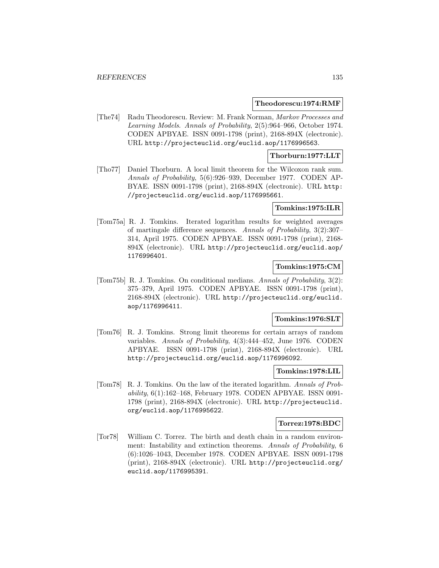#### **Theodorescu:1974:RMF**

[The74] Radu Theodorescu. Review: M. Frank Norman, Markov Processes and Learning Models. Annals of Probability, 2(5):964–966, October 1974. CODEN APBYAE. ISSN 0091-1798 (print), 2168-894X (electronic). URL http://projecteuclid.org/euclid.aop/1176996563.

### **Thorburn:1977:LLT**

[Tho77] Daniel Thorburn. A local limit theorem for the Wilcoxon rank sum. Annals of Probability, 5(6):926–939, December 1977. CODEN AP-BYAE. ISSN 0091-1798 (print), 2168-894X (electronic). URL http: //projecteuclid.org/euclid.aop/1176995661.

### **Tomkins:1975:ILR**

[Tom75a] R. J. Tomkins. Iterated logarithm results for weighted averages of martingale difference sequences. Annals of Probability, 3(2):307– 314, April 1975. CODEN APBYAE. ISSN 0091-1798 (print), 2168- 894X (electronic). URL http://projecteuclid.org/euclid.aop/ 1176996401.

### **Tomkins:1975:CM**

[Tom75b] R. J. Tomkins. On conditional medians. Annals of Probability, 3(2): 375–379, April 1975. CODEN APBYAE. ISSN 0091-1798 (print), 2168-894X (electronic). URL http://projecteuclid.org/euclid. aop/1176996411.

### **Tomkins:1976:SLT**

[Tom76] R. J. Tomkins. Strong limit theorems for certain arrays of random variables. Annals of Probability, 4(3):444–452, June 1976. CODEN APBYAE. ISSN 0091-1798 (print), 2168-894X (electronic). URL http://projecteuclid.org/euclid.aop/1176996092.

### **Tomkins:1978:LIL**

[Tom78] R. J. Tomkins. On the law of the iterated logarithm. Annals of Probability, 6(1):162–168, February 1978. CODEN APBYAE. ISSN 0091- 1798 (print), 2168-894X (electronic). URL http://projecteuclid. org/euclid.aop/1176995622.

#### **Torrez:1978:BDC**

[Tor78] William C. Torrez. The birth and death chain in a random environment: Instability and extinction theorems. Annals of Probability, 6 (6):1026–1043, December 1978. CODEN APBYAE. ISSN 0091-1798 (print), 2168-894X (electronic). URL http://projecteuclid.org/ euclid.aop/1176995391.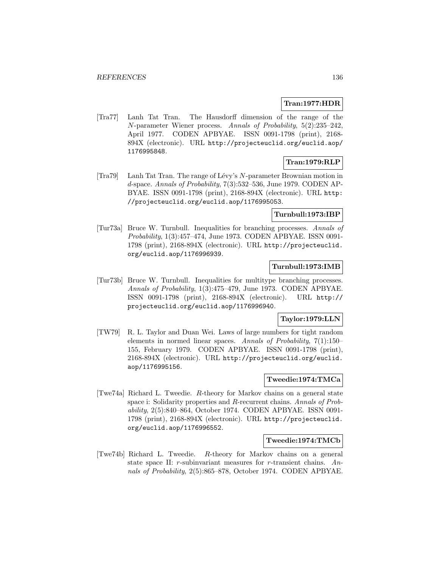### **Tran:1977:HDR**

[Tra77] Lanh Tat Tran. The Hausdorff dimension of the range of the N-parameter Wiener process. Annals of Probability, 5(2):235–242, April 1977. CODEN APBYAE. ISSN 0091-1798 (print), 2168- 894X (electronic). URL http://projecteuclid.org/euclid.aop/ 1176995848.

## **Tran:1979:RLP**

[Tra79] Lanh Tat Tran. The range of L´evy's N-parameter Brownian motion in d-space. Annals of Probability, 7(3):532–536, June 1979. CODEN AP-BYAE. ISSN 0091-1798 (print), 2168-894X (electronic). URL http: //projecteuclid.org/euclid.aop/1176995053.

### **Turnbull:1973:IBP**

[Tur73a] Bruce W. Turnbull. Inequalities for branching processes. Annals of Probability, 1(3):457–474, June 1973. CODEN APBYAE. ISSN 0091- 1798 (print), 2168-894X (electronic). URL http://projecteuclid. org/euclid.aop/1176996939.

### **Turnbull:1973:IMB**

[Tur73b] Bruce W. Turnbull. Inequalities for multitype branching processes. Annals of Probability, 1(3):475–479, June 1973. CODEN APBYAE. ISSN 0091-1798 (print), 2168-894X (electronic). URL http:// projecteuclid.org/euclid.aop/1176996940.

## **Taylor:1979:LLN**

[TW79] R. L. Taylor and Duan Wei. Laws of large numbers for tight random elements in normed linear spaces. Annals of Probability, 7(1):150– 155, February 1979. CODEN APBYAE. ISSN 0091-1798 (print), 2168-894X (electronic). URL http://projecteuclid.org/euclid. aop/1176995156.

## **Tweedie:1974:TMCa**

[Twe74a] Richard L. Tweedie. R-theory for Markov chains on a general state space i: Solidarity properties and R-recurrent chains. Annals of Probability, 2(5):840–864, October 1974. CODEN APBYAE. ISSN 0091- 1798 (print), 2168-894X (electronic). URL http://projecteuclid. org/euclid.aop/1176996552.

### **Tweedie:1974:TMCb**

[Twe74b] Richard L. Tweedie. R-theory for Markov chains on a general state space II: r-subinvariant measures for r-transient chains. Annals of Probability, 2(5):865–878, October 1974. CODEN APBYAE.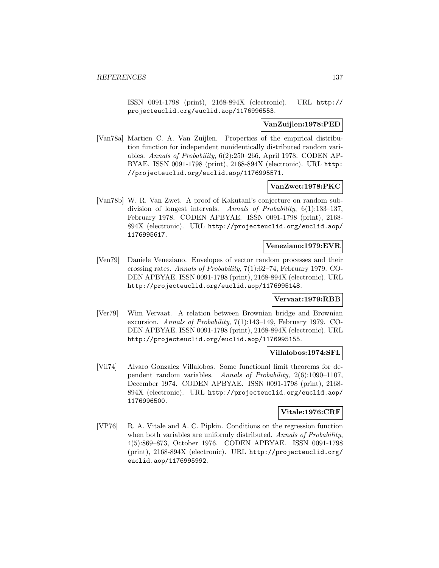ISSN 0091-1798 (print), 2168-894X (electronic). URL http:// projecteuclid.org/euclid.aop/1176996553.

### **VanZuijlen:1978:PED**

[Van78a] Martien C. A. Van Zuijlen. Properties of the empirical distribution function for independent nonidentically distributed random variables. Annals of Probability, 6(2):250–266, April 1978. CODEN AP-BYAE. ISSN 0091-1798 (print), 2168-894X (electronic). URL http: //projecteuclid.org/euclid.aop/1176995571.

## **VanZwet:1978:PKC**

[Van78b] W. R. Van Zwet. A proof of Kakutani's conjecture on random subdivision of longest intervals. Annals of Probability, 6(1):133–137, February 1978. CODEN APBYAE. ISSN 0091-1798 (print), 2168- 894X (electronic). URL http://projecteuclid.org/euclid.aop/ 1176995617.

#### **Veneziano:1979:EVR**

[Ven79] Daniele Veneziano. Envelopes of vector random processes and their crossing rates. Annals of Probability, 7(1):62–74, February 1979. CO-DEN APBYAE. ISSN 0091-1798 (print), 2168-894X (electronic). URL http://projecteuclid.org/euclid.aop/1176995148.

#### **Vervaat:1979:RBB**

[Ver79] Wim Vervaat. A relation between Brownian bridge and Brownian excursion. Annals of Probability, 7(1):143–149, February 1979. CO-DEN APBYAE. ISSN 0091-1798 (print), 2168-894X (electronic). URL http://projecteuclid.org/euclid.aop/1176995155.

## **Villalobos:1974:SFL**

[Vil74] Alvaro Gonzalez Villalobos. Some functional limit theorems for dependent random variables. Annals of Probability, 2(6):1090–1107, December 1974. CODEN APBYAE. ISSN 0091-1798 (print), 2168- 894X (electronic). URL http://projecteuclid.org/euclid.aop/ 1176996500.

### **Vitale:1976:CRF**

[VP76] R. A. Vitale and A. C. Pipkin. Conditions on the regression function when both variables are uniformly distributed. Annals of Probability, 4(5):869–873, October 1976. CODEN APBYAE. ISSN 0091-1798 (print), 2168-894X (electronic). URL http://projecteuclid.org/ euclid.aop/1176995992.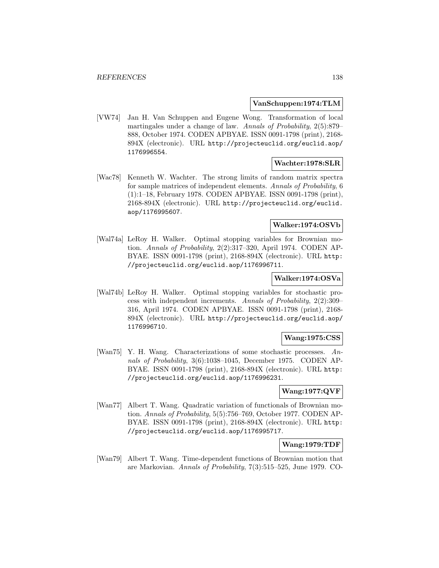### **VanSchuppen:1974:TLM**

[VW74] Jan H. Van Schuppen and Eugene Wong. Transformation of local martingales under a change of law. Annals of Probability, 2(5):879– 888, October 1974. CODEN APBYAE. ISSN 0091-1798 (print), 2168- 894X (electronic). URL http://projecteuclid.org/euclid.aop/ 1176996554.

## **Wachter:1978:SLR**

[Wac78] Kenneth W. Wachter. The strong limits of random matrix spectra for sample matrices of independent elements. Annals of Probability, 6 (1):1–18, February 1978. CODEN APBYAE. ISSN 0091-1798 (print), 2168-894X (electronic). URL http://projecteuclid.org/euclid. aop/1176995607.

### **Walker:1974:OSVb**

[Wal74a] LeRoy H. Walker. Optimal stopping variables for Brownian motion. Annals of Probability, 2(2):317–320, April 1974. CODEN AP-BYAE. ISSN 0091-1798 (print), 2168-894X (electronic). URL http: //projecteuclid.org/euclid.aop/1176996711.

### **Walker:1974:OSVa**

[Wal74b] LeRoy H. Walker. Optimal stopping variables for stochastic process with independent increments. Annals of Probability, 2(2):309– 316, April 1974. CODEN APBYAE. ISSN 0091-1798 (print), 2168- 894X (electronic). URL http://projecteuclid.org/euclid.aop/ 1176996710.

### **Wang:1975:CSS**

[Wan75] Y. H. Wang. Characterizations of some stochastic processes. Annals of Probability, 3(6):1038–1045, December 1975. CODEN AP-BYAE. ISSN 0091-1798 (print), 2168-894X (electronic). URL http: //projecteuclid.org/euclid.aop/1176996231.

### **Wang:1977:QVF**

[Wan77] Albert T. Wang. Quadratic variation of functionals of Brownian motion. Annals of Probability, 5(5):756–769, October 1977. CODEN AP-BYAE. ISSN 0091-1798 (print), 2168-894X (electronic). URL http: //projecteuclid.org/euclid.aop/1176995717.

## **Wang:1979:TDF**

[Wan79] Albert T. Wang. Time-dependent functions of Brownian motion that are Markovian. Annals of Probability, 7(3):515–525, June 1979. CO-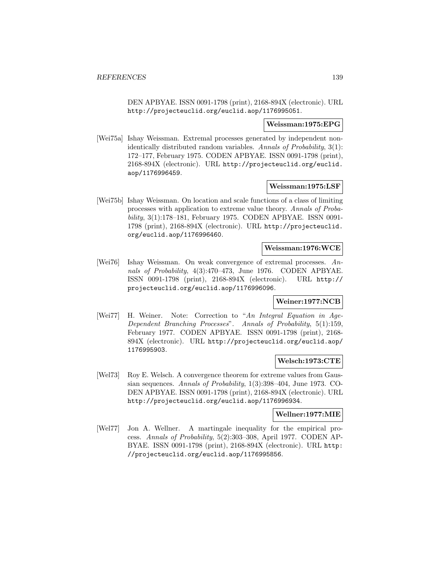DEN APBYAE. ISSN 0091-1798 (print), 2168-894X (electronic). URL http://projecteuclid.org/euclid.aop/1176995051.

#### **Weissman:1975:EPG**

[Wei75a] Ishay Weissman. Extremal processes generated by independent nonidentically distributed random variables. Annals of Probability, 3(1): 172–177, February 1975. CODEN APBYAE. ISSN 0091-1798 (print), 2168-894X (electronic). URL http://projecteuclid.org/euclid. aop/1176996459.

#### **Weissman:1975:LSF**

[Wei75b] Ishay Weissman. On location and scale functions of a class of limiting processes with application to extreme value theory. Annals of Probability, 3(1):178–181, February 1975. CODEN APBYAE. ISSN 0091- 1798 (print), 2168-894X (electronic). URL http://projecteuclid. org/euclid.aop/1176996460.

### **Weissman:1976:WCE**

[Wei76] Ishay Weissman. On weak convergence of extremal processes. Annals of Probability, 4(3):470–473, June 1976. CODEN APBYAE. ISSN 0091-1798 (print), 2168-894X (electronic). URL http:// projecteuclid.org/euclid.aop/1176996096.

### **Weiner:1977:NCB**

[Wei77] H. Weiner. Note: Correction to "An Integral Equation in Age-Dependent Branching Processes". Annals of Probability, 5(1):159, February 1977. CODEN APBYAE. ISSN 0091-1798 (print), 2168- 894X (electronic). URL http://projecteuclid.org/euclid.aop/ 1176995903.

### **Welsch:1973:CTE**

[Wel73] Roy E. Welsch. A convergence theorem for extreme values from Gaussian sequences. Annals of Probability, 1(3):398–404, June 1973. CO-DEN APBYAE. ISSN 0091-1798 (print), 2168-894X (electronic). URL http://projecteuclid.org/euclid.aop/1176996934.

### **Wellner:1977:MIE**

[Wel77] Jon A. Wellner. A martingale inequality for the empirical process. Annals of Probability, 5(2):303–308, April 1977. CODEN AP-BYAE. ISSN 0091-1798 (print), 2168-894X (electronic). URL http: //projecteuclid.org/euclid.aop/1176995856.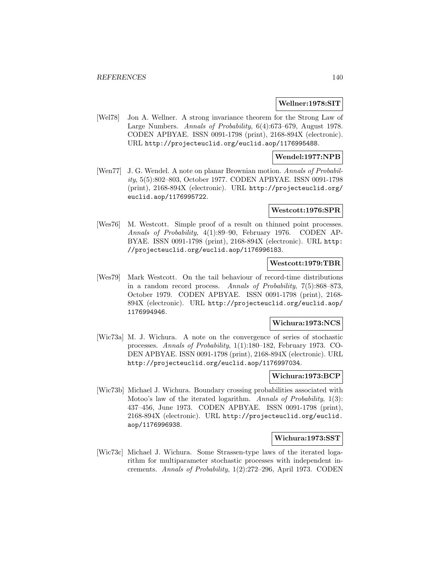#### **Wellner:1978:SIT**

[Wel78] Jon A. Wellner. A strong invariance theorem for the Strong Law of Large Numbers. Annals of Probability, 6(4):673–679, August 1978. CODEN APBYAE. ISSN 0091-1798 (print), 2168-894X (electronic). URL http://projecteuclid.org/euclid.aop/1176995488.

### **Wendel:1977:NPB**

[Wen77] J. G. Wendel. A note on planar Brownian motion. Annals of Probability, 5(5):802–803, October 1977. CODEN APBYAE. ISSN 0091-1798 (print), 2168-894X (electronic). URL http://projecteuclid.org/ euclid.aop/1176995722.

#### **Westcott:1976:SPR**

[Wes76] M. Westcott. Simple proof of a result on thinned point processes. Annals of Probability, 4(1):89–90, February 1976. CODEN AP-BYAE. ISSN 0091-1798 (print), 2168-894X (electronic). URL http: //projecteuclid.org/euclid.aop/1176996183.

#### **Westcott:1979:TBR**

[Wes79] Mark Westcott. On the tail behaviour of record-time distributions in a random record process. Annals of Probability, 7(5):868–873, October 1979. CODEN APBYAE. ISSN 0091-1798 (print), 2168- 894X (electronic). URL http://projecteuclid.org/euclid.aop/ 1176994946.

### **Wichura:1973:NCS**

[Wic73a] M. J. Wichura. A note on the convergence of series of stochastic processes. Annals of Probability, 1(1):180–182, February 1973. CO-DEN APBYAE. ISSN 0091-1798 (print), 2168-894X (electronic). URL http://projecteuclid.org/euclid.aop/1176997034.

### **Wichura:1973:BCP**

[Wic73b] Michael J. Wichura. Boundary crossing probabilities associated with Motoo's law of the iterated logarithm. Annals of Probability, 1(3): 437–456, June 1973. CODEN APBYAE. ISSN 0091-1798 (print), 2168-894X (electronic). URL http://projecteuclid.org/euclid. aop/1176996938.

### **Wichura:1973:SST**

[Wic73c] Michael J. Wichura. Some Strassen-type laws of the iterated logarithm for multiparameter stochastic processes with independent increments. Annals of Probability, 1(2):272–296, April 1973. CODEN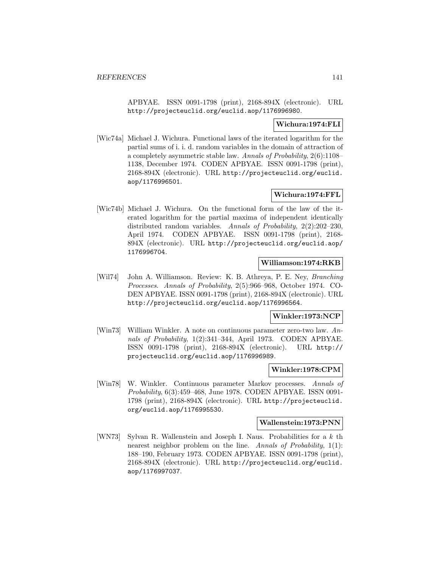APBYAE. ISSN 0091-1798 (print), 2168-894X (electronic). URL http://projecteuclid.org/euclid.aop/1176996980.

## **Wichura:1974:FLI**

[Wic74a] Michael J. Wichura. Functional laws of the iterated logarithm for the partial sums of i. i. d. random variables in the domain of attraction of a completely asymmetric stable law. Annals of Probability, 2(6):1108– 1138, December 1974. CODEN APBYAE. ISSN 0091-1798 (print), 2168-894X (electronic). URL http://projecteuclid.org/euclid. aop/1176996501.

# **Wichura:1974:FFL**

[Wic74b] Michael J. Wichura. On the functional form of the law of the iterated logarithm for the partial maxima of independent identically distributed random variables. Annals of Probability, 2(2):202–230, April 1974. CODEN APBYAE. ISSN 0091-1798 (print), 2168- 894X (electronic). URL http://projecteuclid.org/euclid.aop/ 1176996704.

### **Williamson:1974:RKB**

[Wil74] John A. Williamson. Review: K. B. Athreya, P. E. Ney, Branching Processes. Annals of Probability, 2(5):966–968, October 1974. CO-DEN APBYAE. ISSN 0091-1798 (print), 2168-894X (electronic). URL http://projecteuclid.org/euclid.aop/1176996564.

### **Winkler:1973:NCP**

[Win73] William Winkler. A note on continuous parameter zero-two law. Annals of Probability, 1(2):341–344, April 1973. CODEN APBYAE. ISSN 0091-1798 (print), 2168-894X (electronic). URL http:// projecteuclid.org/euclid.aop/1176996989.

### **Winkler:1978:CPM**

[Win78] W. Winkler. Continuous parameter Markov processes. Annals of Probability, 6(3):459–468, June 1978. CODEN APBYAE. ISSN 0091- 1798 (print), 2168-894X (electronic). URL http://projecteuclid. org/euclid.aop/1176995530.

#### **Wallenstein:1973:PNN**

[WN73] Sylvan R. Wallenstein and Joseph I. Naus. Probabilities for a k th nearest neighbor problem on the line. Annals of Probability, 1(1): 188–190, February 1973. CODEN APBYAE. ISSN 0091-1798 (print), 2168-894X (electronic). URL http://projecteuclid.org/euclid. aop/1176997037.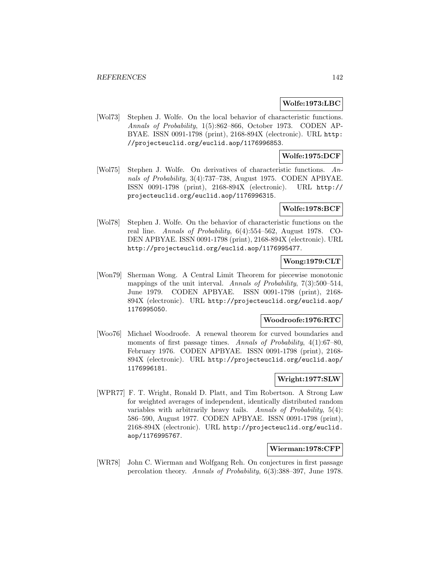### **Wolfe:1973:LBC**

[Wol73] Stephen J. Wolfe. On the local behavior of characteristic functions. Annals of Probability, 1(5):862–866, October 1973. CODEN AP-BYAE. ISSN 0091-1798 (print), 2168-894X (electronic). URL http: //projecteuclid.org/euclid.aop/1176996853.

# **Wolfe:1975:DCF**

[Wol75] Stephen J. Wolfe. On derivatives of characteristic functions. Annals of Probability, 3(4):737–738, August 1975. CODEN APBYAE. ISSN 0091-1798 (print), 2168-894X (electronic). URL http:// projecteuclid.org/euclid.aop/1176996315.

# **Wolfe:1978:BCF**

[Wol78] Stephen J. Wolfe. On the behavior of characteristic functions on the real line. Annals of Probability, 6(4):554–562, August 1978. CO-DEN APBYAE. ISSN 0091-1798 (print), 2168-894X (electronic). URL http://projecteuclid.org/euclid.aop/1176995477.

# **Wong:1979:CLT**

[Won79] Sherman Wong. A Central Limit Theorem for piecewise monotonic mappings of the unit interval. Annals of Probability, 7(3):500–514, June 1979. CODEN APBYAE. ISSN 0091-1798 (print), 2168- 894X (electronic). URL http://projecteuclid.org/euclid.aop/ 1176995050.

## **Woodroofe:1976:RTC**

[Woo76] Michael Woodroofe. A renewal theorem for curved boundaries and moments of first passage times. Annals of Probability,  $4(1):67-80$ , February 1976. CODEN APBYAE. ISSN 0091-1798 (print), 2168- 894X (electronic). URL http://projecteuclid.org/euclid.aop/ 1176996181.

# **Wright:1977:SLW**

[WPR77] F. T. Wright, Ronald D. Platt, and Tim Robertson. A Strong Law for weighted averages of independent, identically distributed random variables with arbitrarily heavy tails. Annals of Probability, 5(4): 586–590, August 1977. CODEN APBYAE. ISSN 0091-1798 (print), 2168-894X (electronic). URL http://projecteuclid.org/euclid. aop/1176995767.

### **Wierman:1978:CFP**

[WR78] John C. Wierman and Wolfgang Reh. On conjectures in first passage percolation theory. Annals of Probability, 6(3):388–397, June 1978.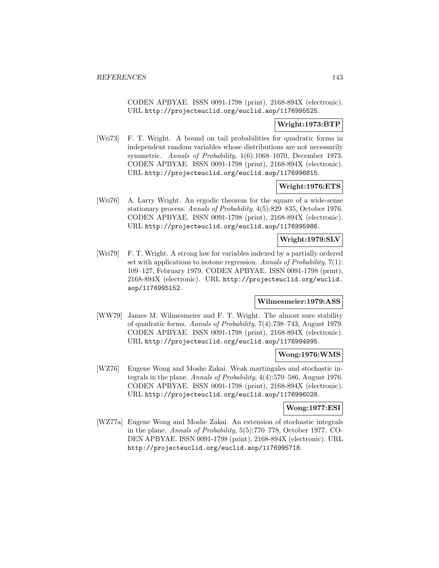CODEN APBYAE. ISSN 0091-1798 (print), 2168-894X (electronic). URL http://projecteuclid.org/euclid.aop/1176995525.

## **Wright:1973:BTP**

[Wri73] F. T. Wright. A bound on tail probabilities for quadratic forms in independent random variables whose distributions are not necessarily symmetric. Annals of Probability, 1(6):1068–1070, December 1973. CODEN APBYAE. ISSN 0091-1798 (print), 2168-894X (electronic). URL http://projecteuclid.org/euclid.aop/1176996815.

### **Wright:1976:ETS**

[Wri76] A. Larry Wright. An ergodic theorem for the square of a wide-sense stationary process. Annals of Probability, 4(5):829–835, October 1976. CODEN APBYAE. ISSN 0091-1798 (print), 2168-894X (electronic). URL http://projecteuclid.org/euclid.aop/1176995986.

### **Wright:1979:SLV**

[Wri79] F. T. Wright. A strong law for variables indexed by a partially ordered set with applications to isotone regression. Annals of Probability,  $7(1)$ : 109–127, February 1979. CODEN APBYAE. ISSN 0091-1798 (print), 2168-894X (electronic). URL http://projecteuclid.org/euclid. aop/1176995152.

### **Wilmesmeier:1979:ASS**

[WW79] James M. Wilmesmeier and F. T. Wright. The almost sure stability of quadratic forms. Annals of Probability, 7(4):738–743, August 1979. CODEN APBYAE. ISSN 0091-1798 (print), 2168-894X (electronic). URL http://projecteuclid.org/euclid.aop/1176994995.

# **Wong:1976:WMS**

[WZ76] Eugene Wong and Moshe Zakai. Weak martingales and stochastic integrals in the plane. Annals of Probability, 4(4):570–586, August 1976. CODEN APBYAE. ISSN 0091-1798 (print), 2168-894X (electronic). URL http://projecteuclid.org/euclid.aop/1176996028.

### **Wong:1977:ESI**

[WZ77a] Eugene Wong and Moshe Zakai. An extension of stochastic integrals in the plane. Annals of Probability, 5(5):770–778, October 1977. CO-DEN APBYAE. ISSN 0091-1798 (print), 2168-894X (electronic). URL http://projecteuclid.org/euclid.aop/1176995718.